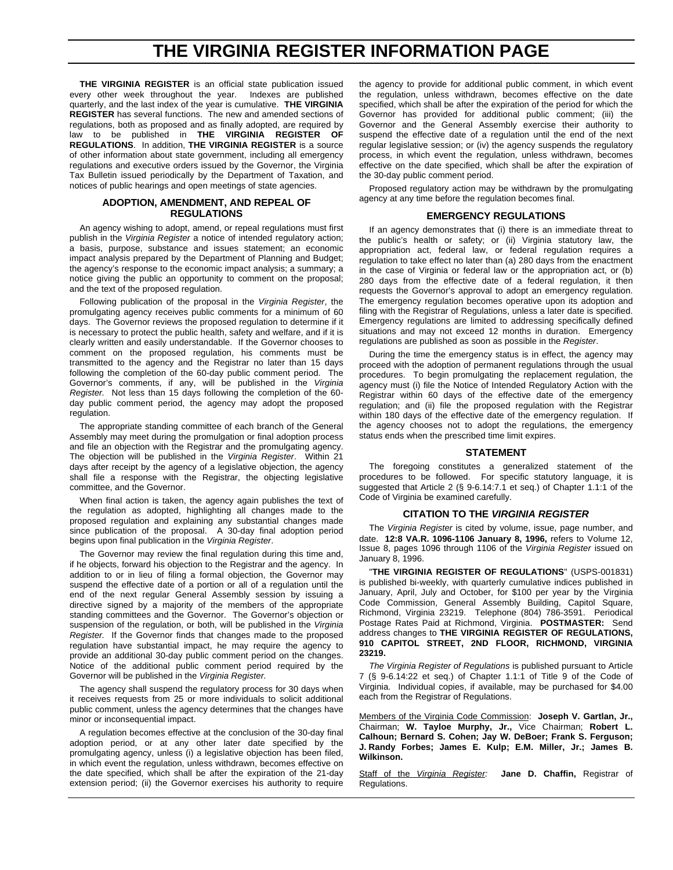## **THE VIRGINIA REGISTER INFORMATION PAGE**

**THE VIRGINIA REGISTER** is an official state publication issued every other week throughout the year. Indexes are published quarterly, and the last index of the year is cumulative. **THE VIRGINIA REGISTER** has several functions. The new and amended sections of regulations, both as proposed and as finally adopted, are required by law to be published in **THE VIRGINIA REGISTER OF REGULATIONS**. In addition, **THE VIRGINIA REGISTER** is a source of other information about state government, including all emergency regulations and executive orders issued by the Governor, the Virginia Tax Bulletin issued periodically by the Department of Taxation, and notices of public hearings and open meetings of state agencies.

#### **ADOPTION, AMENDMENT, AND REPEAL OF REGULATIONS**

An agency wishing to adopt, amend, or repeal regulations must first publish in the *Virginia Register* a notice of intended regulatory action; a basis, purpose, substance and issues statement; an economic impact analysis prepared by the Department of Planning and Budget; the agency's response to the economic impact analysis; a summary; a notice giving the public an opportunity to comment on the proposal; and the text of the proposed regulation.

Following publication of the proposal in the *Virginia Register*, the promulgating agency receives public comments for a minimum of 60 days. The Governor reviews the proposed regulation to determine if it is necessary to protect the public health, safety and welfare, and if it is clearly written and easily understandable. If the Governor chooses to comment on the proposed regulation, his comments must be transmitted to the agency and the Registrar no later than 15 days following the completion of the 60-day public comment period. The Governor's comments, if any, will be published in the *Virginia Register.* Not less than 15 days following the completion of the 60 day public comment period, the agency may adopt the proposed regulation.

The appropriate standing committee of each branch of the General Assembly may meet during the promulgation or final adoption process and file an objection with the Registrar and the promulgating agency. The objection will be published in the *Virginia Register*. Within 21 days after receipt by the agency of a legislative objection, the agency shall file a response with the Registrar, the objecting legislative committee, and the Governor.

When final action is taken, the agency again publishes the text of the regulation as adopted, highlighting all changes made to the proposed regulation and explaining any substantial changes made since publication of the proposal. A 30-day final adoption period begins upon final publication in the *Virginia Register*.

The Governor may review the final regulation during this time and, if he objects, forward his objection to the Registrar and the agency. In addition to or in lieu of filing a formal objection, the Governor may suspend the effective date of a portion or all of a regulation until the end of the next regular General Assembly session by issuing a directive signed by a majority of the members of the appropriate standing committees and the Governor. The Governor's objection or suspension of the regulation, or both, will be published in the *Virginia Register.* If the Governor finds that changes made to the proposed regulation have substantial impact, he may require the agency to provide an additional 30-day public comment period on the changes. Notice of the additional public comment period required by the Governor will be published in the *Virginia Register.*

The agency shall suspend the regulatory process for 30 days when it receives requests from 25 or more individuals to solicit additional public comment, unless the agency determines that the changes have minor or inconsequential impact.

A regulation becomes effective at the conclusion of the 30-day final adoption period, or at any other later date specified by the promulgating agency, unless (i) a legislative objection has been filed, in which event the regulation, unless withdrawn, becomes effective on the date specified, which shall be after the expiration of the 21-day extension period; (ii) the Governor exercises his authority to require

the agency to provide for additional public comment, in which event the regulation, unless withdrawn, becomes effective on the date specified, which shall be after the expiration of the period for which the Governor has provided for additional public comment; (iii) the Governor and the General Assembly exercise their authority to suspend the effective date of a regulation until the end of the next regular legislative session; or (iv) the agency suspends the regulatory process, in which event the regulation, unless withdrawn, becomes effective on the date specified, which shall be after the expiration of the 30-day public comment period.

Proposed regulatory action may be withdrawn by the promulgating agency at any time before the regulation becomes final.

#### **EMERGENCY REGULATIONS**

If an agency demonstrates that (i) there is an immediate threat to the public's health or safety; or (ii) Virginia statutory law, the appropriation act, federal law, or federal regulation requires a regulation to take effect no later than (a) 280 days from the enactment in the case of Virginia or federal law or the appropriation act, or (b) 280 days from the effective date of a federal regulation, it then requests the Governor's approval to adopt an emergency regulation. The emergency regulation becomes operative upon its adoption and filing with the Registrar of Regulations, unless a later date is specified. Emergency regulations are limited to addressing specifically defined situations and may not exceed 12 months in duration. Emergency regulations are published as soon as possible in the *Register*.

During the time the emergency status is in effect, the agency may proceed with the adoption of permanent regulations through the usual procedures. To begin promulgating the replacement regulation, the agency must (i) file the Notice of Intended Regulatory Action with the Registrar within 60 days of the effective date of the emergency regulation; and (ii) file the proposed regulation with the Registrar within 180 days of the effective date of the emergency regulation. If the agency chooses not to adopt the regulations, the emergency status ends when the prescribed time limit expires.

#### **STATEMENT**

The foregoing constitutes a generalized statement of the procedures to be followed. For specific statutory language, it is suggested that Article 2 (§ 9-6.14:7.1 et seq.) of Chapter 1.1:1 of the Code of Virginia be examined carefully.

#### **CITATION TO THE** *VIRGINIA REGISTER*

The *Virginia Register* is cited by volume, issue, page number, and date. **12:8 VA.R. 1096-1106 January 8, 1996,** refers to Volume 12, Issue 8, pages 1096 through 1106 of the *Virginia Register* issued on January 8, 1996.

"**THE VIRGINIA REGISTER OF REGULATIONS**" (USPS-001831) is published bi-weekly, with quarterly cumulative indices published in January, April, July and October, for \$100 per year by the Virginia Code Commission, General Assembly Building, Capitol Square, Richmond, Virginia 23219. Telephone (804) 786-3591. Periodical Postage Rates Paid at Richmond, Virginia. **POSTMASTER:** Send address changes to **THE VIRGINIA REGISTER OF REGULATIONS, 910 CAPITOL STREET, 2ND FLOOR, RICHMOND, VIRGINIA 23219.**

*The Virginia Register of Regulations* is published pursuant to Article 7 (§ 9-6.14:22 et seq.) of Chapter 1.1:1 of Title 9 of the Code of Virginia. Individual copies, if available, may be purchased for \$4.00 each from the Registrar of Regulations.

Members of the Virginia Code Commission: **Joseph V. Gartlan, Jr.,** Chairman; **W. Tayloe Murphy, Jr.,** Vice Chairman; **Robert L. Calhoun; Bernard S. Cohen; Jay W. DeBoer; Frank S. Ferguson; J. Randy Forbes; James E. Kulp; E.M. Miller, Jr.; James B. Wilkinson.**

Staff of the *Virginia Register:* **Jane D. Chaffin,** Registrar of Regulations.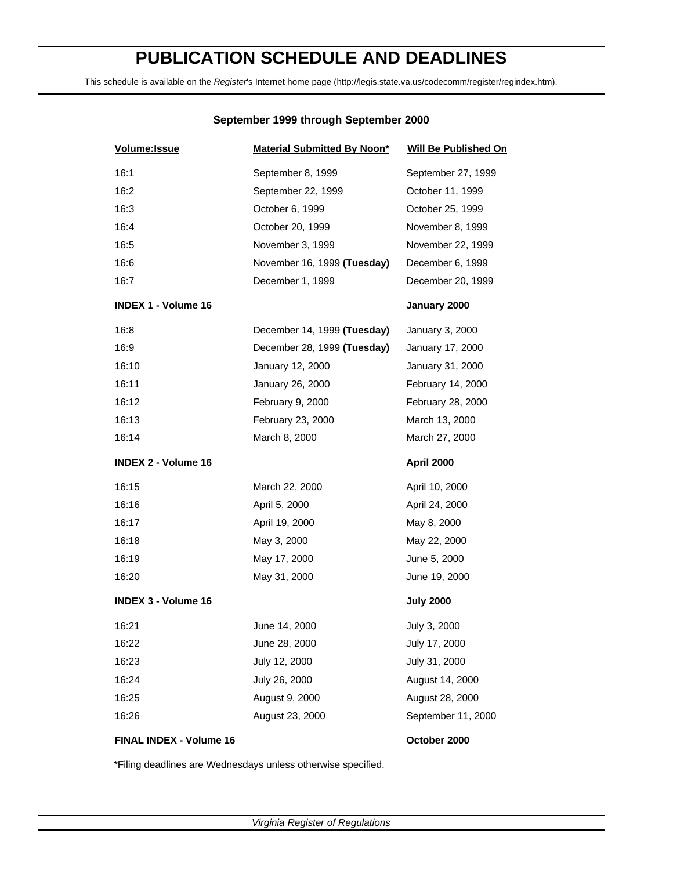## **PUBLICATION SCHEDULE AND DEADLINES**

This schedule is available on the *Register*'s Internet home page (http://legis.state.va.us/codecomm/register/regindex.htm).

#### **September 1999 through September 2000**

| Volume: Issue              | <b>Material Submitted By Noon*</b> | <b>Will Be Published On</b> |
|----------------------------|------------------------------------|-----------------------------|
| 16:1                       | September 8, 1999                  | September 27, 1999          |
| 16:2                       | September 22, 1999                 | October 11, 1999            |
| 16:3                       | October 6, 1999                    | October 25, 1999            |
| 16:4                       | October 20, 1999                   | November 8, 1999            |
| 16:5                       | November 3, 1999                   | November 22, 1999           |
| 16:6                       | November 16, 1999 (Tuesday)        | December 6, 1999            |
| 16:7                       | December 1, 1999                   | December 20, 1999           |
| <b>INDEX 1 - Volume 16</b> |                                    | January 2000                |
| 16:8                       | December 14, 1999 (Tuesday)        | January 3, 2000             |
| 16:9                       | December 28, 1999 (Tuesday)        | January 17, 2000            |
| 16:10                      | January 12, 2000                   | January 31, 2000            |
| 16:11                      | January 26, 2000                   | February 14, 2000           |
| 16:12                      | February 9, 2000                   | February 28, 2000           |
| 16:13                      | February 23, 2000                  | March 13, 2000              |
| 16:14                      | March 8, 2000                      | March 27, 2000              |
| <b>INDEX 2 - Volume 16</b> |                                    | April 2000                  |
| 16:15                      | March 22, 2000                     | April 10, 2000              |
| 16:16                      | April 5, 2000                      | April 24, 2000              |
| 16:17                      | April 19, 2000                     | May 8, 2000                 |
| 16:18                      | May 3, 2000                        | May 22, 2000                |
| 16:19                      | May 17, 2000                       | June 5, 2000                |
| 16:20                      | May 31, 2000                       | June 19, 2000               |
| <b>INDEX 3 - Volume 16</b> |                                    | <b>July 2000</b>            |
| 16:21                      | June 14, 2000                      | July 3, 2000                |
| 16:22                      | June 28, 2000                      | July 17, 2000               |
| 16:23                      | July 12, 2000                      | July 31, 2000               |
| 16:24                      | July 26, 2000                      | August 14, 2000             |
| 16:25                      | August 9, 2000                     | August 28, 2000             |
| 16:26                      | August 23, 2000                    | September 11, 2000          |
| FINAL INDEX - Volume 16    |                                    | October 2000                |

\*Filing deadlines are Wednesdays unless otherwise specified.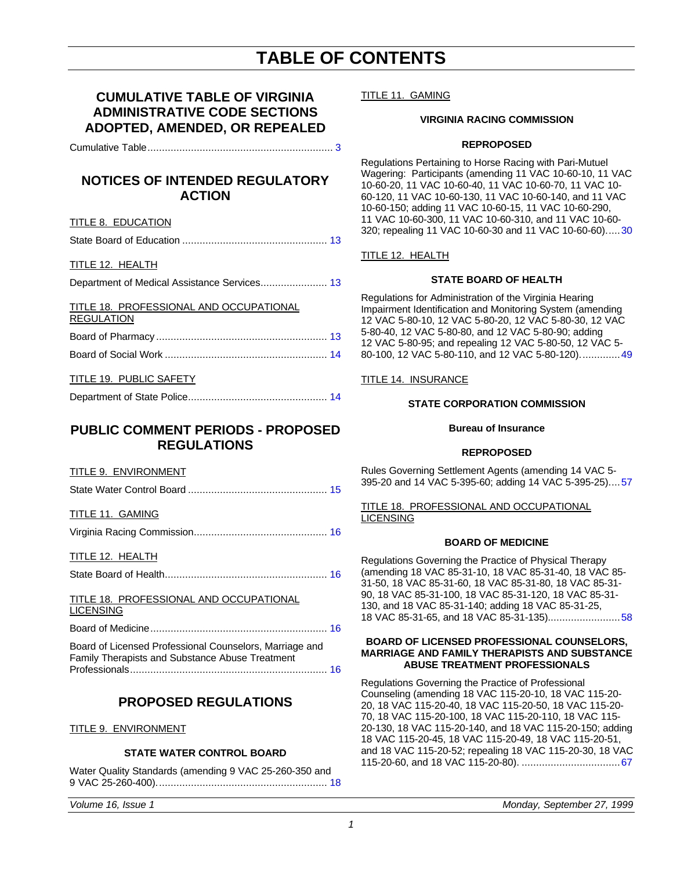## **TABLE OF CONTENTS**

### **CUMULATIVE TABLE OF VIRGINIA ADMINISTRATIVE CODE SECTIONS ADOPTED, AMENDED, OR REPEALED**

Cumulative Table................................................................ [3](#page-4-0)

### **NOTICES OF INTENDED REGULATORY ACTION**

#### TITLE 8. EDUCATION

|--|--|--|

#### TITLE 12. HEALTH

Department of Medical Assistance Services....................... 13

#### TITLE 18. PROFESSIONAL AND OCCUPATIONAL REGULATION

#### TITLE 19. PUBLIC SAFETY

## Department of State Police................................................ 14

### **PUBLIC COMMENT PERIODS - PROPOSED REGULATIONS**

#### TITLE 9. ENVIRONMENT

|--|

#### TITLE 11. GAMING

Virginia Racing Commission.............................................. [16](#page-17-0)

#### TITLE 12. HEALTH

State Board of Health........................................................ 16

#### TITLE 18. PROFESSIONAL AND OCCUPATIONAL **LICENSING**

Board of Medicine............................................................. 16

Board of Licensed Professional Counselors, Marriage and Family Therapists and Substance Abuse Treatment Professionals.................................................................... 16

### **PROPOSED REGULATIONS**

#### TITLE 9. ENVIRONMENT

#### **STATE WATER CONTROL BOARD**

Water Quality Standards (amending 9 VAC 25-260-350 and 9 VAC 25-260-400)........................................................... [18](#page-19-0)

TITLE 11. GAMING

#### **VIRGINIA RACING COMMISSION**

#### **REPROPOSED**

Regulations Pertaining to Horse Racing with Pari-Mutuel Wagering: Participants (amending 11 VAC 10-60-10, 11 VAC 10-60-20, 11 VAC 10-60-40, 11 VAC 10-60-70, 11 VAC 10- 60-120, 11 VAC 10-60-130, 11 VAC 10-60-140, and 11 VAC 10-60-150; adding 11 VAC 10-60-15, 11 VAC 10-60-290, 11 VAC 10-60-300, 11 VAC 10-60-310, and 11 VAC 10-60- 320; repealing 11 VAC 10-60-30 and 11 VAC 10-60-60)...[..30](#page-31-0)

#### TITLE 12. HEALTH

#### **STATE BOARD OF HEALTH**

Regulations for Administration of the Virginia Hearing Impairment Identification and Monitoring System (amending 12 VAC 5-80-10, 12 VAC 5-80-20, 12 VAC 5-80-30, 12 VAC 5-80-40, 12 VAC 5-80-80, and 12 VAC 5-80-90; adding 12 VAC 5-80-95; and repealing 12 VAC 5-80-50, 12 VAC 5- 80-100, 12 VAC 5-80-110, and 12 VAC 5-80-120)............[..49](#page-50-0)

#### TITLE 14. INSURANCE

#### **STATE CORPORATION COMMISSION**

#### **Bureau of Insurance**

#### **REPROPOSED**

Rules Governing Settlement Agents (amending 14 VAC 5- 395-20 and 14 VAC 5-395-60; adding 14 VAC 5-395-25)..[..57](#page-58-0)

TITLE 18. PROFESSIONAL AND OCCUPATIONAL LICENSING

#### **BOARD OF MEDICINE**

Regulations Governing the Practice of Physical Therapy (amending 18 VAC 85-31-10, 18 VAC 85-31-40, 18 VAC 85- 31-50, 18 VAC 85-31-60, 18 VAC 85-31-80, 18 VAC 85-31- 90, 18 VAC 85-31-100, 18 VAC 85-31-120, 18 VAC 85-31- 130, and 18 VAC 85-31-140; adding 18 VAC 85-31-25, 18 VAC 85-31-65, and 18 VAC 85-31-135)........................[.58](#page-59-0)

#### **BOARD OF LICENSED PROFESSIONAL COUNSELORS, MARRIAGE AND FAMILY THERAPISTS AND SUBSTANCE ABUSE TREATMENT PROFESSIONALS**

Regulations Governing the Practice of Professional Counseling (amending 18 VAC 115-20-10, 18 VAC 115-20- 20, 18 VAC 115-20-40, 18 VAC 115-20-50, 18 VAC 115-20- 70, 18 VAC 115-20-100, 18 VAC 115-20-110, 18 VAC 115- 20-130, 18 VAC 115-20-140, and 18 VAC 115-20-150; adding 18 VAC 115-20-45, 18 VAC 115-20-49, 18 VAC 115-20-51, and 18 VAC 115-20-52; repealing 18 VAC 115-20-30, 18 VAC 115-20-60, and 18 VAC 115-20-80). .................................[.67](#page-68-0)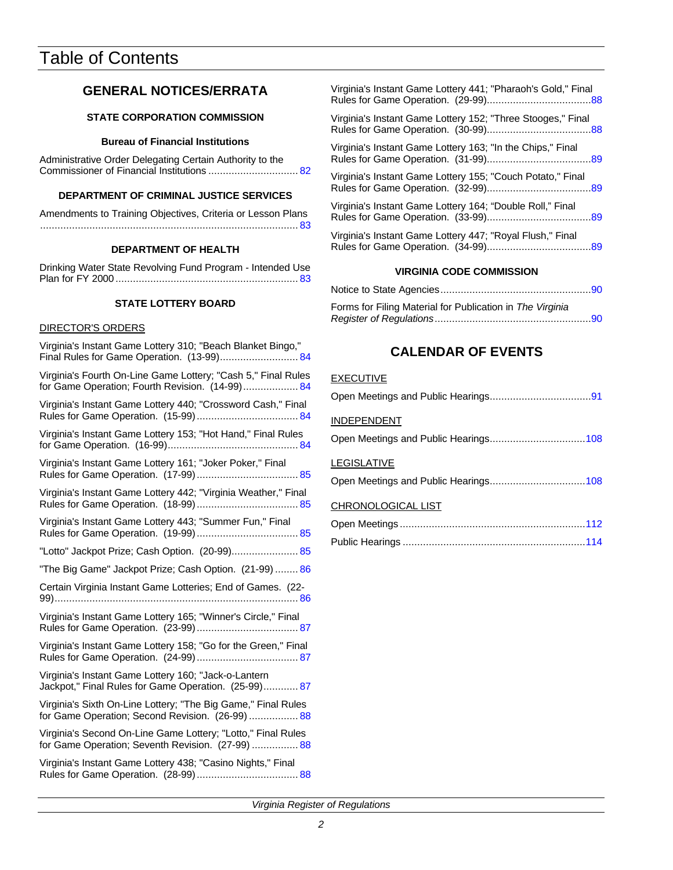## Table of Contents

### **GENERAL NOTICES/ERRATA**

#### **STATE CORPORATION COMMISSION**

#### **Bureau of Financial Institutions**

Administrative Order Delegating Certain Authority to the Commissioner of Financial Institutions ............................... [82](#page-83-0)

#### **DEPARTMENT OF CRIMINAL JUSTICE SERVICES**

| Amendments to Training Objectives, Criteria or Lesson Plans |  |  |
|-------------------------------------------------------------|--|--|
|                                                             |  |  |

#### **DEPARTMENT OF HEALTH**

Drinking Water State Revolving Fund Program - Intended [Use](#page-84-0) Plan for FY 2000 ............................................................... 83

#### **STATE LOTTERY BOARD**

#### DIRECTOR'S ORDERS

| Virginia's Instant Game Lottery 310; "Beach Blanket Bingo,"<br>Final Rules for Game Operation. (13-99) 84         |
|-------------------------------------------------------------------------------------------------------------------|
| Virginia's Fourth On-Line Game Lottery; "Cash 5," Final Rules<br>for Game Operation; Fourth Revision. (14-99) 84  |
| Virginia's Instant Game Lottery 440; "Crossword Cash," Final                                                      |
| Virginia's Instant Game Lottery 153; "Hot Hand," Final Rules                                                      |
| Virginia's Instant Game Lottery 161; "Joker Poker," Final                                                         |
| Virginia's Instant Game Lottery 442; "Virginia Weather," Final                                                    |
| Virginia's Instant Game Lottery 443; "Summer Fun," Final                                                          |
| "Lotto" Jackpot Prize; Cash Option. (20-99) 85                                                                    |
| "The Big Game" Jackpot Prize; Cash Option. (21-99) 86                                                             |
| Certain Virginia Instant Game Lotteries; End of Games. (22-                                                       |
| Virginia's Instant Game Lottery 165; "Winner's Circle," Final                                                     |
| Virginia's Instant Game Lottery 158; "Go for the Green," Final                                                    |
|                                                                                                                   |
| Virginia's Instant Game Lottery 160; "Jack-o-Lantern<br>Jackpot," Final Rules for Game Operation. (25-99) 87      |
| Virginia's Sixth On-Line Lottery; "The Big Game," Final Rules<br>for Game Operation; Second Revision. (26-99) 88  |
| Virginia's Second On-Line Game Lottery; "Lotto," Final Rules<br>for Game Operation; Seventh Revision. (27-99)  88 |

| Virginia's Instant Game Lottery 441; "Pharaoh's Gold," Final |
|--------------------------------------------------------------|
| Virginia's Instant Game Lottery 152; "Three Stooges," Final  |
| Virginia's Instant Game Lottery 163; "In the Chips," Final   |
| Virginia's Instant Game Lottery 155; "Couch Potato," Final   |
| Virginia's Instant Game Lottery 164; "Double Roll," Final    |
| Virginia's Instant Game Lottery 447; "Royal Flush," Final    |
| - - --- ---------                                            |

#### **VIRGINIA CODE COMMISSION**

| Forms for Filing Material for Publication in The Virginia |  |
|-----------------------------------------------------------|--|
|                                                           |  |

### **CALENDAR OF EVENTS**

#### **EXECUTIVE**

| <b>INDEPENDENT</b> |  |
|--------------------|--|
|                    |  |
| <b>LEGISLATIVE</b> |  |
|                    |  |
| CHRONOLOGICAL LIST |  |
|                    |  |
|                    |  |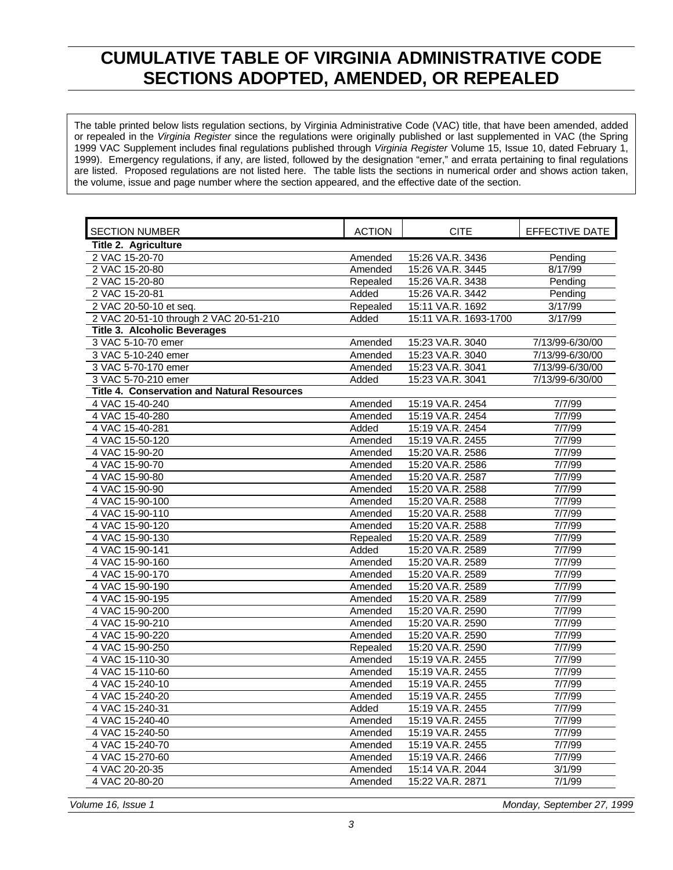## **CUMULATIVE TABLE OF VIRGINIA ADMINISTRATIVE CODE SECTIONS ADOPTED, AMENDED, OR REPEALED**

<span id="page-4-0"></span>The table printed below lists regulation sections, by Virginia Administrative Code (VAC) title, that have been amended, added or repealed in the *Virginia Register* since the regulations were originally published or last supplemented in VAC (the Spring 1999 VAC Supplement includes final regulations published through *Virginia Register* Volume 15, Issue 10, dated February 1, 1999). Emergency regulations, if any, are listed, followed by the designation "emer," and errata pertaining to final regulations are listed. Proposed regulations are not listed here. The table lists the sections in numerical order and shows action taken, the volume, issue and page number where the section appeared, and the effective date of the section.

| <b>SECTION NUMBER</b>                              | <b>ACTION</b> | <b>CITE</b>           | EFFECTIVE DATE  |
|----------------------------------------------------|---------------|-----------------------|-----------------|
| Title 2. Agriculture                               |               |                       |                 |
| 2 VAC 15-20-70                                     | Amended       | 15:26 VA.R. 3436      | Pending         |
| 2 VAC 15-20-80                                     | Amended       | 15:26 VA.R. 3445      | 8/17/99         |
| 2 VAC 15-20-80                                     | Repealed      | 15:26 VA.R. 3438      | Pending         |
| 2 VAC 15-20-81                                     | Added         | 15:26 VA.R. 3442      | Pending         |
| 2 VAC 20-50-10 et seq.                             | Repealed      | 15:11 VA.R. 1692      | 3/17/99         |
| 2 VAC 20-51-10 through 2 VAC 20-51-210             | Added         | 15:11 VA.R. 1693-1700 | 3/17/99         |
| Title 3. Alcoholic Beverages                       |               |                       |                 |
| 3 VAC 5-10-70 emer                                 | Amended       | 15:23 VA.R. 3040      | 7/13/99-6/30/00 |
| 3 VAC 5-10-240 emer                                | Amended       | 15:23 VA.R. 3040      | 7/13/99-6/30/00 |
| 3 VAC 5-70-170 emer                                | Amended       | 15:23 VA.R. 3041      | 7/13/99-6/30/00 |
| 3 VAC 5-70-210 emer                                | Added         | 15:23 VA.R. 3041      | 7/13/99-6/30/00 |
| <b>Title 4. Conservation and Natural Resources</b> |               |                       |                 |
| 4 VAC 15-40-240                                    | Amended       | 15:19 VA.R. 2454      | 7/7/99          |
| 4 VAC 15-40-280                                    | Amended       | 15:19 VA.R. 2454      | 7/7/99          |
| 4 VAC 15-40-281                                    | Added         | 15:19 VA.R. 2454      | 7/7/99          |
| 4 VAC 15-50-120                                    | Amended       | 15:19 VA.R. 2455      | 7/7/99          |
| 4 VAC 15-90-20                                     | Amended       | 15:20 VA.R. 2586      | 7/7/99          |
| 4 VAC 15-90-70                                     | Amended       | 15:20 VA.R. 2586      | 7/7/99          |
| 4 VAC 15-90-80                                     | Amended       | 15:20 VA.R. 2587      | 7/7/99          |
| 4 VAC 15-90-90                                     | Amended       | 15:20 VA.R. 2588      | 7/7/99          |
| 4 VAC 15-90-100                                    | Amended       | 15:20 VA.R. 2588      | 7/7/99          |
| 4 VAC 15-90-110                                    | Amended       | 15:20 VA.R. 2588      | 7/7/99          |
| 4 VAC 15-90-120                                    | Amended       | 15:20 VA.R. 2588      | 7/7/99          |
| 4 VAC 15-90-130                                    | Repealed      | 15:20 VA.R. 2589      | 7/7/99          |
| 4 VAC 15-90-141                                    | Added         | 15:20 VA.R. 2589      | 7/7/99          |
| 4 VAC 15-90-160                                    | Amended       | 15:20 VA.R. 2589      | 7/7/99          |
| 4 VAC 15-90-170                                    | Amended       | 15:20 VA.R. 2589      | 7/7/99          |
| 4 VAC 15-90-190                                    | Amended       | 15:20 VA.R. 2589      | 7/7/99          |
| 4 VAC 15-90-195                                    | Amended       | 15:20 VA.R. 2589      | 7/7/99          |
| 4 VAC 15-90-200                                    | Amended       | 15:20 VA.R. 2590      | 7/7/99          |
| 4 VAC 15-90-210                                    | Amended       | 15:20 VA.R. 2590      | 7/7/99          |
| 4 VAC 15-90-220                                    | Amended       | 15:20 VA.R. 2590      | 7/7/99          |
| 4 VAC 15-90-250                                    | Repealed      | 15:20 VA.R. 2590      | 7/7/99          |
| 4 VAC 15-110-30                                    | Amended       | 15:19 VA.R. 2455      | 7/7/99          |
| 4 VAC 15-110-60                                    | Amended       | 15:19 VA.R. 2455      | 7/7/99          |
| 4 VAC 15-240-10                                    | Amended       | 15:19 VA.R. 2455      | 7/7/99          |
| 4 VAC 15-240-20                                    | Amended       | 15:19 VA.R. 2455      | 7/7/99          |
| 4 VAC 15-240-31                                    | Added         | 15:19 VA.R. 2455      | 7/7/99          |
| 4 VAC 15-240-40                                    | Amended       | 15:19 VA.R. 2455      | 7/7/99          |
| 4 VAC 15-240-50                                    | Amended       | 15:19 VA.R. 2455      | 7/7/99          |
| 4 VAC 15-240-70                                    | Amended       | 15:19 VA.R. 2455      | 7/7/99          |
| 4 VAC 15-270-60                                    | Amended       | 15:19 VA.R. 2466      | 7/7/99          |
| 4 VAC 20-20-35                                     | Amended       | 15:14 VA.R. 2044      | 3/1/99          |
| 4 VAC 20-80-20                                     | Amended       | 15:22 VA.R. 2871      | 7/1/99          |

*Volume 16, Issue 1 Monday, September 27, 1999*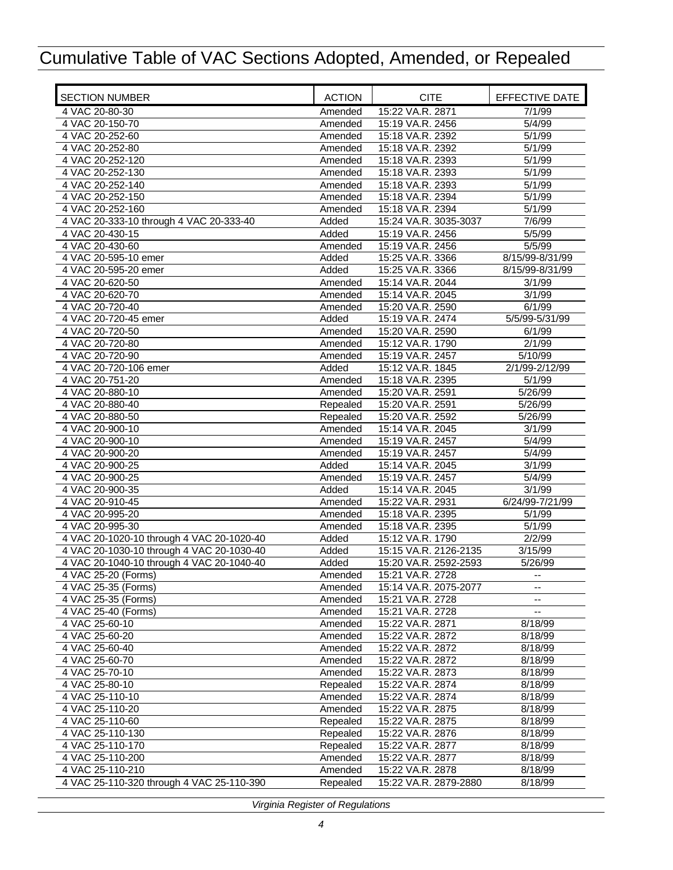| <b>SECTION NUMBER</b>                     | <b>ACTION</b> | <b>CITE</b>           | EFFECTIVE DATE  |
|-------------------------------------------|---------------|-----------------------|-----------------|
| 4 VAC 20-80-30                            | Amended       | 15:22 VA.R. 2871      | 7/1/99          |
| 4 VAC 20-150-70                           | Amended       | 15:19 VA.R. 2456      | 5/4/99          |
| 4 VAC 20-252-60                           | Amended       | 15:18 VA.R. 2392      | 5/1/99          |
| 4 VAC 20-252-80                           | Amended       | 15:18 VA.R. 2392      | 5/1/99          |
| 4 VAC 20-252-120                          | Amended       | 15:18 VA.R. 2393      | 5/1/99          |
| 4 VAC 20-252-130                          | Amended       | 15:18 VA.R. 2393      | 5/1/99          |
| 4 VAC 20-252-140                          | Amended       | 15:18 VA.R. 2393      | 5/1/99          |
| 4 VAC 20-252-150                          | Amended       | 15:18 VA.R. 2394      | 5/1/99          |
| 4 VAC 20-252-160                          | Amended       | 15:18 VA.R. 2394      | 5/1/99          |
| 4 VAC 20-333-10 through 4 VAC 20-333-40   | Added         | 15:24 VA.R. 3035-3037 | 7/6/99          |
| 4 VAC 20-430-15                           | Added         | 15:19 VA.R. 2456      | 5/5/99          |
| 4 VAC 20-430-60                           | Amended       | 15:19 VA.R. 2456      | 5/5/99          |
| 4 VAC 20-595-10 emer                      | Added         | 15:25 VA.R. 3366      | 8/15/99-8/31/99 |
| 4 VAC 20-595-20 emer                      | Added         | 15:25 VA.R. 3366      | 8/15/99-8/31/99 |
| 4 VAC 20-620-50                           | Amended       | 15:14 VA.R. 2044      | 3/1/99          |
| 4 VAC 20-620-70                           | Amended       | 15:14 VA.R. 2045      | 3/1/99          |
| 4 VAC 20-720-40                           | Amended       | 15:20 VA.R. 2590      | 6/1/99          |
| 4 VAC 20-720-45 emer                      | Added         | 15:19 VA.R. 2474      | 5/5/99-5/31/99  |
| 4 VAC 20-720-50                           | Amended       | 15:20 VA.R. 2590      | 6/1/99          |
| 4 VAC 20-720-80                           | Amended       | 15:12 VA.R. 1790      | 2/1/99          |
| 4 VAC 20-720-90                           | Amended       | 15:19 VA.R. 2457      | 5/10/99         |
| 4 VAC 20-720-106 emer                     | Added         | 15:12 VA.R. 1845      | 2/1/99-2/12/99  |
| 4 VAC 20-751-20                           | Amended       | 15:18 VA.R. 2395      | 5/1/99          |
| 4 VAC 20-880-10                           | Amended       | 15:20 VA.R. 2591      | 5/26/99         |
| 4 VAC 20-880-40                           | Repealed      | 15:20 VA.R. 2591      | 5/26/99         |
| 4 VAC 20-880-50                           | Repealed      | 15:20 VA.R. 2592      | 5/26/99         |
| 4 VAC 20-900-10                           | Amended       | 15:14 VA.R. 2045      | 3/1/99          |
| 4 VAC 20-900-10                           | Amended       | 15:19 VA.R. 2457      | 5/4/99          |
| 4 VAC 20-900-20                           | Amended       | 15:19 VA.R. 2457      | 5/4/99          |
| 4 VAC 20-900-25                           | Added         | 15:14 VA.R. 2045      | 3/1/99          |
| 4 VAC 20-900-25                           | Amended       | 15:19 VA.R. 2457      | 5/4/99          |
| 4 VAC 20-900-35                           | Added         | 15:14 VA.R. 2045      | 3/1/99          |
| 4 VAC 20-910-45                           | Amended       | 15:22 VA.R. 2931      | 6/24/99-7/21/99 |
| 4 VAC 20-995-20                           | Amended       | 15:18 VA.R. 2395      | 5/1/99          |
| 4 VAC 20-995-30                           | Amended       | 15:18 VA.R. 2395      | 5/1/99          |
| 4 VAC 20-1020-10 through 4 VAC 20-1020-40 | Added         | 15:12 VA.R. 1790      | 2/2/99          |
| 4 VAC 20-1030-10 through 4 VAC 20-1030-40 | Added         | 15:15 VA.R. 2126-2135 | 3/15/99         |
| 4 VAC 20-1040-10 through 4 VAC 20-1040-40 | Added         | 15:20 VA.R. 2592-2593 | 5/26/99         |
| 4 VAC 25-20 (Forms)                       | Amended       | 15:21 VA.R. 2728      |                 |
| 4 VAC 25-35 (Forms)                       | Amended       | 15:14 VA.R. 2075-2077 | --              |
| 4 VAC 25-35 (Forms)                       | Amended       | 15:21 VA.R. 2728      | $-$             |
| 4 VAC 25-40 (Forms)                       | Amended       | 15:21 VA.R. 2728      |                 |
| 4 VAC 25-60-10                            | Amended       | 15:22 VA.R. 2871      | 8/18/99         |
| 4 VAC 25-60-20                            | Amended       | 15:22 VA.R. 2872      | 8/18/99         |
| 4 VAC 25-60-40                            | Amended       | 15:22 VA.R. 2872      | 8/18/99         |
| 4 VAC 25-60-70                            | Amended       | 15:22 VA.R. 2872      | 8/18/99         |
| 4 VAC 25-70-10                            | Amended       | 15:22 VA.R. 2873      | 8/18/99         |
| 4 VAC 25-80-10                            | Repealed      | 15:22 VA.R. 2874      | 8/18/99         |
| 4 VAC 25-110-10                           | Amended       | 15:22 VA.R. 2874      | 8/18/99         |
| 4 VAC 25-110-20                           | Amended       | 15:22 VA.R. 2875      | 8/18/99         |
| 4 VAC 25-110-60                           | Repealed      | 15:22 VA.R. 2875      | 8/18/99         |
| 4 VAC 25-110-130                          | Repealed      | 15:22 VA.R. 2876      | 8/18/99         |
| 4 VAC 25-110-170                          | Repealed      | 15:22 VA.R. 2877      | 8/18/99         |
| 4 VAC 25-110-200                          | Amended       | 15:22 VA.R. 2877      | 8/18/99         |
| 4 VAC 25-110-210                          | Amended       | 15:22 VA.R. 2878      | 8/18/99         |
| 4 VAC 25-110-320 through 4 VAC 25-110-390 | Repealed      | 15:22 VA.R. 2879-2880 | 8/18/99         |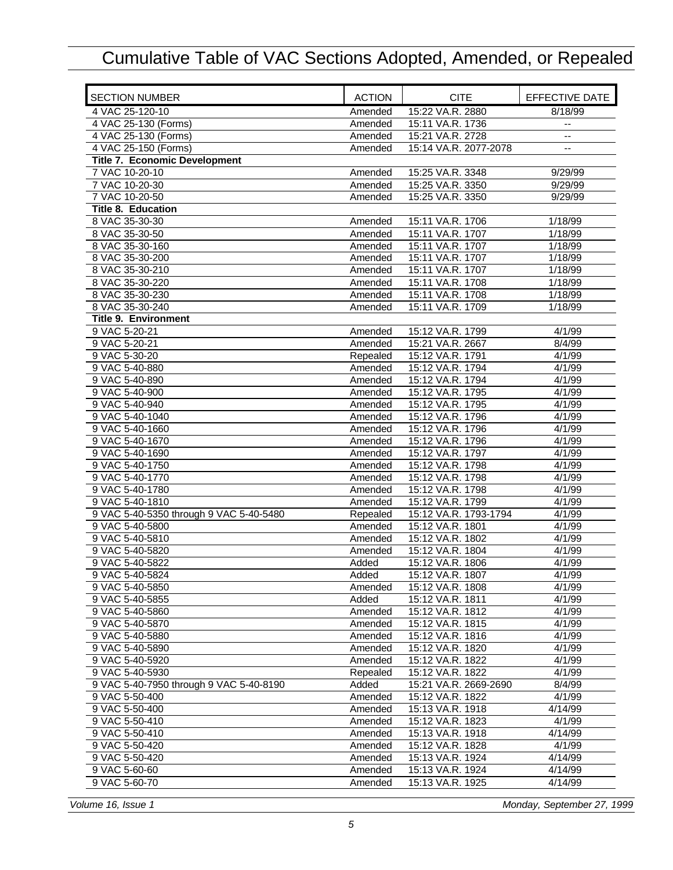| <b>SECTION NUMBER</b>                   | <b>ACTION</b>    | <b>CITE</b>                          | EFFECTIVE DATE   |
|-----------------------------------------|------------------|--------------------------------------|------------------|
| 4 VAC 25-120-10                         | Amended          | 15:22 VA.R. 2880                     | 8/18/99          |
| 4 VAC 25-130 (Forms)                    | Amended          | 15:11 VA.R. 1736                     | $-$              |
| 4 VAC 25-130 (Forms)                    | Amended          | 15:21 VA.R. 2728                     | $-$              |
| 4 VAC 25-150 (Forms)                    | Amended          | 15:14 VA.R. 2077-2078                |                  |
| Title 7. Economic Development           |                  |                                      |                  |
| 7 VAC 10-20-10                          | Amended          | 15:25 VA.R. 3348                     | 9/29/99          |
| 7 VAC 10-20-30                          | Amended          | 15:25 VA.R. 3350                     | 9/29/99          |
| 7 VAC 10-20-50                          | Amended          | 15:25 VA.R. 3350                     | 9/29/99          |
| <b>Title 8. Education</b>               |                  |                                      |                  |
| 8 VAC 35-30-30                          | Amended          | 15:11 VA.R. 1706                     | 1/18/99          |
| 8 VAC 35-30-50                          | Amended          | 15:11 VA.R. 1707                     | 1/18/99          |
| 8 VAC 35-30-160                         | Amended          | 15:11 VA.R. 1707                     | 1/18/99          |
| 8 VAC 35-30-200                         | Amended          | 15:11 VA.R. 1707                     | 1/18/99          |
| 8 VAC 35-30-210                         | Amended          | 15:11 VA.R. 1707                     | 1/18/99          |
| 8 VAC 35-30-220                         | Amended          | 15:11 VA.R. 1708                     | 1/18/99          |
| 8 VAC 35-30-230                         | Amended          | 15:11 VA.R. 1708                     | 1/18/99          |
| 8 VAC 35-30-240                         | Amended          | 15:11 VA.R. 1709                     | 1/18/99          |
| <b>Title 9. Environment</b>             |                  |                                      |                  |
| 9 VAC 5-20-21                           | Amended          | 15:12 VA.R. 1799                     | 4/1/99           |
| 9 VAC 5-20-21                           | Amended          | 15:21 VA.R. 2667                     | 8/4/99           |
| 9 VAC 5-30-20                           | Repealed         | 15:12 VA.R. 1791                     | 4/1/99           |
| 9 VAC 5-40-880                          | Amended          | 15:12 VA.R. 1794                     | 4/1/99           |
| 9 VAC 5-40-890                          | Amended          | 15:12 VA.R. 1794                     | 4/1/99           |
| 9 VAC 5-40-900                          | Amended          | 15:12 VA.R. 1795                     | 4/1/99           |
| 9 VAC 5-40-940                          | Amended          | 15:12 VA.R. 1795                     | 4/1/99           |
| 9 VAC 5-40-1040                         | Amended          | 15:12 VA.R. 1796                     | 4/1/99           |
| 9 VAC 5-40-1660                         | Amended          | 15:12 VA.R. 1796                     | 4/1/99           |
| 9 VAC 5-40-1670                         | Amended          | 15:12 VA.R. 1796                     | 4/1/99           |
| 9 VAC 5-40-1690                         | Amended          | 15:12 VA.R. 1797                     | 4/1/99           |
| 9 VAC 5-40-1750                         | Amended          | 15:12 VA.R. 1798                     | 4/1/99           |
| 9 VAC 5-40-1770                         | Amended          | 15:12 VA.R. 1798                     | 4/1/99           |
| 9 VAC 5-40-1780                         | Amended          | 15:12 VA.R. 1798                     | 4/1/99           |
| 9 VAC 5-40-1810                         | Amended          | 15:12 VA.R. 1799                     | 4/1/99           |
| 9 VAC 5-40-5350 through 9 VAC 5-40-5480 | Repealed         | 15:12 VA.R. 1793-1794                | 4/1/99           |
| 9 VAC 5-40-5800                         | Amended          | 15:12 VA.R. 1801                     | 4/1/99           |
| 9 VAC 5-40-5810                         | Amended          | 15:12 VA.R. 1802                     | 4/1/99           |
| 9 VAC 5-40-5820                         | Amended          | 15:12 VA.R. 1804                     | 4/1/99           |
| 9 VAC 5-40-5822                         | Added            | 15:12 VA.R. 1806                     | 4/1/99           |
| 9 VAC 5-40-5824                         | Added            | 15:12 VA.R. 1807                     | 4/1/99           |
| 9 VAC 5-40-5850                         |                  | 15:12 VA.R. 1808                     | 4/1/99           |
| 9 VAC 5-40-5855                         | Amended<br>Added |                                      |                  |
| 9 VAC 5-40-5860                         | Amended          | 15:12 VA.R. 1811<br>15:12 VA.R. 1812 | 4/1/99<br>4/1/99 |
|                                         |                  |                                      |                  |
| 9 VAC 5-40-5870                         | Amended          | 15:12 VA.R. 1815                     | 4/1/99           |
| 9 VAC 5-40-5880                         | Amended          | 15:12 VA.R. 1816                     | 4/1/99           |
| 9 VAC 5-40-5890                         | Amended          | 15:12 VA.R. 1820                     | 4/1/99           |
| 9 VAC 5-40-5920<br>9 VAC 5-40-5930      | Amended          | 15:12 VA.R. 1822                     | 4/1/99           |
|                                         | Repealed         | 15:12 VA.R. 1822                     | 4/1/99           |
| 9 VAC 5-40-7950 through 9 VAC 5-40-8190 | Added            | 15:21 VA.R. 2669-2690                | 8/4/99           |
| 9 VAC 5-50-400                          | Amended          | 15:12 VA.R. 1822                     | 4/1/99           |
| 9 VAC 5-50-400                          | Amended          | 15:13 VA.R. 1918                     | 4/14/99          |
| 9 VAC 5-50-410                          | Amended          | 15:12 VA.R. 1823                     | 4/1/99           |
| 9 VAC 5-50-410                          | Amended          | 15:13 VA.R. 1918                     | 4/14/99          |
| 9 VAC 5-50-420                          | Amended          | 15:12 VA.R. 1828                     | 4/1/99           |
| 9 VAC 5-50-420                          | Amended          | 15:13 VA.R. 1924                     | 4/14/99          |
| 9 VAC 5-60-60                           | Amended          | 15:13 VA.R. 1924                     | 4/14/99          |
| 9 VAC 5-60-70                           | Amended          | 15:13 VA.R. 1925                     | 4/14/99          |

*Volume 16, Issue 1 Monday, September 27, 1999*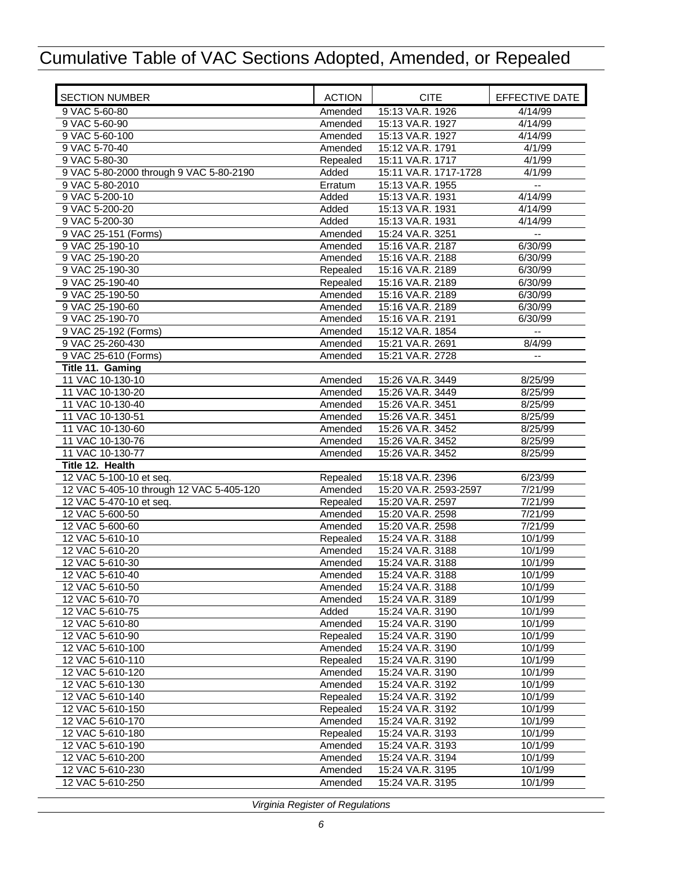| <b>SECTION NUMBER</b>                    | <b>ACTION</b>      | <b>CITE</b>                          | EFFECTIVE DATE           |
|------------------------------------------|--------------------|--------------------------------------|--------------------------|
| 9 VAC 5-60-80                            | Amended            | 15:13 VA.R. 1926                     | 4/14/99                  |
| 9 VAC 5-60-90                            | Amended            | 15:13 VA.R. 1927                     | 4/14/99                  |
| 9 VAC 5-60-100                           | Amended            | 15:13 VA.R. 1927                     | 4/14/99                  |
| 9 VAC 5-70-40                            | Amended            | 15:12 VA.R. 1791                     | 4/1/99                   |
| 9 VAC 5-80-30                            | Repealed           | 15:11 VA.R. 1717                     | 4/1/99                   |
| 9 VAC 5-80-2000 through 9 VAC 5-80-2190  | Added              | 15:11 VA.R. 1717-1728                | 4/1/99                   |
| 9 VAC 5-80-2010                          | Erratum            | 15:13 VA.R. 1955                     |                          |
| 9 VAC 5-200-10                           | Added              | 15:13 VA.R. 1931                     | 4/14/99                  |
| 9 VAC 5-200-20                           | Added              | 15:13 VA.R. 1931                     | 4/14/99                  |
| 9 VAC 5-200-30                           | Added              | 15:13 VA.R. 1931                     | 4/14/99                  |
| 9 VAC 25-151 (Forms)                     | Amended            | 15:24 VA.R. 3251                     | $\overline{\phantom{a}}$ |
| 9 VAC 25-190-10                          | Amended            | 15:16 VA.R. 2187                     | 6/30/99                  |
| 9 VAC 25-190-20                          | Amended            | 15:16 VA.R. 2188                     | 6/30/99                  |
| 9 VAC 25-190-30                          | Repealed           | 15:16 VA.R. 2189                     | 6/30/99                  |
| 9 VAC 25-190-40                          | Repealed           | 15:16 VA.R. 2189                     | 6/30/99                  |
| 9 VAC 25-190-50                          | Amended            | 15:16 VA.R. 2189                     | 6/30/99                  |
| 9 VAC 25-190-60                          | Amended            | 15:16 VA.R. 2189                     | 6/30/99                  |
| 9 VAC 25-190-70                          | Amended            | 15:16 VA.R. 2191                     | 6/30/99                  |
| 9 VAC 25-192 (Forms)<br>9 VAC 25-260-430 | Amended            | 15:12 VA.R. 1854<br>15:21 VA.R. 2691 | 8/4/99                   |
| 9 VAC 25-610 (Forms)                     | Amended<br>Amended | 15:21 VA.R. 2728                     | $\overline{a}$           |
| Title 11. Gaming                         |                    |                                      |                          |
| 11 VAC 10-130-10                         | Amended            | 15:26 VA.R. 3449                     | 8/25/99                  |
| 11 VAC 10-130-20                         | Amended            | 15:26 VA.R. 3449                     | 8/25/99                  |
| 11 VAC 10-130-40                         | Amended            | 15:26 VA.R. 3451                     | 8/25/99                  |
| 11 VAC 10-130-51                         | Amended            | 15:26 VA.R. 3451                     | 8/25/99                  |
| 11 VAC 10-130-60                         | Amended            | 15:26 VA.R. 3452                     | 8/25/99                  |
| 11 VAC 10-130-76                         | Amended            | 15:26 VA.R. 3452                     | 8/25/99                  |
| 11 VAC 10-130-77                         | Amended            | 15:26 VA.R. 3452                     | 8/25/99                  |
| Title 12. Health                         |                    |                                      |                          |
| 12 VAC 5-100-10 et seq.                  | Repealed           | 15:18 VA.R. 2396                     | 6/23/99                  |
| 12 VAC 5-405-10 through 12 VAC 5-405-120 | Amended            | 15:20 VA.R. 2593-2597                | 7/21/99                  |
| 12 VAC 5-470-10 et seq.                  | Repealed           | 15:20 VA.R. 2597                     | 7/21/99                  |
| 12 VAC 5-600-50                          | Amended            | 15:20 VA.R. 2598                     | 7/21/99                  |
| 12 VAC 5-600-60                          | Amended            | 15:20 VA.R. 2598                     | 7/21/99                  |
| 12 VAC 5-610-10                          | Repealed           | 15:24 VA.R. 3188                     | 10/1/99                  |
| 12 VAC 5-610-20                          | Amended            | 15:24 VA.R. 3188                     | 10/1/99                  |
| 12 VAC 5-610-30                          | Amended            | 15:24 VA.R. 3188                     | 10/1/99                  |
| 12 VAC 5-610-40                          | Amended            | 15:24 VA.R. 3188                     | 10/1/99                  |
| 12 VAC 5-610-50                          | Amended            | 15:24 VA.R. 3188                     | 10/1/99                  |
| 12 VAC 5-610-70                          | Amended            | 15:24 VA.R. 3189                     | 10/1/99                  |
| 12 VAC 5-610-75                          | Added              | 15:24 VA.R. 3190                     | 10/1/99                  |
| 12 VAC 5-610-80                          | Amended            | 15:24 VA.R. 3190                     | 10/1/99                  |
| 12 VAC 5-610-90                          | Repealed           | 15:24 VA.R. 3190                     | 10/1/99                  |
| 12 VAC 5-610-100<br>12 VAC 5-610-110     | Amended            | 15:24 VA.R. 3190                     | 10/1/99                  |
| 12 VAC 5-610-120                         | Repealed           | 15:24 VA.R. 3190<br>15:24 VA.R. 3190 | 10/1/99<br>10/1/99       |
| 12 VAC 5-610-130                         | Amended<br>Amended | 15:24 VA.R. 3192                     | 10/1/99                  |
| 12 VAC 5-610-140                         | Repealed           | 15:24 VA.R. 3192                     | 10/1/99                  |
| 12 VAC 5-610-150                         | Repealed           | 15:24 VA.R. 3192                     | 10/1/99                  |
| 12 VAC 5-610-170                         | Amended            | 15:24 VA.R. 3192                     | 10/1/99                  |
| 12 VAC 5-610-180                         | Repealed           | 15:24 VA.R. 3193                     | 10/1/99                  |
| 12 VAC 5-610-190                         | Amended            | 15:24 VA.R. 3193                     | 10/1/99                  |
| 12 VAC 5-610-200                         | Amended            | 15:24 VA.R. 3194                     | 10/1/99                  |
| 12 VAC 5-610-230                         | Amended            | 15:24 VA.R. 3195                     | 10/1/99                  |
| 12 VAC 5-610-250                         | Amended            | 15:24 VA.R. 3195                     | 10/1/99                  |
|                                          |                    |                                      |                          |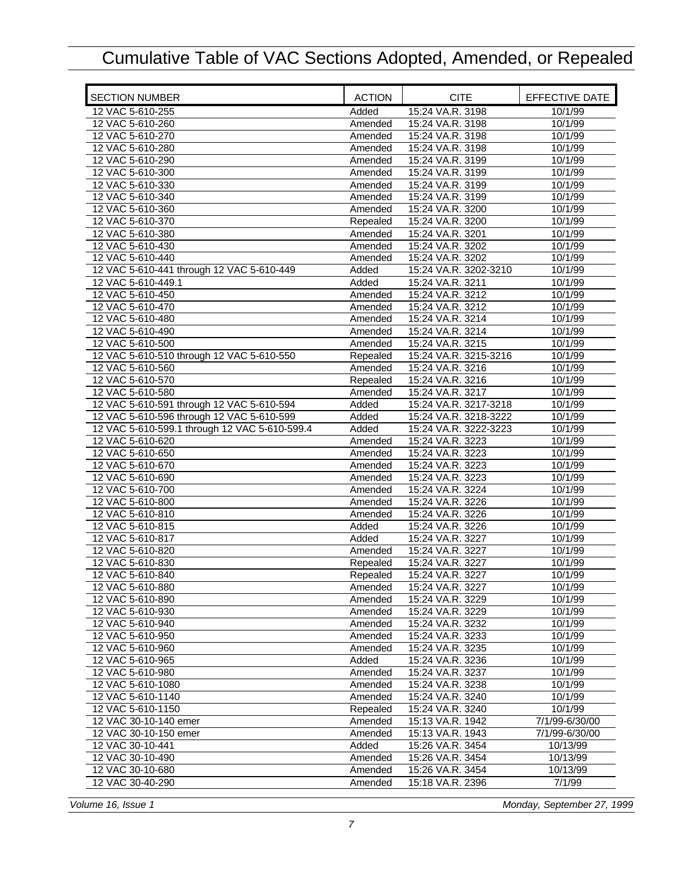| <b>SECTION NUMBER</b>                         | <b>ACTION</b> | <b>CITE</b>           | EFFECTIVE DATE |
|-----------------------------------------------|---------------|-----------------------|----------------|
| 12 VAC 5-610-255                              | Added         | 15:24 VA.R. 3198      | 10/1/99        |
| 12 VAC 5-610-260                              | Amended       | 15:24 VA.R. 3198      | 10/1/99        |
| 12 VAC 5-610-270                              | Amended       | 15:24 VA.R. 3198      | 10/1/99        |
| 12 VAC 5-610-280                              | Amended       | 15:24 VA.R. 3198      | 10/1/99        |
| 12 VAC 5-610-290                              | Amended       | 15:24 VA.R. 3199      | 10/1/99        |
| 12 VAC 5-610-300                              | Amended       | 15:24 VA.R. 3199      | 10/1/99        |
| 12 VAC 5-610-330                              | Amended       | 15:24 VA.R. 3199      | 10/1/99        |
| 12 VAC 5-610-340                              | Amended       | 15:24 VA.R. 3199      | 10/1/99        |
| 12 VAC 5-610-360                              | Amended       | 15:24 VA.R. 3200      | 10/1/99        |
| 12 VAC 5-610-370                              | Repealed      | 15:24 VA.R. 3200      | 10/1/99        |
| 12 VAC 5-610-380                              | Amended       | 15:24 VA.R. 3201      | 10/1/99        |
| 12 VAC 5-610-430                              | Amended       | 15:24 VA.R. 3202      | 10/1/99        |
| 12 VAC 5-610-440                              | Amended       | 15:24 VA.R. 3202      | 10/1/99        |
| 12 VAC 5-610-441 through 12 VAC 5-610-449     | Added         | 15:24 VA.R. 3202-3210 | 10/1/99        |
| 12 VAC 5-610-449.1                            | Added         | 15:24 VA.R. 3211      | 10/1/99        |
| 12 VAC 5-610-450                              | Amended       | 15:24 VA.R. 3212      | 10/1/99        |
| 12 VAC 5-610-470                              | Amended       | 15:24 VA.R. 3212      | 10/1/99        |
| 12 VAC 5-610-480                              | Amended       | 15:24 VA.R. 3214      | 10/1/99        |
| 12 VAC 5-610-490                              | Amended       | 15:24 VA.R. 3214      | 10/1/99        |
| 12 VAC 5-610-500                              | Amended       | 15:24 VA.R. 3215      | 10/1/99        |
| 12 VAC 5-610-510 through 12 VAC 5-610-550     | Repealed      | 15:24 VA.R. 3215-3216 | 10/1/99        |
| 12 VAC 5-610-560                              |               | 15:24 VA.R. 3216      | 10/1/99        |
| 12 VAC 5-610-570                              | Amended       | 15:24 VA.R. 3216      |                |
|                                               | Repealed      |                       | 10/1/99        |
| 12 VAC 5-610-580                              | Amended       | 15:24 VA.R. 3217      | 10/1/99        |
| 12 VAC 5-610-591 through 12 VAC 5-610-594     | Added         | 15:24 VA.R. 3217-3218 | 10/1/99        |
| 12 VAC 5-610-596 through 12 VAC 5-610-599     | Added         | 15:24 VA.R. 3218-3222 | 10/1/99        |
| 12 VAC 5-610-599.1 through 12 VAC 5-610-599.4 | Added         | 15:24 VA.R. 3222-3223 | 10/1/99        |
| 12 VAC 5-610-620                              | Amended       | 15:24 VA.R. 3223      | 10/1/99        |
| 12 VAC 5-610-650                              | Amended       | 15:24 VA.R. 3223      | 10/1/99        |
| 12 VAC 5-610-670                              | Amended       | 15:24 VA.R. 3223      | 10/1/99        |
| 12 VAC 5-610-690                              | Amended       | 15:24 VA.R. 3223      | 10/1/99        |
| 12 VAC 5-610-700                              | Amended       | 15:24 VA.R. 3224      | 10/1/99        |
| 12 VAC 5-610-800                              | Amended       | 15:24 VA.R. 3226      | 10/1/99        |
| 12 VAC 5-610-810                              | Amended       | 15:24 VA.R. 3226      | 10/1/99        |
| 12 VAC 5-610-815                              | Added         | 15:24 VA.R. 3226      | 10/1/99        |
| 12 VAC 5-610-817                              | Added         | 15:24 VA.R. 3227      | 10/1/99        |
| 12 VAC 5-610-820                              | Amended       | 15:24 VA.R. 3227      | 10/1/99        |
| 12 VAC 5-610-830                              | Repealed      | 15:24 VA.R. 3227      | 10/1/99        |
| 12 VAC 5-610-840                              | Repealed      | 15:24 VA.R. 3227      | 10/1/99        |
| 12 VAC 5-610-880                              | Amended       | 15:24 VA.R. 3227      | 10/1/99        |
| 12 VAC 5-610-890                              | Amended       | 15:24 VA.R. 3229      | 10/1/99        |
| 12 VAC 5-610-930                              | Amended       | 15:24 VA.R. 3229      | 10/1/99        |
| 12 VAC 5-610-940                              | Amended       | 15:24 VA.R. 3232      | 10/1/99        |
| 12 VAC 5-610-950                              | Amended       | 15:24 VA.R. 3233      | 10/1/99        |
| 12 VAC 5-610-960                              | Amended       | 15:24 VA.R. 3235      | 10/1/99        |
| 12 VAC 5-610-965                              | Added         | 15:24 VA.R. 3236      | 10/1/99        |
| 12 VAC 5-610-980                              | Amended       | 15:24 VA.R. 3237      | 10/1/99        |
| 12 VAC 5-610-1080                             | Amended       | 15:24 VA.R. 3238      | 10/1/99        |
| 12 VAC 5-610-1140                             | Amended       | 15:24 VA.R. 3240      | 10/1/99        |
| 12 VAC 5-610-1150                             | Repealed      | 15:24 VA.R. 3240      | 10/1/99        |
| 12 VAC 30-10-140 emer                         | Amended       | 15:13 VA.R. 1942      | 7/1/99-6/30/00 |
| 12 VAC 30-10-150 emer                         | Amended       | 15:13 VA.R. 1943      | 7/1/99-6/30/00 |
| 12 VAC 30-10-441                              | Added         | 15:26 VA.R. 3454      | 10/13/99       |
| 12 VAC 30-10-490                              | Amended       | 15:26 VA.R. 3454      | 10/13/99       |
| 12 VAC 30-10-680                              | Amended       | 15:26 VA.R. 3454      | 10/13/99       |
| 12 VAC 30-40-290                              | Amended       | 15:18 VA.R. 2396      | 7/1/99         |
|                                               |               |                       |                |

*Volume 16, Issue 1 Monday, September 27, 1999*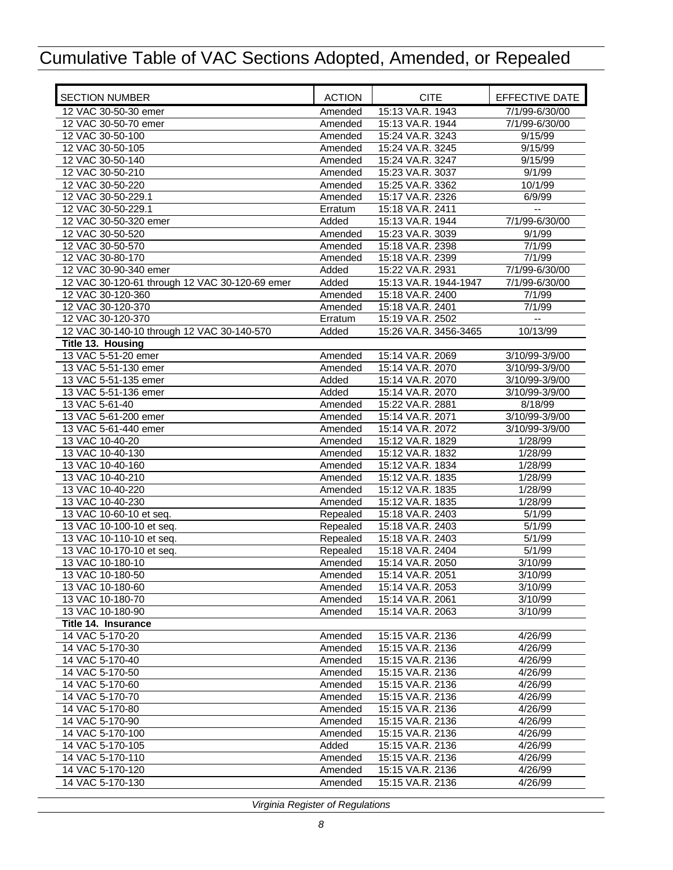| <b>SECTION NUMBER</b>                          | <b>ACTION</b> | <b>CITE</b>           | EFFECTIVE DATE           |
|------------------------------------------------|---------------|-----------------------|--------------------------|
| 12 VAC 30-50-30 emer                           | Amended       | 15:13 VA.R. 1943      | 7/1/99-6/30/00           |
| 12 VAC 30-50-70 emer                           | Amended       | 15:13 VA.R. 1944      | 7/1/99-6/30/00           |
| 12 VAC 30-50-100                               | Amended       | 15:24 VA.R. 3243      | 9/15/99                  |
| 12 VAC 30-50-105                               | Amended       | 15:24 VA.R. 3245      | 9/15/99                  |
| 12 VAC 30-50-140                               | Amended       | 15:24 VA.R. 3247      | 9/15/99                  |
| 12 VAC 30-50-210                               | Amended       | 15:23 VA.R. 3037      | 9/1/99                   |
| 12 VAC 30-50-220                               | Amended       | 15:25 VA.R. 3362      | 10/1/99                  |
| 12 VAC 30-50-229.1                             | Amended       | 15:17 VA.R. 2326      | 6/9/99                   |
| 12 VAC 30-50-229.1                             | Erratum       | 15:18 VA.R. 2411      | $\overline{\phantom{a}}$ |
| 12 VAC 30-50-320 emer                          | Added         | 15:13 VA.R. 1944      | 7/1/99-6/30/00           |
| 12 VAC 30-50-520                               | Amended       | 15:23 VA.R. 3039      | 9/1/99                   |
| 12 VAC 30-50-570                               | Amended       | 15:18 VA.R. 2398      | 7/1/99                   |
| 12 VAC 30-80-170                               | Amended       | 15:18 VA.R. 2399      | 7/1/99                   |
| 12 VAC 30-90-340 emer                          | Added         | 15:22 VA.R. 2931      | 7/1/99-6/30/00           |
| 12 VAC 30-120-61 through 12 VAC 30-120-69 emer | Added         | 15:13 VA.R. 1944-1947 | 7/1/99-6/30/00           |
| 12 VAC 30-120-360                              | Amended       | 15:18 VA.R. 2400      | 7/1/99                   |
| 12 VAC 30-120-370                              | Amended       | 15:18 VA.R. 2401      | 7/1/99                   |
| 12 VAC 30-120-370                              | Erratum       | 15:19 VA.R. 2502      |                          |
| 12 VAC 30-140-10 through 12 VAC 30-140-570     | Added         | 15:26 VA.R. 3456-3465 | 10/13/99                 |
| Title 13. Housing                              |               |                       |                          |
| 13 VAC 5-51-20 emer                            | Amended       | 15:14 VA.R. 2069      | 3/10/99-3/9/00           |
| 13 VAC 5-51-130 emer                           | Amended       | 15:14 VA.R. 2070      | 3/10/99-3/9/00           |
| 13 VAC 5-51-135 emer                           | Added         | 15:14 VA.R. 2070      | 3/10/99-3/9/00           |
| 13 VAC 5-51-136 emer                           | Added         | 15:14 VA.R. 2070      | 3/10/99-3/9/00           |
| 13 VAC 5-61-40                                 | Amended       | 15:22 VA.R. 2881      | 8/18/99                  |
| 13 VAC 5-61-200 emer                           | Amended       | 15:14 VA.R. 2071      | 3/10/99-3/9/00           |
| 13 VAC 5-61-440 emer                           | Amended       | 15:14 VA.R. 2072      | 3/10/99-3/9/00           |
| 13 VAC 10-40-20                                | Amended       | 15:12 VA.R. 1829      | 1/28/99                  |
| 13 VAC 10-40-130                               | Amended       | 15:12 VA.R. 1832      | 1/28/99                  |
| 13 VAC 10-40-160                               | Amended       | 15:12 VA.R. 1834      | 1/28/99                  |
| 13 VAC 10-40-210                               | Amended       | 15:12 VA.R. 1835      | 1/28/99                  |
| 13 VAC 10-40-220                               | Amended       | 15:12 VA.R. 1835      | 1/28/99                  |
| 13 VAC 10-40-230                               | Amended       | 15:12 VA.R. 1835      | 1/28/99                  |
| 13 VAC 10-60-10 et seq.                        | Repealed      | 15:18 VA.R. 2403      | 5/1/99                   |
| 13 VAC 10-100-10 et seq.                       | Repealed      | 15:18 VA.R. 2403      | 5/1/99                   |
| 13 VAC 10-110-10 et seq.                       | Repealed      | 15:18 VA.R. 2403      | 5/1/99                   |
| 13 VAC 10-170-10 et seq.                       | Repealed      | 15:18 VA.R. 2404      | 5/1/99                   |
| 13 VAC 10-180-10                               | Amended       | 15:14 VA.R. 2050      | 3/10/99                  |
| 13 VAC 10-180-50                               | Amended       | 15:14 VA.R. 2051      | 3/10/99                  |
| 13 VAC 10-180-60                               | Amended       | 15:14 VA.R. 2053      | 3/10/99                  |
| 13 VAC 10-180-70                               | Amended       | 15:14 VA.R. 2061      | 3/10/99                  |
| 13 VAC 10-180-90                               | Amended       | 15:14 VA.R. 2063      | 3/10/99                  |
| Title 14. Insurance                            |               |                       |                          |
| 14 VAC 5-170-20                                | Amended       | 15:15 VA.R. 2136      | 4/26/99                  |
| 14 VAC 5-170-30                                | Amended       | 15:15 VA.R. 2136      | 4/26/99                  |
| 14 VAC 5-170-40                                | Amended       | 15:15 VA.R. 2136      | 4/26/99                  |
| 14 VAC 5-170-50                                | Amended       | 15:15 VA.R. 2136      | 4/26/99                  |
| 14 VAC 5-170-60                                | Amended       | 15:15 VA.R. 2136      | 4/26/99                  |
| 14 VAC 5-170-70                                | Amended       | 15:15 VA.R. 2136      | 4/26/99                  |
| 14 VAC 5-170-80                                | Amended       | 15:15 VA.R. 2136      | 4/26/99                  |
| 14 VAC 5-170-90                                | Amended       | 15:15 VA.R. 2136      | 4/26/99                  |
| 14 VAC 5-170-100                               | Amended       | 15:15 VA.R. 2136      | 4/26/99                  |
| 14 VAC 5-170-105                               | Added         | 15:15 VA.R. 2136      | 4/26/99                  |
| 14 VAC 5-170-110                               | Amended       | 15:15 VA.R. 2136      | 4/26/99                  |
| 14 VAC 5-170-120                               | Amended       | 15:15 VA.R. 2136      | 4/26/99                  |
| 14 VAC 5-170-130                               | Amended       | 15:15 VA.R. 2136      | 4/26/99                  |
|                                                |               |                       |                          |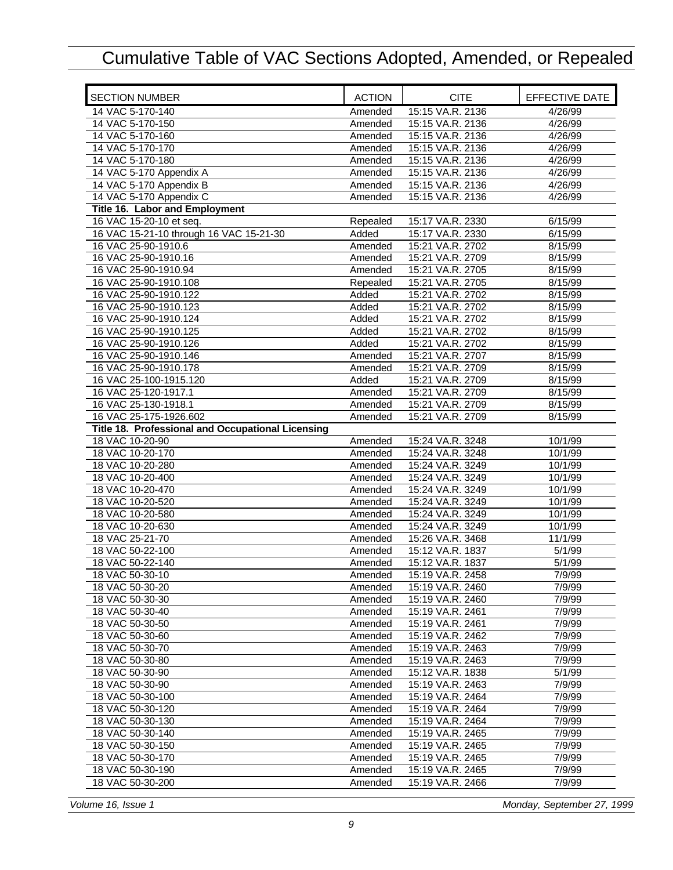| <b>SECTION NUMBER</b>                             | <b>ACTION</b> | <b>CITE</b>      | EFFECTIVE DATE |
|---------------------------------------------------|---------------|------------------|----------------|
| 14 VAC 5-170-140                                  | Amended       | 15:15 VA.R. 2136 | 4/26/99        |
| 14 VAC 5-170-150                                  | Amended       | 15:15 VA.R. 2136 | 4/26/99        |
| 14 VAC 5-170-160                                  | Amended       | 15:15 VA.R. 2136 | 4/26/99        |
| 14 VAC 5-170-170                                  | Amended       | 15:15 VA.R. 2136 | 4/26/99        |
| 14 VAC 5-170-180                                  | Amended       | 15:15 VA.R. 2136 | 4/26/99        |
| 14 VAC 5-170 Appendix A                           | Amended       | 15:15 VA.R. 2136 | 4/26/99        |
| 14 VAC 5-170 Appendix B                           | Amended       | 15:15 VA.R. 2136 | 4/26/99        |
| 14 VAC 5-170 Appendix C                           | Amended       | 15:15 VA.R. 2136 | 4/26/99        |
| <b>Title 16. Labor and Employment</b>             |               |                  |                |
| 16 VAC 15-20-10 et seq.                           | Repealed      | 15:17 VA.R. 2330 | 6/15/99        |
| 16 VAC 15-21-10 through 16 VAC 15-21-30           | Added         | 15:17 VA.R. 2330 | 6/15/99        |
| 16 VAC 25-90-1910.6                               | Amended       | 15:21 VA.R. 2702 | 8/15/99        |
| 16 VAC 25-90-1910.16                              | Amended       | 15:21 VA.R. 2709 | 8/15/99        |
| 16 VAC 25-90-1910.94                              | Amended       | 15:21 VA.R. 2705 | 8/15/99        |
| 16 VAC 25-90-1910.108                             | Repealed      | 15:21 VA.R. 2705 | 8/15/99        |
| 16 VAC 25-90-1910.122                             | Added         | 15:21 VA.R. 2702 | 8/15/99        |
| 16 VAC 25-90-1910.123                             | Added         | 15:21 VA.R. 2702 | 8/15/99        |
| 16 VAC 25-90-1910.124                             | Added         | 15:21 VA.R. 2702 | 8/15/99        |
| 16 VAC 25-90-1910.125                             | Added         | 15:21 VA.R. 2702 | 8/15/99        |
| 16 VAC 25-90-1910.126                             | Added         | 15:21 VA.R. 2702 | 8/15/99        |
| 16 VAC 25-90-1910.146                             | Amended       | 15:21 VA.R. 2707 | 8/15/99        |
| 16 VAC 25-90-1910.178                             | Amended       | 15:21 VA.R. 2709 | 8/15/99        |
| 16 VAC 25-100-1915.120                            | Added         | 15:21 VA.R. 2709 | 8/15/99        |
| 16 VAC 25-120-1917.1                              | Amended       | 15:21 VA.R. 2709 | 8/15/99        |
| 16 VAC 25-130-1918.1                              | Amended       | 15:21 VA.R. 2709 | 8/15/99        |
| 16 VAC 25-175-1926.602                            | Amended       | 15:21 VA.R. 2709 | 8/15/99        |
| Title 18. Professional and Occupational Licensing |               |                  |                |
| 18 VAC 10-20-90                                   | Amended       | 15:24 VA.R. 3248 | 10/1/99        |
| 18 VAC 10-20-170                                  | Amended       | 15:24 VA.R. 3248 | 10/1/99        |
| 18 VAC 10-20-280                                  | Amended       | 15:24 VA.R. 3249 | 10/1/99        |
| 18 VAC 10-20-400                                  | Amended       | 15:24 VA.R. 3249 | 10/1/99        |
| 18 VAC 10-20-470                                  | Amended       | 15:24 VA.R. 3249 | 10/1/99        |
| 18 VAC 10-20-520                                  | Amended       | 15:24 VA.R. 3249 | 10/1/99        |
| 18 VAC 10-20-580                                  | Amended       | 15:24 VA.R. 3249 | 10/1/99        |
| 18 VAC 10-20-630                                  | Amended       | 15:24 VA.R. 3249 | 10/1/99        |
| 18 VAC 25-21-70                                   | Amended       | 15:26 VA.R. 3468 | 11/1/99        |
| 18 VAC 50-22-100                                  | Amended       | 15:12 VA.R. 1837 | 5/1/99         |
| 18 VAC 50-22-140                                  | Amended       | 15:12 VA.R. 1837 | 5/1/99         |
| 18 VAC 50-30-10                                   | Amended       | 15:19 VA.R. 2458 | 7/9/99         |
| 18 VAC 50-30-20                                   | Amended       | 15:19 VA.R. 2460 | 7/9/99         |
| 18 VAC 50-30-30                                   | Amended       | 15:19 VA.R. 2460 | 7/9/99         |
| 18 VAC 50-30-40                                   | Amended       | 15:19 VA.R. 2461 | 7/9/99         |
| 18 VAC 50-30-50                                   | Amended       | 15:19 VA.R. 2461 | 7/9/99         |
| 18 VAC 50-30-60                                   | Amended       | 15:19 VA.R. 2462 | 7/9/99         |
| 18 VAC 50-30-70                                   | Amended       | 15:19 VA.R. 2463 | 7/9/99         |
| 18 VAC 50-30-80                                   | Amended       | 15:19 VA.R. 2463 | 7/9/99         |
| 18 VAC 50-30-90                                   | Amended       | 15:12 VA.R. 1838 | 5/1/99         |
| 18 VAC 50-30-90                                   | Amended       | 15:19 VA.R. 2463 | 7/9/99         |
| 18 VAC 50-30-100                                  | Amended       | 15:19 VA.R. 2464 | 7/9/99         |
| 18 VAC 50-30-120                                  | Amended       | 15:19 VA.R. 2464 | 7/9/99         |
| 18 VAC 50-30-130                                  | Amended       | 15:19 VA.R. 2464 | 7/9/99         |
| 18 VAC 50-30-140                                  | Amended       | 15:19 VA.R. 2465 | 7/9/99         |
| 18 VAC 50-30-150                                  | Amended       | 15:19 VA.R. 2465 | 7/9/99         |
| 18 VAC 50-30-170                                  | Amended       | 15:19 VA.R. 2465 | 7/9/99         |
| 18 VAC 50-30-190                                  | Amended       | 15:19 VA.R. 2465 | 7/9/99         |
| 18 VAC 50-30-200                                  | Amended       | 15:19 VA.R. 2466 | 7/9/99         |
|                                                   |               |                  |                |

*Volume 16, Issue 1 Monday, September 27, 1999*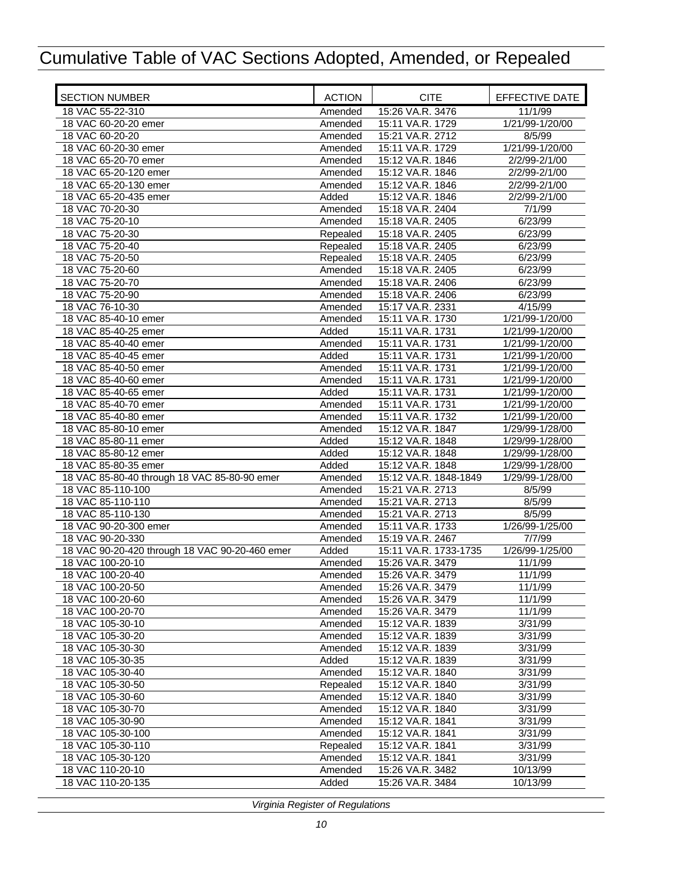| <b>SECTION NUMBER</b>                          | <b>ACTION</b> | <b>CITE</b>           | EFFECTIVE DATE  |
|------------------------------------------------|---------------|-----------------------|-----------------|
| 18 VAC 55-22-310                               | Amended       | 15:26 VA.R. 3476      | 11/1/99         |
| 18 VAC 60-20-20 emer                           | Amended       | 15:11 VA.R. 1729      | 1/21/99-1/20/00 |
| 18 VAC 60-20-20                                | Amended       | 15:21 VA.R. 2712      | 8/5/99          |
| 18 VAC 60-20-30 emer                           | Amended       | 15:11 VA.R. 1729      | 1/21/99-1/20/00 |
| 18 VAC 65-20-70 emer                           | Amended       | 15:12 VA.R. 1846      | 2/2/99-2/1/00   |
| 18 VAC 65-20-120 emer                          | Amended       | 15:12 VA.R. 1846      | 2/2/99-2/1/00   |
| 18 VAC 65-20-130 emer                          | Amended       | 15:12 VA.R. 1846      | 2/2/99-2/1/00   |
| 18 VAC 65-20-435 emer                          | Added         | 15:12 VA.R. 1846      | 2/2/99-2/1/00   |
| 18 VAC 70-20-30                                | Amended       | 15:18 VA.R. 2404      | 7/1/99          |
| 18 VAC 75-20-10                                | Amended       | 15:18 VA.R. 2405      | 6/23/99         |
| 18 VAC 75-20-30                                | Repealed      | 15:18 VA.R. 2405      | 6/23/99         |
| 18 VAC 75-20-40                                | Repealed      | 15:18 VA.R. 2405      | 6/23/99         |
| 18 VAC 75-20-50                                | Repealed      | 15:18 VA.R. 2405      | 6/23/99         |
| 18 VAC 75-20-60                                | Amended       | 15:18 VA.R. 2405      | 6/23/99         |
| 18 VAC 75-20-70                                | Amended       | 15:18 VA.R. 2406      | 6/23/99         |
| 18 VAC 75-20-90                                | Amended       | 15:18 VA.R. 2406      | 6/23/99         |
| 18 VAC 76-10-30                                | Amended       | 15:17 VA.R. 2331      | 4/15/99         |
| 18 VAC 85-40-10 emer                           | Amended       | 15:11 VA.R. 1730      | 1/21/99-1/20/00 |
| 18 VAC 85-40-25 emer                           | Added         | 15:11 VA.R. 1731      | 1/21/99-1/20/00 |
| 18 VAC 85-40-40 emer                           | Amended       | 15:11 VA.R. 1731      | 1/21/99-1/20/00 |
| 18 VAC 85-40-45 emer                           | Added         | 15:11 VA.R. 1731      | 1/21/99-1/20/00 |
| 18 VAC 85-40-50 emer                           | Amended       | 15:11 VA.R. 1731      | 1/21/99-1/20/00 |
| 18 VAC 85-40-60 emer                           | Amended       | 15:11 VA.R. 1731      | 1/21/99-1/20/00 |
| 18 VAC 85-40-65 emer                           | Added         | 15:11 VA.R. 1731      | 1/21/99-1/20/00 |
| 18 VAC 85-40-70 emer                           | Amended       | 15:11 VA.R. 1731      | 1/21/99-1/20/00 |
| 18 VAC 85-40-80 emer                           | Amended       | 15:11 VA.R. 1732      | 1/21/99-1/20/00 |
| 18 VAC 85-80-10 emer                           | Amended       | 15:12 VA.R. 1847      | 1/29/99-1/28/00 |
| 18 VAC 85-80-11 emer                           | Added         | 15:12 VA.R. 1848      | 1/29/99-1/28/00 |
| 18 VAC 85-80-12 emer                           | Added         | 15:12 VA.R. 1848      | 1/29/99-1/28/00 |
| 18 VAC 85-80-35 emer                           | Added         | 15:12 VA.R. 1848      | 1/29/99-1/28/00 |
| 18 VAC 85-80-40 through 18 VAC 85-80-90 emer   | Amended       | 15:12 VA.R. 1848-1849 | 1/29/99-1/28/00 |
| 18 VAC 85-110-100                              | Amended       | 15:21 VA.R. 2713      | 8/5/99          |
| 18 VAC 85-110-110                              | Amended       | 15:21 VA.R. 2713      | 8/5/99          |
| 18 VAC 85-110-130                              | Amended       | 15:21 VA.R. 2713      | 8/5/99          |
| 18 VAC 90-20-300 emer                          | Amended       | 15:11 VA.R. 1733      | 1/26/99-1/25/00 |
| 18 VAC 90-20-330                               | Amended       | 15:19 VA.R. 2467      | 7/7/99          |
| 18 VAC 90-20-420 through 18 VAC 90-20-460 emer | Added         | 15:11 VA.R. 1733-1735 | 1/26/99-1/25/00 |
| 18 VAC 100-20-10                               | Amended       | 15:26 VA.R. 3479      | 11/1/99         |
| 18 VAC 100-20-40                               | Amended       | 15:26 VA.R. 3479      | 11/1/99         |
| 18 VAC 100-20-50                               | Amended       | 15:26 VA.R. 3479      | 11/1/99         |
| 18 VAC 100-20-60                               | Amended       | 15:26 VA.R. 3479      | 11/1/99         |
| 18 VAC 100-20-70                               | Amended       | 15:26 VA.R. 3479      | 11/1/99         |
| 18 VAC 105-30-10                               | Amended       | 15:12 VA.R. 1839      | 3/31/99         |
| 18 VAC 105-30-20                               | Amended       | 15:12 VA.R. 1839      | 3/31/99         |
| 18 VAC 105-30-30                               | Amended       | 15:12 VA.R. 1839      | 3/31/99         |
| 18 VAC 105-30-35                               | Added         | 15:12 VA.R. 1839      | 3/31/99         |
| 18 VAC 105-30-40                               | Amended       | 15:12 VA.R. 1840      | 3/31/99         |
| 18 VAC 105-30-50                               | Repealed      | 15:12 VA.R. 1840      | 3/31/99         |
| 18 VAC 105-30-60                               | Amended       | 15:12 VA.R. 1840      | 3/31/99         |
| 18 VAC 105-30-70                               | Amended       | 15:12 VA.R. 1840      | 3/31/99         |
| 18 VAC 105-30-90                               | Amended       | 15:12 VA.R. 1841      | 3/31/99         |
| 18 VAC 105-30-100                              | Amended       | 15:12 VA.R. 1841      | 3/31/99         |
| 18 VAC 105-30-110                              | Repealed      | 15:12 VA.R. 1841      | 3/31/99         |
| 18 VAC 105-30-120                              | Amended       | 15:12 VA.R. 1841      | 3/31/99         |
| 18 VAC 110-20-10                               | Amended       | 15:26 VA.R. 3482      | 10/13/99        |
| 18 VAC 110-20-135                              | Added         | 15:26 VA.R. 3484      | 10/13/99        |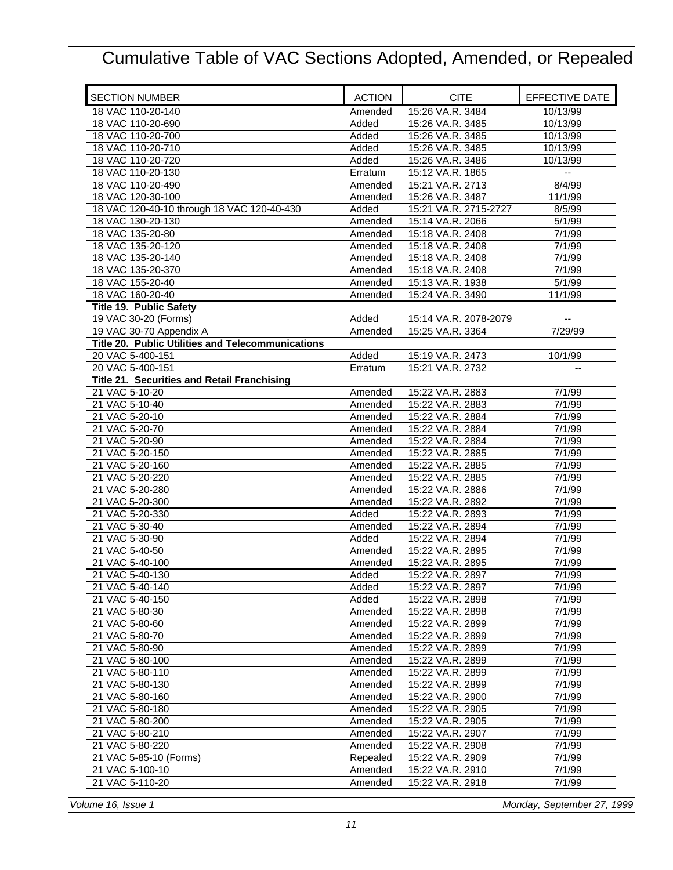| <b>SECTION NUMBER</b>                             | <b>ACTION</b> | <b>CITE</b>           | EFFECTIVE DATE           |
|---------------------------------------------------|---------------|-----------------------|--------------------------|
| 18 VAC 110-20-140                                 | Amended       | 15:26 VA.R. 3484      | 10/13/99                 |
| 18 VAC 110-20-690                                 | Added         | 15:26 VA.R. 3485      | 10/13/99                 |
| 18 VAC 110-20-700                                 | Added         | 15:26 VA.R. 3485      | 10/13/99                 |
| 18 VAC 110-20-710                                 | Added         | 15:26 VA.R. 3485      | 10/13/99                 |
| 18 VAC 110-20-720                                 | Added         | 15:26 VA.R. 3486      | 10/13/99                 |
| 18 VAC 110-20-130                                 | Erratum       | 15:12 VA.R. 1865      | Ξ.                       |
| 18 VAC 110-20-490                                 | Amended       | 15:21 VA.R. 2713      | 8/4/99                   |
| 18 VAC 120-30-100                                 | Amended       | 15:26 VA.R. 3487      | 11/1/99                  |
| 18 VAC 120-40-10 through 18 VAC 120-40-430        | Added         | 15:21 VA.R. 2715-2727 | 8/5/99                   |
| 18 VAC 130-20-130                                 | Amended       | 15:14 VA.R. 2066      | 5/1/99                   |
| 18 VAC 135-20-80                                  | Amended       | 15:18 VA.R. 2408      | 7/1/99                   |
| 18 VAC 135-20-120                                 | Amended       | 15:18 VA.R. 2408      | 7/1/99                   |
| 18 VAC 135-20-140                                 | Amended       | 15:18 VA.R. 2408      | 7/1/99                   |
| 18 VAC 135-20-370                                 | Amended       | 15:18 VA.R. 2408      | 7/1/99                   |
| 18 VAC 155-20-40                                  | Amended       | 15:13 VA.R. 1938      | 5/1/99                   |
| 18 VAC 160-20-40                                  | Amended       | 15:24 VA.R. 3490      | 11/1/99                  |
| <b>Title 19. Public Safety</b>                    |               |                       |                          |
| 19 VAC 30-20 (Forms)                              | Added         | 15:14 VA.R. 2078-2079 | $\overline{\phantom{a}}$ |
| 19 VAC 30-70 Appendix A                           | Amended       | 15:25 VA.R. 3364      | 7/29/99                  |
| Title 20. Public Utilities and Telecommunications |               |                       |                          |
| 20 VAC 5-400-151                                  | Added         | 15:19 VA.R. 2473      | 10/1/99                  |
| 20 VAC 5-400-151                                  | Erratum       | 15:21 VA.R. 2732      | $\overline{a}$           |
| Title 21. Securities and Retail Franchising       |               |                       |                          |
| 21 VAC 5-10-20                                    | Amended       | 15:22 VA.R. 2883      | 7/1/99                   |
| 21 VAC 5-10-40                                    | Amended       | 15:22 VA.R. 2883      | 7/1/99                   |
| 21 VAC 5-20-10                                    | Amended       | 15:22 VA.R. 2884      | 7/1/99                   |
| 21 VAC 5-20-70                                    | Amended       | 15:22 VA.R. 2884      | 7/1/99                   |
| 21 VAC 5-20-90                                    | Amended       | 15:22 VA.R. 2884      | 7/1/99                   |
| 21 VAC 5-20-150                                   | Amended       | 15:22 VA.R. 2885      | 7/1/99                   |
| 21 VAC 5-20-160                                   | Amended       | 15:22 VA.R. 2885      | 7/1/99                   |
| 21 VAC 5-20-220                                   | Amended       | 15:22 VA.R. 2885      | 7/1/99                   |
| 21 VAC 5-20-280                                   | Amended       | 15:22 VA.R. 2886      | 7/1/99                   |
| 21 VAC 5-20-300                                   | Amended       | 15:22 VA.R. 2892      | 7/1/99                   |
| 21 VAC 5-20-330                                   | Added         | 15:22 VA.R. 2893      | 7/1/99                   |
| 21 VAC 5-30-40                                    | Amended       | 15:22 VA.R. 2894      | 7/1/99                   |
| 21 VAC 5-30-90                                    | Added         | 15:22 VA.R. 2894      | 7/1/99                   |
| 21 VAC 5-40-50                                    | Amended       | 15:22 VA.R. 2895      | 7/1/99                   |
| 21 VAC 5-40-100                                   | Amended       | 15:22 VA.R. 2895      | 7/1/99                   |
| 21 VAC 5-40-130                                   | Added         | 15:22 VA.R. 2897      | 7/1/99                   |
| 21 VAC 5-40-140                                   | Added         | 15:22 VA.R. 2897      | 7/1/99                   |
| 21 VAC 5-40-150                                   | Added         | 15:22 VA.R. 2898      | 7/1/99                   |
| 21 VAC 5-80-30                                    | Amended       | 15:22 VA.R. 2898      | 7/1/99                   |
| 21 VAC 5-80-60                                    | Amended       | 15:22 VA.R. 2899      | 7/1/99                   |
| 21 VAC 5-80-70                                    | Amended       | 15:22 VA.R. 2899      | 7/1/99                   |
| 21 VAC 5-80-90                                    | Amended       | 15:22 VA.R. 2899      | 7/1/99                   |
| 21 VAC 5-80-100                                   | Amended       | 15:22 VA.R. 2899      | 7/1/99                   |
| 21 VAC 5-80-110                                   | Amended       | 15:22 VA.R. 2899      | 7/1/99                   |
| 21 VAC 5-80-130                                   | Amended       | 15:22 VA.R. 2899      | 7/1/99                   |
| 21 VAC 5-80-160                                   | Amended       | 15:22 VA.R. 2900      | 7/1/99                   |
| 21 VAC 5-80-180                                   | Amended       | 15:22 VA.R. 2905      | 7/1/99                   |
| 21 VAC 5-80-200                                   | Amended       | 15:22 VA.R. 2905      | 7/1/99                   |
| 21 VAC 5-80-210                                   |               | 15:22 VA.R. 2907      | 7/1/99                   |
|                                                   | Amended       |                       |                          |
| 21 VAC 5-80-220                                   | Amended       | 15:22 VA.R. 2908      | 7/1/99                   |
| 21 VAC 5-85-10 (Forms)                            | Repealed      | 15:22 VA.R. 2909      | 7/1/99                   |
| 21 VAC 5-100-10                                   | Amended       | 15:22 VA.R. 2910      | 7/1/99                   |
| 21 VAC 5-110-20                                   | Amended       | 15:22 VA.R. 2918      | 7/1/99                   |

*Volume 16, Issue 1 Monday, September 27, 1999*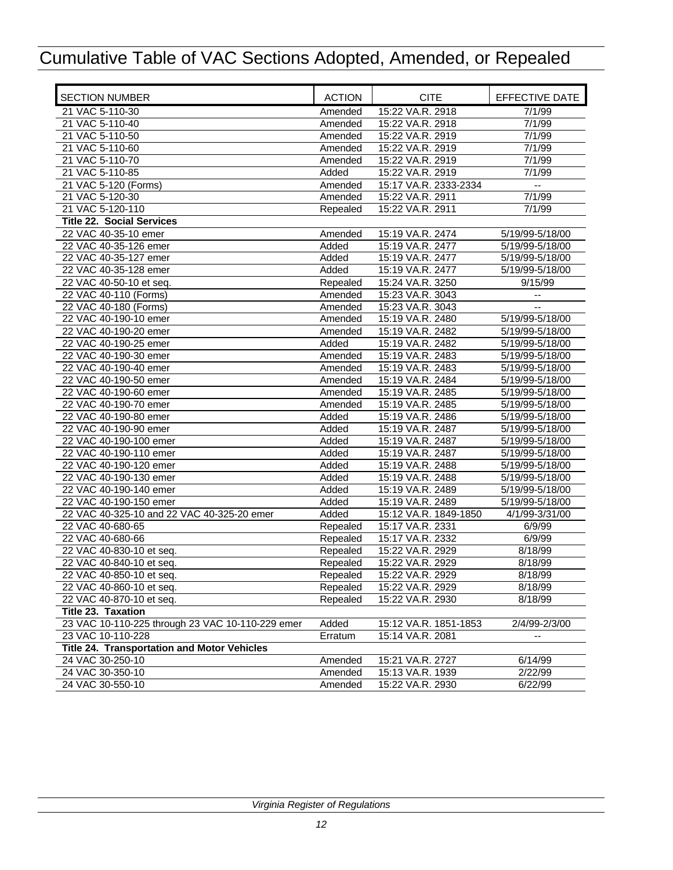| <b>SECTION NUMBER</b>                              | <b>ACTION</b> | <b>CITE</b>           | EFFECTIVE DATE           |
|----------------------------------------------------|---------------|-----------------------|--------------------------|
| 21 VAC 5-110-30                                    | Amended       | 15:22 VA.R. 2918      | 7/1/99                   |
| 21 VAC 5-110-40                                    | Amended       | 15:22 VA.R. 2918      | 7/1/99                   |
| 21 VAC 5-110-50                                    | Amended       | 15:22 VA.R. 2919      | 7/1/99                   |
| 21 VAC 5-110-60                                    | Amended       | 15:22 VA.R. 2919      | 7/1/99                   |
| 21 VAC 5-110-70                                    | Amended       | 15:22 VA.R. 2919      | 7/1/99                   |
| 21 VAC 5-110-85                                    | Added         | 15:22 VA.R. 2919      | 7/1/99                   |
| 21 VAC 5-120 (Forms)                               | Amended       | 15:17 VA.R. 2333-2334 | $\overline{\phantom{a}}$ |
| 21 VAC 5-120-30                                    | Amended       | 15:22 VA.R. 2911      | 7/1/99                   |
| 21 VAC 5-120-110                                   | Repealed      | 15:22 VA.R. 2911      | 7/1/99                   |
| <b>Title 22. Social Services</b>                   |               |                       |                          |
| 22 VAC 40-35-10 emer                               | Amended       | 15:19 VA.R. 2474      | 5/19/99-5/18/00          |
| 22 VAC 40-35-126 emer                              | Added         | 15:19 VA.R. 2477      | 5/19/99-5/18/00          |
| 22 VAC 40-35-127 emer                              | Added         | 15:19 VA.R. 2477      | 5/19/99-5/18/00          |
| 22 VAC 40-35-128 emer                              | Added         | 15:19 VA.R. 2477      | 5/19/99-5/18/00          |
| 22 VAC 40-50-10 et seq.                            | Repealed      | 15:24 VA.R. 3250      | 9/15/99                  |
| 22 VAC 40-110 (Forms)                              | Amended       | 15:23 VA.R. 3043      | $\overline{\phantom{a}}$ |
| 22 VAC 40-180 (Forms)                              | Amended       | 15:23 VA.R. 3043      |                          |
| 22 VAC 40-190-10 emer                              | Amended       | 15:19 VA.R. 2480      | 5/19/99-5/18/00          |
| 22 VAC 40-190-20 emer                              | Amended       | 15:19 VA.R. 2482      | 5/19/99-5/18/00          |
| 22 VAC 40-190-25 emer                              | Added         | 15:19 VA.R. 2482      | 5/19/99-5/18/00          |
| 22 VAC 40-190-30 emer                              | Amended       | 15:19 VA.R. 2483      | 5/19/99-5/18/00          |
| 22 VAC 40-190-40 emer                              | Amended       | 15:19 VA.R. 2483      | 5/19/99-5/18/00          |
| 22 VAC 40-190-50 emer                              | Amended       | 15:19 VA.R. 2484      | 5/19/99-5/18/00          |
| 22 VAC 40-190-60 emer                              | Amended       | 15:19 VA.R. 2485      | 5/19/99-5/18/00          |
| 22 VAC 40-190-70 emer                              | Amended       | 15:19 VA.R. 2485      | 5/19/99-5/18/00          |
| 22 VAC 40-190-80 emer                              | Added         | 15:19 VA.R. 2486      | 5/19/99-5/18/00          |
| 22 VAC 40-190-90 emer                              | Added         | 15:19 VA.R. 2487      | 5/19/99-5/18/00          |
| 22 VAC 40-190-100 emer                             | Added         | 15:19 VA.R. 2487      | 5/19/99-5/18/00          |
| 22 VAC 40-190-110 emer                             | Added         | 15:19 VA.R. 2487      | 5/19/99-5/18/00          |
| 22 VAC 40-190-120 emer                             | Added         | 15:19 VA.R. 2488      | 5/19/99-5/18/00          |
| 22 VAC 40-190-130 emer                             | Added         | 15:19 VA.R. 2488      | 5/19/99-5/18/00          |
| 22 VAC 40-190-140 emer                             | Added         | 15:19 VA.R. 2489      | 5/19/99-5/18/00          |
| 22 VAC 40-190-150 emer                             | Added         | 15:19 VA.R. 2489      | 5/19/99-5/18/00          |
| 22 VAC 40-325-10 and 22 VAC 40-325-20 emer         | Added         | 15:12 VA.R. 1849-1850 | 4/1/99-3/31/00           |
| 22 VAC 40-680-65                                   | Repealed      | 15:17 VA.R. 2331      | 6/9/99                   |
| 22 VAC 40-680-66                                   | Repealed      | 15:17 VA.R. 2332      | 6/9/99                   |
| 22 VAC 40-830-10 et seq.                           | Repealed      | 15:22 VA.R. 2929      | 8/18/99                  |
| 22 VAC 40-840-10 et seq.                           | Repealed      | 15:22 VA.R. 2929      | 8/18/99                  |
| 22 VAC 40-850-10 et seq.                           | Repealed      | 15:22 VA.R. 2929      | 8/18/99                  |
| 22 VAC 40-860-10 et seq.                           | Repealed      | 15:22 VA.R. 2929      | 8/18/99                  |
| 22 VAC 40-870-10 et seq.                           | Repealed      | 15:22 VA.R. 2930      | 8/18/99                  |
| Title 23. Taxation                                 |               |                       |                          |
| 23 VAC 10-110-225 through 23 VAC 10-110-229 emer   | Added         | 15:12 VA.R. 1851-1853 | 2/4/99-2/3/00            |
| 23 VAC 10-110-228                                  | Erratum       | 15:14 VA.R. 2081      |                          |
| <b>Title 24. Transportation and Motor Vehicles</b> |               |                       |                          |
| 24 VAC 30-250-10                                   | Amended       | 15:21 VA.R. 2727      | 6/14/99                  |
| 24 VAC 30-350-10                                   | Amended       | 15:13 VA.R. 1939      | 2/22/99                  |
| 24 VAC 30-550-10                                   | Amended       | 15:22 VA.R. 2930      | 6/22/99                  |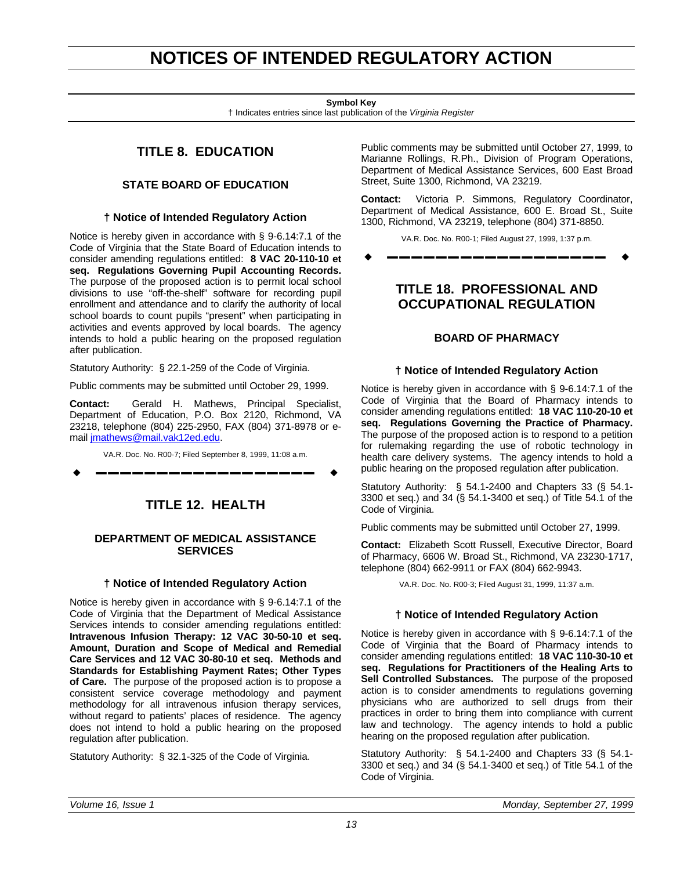## **NOTICES OF INTENDED REGULATORY ACTION**

**Symbol Key**

† Indicates entries since last publication of the *Virginia Register*

### **TITLE 8. EDUCATION**

#### **STATE BOARD OF EDUCATION**

#### **† Notice of Intended Regulatory Action**

<span id="page-14-0"></span>Notice is hereby given in accordance with § 9-6.14:7.1 of the Code of Virginia that the State Board of Education intends to consider amending regulations entitled: **8 VAC 20-110-10 et seq. Regulations Governing Pupil Accounting Records.** The purpose of the proposed action is to permit local school divisions to use "off-the-shelf" software for recording pupil enrollment and attendance and to clarify the authority of local school boards to count pupils "present" when participating in activities and events approved by local boards. The agency intends to hold a public hearing on the proposed regulation after publication.

Statutory Authority: § 22.1-259 of the Code of Virginia.

Public comments may be submitted until October 29, 1999.

**Contact:** Gerald H. Mathews, Principal Specialist, Department of Education, P.O. Box 2120, Richmond, VA 23218, telephone (804) 225-2950, FAX (804) 371-8978 or email jmathews@mail.vak12ed.edu.

VA.R. Doc. No. R00-7; Filed September 8, 1999, 11:08 a.m.

w **––––––––––––––––––** w

### **TITLE 12. HEALTH**

#### **DEPARTMENT OF MEDICAL ASSISTANCE SERVICES**

#### **† Notice of Intended Regulatory Action**

Notice is hereby given in accordance with § 9-6.14:7.1 of the Code of Virginia that the Department of Medical Assistance Services intends to consider amending regulations entitled: **Intravenous Infusion Therapy: 12 VAC 30-50-10 et seq. Amount, Duration and Scope of Medical and Remedial Care Services and 12 VAC 30-80-10 et seq. Methods and Standards for Establishing Payment Rates; Other Types of Care.** The purpose of the proposed action is to propose a consistent service coverage methodology and payment methodology for all intravenous infusion therapy services, without regard to patients' places of residence. The agency does not intend to hold a public hearing on the proposed regulation after publication.

Statutory Authority: § 32.1-325 of the Code of Virginia.

Public comments may be submitted until October 27, 1999, to Marianne Rollings, R.Ph., Division of Program Operations, Department of Medical Assistance Services, 600 East Broad Street, Suite 1300, Richmond, VA 23219.

**Contact:** Victoria P. Simmons, Regulatory Coordinator, Department of Medical Assistance, 600 E. Broad St., Suite 1300, Richmond, VA 23219, telephone (804) 371-8850.

VA.R. Doc. No. R00-1; Filed August 27, 1999, 1:37 p.m.

w **––––––––––––––––––** w

### **TITLE 18. PROFESSIONAL AND OCCUPATIONAL REGULATION**

#### **BOARD OF PHARMACY**

#### **† Notice of Intended Regulatory Action**

Notice is hereby given in accordance with § 9-6.14:7.1 of the Code of Virginia that the Board of Pharmacy intends to consider amending regulations entitled: **18 VAC 110-20-10 et seq. Regulations Governing the Practice of Pharmacy.** The purpose of the proposed action is to respond to a petition for rulemaking regarding the use of robotic technology in health care delivery systems. The agency intends to hold a public hearing on the proposed regulation after publication.

Statutory Authority: § 54.1-2400 and Chapters 33 (§ 54.1- 3300 et seq.) and 34 (§ 54.1-3400 et seq.) of Title 54.1 of the Code of Virginia.

Public comments may be submitted until October 27, 1999.

**Contact:** Elizabeth Scott Russell, Executive Director, Board of Pharmacy, 6606 W. Broad St., Richmond, VA 23230-1717, telephone (804) 662-9911 or FAX (804) 662-9943.

VA.R. Doc. No. R00-3; Filed August 31, 1999, 11:37 a.m.

#### **† Notice of Intended Regulatory Action**

Notice is hereby given in accordance with § 9-6.14:7.1 of the Code of Virginia that the Board of Pharmacy intends to consider amending regulations entitled: **18 VAC 110-30-10 et seq. Regulations for Practitioners of the Healing Arts to Sell Controlled Substances.** The purpose of the proposed action is to consider amendments to regulations governing physicians who are authorized to sell drugs from their practices in order to bring them into compliance with current law and technology. The agency intends to hold a public hearing on the proposed regulation after publication.

Statutory Authority: § 54.1-2400 and Chapters 33 (§ 54.1- 3300 et seq.) and 34 (§ 54.1-3400 et seq.) of Title 54.1 of the Code of Virginia.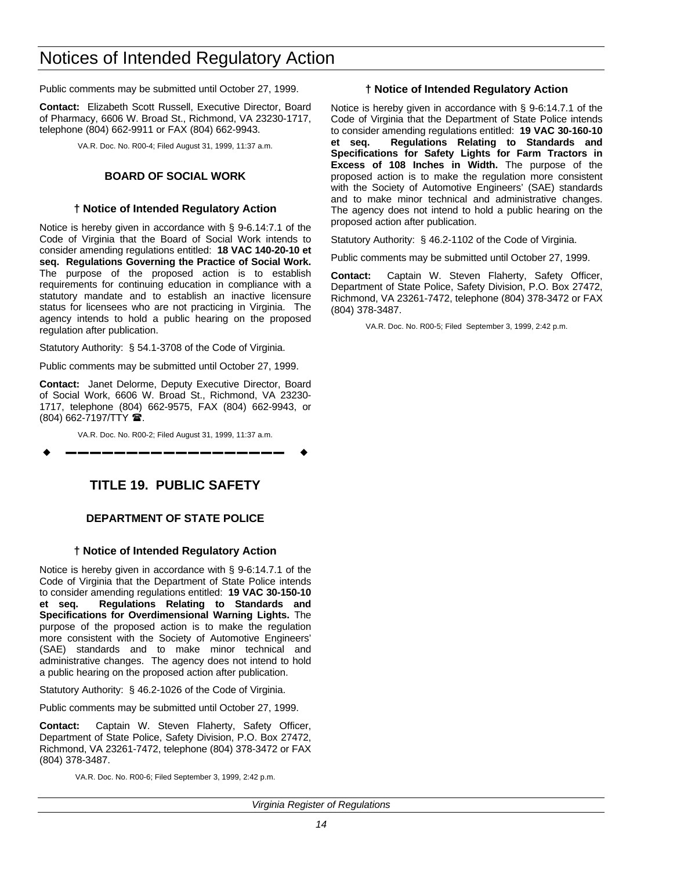## <span id="page-15-0"></span>Notices of Intended Regulatory Action

Public comments may be submitted until October 27, 1999.

**Contact:** Elizabeth Scott Russell, Executive Director, Board of Pharmacy, 6606 W. Broad St., Richmond, VA 23230-1717, telephone (804) 662-9911 or FAX (804) 662-9943.

VA.R. Doc. No. R00-4; Filed August 31, 1999, 11:37 a.m.

#### **BOARD OF SOCIAL WORK**

#### **† Notice of Intended Regulatory Action**

Notice is hereby given in accordance with § 9-6.14:7.1 of the Code of Virginia that the Board of Social Work intends to consider amending regulations entitled: **18 VAC 140-20-10 et seq. Regulations Governing the Practice of Social Work.** The purpose of the proposed action is to establish requirements for continuing education in compliance with a statutory mandate and to establish an inactive licensure status for licensees who are not practicing in Virginia. The agency intends to hold a public hearing on the proposed regulation after publication.

Statutory Authority: § 54.1-3708 of the Code of Virginia.

Public comments may be submitted until October 27, 1999.

**Contact:** Janet Delorme, Deputy Executive Director, Board of Social Work, 6606 W. Broad St., Richmond, VA 23230- 1717, telephone (804) 662-9575, FAX (804) 662-9943, or (804) 662-7197/TTY **2**.

VA.R. Doc. No. R00-2; Filed August 31, 1999, 11:37 a.m.

w **––––––––––––––––––** w

### **TITLE 19. PUBLIC SAFETY**

#### **DEPARTMENT OF STATE POLICE**

#### **† Notice of Intended Regulatory Action**

Notice is hereby given in accordance with § 9-6:14.7.1 of the Code of Virginia that the Department of State Police intends to consider amending regulations entitled: **19 VAC 30-150-10 et seq. Regulations Relating to Standards and Specifications for Overdimensional Warning Lights.** The purpose of the proposed action is to make the regulation more consistent with the Society of Automotive Engineers' (SAE) standards and to make minor technical and administrative changes. The agency does not intend to hold a public hearing on the proposed action after publication.

Statutory Authority: § 46.2-1026 of the Code of Virginia.

Public comments may be submitted until October 27, 1999.

**Contact:** Captain W. Steven Flaherty, Safety Officer, Department of State Police, Safety Division, P.O. Box 27472, Richmond, VA 23261-7472, telephone (804) 378-3472 or FAX (804) 378-3487.

VA.R. Doc. No. R00-6; Filed September 3, 1999, 2:42 p.m.

#### **† Notice of Intended Regulatory Action**

Notice is hereby given in accordance with § 9-6:14.7.1 of the Code of Virginia that the Department of State Police intends to consider amending regulations entitled: **19 VAC 30-160-10 et seq. Regulations Relating to Standards and Specifications for Safety Lights for Farm Tractors in Excess of 108 Inches in Width.** The purpose of the proposed action is to make the regulation more consistent with the Society of Automotive Engineers' (SAE) standards and to make minor technical and administrative changes. The agency does not intend to hold a public hearing on the proposed action after publication.

Statutory Authority: § 46.2-1102 of the Code of Virginia.

Public comments may be submitted until October 27, 1999.

**Contact:** Captain W. Steven Flaherty, Safety Officer, Department of State Police, Safety Division, P.O. Box 27472, Richmond, VA 23261-7472, telephone (804) 378-3472 or FAX (804) 378-3487.

VA.R. Doc. No. R00-5; Filed September 3, 1999, 2:42 p.m.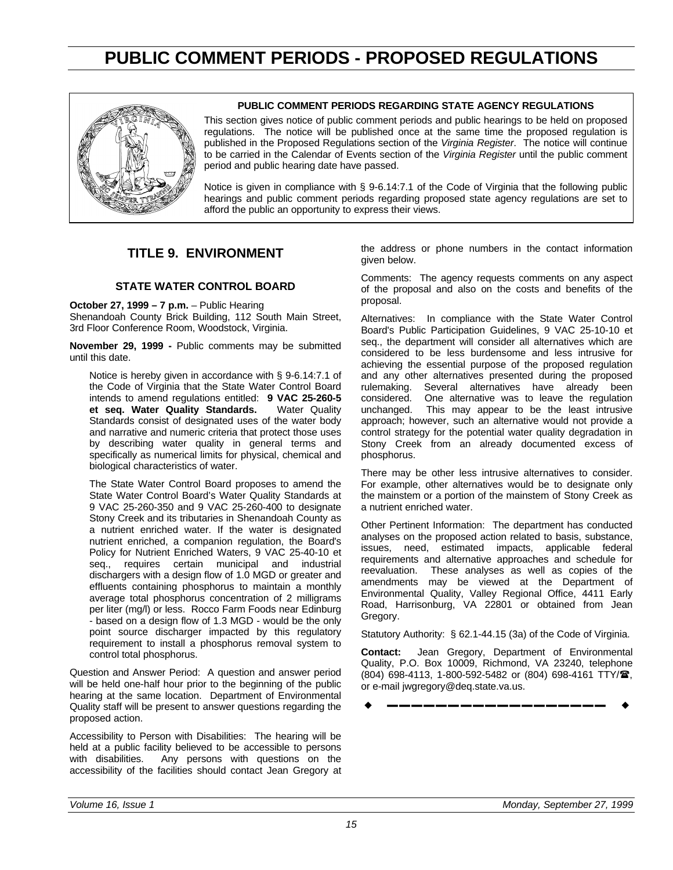## **PUBLIC COMMENT PERIODS - PROPOSED REGULATIONS**

<span id="page-16-0"></span>

#### **PUBLIC COMMENT PERIODS REGARDING STATE AGENCY REGULATIONS**

This section gives notice of public comment periods and public hearings to be held on proposed regulations. The notice will be published once at the same time the proposed regulation is published in the Proposed Regulations section of the *Virginia Register*. The notice will continue to be carried in the Calendar of Events section of the *Virginia Register* until the public comment period and public hearing date have passed.

Notice is given in compliance with § 9-6.14:7.1 of the Code of Virginia that the following public hearings and public comment periods regarding proposed state agency regulations are set to afford the public an opportunity to express their views.

### **TITLE 9. ENVIRONMENT**

#### **STATE WATER CONTROL BOARD**

**October 27, 1999 – 7 p.m.** – Public Hearing Shenandoah County Brick Building, 112 South Main Street, 3rd Floor Conference Room, Woodstock, Virginia.

**November 29, 1999 -** Public comments may be submitted until this date.

Notice is hereby given in accordance with § 9-6.14:7.1 of the Code of Virginia that the State Water Control Board intends to amend regulations entitled: **9 VAC 25-260-5** et seq. Water Quality Standards. Standards consist of designated uses of the water body and narrative and numeric criteria that protect those uses by describing water quality in general terms and specifically as numerical limits for physical, chemical and biological characteristics of water.

The State Water Control Board proposes to amend the State Water Control Board's Water Quality Standards at 9 VAC 25-260-350 and 9 VAC 25-260-400 to designate Stony Creek and its tributaries in Shenandoah County as a nutrient enriched water. If the water is designated nutrient enriched, a companion regulation, the Board's Policy for Nutrient Enriched Waters, 9 VAC 25-40-10 et seq., requires certain municipal and industrial dischargers with a design flow of 1.0 MGD or greater and effluents containing phosphorus to maintain a monthly average total phosphorus concentration of 2 milligrams per liter (mg/l) or less. Rocco Farm Foods near Edinburg - based on a design flow of 1.3 MGD - would be the only point source discharger impacted by this regulatory requirement to install a phosphorus removal system to control total phosphorus.

Question and Answer Period: A question and answer period will be held one-half hour prior to the beginning of the public hearing at the same location. Department of Environmental Quality staff will be present to answer questions regarding the proposed action.

Accessibility to Person with Disabilities: The hearing will be held at a public facility believed to be accessible to persons with disabilities. Any persons with questions on the accessibility of the facilities should contact Jean Gregory at the address or phone numbers in the contact information given below.

Comments: The agency requests comments on any aspect of the proposal and also on the costs and benefits of the proposal.

Alternatives: In compliance with the State Water Control Board's Public Participation Guidelines, 9 VAC 25-10-10 et seq., the department will consider all alternatives which are considered to be less burdensome and less intrusive for achieving the essential purpose of the proposed regulation and any other alternatives presented during the proposed rulemaking. Several alternatives have already been<br>considered. One alternative was to leave the regulation considered. One alternative was to leave the regulation This may appear to be the least intrusive approach; however, such an alternative would not provide a control strategy for the potential water quality degradation in Stony Creek from an already documented excess of phosphorus.

There may be other less intrusive alternatives to consider. For example, other alternatives would be to designate only the mainstem or a portion of the mainstem of Stony Creek as a nutrient enriched water.

Other Pertinent Information: The department has conducted analyses on the proposed action related to basis, substance, issues, need, estimated impacts, applicable federal requirements and alternative approaches and schedule for reevaluation. These analyses as well as copies of the amendments may be viewed at the Department of Environmental Quality, Valley Regional Office, 4411 Early Road, Harrisonburg, VA 22801 or obtained from Jean Gregory.

Statutory Authority: § 62.1-44.15 (3a) of the Code of Virginia.

**Contact:** Jean Gregory, Department of Environmental Quality, P.O. Box 10009, Richmond, VA 23240, telephone (804) 698-4113, 1-800-592-5482 or (804) 698-4161 TTY/<sup>2</sup>, or e-mail jwgregory@deq.state.va.us.

w **––––––––––––––––––** w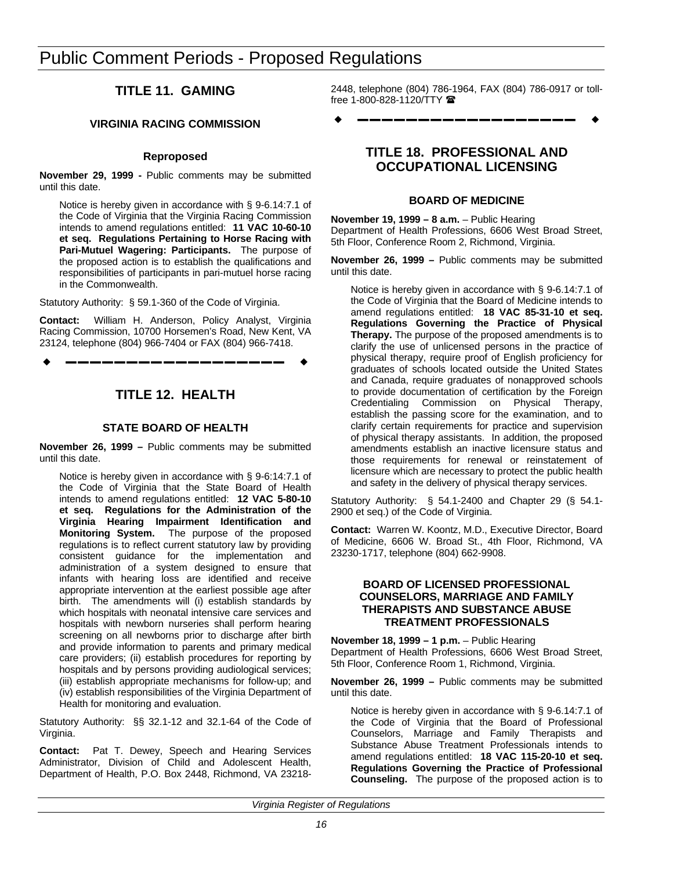## <span id="page-17-0"></span>Public Comment Periods - Proposed Regulations

### **TITLE 11. GAMING**

#### **VIRGINIA RACING COMMISSION**

#### **Reproposed**

**November 29, 1999 -** Public comments may be submitted until this date.

Notice is hereby given in accordance with § 9-6.14:7.1 of the Code of Virginia that the Virginia Racing Commission intends to amend regulations entitled: **11 VAC 10-60-10 et seq. Regulations Pertaining to Horse Racing with Pari-Mutuel Wagering: Participants.** The purpose of the proposed action is to establish the qualifications and responsibilities of participants in pari-mutuel horse racing in the Commonwealth.

Statutory Authority: § 59.1-360 of the Code of Virginia.

**Contact:** William H. Anderson, Policy Analyst, Virginia Racing Commission, 10700 Horsemen's Road, New Kent, VA 23124, telephone (804) 966-7404 or FAX (804) 966-7418.

w **––––––––––––––––––** w

### **TITLE 12. HEALTH**

#### **STATE BOARD OF HEALTH**

**November 26, 1999 –** Public comments may be submitted until this date.

Notice is hereby given in accordance with § 9-6:14:7.1 of the Code of Virginia that the State Board of Health intends to amend regulations entitled: **12 VAC 5-80-10 et seq. Regulations for the Administration of the Virginia Hearing Impairment Identification and Monitoring System.** The purpose of the proposed regulations is to reflect current statutory law by providing consistent guidance for the implementation and administration of a system designed to ensure that infants with hearing loss are identified and receive appropriate intervention at the earliest possible age after birth. The amendments will (i) establish standards by which hospitals with neonatal intensive care services and hospitals with newborn nurseries shall perform hearing screening on all newborns prior to discharge after birth and provide information to parents and primary medical care providers; (ii) establish procedures for reporting by hospitals and by persons providing audiological services; (iii) establish appropriate mechanisms for follow-up; and (iv) establish responsibilities of the Virginia Department of Health for monitoring and evaluation.

Statutory Authority: §§ 32.1-12 and 32.1-64 of the Code of Virginia.

**Contact:** Pat T. Dewey, Speech and Hearing Services Administrator, Division of Child and Adolescent Health, Department of Health, P.O. Box 2448, Richmond, VA 232182448, telephone (804) 786-1964, FAX (804) 786-0917 or tollfree 1-800-828-1120/TTY

w **––––––––––––––––––** w

### **TITLE 18. PROFESSIONAL AND OCCUPATIONAL LICENSING**

#### **BOARD OF MEDICINE**

**November 19, 1999 – 8 a.m.** – Public Hearing Department of Health Professions, 6606 West Broad Street, 5th Floor, Conference Room 2, Richmond, Virginia.

**November 26, 1999 –** Public comments may be submitted until this date.

Notice is hereby given in accordance with § 9-6.14:7.1 of the Code of Virginia that the Board of Medicine intends to amend regulations entitled: **18 VAC 85-31-10 et seq. Regulations Governing the Practice of Physical Therapy.** The purpose of the proposed amendments is to clarify the use of unlicensed persons in the practice of physical therapy, require proof of English proficiency for graduates of schools located outside the United States and Canada, require graduates of nonapproved schools to provide documentation of certification by the Foreign Credentialing Commission on Physical Therapy, establish the passing score for the examination, and to clarify certain requirements for practice and supervision of physical therapy assistants. In addition, the proposed amendments establish an inactive licensure status and those requirements for renewal or reinstatement of licensure which are necessary to protect the public health and safety in the delivery of physical therapy services.

Statutory Authority: § 54.1-2400 and Chapter 29 (§ 54.1- 2900 et seq.) of the Code of Virginia.

**Contact:** Warren W. Koontz, M.D., Executive Director, Board of Medicine, 6606 W. Broad St., 4th Floor, Richmond, VA 23230-1717, telephone (804) 662-9908.

#### **BOARD OF LICENSED PROFESSIONAL COUNSELORS, MARRIAGE AND FAMILY THERAPISTS AND SUBSTANCE ABUSE TREATMENT PROFESSIONALS**

**November 18, 1999 – 1 p.m.** – Public Hearing Department of Health Professions, 6606 West Broad Street, 5th Floor, Conference Room 1, Richmond, Virginia.

**November 26, 1999 –** Public comments may be submitted until this date.

Notice is hereby given in accordance with § 9-6.14:7.1 of the Code of Virginia that the Board of Professional Counselors, Marriage and Family Therapists and Substance Abuse Treatment Professionals intends to amend regulations entitled: **18 VAC 115-20-10 et seq. Regulations Governing the Practice of Professional Counseling.** The purpose of the proposed action is to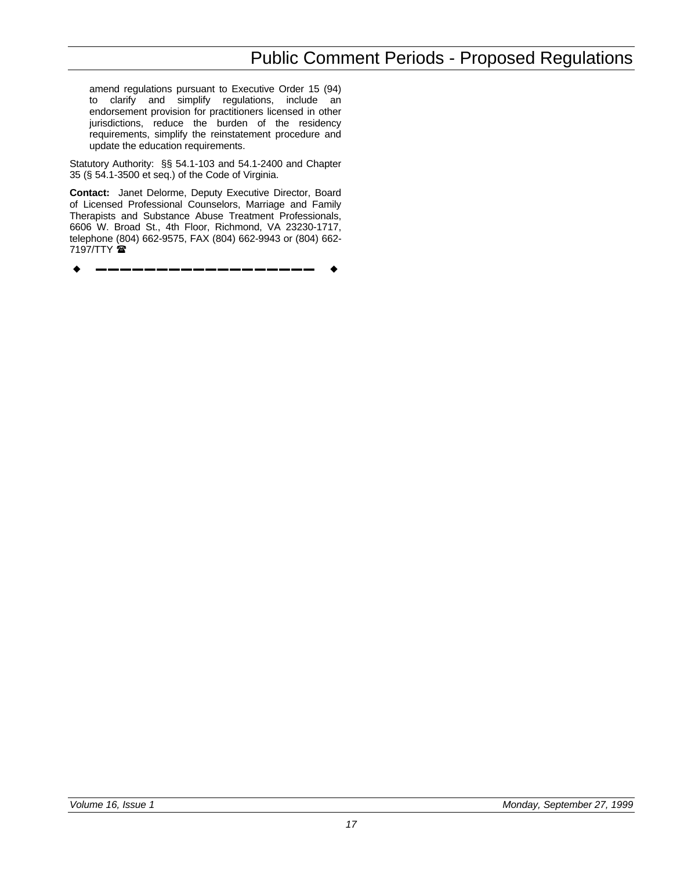amend regulations pursuant to Executive Order 15 (94) to clarify and simplify regulations, include an endorsement provision for practitioners licensed in other jurisdictions, reduce the burden of the residency requirements, simplify the reinstatement procedure and update the education requirements.

Statutory Authority: §§ 54.1-103 and 54.1-2400 and Chapter 35 (§ 54.1-3500 et seq.) of the Code of Virginia.

**Contact:** Janet Delorme, Deputy Executive Director, Board of Licensed Professional Counselors, Marriage and Family Therapists and Substance Abuse Treatment Professionals, 6606 W. Broad St., 4th Floor, Richmond, VA 23230-1717, telephone (804) 662-9575, FAX (804) 662-9943 or (804) 662- 7197/TTY  $\blacksquare$ 

w **––––––––––––––––––** w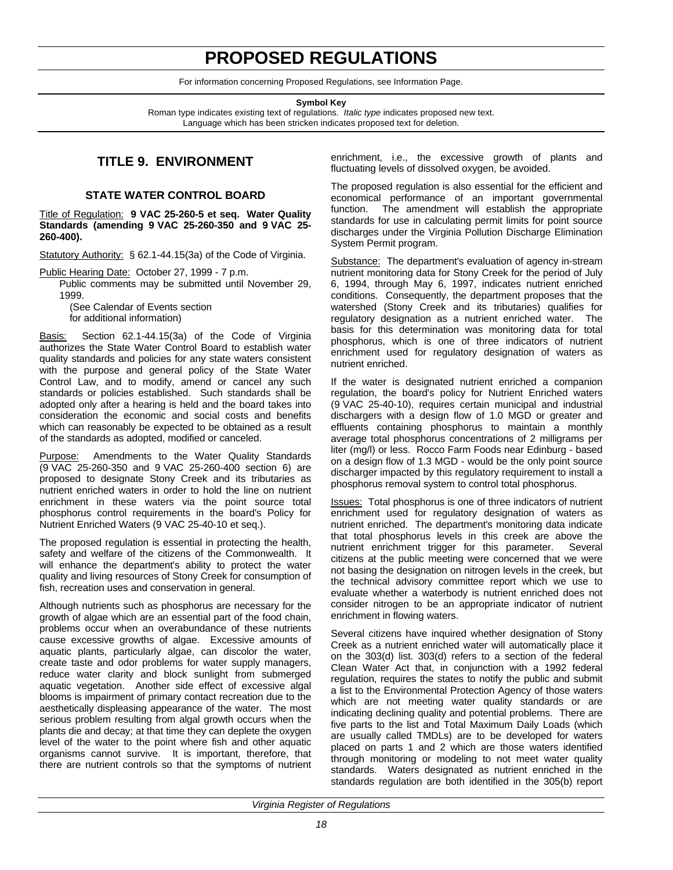## **PROPOSED REGULATIONS**

For information concerning Proposed Regulations, see Information Page.

**Symbol Key**

Roman type indicates existing text of regulations. *Italic type* indicates proposed new text. Language which has been stricken indicates proposed text for deletion.

### **TITLE 9. ENVIRONMENT**

#### **STATE WATER CONTROL BOARD**

<span id="page-19-0"></span>Title of Regulation: **9 VAC 25-260-5 et seq. Water Quality Standards (amending 9 VAC 25-260-350 and 9 VAC 25- 260-400).**

Statutory Authority: § 62.1-44.15(3a) of the Code of Virginia.

Public Hearing Date: October 27, 1999 - 7 p.m.

Public comments may be submitted until November 29, 1999.

(See Calendar of Events section for additional information)

Section 62.1-44.15(3a) of the Code of Virginia authorizes the State Water Control Board to establish water quality standards and policies for any state waters consistent with the purpose and general policy of the State Water Control Law, and to modify, amend or cancel any such standards or policies established. Such standards shall be adopted only after a hearing is held and the board takes into consideration the economic and social costs and benefits which can reasonably be expected to be obtained as a result of the standards as adopted, modified or canceled.

Purpose: Amendments to the Water Quality Standards (9 VAC 25-260-350 and 9 VAC 25-260-400 section 6) are proposed to designate Stony Creek and its tributaries as nutrient enriched waters in order to hold the line on nutrient enrichment in these waters via the point source total phosphorus control requirements in the board's Policy for Nutrient Enriched Waters (9 VAC 25-40-10 et seq.).

The proposed regulation is essential in protecting the health, safety and welfare of the citizens of the Commonwealth. It will enhance the department's ability to protect the water quality and living resources of Stony Creek for consumption of fish, recreation uses and conservation in general.

Although nutrients such as phosphorus are necessary for the growth of algae which are an essential part of the food chain, problems occur when an overabundance of these nutrients cause excessive growths of algae. Excessive amounts of aquatic plants, particularly algae, can discolor the water, create taste and odor problems for water supply managers, reduce water clarity and block sunlight from submerged aquatic vegetation. Another side effect of excessive algal blooms is impairment of primary contact recreation due to the aesthetically displeasing appearance of the water. The most serious problem resulting from algal growth occurs when the plants die and decay; at that time they can deplete the oxygen level of the water to the point where fish and other aquatic organisms cannot survive. It is important, therefore, that there are nutrient controls so that the symptoms of nutrient enrichment, i.e., the excessive growth of plants and fluctuating levels of dissolved oxygen, be avoided.

The proposed regulation is also essential for the efficient and economical performance of an important governmental function. The amendment will establish the appropriate standards for use in calculating permit limits for point source discharges under the Virginia Pollution Discharge Elimination System Permit program.

Substance: The department's evaluation of agency in-stream nutrient monitoring data for Stony Creek for the period of July 6, 1994, through May 6, 1997, indicates nutrient enriched conditions. Consequently, the department proposes that the watershed (Stony Creek and its tributaries) qualifies for regulatory designation as a nutrient enriched water. The basis for this determination was monitoring data for total phosphorus, which is one of three indicators of nutrient enrichment used for regulatory designation of waters as nutrient enriched.

If the water is designated nutrient enriched a companion regulation, the board's policy for Nutrient Enriched waters (9 VAC 25-40-10), requires certain municipal and industrial dischargers with a design flow of 1.0 MGD or greater and effluents containing phosphorus to maintain a monthly average total phosphorus concentrations of 2 milligrams per liter (mg/l) or less. Rocco Farm Foods near Edinburg - based on a design flow of 1.3 MGD - would be the only point source discharger impacted by this regulatory requirement to install a phosphorus removal system to control total phosphorus.

Issues: Total phosphorus is one of three indicators of nutrient enrichment used for regulatory designation of waters as nutrient enriched. The department's monitoring data indicate that total phosphorus levels in this creek are above the nutrient enrichment trigger for this parameter. Several citizens at the public meeting were concerned that we were not basing the designation on nitrogen levels in the creek, but the technical advisory committee report which we use to evaluate whether a waterbody is nutrient enriched does not consider nitrogen to be an appropriate indicator of nutrient enrichment in flowing waters.

Several citizens have inquired whether designation of Stony Creek as a nutrient enriched water will automatically place it on the 303(d) list. 303(d) refers to a section of the federal Clean Water Act that, in conjunction with a 1992 federal regulation, requires the states to notify the public and submit a list to the Environmental Protection Agency of those waters which are not meeting water quality standards or are indicating declining quality and potential problems. There are five parts to the list and Total Maximum Daily Loads (which are usually called TMDLs) are to be developed for waters placed on parts 1 and 2 which are those waters identified through monitoring or modeling to not meet water quality standards. Waters designated as nutrient enriched in the standards regulation are both identified in the 305(b) report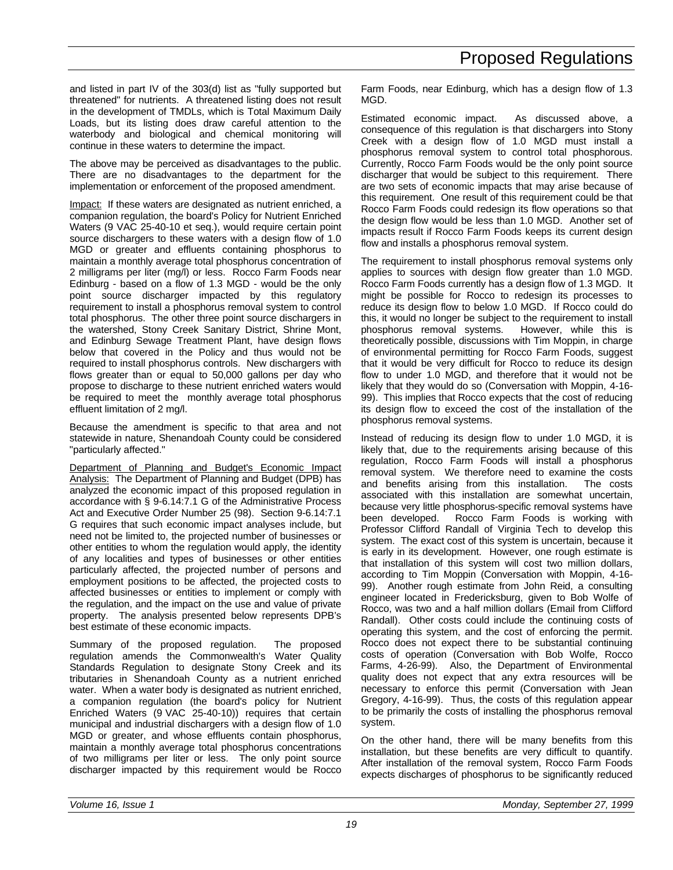and listed in part IV of the 303(d) list as "fully supported but threatened" for nutrients. A threatened listing does not result in the development of TMDLs, which is Total Maximum Daily Loads, but its listing does draw careful attention to the waterbody and biological and chemical monitoring will continue in these waters to determine the impact.

The above may be perceived as disadvantages to the public. There are no disadvantages to the department for the implementation or enforcement of the proposed amendment.

Impact: If these waters are designated as nutrient enriched, a companion regulation, the board's Policy for Nutrient Enriched Waters (9 VAC 25-40-10 et seq.), would require certain point source dischargers to these waters with a design flow of 1.0 MGD or greater and effluents containing phosphorus to maintain a monthly average total phosphorus concentration of 2 milligrams per liter (mg/l) or less. Rocco Farm Foods near Edinburg - based on a flow of 1.3 MGD - would be the only point source discharger impacted by this regulatory requirement to install a phosphorus removal system to control total phosphorus. The other three point source dischargers in the watershed, Stony Creek Sanitary District, Shrine Mont, and Edinburg Sewage Treatment Plant, have design flows below that covered in the Policy and thus would not be required to install phosphorus controls. New dischargers with flows greater than or equal to 50,000 gallons per day who propose to discharge to these nutrient enriched waters would be required to meet the monthly average total phosphorus effluent limitation of 2 mg/l.

Because the amendment is specific to that area and not statewide in nature, Shenandoah County could be considered "particularly affected."

Department of Planning and Budget's Economic Impact Analysis: The Department of Planning and Budget (DPB) has analyzed the economic impact of this proposed regulation in accordance with § 9-6.14:7.1 G of the Administrative Process Act and Executive Order Number 25 (98). Section 9-6.14:7.1 G requires that such economic impact analyses include, but need not be limited to, the projected number of businesses or other entities to whom the regulation would apply, the identity of any localities and types of businesses or other entities particularly affected, the projected number of persons and employment positions to be affected, the projected costs to affected businesses or entities to implement or comply with the regulation, and the impact on the use and value of private property. The analysis presented below represents DPB's best estimate of these economic impacts.

Summary of the proposed regulation. The proposed regulation amends the Commonwealth's Water Quality Standards Regulation to designate Stony Creek and its tributaries in Shenandoah County as a nutrient enriched water. When a water body is designated as nutrient enriched, a companion regulation (the board's policy for Nutrient Enriched Waters (9 VAC 25-40-10)) requires that certain municipal and industrial dischargers with a design flow of 1.0 MGD or greater, and whose effluents contain phosphorus, maintain a monthly average total phosphorus concentrations of two milligrams per liter or less. The only point source discharger impacted by this requirement would be Rocco Farm Foods, near Edinburg, which has a design flow of 1.3 MGD.

Estimated economic impact. As discussed above, a consequence of this regulation is that dischargers into Stony Creek with a design flow of 1.0 MGD must install a phosphorus removal system to control total phosphorous. Currently, Rocco Farm Foods would be the only point source discharger that would be subject to this requirement. There are two sets of economic impacts that may arise because of this requirement. One result of this requirement could be that Rocco Farm Foods could redesign its flow operations so that the design flow would be less than 1.0 MGD. Another set of impacts result if Rocco Farm Foods keeps its current design flow and installs a phosphorus removal system.

The requirement to install phosphorus removal systems only applies to sources with design flow greater than 1.0 MGD. Rocco Farm Foods currently has a design flow of 1.3 MGD. It might be possible for Rocco to redesign its processes to reduce its design flow to below 1.0 MGD. If Rocco could do this, it would no longer be subject to the requirement to install phosphorus removal systems. However, while this is theoretically possible, discussions with Tim Moppin, in charge of environmental permitting for Rocco Farm Foods, suggest that it would be very difficult for Rocco to reduce its design flow to under 1.0 MGD, and therefore that it would not be likely that they would do so (Conversation with Moppin, 4-16- 99). This implies that Rocco expects that the cost of reducing its design flow to exceed the cost of the installation of the phosphorus removal systems.

Instead of reducing its design flow to under 1.0 MGD, it is likely that, due to the requirements arising because of this regulation, Rocco Farm Foods will install a phosphorus removal system. We therefore need to examine the costs and benefits arising from this installation. The costs associated with this installation are somewhat uncertain, because very little phosphorus-specific removal systems have been developed. Rocco Farm Foods is working with Professor Clifford Randall of Virginia Tech to develop this system. The exact cost of this system is uncertain, because it is early in its development. However, one rough estimate is that installation of this system will cost two million dollars, according to Tim Moppin (Conversation with Moppin, 4-16- 99). Another rough estimate from John Reid, a consulting engineer located in Fredericksburg, given to Bob Wolfe of Rocco, was two and a half million dollars (Email from Clifford Randall). Other costs could include the continuing costs of operating this system, and the cost of enforcing the permit. Rocco does not expect there to be substantial continuing costs of operation (Conversation with Bob Wolfe, Rocco Farms, 4-26-99). Also, the Department of Environmental quality does not expect that any extra resources will be necessary to enforce this permit (Conversation with Jean Gregory, 4-16-99). Thus, the costs of this regulation appear to be primarily the costs of installing the phosphorus removal system.

On the other hand, there will be many benefits from this installation, but these benefits are very difficult to quantify. After installation of the removal system, Rocco Farm Foods expects discharges of phosphorus to be significantly reduced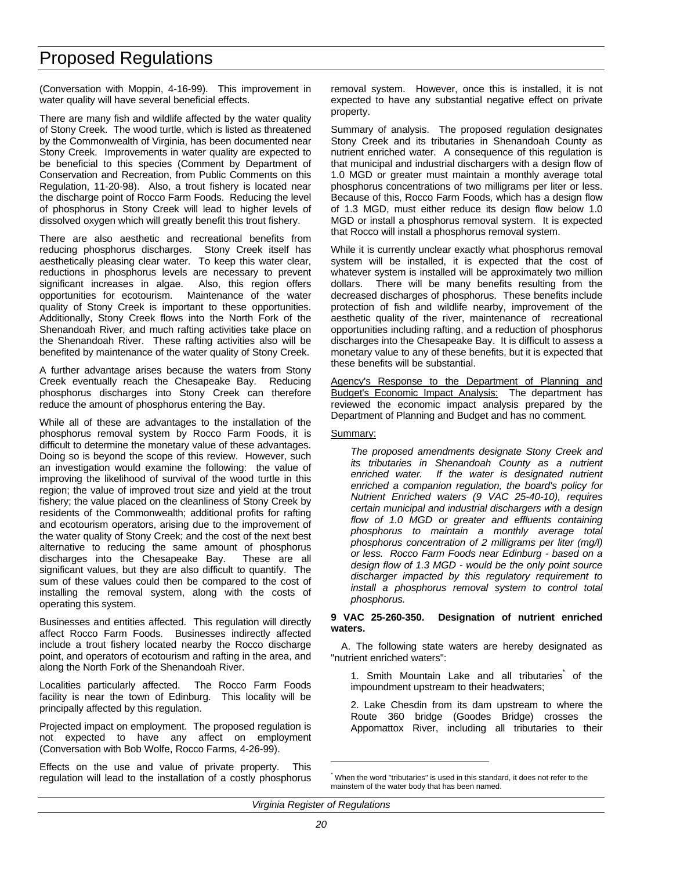(Conversation with Moppin, 4-16-99). This improvement in water quality will have several beneficial effects.

There are many fish and wildlife affected by the water quality of Stony Creek. The wood turtle, which is listed as threatened by the Commonwealth of Virginia, has been documented near Stony Creek. Improvements in water quality are expected to be beneficial to this species (Comment by Department of Conservation and Recreation, from Public Comments on this Regulation, 11-20-98). Also, a trout fishery is located near the discharge point of Rocco Farm Foods. Reducing the level of phosphorus in Stony Creek will lead to higher levels of dissolved oxygen which will greatly benefit this trout fishery.

There are also aesthetic and recreational benefits from reducing phosphorus discharges. Stony Creek itself has aesthetically pleasing clear water. To keep this water clear, reductions in phosphorus levels are necessary to prevent significant increases in algae. Also, this region offers opportunities for ecotourism. Maintenance of the water quality of Stony Creek is important to these opportunities. Additionally, Stony Creek flows into the North Fork of the Shenandoah River, and much rafting activities take place on the Shenandoah River. These rafting activities also will be benefited by maintenance of the water quality of Stony Creek.

A further advantage arises because the waters from Stony Creek eventually reach the Chesapeake Bay. Reducing phosphorus discharges into Stony Creek can therefore reduce the amount of phosphorus entering the Bay.

While all of these are advantages to the installation of the phosphorus removal system by Rocco Farm Foods, it is difficult to determine the monetary value of these advantages. Doing so is beyond the scope of this review. However, such an investigation would examine the following: the value of improving the likelihood of survival of the wood turtle in this region; the value of improved trout size and yield at the trout fishery; the value placed on the cleanliness of Stony Creek by residents of the Commonwealth; additional profits for rafting and ecotourism operators, arising due to the improvement of the water quality of Stony Creek; and the cost of the next best alternative to reducing the same amount of phosphorus discharges into the Chesapeake Bay. These are all significant values, but they are also difficult to quantify. The sum of these values could then be compared to the cost of installing the removal system, along with the costs of operating this system.

Businesses and entities affected. This regulation will directly affect Rocco Farm Foods. Businesses indirectly affected include a trout fishery located nearby the Rocco discharge point, and operators of ecotourism and rafting in the area, and along the North Fork of the Shenandoah River.

Localities particularly affected. The Rocco Farm Foods facility is near the town of Edinburg. This locality will be principally affected by this regulation.

Projected impact on employment. The proposed regulation is not expected to have any affect on employment (Conversation with Bob Wolfe, Rocco Farms, 4-26-99).

Effects on the use and value of private property. This regulation will lead to the installation of a costly phosphorus removal system. However, once this is installed, it is not expected to have any substantial negative effect on private property.

Summary of analysis. The proposed regulation designates Stony Creek and its tributaries in Shenandoah County as nutrient enriched water. A consequence of this regulation is that municipal and industrial dischargers with a design flow of 1.0 MGD or greater must maintain a monthly average total phosphorus concentrations of two milligrams per liter or less. Because of this, Rocco Farm Foods, which has a design flow of 1.3 MGD, must either reduce its design flow below 1.0 MGD or install a phosphorus removal system. It is expected that Rocco will install a phosphorus removal system.

While it is currently unclear exactly what phosphorus removal system will be installed, it is expected that the cost of whatever system is installed will be approximately two million dollars. There will be many benefits resulting from the decreased discharges of phosphorus. These benefits include protection of fish and wildlife nearby, improvement of the aesthetic quality of the river, maintenance of recreational opportunities including rafting, and a reduction of phosphorus discharges into the Chesapeake Bay. It is difficult to assess a monetary value to any of these benefits, but it is expected that these benefits will be substantial.

Agency's Response to the Department of Planning and Budget's Economic Impact Analysis: The department has reviewed the economic impact analysis prepared by the Department of Planning and Budget and has no comment.

#### Summary:

*The proposed amendments designate Stony Creek and its tributaries in Shenandoah County as a nutrient enriched water. If the water is designated nutrient enriched a companion regulation, the board's policy for Nutrient Enriched waters (9 VAC 25-40-10), requires certain municipal and industrial dischargers with a design flow of 1.0 MGD or greater and effluents containing phosphorus to maintain a monthly average total phosphorus concentration of 2 milligrams per liter (mg/l) or less. Rocco Farm Foods near Edinburg - based on a design flow of 1.3 MGD - would be the only point source discharger impacted by this regulatory requirement to install a phosphorus removal system to control total phosphorus.*

#### **9 VAC 25-260-350. Designation of nutrient enriched waters.**

A. The following state waters are hereby designated as "nutrient enriched waters":

1. Smith Mountain Lake and all tributaries<sup>\*</sup> of the impoundment upstream to their headwaters;

2. Lake Chesdin from its dam upstream to where the Route 360 bridge (Goodes Bridge) crosses the Appomattox River, including all tributaries to their

 $\overline{a}$ 

<sup>\*</sup> When the word "tributaries" is used in this standard, it does not refer to the mainstem of the water body that has been named.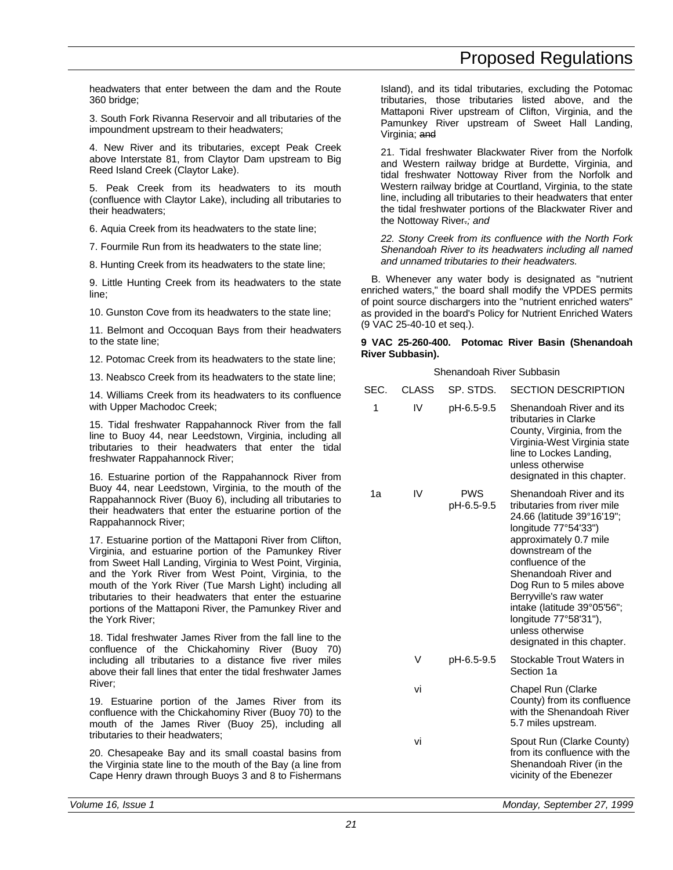headwaters that enter between the dam and the Route 360 bridge;

3. South Fork Rivanna Reservoir and all tributaries of the impoundment upstream to their headwaters;

4. New River and its tributaries, except Peak Creek above Interstate 81, from Claytor Dam upstream to Big Reed Island Creek (Claytor Lake).

5. Peak Creek from its headwaters to its mouth (confluence with Claytor Lake), including all tributaries to their headwaters;

6. Aquia Creek from its headwaters to the state line;

7. Fourmile Run from its headwaters to the state line;

8. Hunting Creek from its headwaters to the state line;

9. Little Hunting Creek from its headwaters to the state line;

10. Gunston Cove from its headwaters to the state line;

11. Belmont and Occoquan Bays from their headwaters to the state line;

12. Potomac Creek from its headwaters to the state line;

13. Neabsco Creek from its headwaters to the state line;

14. Williams Creek from its headwaters to its confluence with Upper Machodoc Creek;

15. Tidal freshwater Rappahannock River from the fall line to Buoy 44, near Leedstown, Virginia, including all tributaries to their headwaters that enter the tidal freshwater Rappahannock River;

16. Estuarine portion of the Rappahannock River from Buoy 44, near Leedstown, Virginia, to the mouth of the Rappahannock River (Buoy 6), including all tributaries to their headwaters that enter the estuarine portion of the Rappahannock River;

17. Estuarine portion of the Mattaponi River from Clifton, Virginia, and estuarine portion of the Pamunkey River from Sweet Hall Landing, Virginia to West Point, Virginia, and the York River from West Point, Virginia, to the mouth of the York River (Tue Marsh Light) including all tributaries to their headwaters that enter the estuarine portions of the Mattaponi River, the Pamunkey River and the York River;

18. Tidal freshwater James River from the fall line to the confluence of the Chickahominy River (Buoy 70) including all tributaries to a distance five river miles above their fall lines that enter the tidal freshwater James River;

19. Estuarine portion of the James River from its confluence with the Chickahominy River (Buoy 70) to the mouth of the James River (Buoy 25), including all tributaries to their headwaters;

20. Chesapeake Bay and its small coastal basins from the Virginia state line to the mouth of the Bay (a line from Cape Henry drawn through Buoys 3 and 8 to Fishermans

Island), and its tidal tributaries, excluding the Potomac tributaries, those tributaries listed above, and the Mattaponi River upstream of Clifton, Virginia, and the Pamunkey River upstream of Sweet Hall Landing, Virginia; and

21. Tidal freshwater Blackwater River from the Norfolk and Western railway bridge at Burdette, Virginia, and tidal freshwater Nottoway River from the Norfolk and Western railway bridge at Courtland, Virginia, to the state line, including all tributaries to their headwaters that enter the tidal freshwater portions of the Blackwater River and the Nottoway River.*; and*

*22. Stony Creek from its confluence with the North Fork Shenandoah River to its headwaters including all named and unnamed tributaries to their headwaters.*

B. Whenever any water body is designated as "nutrient enriched waters," the board shall modify the VPDES permits of point source dischargers into the "nutrient enriched waters" as provided in the board's Policy for Nutrient Enriched Waters (9 VAC 25-40-10 et seq.).

#### **9 VAC 25-260-400. Potomac River Basin (Shenandoah River Subbasin).**

| SEC.<br>1 | <b>CLASS</b><br>IV | SP. STDS.<br>pH-6.5-9.5  | <b>SECTION DESCRIPTION</b><br>Shenandoah River and its<br>tributaries in Clarke<br>County, Virginia, from the<br>Virginia-West Virginia state<br>line to Lockes Landing,<br>unless otherwise<br>designated in this chapter.                                                                                                                                                |
|-----------|--------------------|--------------------------|----------------------------------------------------------------------------------------------------------------------------------------------------------------------------------------------------------------------------------------------------------------------------------------------------------------------------------------------------------------------------|
| 1a        | IV                 | <b>PWS</b><br>pH-6.5-9.5 | Shenandoah River and its<br>tributaries from river mile<br>24.66 (latitude 39°16'19";<br>longitude 77°54'33")<br>approximately 0.7 mile<br>downstream of the<br>confluence of the<br>Shenandoah River and<br>Dog Run to 5 miles above<br>Berryville's raw water<br>intake (latitude 39°05'56";<br>longitude 77°58'31"),<br>unless otherwise<br>designated in this chapter. |
|           | V                  | pH-6.5-9.5               | Stockable Trout Waters in<br>Section 1a                                                                                                                                                                                                                                                                                                                                    |
|           | vi                 |                          | Chapel Run (Clarke<br>County) from its confluence<br>with the Shenandoah River<br>5.7 miles upstream.                                                                                                                                                                                                                                                                      |
|           | vi                 |                          | Spout Run (Clarke County)<br>from its confluence with the<br>Shenandoah River (in the<br>vicinity of the Ebenezer                                                                                                                                                                                                                                                          |
|           |                    |                          |                                                                                                                                                                                                                                                                                                                                                                            |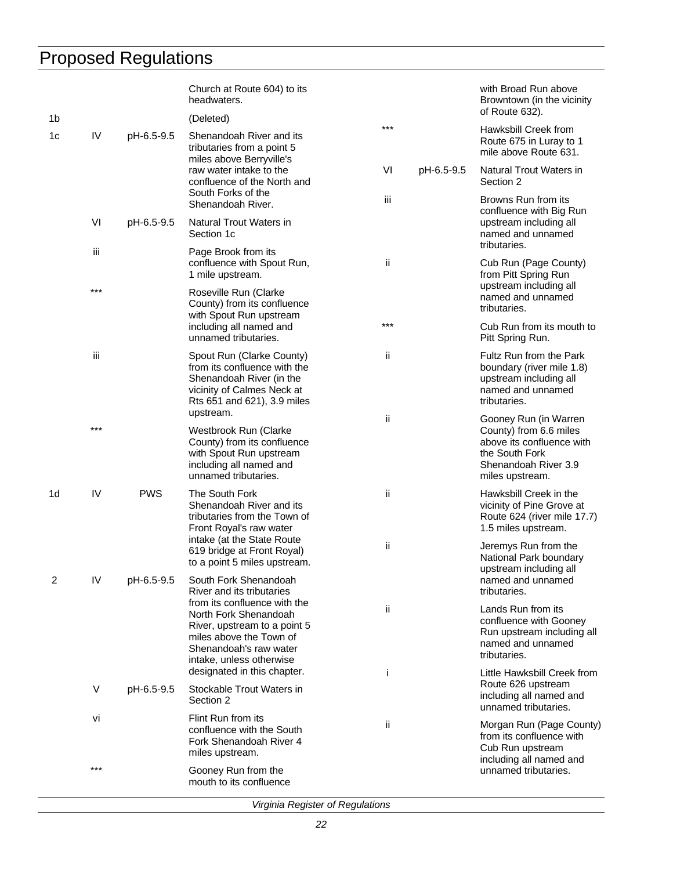|    |       |            | Church at Route 604) to its<br>headwaters.                                                                                                                      |                  | with Broad Run above<br>Browntown (in the vicinity<br>of Route 632).                                                                      |
|----|-------|------------|-----------------------------------------------------------------------------------------------------------------------------------------------------------------|------------------|-------------------------------------------------------------------------------------------------------------------------------------------|
| 1b |       |            | (Deleted)                                                                                                                                                       | $***$            | Hawksbill Creek from                                                                                                                      |
| 1c | IV    | pH-6.5-9.5 | Shenandoah River and its<br>tributaries from a point 5<br>miles above Berryville's                                                                              |                  | Route 675 in Luray to 1<br>mile above Route 631.                                                                                          |
|    |       |            | raw water intake to the<br>confluence of the North and<br>South Forks of the                                                                                    | VI<br>pH-6.5-9.5 | Natural Trout Waters in<br>Section 2                                                                                                      |
|    |       |            | Shenandoah River.                                                                                                                                               | iii              | Browns Run from its<br>confluence with Big Run                                                                                            |
|    | VI    | pH-6.5-9.5 | <b>Natural Trout Waters in</b><br>Section 1c                                                                                                                    |                  | upstream including all<br>named and unnamed<br>tributaries.                                                                               |
|    | iii   |            | Page Brook from its<br>confluence with Spout Run,<br>1 mile upstream.                                                                                           | ii.              | Cub Run (Page County)<br>from Pitt Spring Run                                                                                             |
|    | $***$ |            | Roseville Run (Clarke<br>County) from its confluence<br>with Spout Run upstream                                                                                 |                  | upstream including all<br>named and unnamed<br>tributaries.                                                                               |
|    |       |            | including all named and<br>unnamed tributaries.                                                                                                                 | $***$            | Cub Run from its mouth to<br>Pitt Spring Run.                                                                                             |
|    | iii   |            | Spout Run (Clarke County)<br>from its confluence with the<br>Shenandoah River (in the<br>vicinity of Calmes Neck at<br>Rts 651 and 621), 3.9 miles<br>upstream. | ii               | Fultz Run from the Park<br>boundary (river mile 1.8)<br>upstream including all<br>named and unnamed<br>tributaries.                       |
|    | $***$ |            | Westbrook Run (Clarke<br>County) from its confluence<br>with Spout Run upstream<br>including all named and<br>unnamed tributaries.                              | ii               | Gooney Run (in Warren<br>County) from 6.6 miles<br>above its confluence with<br>the South Fork<br>Shenandoah River 3.9<br>miles upstream. |
| 1d | IV    | <b>PWS</b> | The South Fork<br>Shenandoah River and its<br>tributaries from the Town of<br>Front Royal's raw water<br>intake (at the State Route                             | ii               | Hawksbill Creek in the<br>vicinity of Pine Grove at<br>Route 624 (river mile 17.7)<br>1.5 miles upstream.                                 |
|    |       |            | 619 bridge at Front Royal)<br>to a point 5 miles upstream.                                                                                                      | -ii              | Jeremys Run from the<br>National Park boundary<br>upstream including all                                                                  |
| 2  | IV    | pH-6.5-9.5 | South Fork Shenandoah<br>River and its tributaries<br>from its confluence with the                                                                              |                  | named and unnamed<br>tributaries.                                                                                                         |
|    |       |            | North Fork Shenandoah<br>River, upstream to a point 5<br>miles above the Town of<br>Shenandoah's raw water<br>intake, unless otherwise                          | ii               | Lands Run from its<br>confluence with Gooney<br>Run upstream including all<br>named and unnamed<br>tributaries.                           |
|    |       |            | designated in this chapter.<br>Ť                                                                                                                                |                  | Little Hawksbill Creek from<br>Route 626 upstream                                                                                         |
|    | V     | pH-6.5-9.5 | Stockable Trout Waters in<br>Section 2                                                                                                                          |                  | including all named and<br>unnamed tributaries.                                                                                           |
|    | vi    |            | Flint Run from its<br>confluence with the South<br>Fork Shenandoah River 4<br>miles upstream.                                                                   | ii               | Morgan Run (Page County)<br>from its confluence with<br>Cub Run upstream<br>including all named and                                       |
|    | ***   |            | Gooney Run from the<br>mouth to its confluence                                                                                                                  |                  | unnamed tributaries.                                                                                                                      |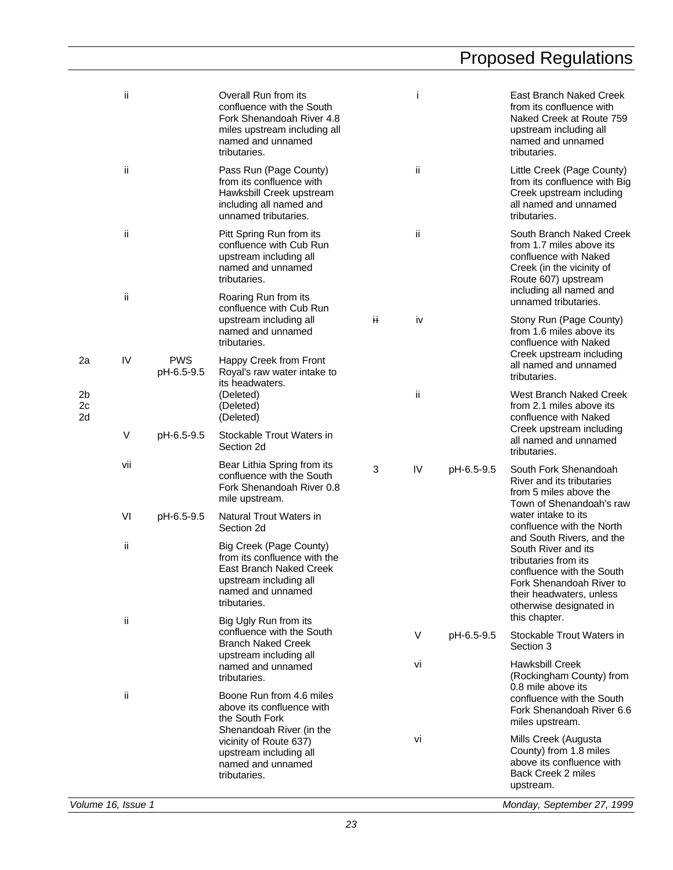|                            | ii                 |                          | Overall Run from its<br>confluence with the South<br>Fork Shenandoah River 4.8<br>miles upstream including all<br>named and unnamed<br>tributaries. |   | j  |            | East Branch Naked Creek<br>from its confluence with<br>Naked Creek at Route 759<br>upstream including all<br>named and unnamed<br>tributaries.                                           |
|----------------------------|--------------------|--------------------------|-----------------------------------------------------------------------------------------------------------------------------------------------------|---|----|------------|------------------------------------------------------------------------------------------------------------------------------------------------------------------------------------------|
|                            | ij.                |                          | Pass Run (Page County)<br>from its confluence with<br>Hawksbill Creek upstream<br>including all named and<br>unnamed tributaries.                   |   | ii |            | Little Creek (Page County)<br>from its confluence with Big<br>Creek upstream including<br>all named and unnamed<br>tributaries.                                                          |
|                            | ii.                |                          | Pitt Spring Run from its<br>confluence with Cub Run<br>upstream including all<br>named and unnamed<br>tributaries.                                  |   | ii |            | South Branch Naked Creek<br>from 1.7 miles above its<br>confluence with Naked<br>Creek (in the vicinity of<br>Route 607) upstream                                                        |
|                            | ii                 |                          | Roaring Run from its<br>confluence with Cub Run                                                                                                     |   |    |            | including all named and<br>unnamed tributaries.                                                                                                                                          |
|                            |                    |                          | upstream including all<br>named and unnamed<br>tributaries.                                                                                         | Ħ | iv |            | Stony Run (Page County)<br>from 1.6 miles above its<br>confluence with Naked<br>Creek upstream including                                                                                 |
| 2a                         | IV                 | <b>PWS</b><br>pH-6.5-9.5 | Happy Creek from Front<br>Royal's raw water intake to                                                                                               |   |    |            | all named and unnamed<br>tributaries.                                                                                                                                                    |
| 2 <sub>b</sub><br>2c<br>2d |                    |                          | its headwaters.<br>(Deleted)<br>(Deleted)<br>(Deleted)                                                                                              |   | ii |            | West Branch Naked Creek<br>from 2.1 miles above its<br>confluence with Naked                                                                                                             |
|                            | V                  | pH-6.5-9.5               | Stockable Trout Waters in<br>Section 2d                                                                                                             |   |    |            | Creek upstream including<br>all named and unnamed<br>tributaries.                                                                                                                        |
|                            | vii                |                          | Bear Lithia Spring from its<br>confluence with the South<br>Fork Shenandoah River 0.8<br>mile upstream.                                             | 3 | IV | pH-6.5-9.5 | South Fork Shenandoah<br>River and its tributaries<br>from 5 miles above the<br>Town of Shenandoah's raw                                                                                 |
|                            | VI                 | pH-6.5-9.5               | Natural Trout Waters in<br>Section 2d                                                                                                               |   |    |            | water intake to its<br>confluence with the North                                                                                                                                         |
|                            | ii.                |                          | Big Creek (Page County)<br>from its confluence with the<br>East Branch Naked Creek<br>upstream including all<br>named and unnamed<br>tributaries.   |   |    |            | and South Rivers, and the<br>South River and its<br>tributaries from its<br>confluence with the South<br>Fork Shenandoah River to<br>their headwaters, unless<br>otherwise designated in |
|                            | ii.                |                          | Big Ugly Run from its<br>confluence with the South                                                                                                  |   | V  | pH-6.5-9.5 | this chapter.<br>Stockable Trout Waters in                                                                                                                                               |
|                            |                    |                          | <b>Branch Naked Creek</b><br>upstream including all<br>named and unnamed                                                                            |   | Vİ |            | Section 3<br><b>Hawksbill Creek</b>                                                                                                                                                      |
|                            |                    |                          | tributaries.                                                                                                                                        |   |    |            | (Rockingham County) from<br>0.8 mile above its                                                                                                                                           |
|                            | ij.                |                          | Boone Run from 4.6 miles<br>above its confluence with<br>the South Fork<br>Shenandoah River (in the                                                 |   |    |            | confluence with the South<br>Fork Shenandoah River 6.6<br>miles upstream.                                                                                                                |
|                            |                    |                          | vicinity of Route 637)<br>upstream including all<br>named and unnamed<br>tributaries.                                                               |   | vi |            | Mills Creek (Augusta<br>County) from 1.8 miles<br>above its confluence with<br>Back Creek 2 miles<br>upstream.                                                                           |
|                            | Volume 16, Issue 1 |                          |                                                                                                                                                     |   |    |            | Monday, September 27, 1999                                                                                                                                                               |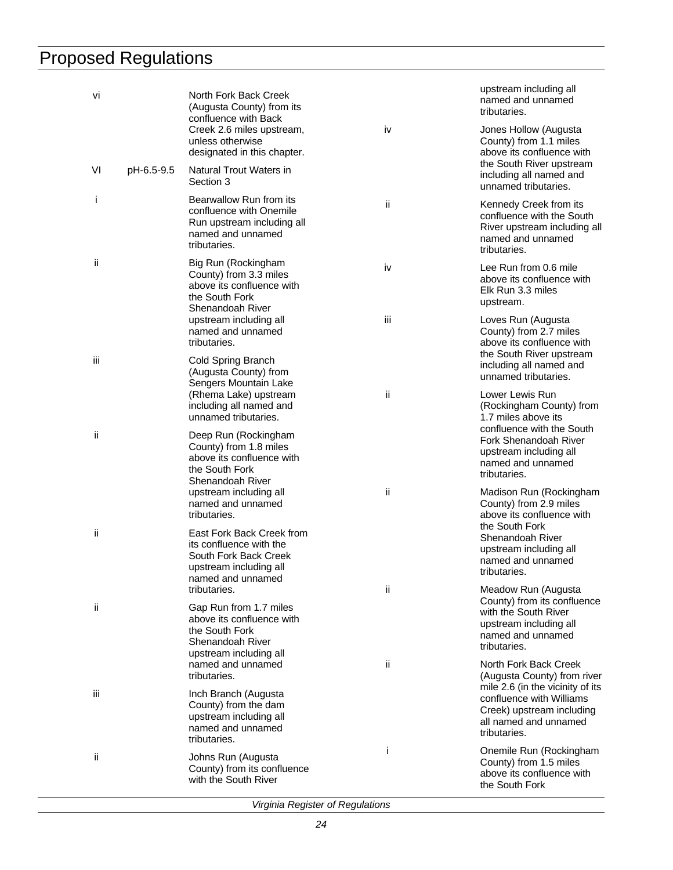| Vİ        |            | North Fork Back Creek<br>(Augusta County) from its<br>confluence with Back                                                   |     | upstream including all<br>named and unnamed<br>tributaries.                                                              |
|-----------|------------|------------------------------------------------------------------------------------------------------------------------------|-----|--------------------------------------------------------------------------------------------------------------------------|
|           |            | Creek 2.6 miles upstream,<br>unless otherwise<br>designated in this chapter.                                                 | iv  | Jones Hollow (Augusta<br>County) from 1.1 miles<br>above its confluence with                                             |
| VI        | pH-6.5-9.5 | Natural Trout Waters in<br>Section 3                                                                                         |     | the South River upstream<br>including all named and<br>unnamed tributaries.                                              |
| j.        |            | Bearwallow Run from its<br>confluence with Onemile<br>Run upstream including all<br>named and unnamed<br>tributaries.        | ii  | Kennedy Creek from its<br>confluence with the South<br>River upstream including all<br>named and unnamed<br>tributaries. |
| ji        |            | Big Run (Rockingham<br>County) from 3.3 miles<br>above its confluence with<br>the South Fork<br>Shenandoah River             | iv  | Lee Run from 0.6 mile<br>above its confluence with<br>Elk Run 3.3 miles<br>upstream.                                     |
|           |            | upstream including all<br>named and unnamed<br>tributaries.                                                                  | iii | Loves Run (Augusta<br>County) from 2.7 miles<br>above its confluence with                                                |
| iii       |            | Cold Spring Branch<br>(Augusta County) from<br>Sengers Mountain Lake                                                         |     | the South River upstream<br>including all named and<br>unnamed tributaries.                                              |
|           |            | (Rhema Lake) upstream<br>including all named and<br>unnamed tributaries.                                                     | ii  | Lower Lewis Run<br>(Rockingham County) from<br>1.7 miles above its                                                       |
| ii        |            | Deep Run (Rockingham<br>County) from 1.8 miles<br>above its confluence with<br>the South Fork<br>Shenandoah River            |     | confluence with the South<br>Fork Shenandoah River<br>upstream including all<br>named and unnamed<br>tributaries.        |
|           |            | upstream including all<br>named and unnamed<br>tributaries.                                                                  | ii  | Madison Run (Rockingham<br>County) from 2.9 miles<br>above its confluence with<br>the South Fork                         |
| ii        |            | East Fork Back Creek from<br>its confluence with the<br>South Fork Back Creek<br>upstream including all<br>named and unnamed |     | Shenandoah River<br>upstream including all<br>named and unnamed<br>tributaries.                                          |
| <b>ii</b> |            | tributaries.<br>Gap Run from 1.7 miles                                                                                       | ii  | Meadow Run (Augusta<br>County) from its confluence<br>with the South River                                               |
|           |            | above its confluence with<br>the South Fork<br>Shenandoah River<br>upstream including all                                    |     | upstream including all<br>named and unnamed<br>tributaries.                                                              |
|           |            | named and unnamed<br>tributaries.                                                                                            | ii. | North Fork Back Creek<br>(Augusta County) from river<br>mile 2.6 (in the vicinity of its                                 |
| iii       |            | Inch Branch (Augusta<br>County) from the dam<br>upstream including all<br>named and unnamed<br>tributaries.                  |     | confluence with Williams<br>Creek) upstream including<br>all named and unnamed<br>tributaries.                           |
| ii        |            | Johns Run (Augusta<br>County) from its confluence<br>with the South River                                                    | Ť   | Onemile Run (Rockingham<br>County) from 1.5 miles<br>above its confluence with<br>the South Fork                         |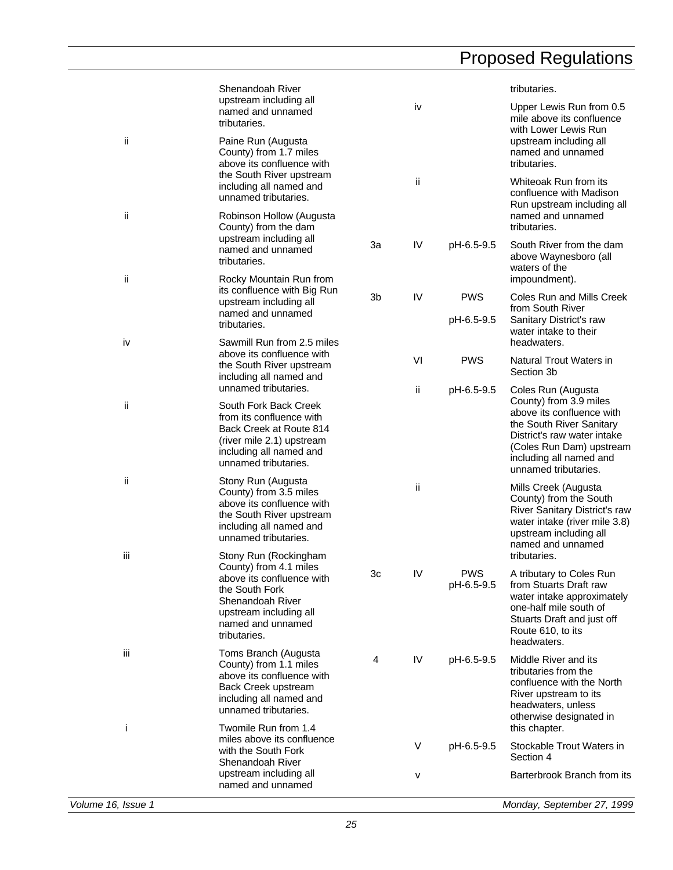|     | Shenandoah River                                                                                                                                             |    |     |                          | tributaries.                                                                                                                                                                                  |
|-----|--------------------------------------------------------------------------------------------------------------------------------------------------------------|----|-----|--------------------------|-----------------------------------------------------------------------------------------------------------------------------------------------------------------------------------------------|
|     | upstream including all<br>named and unnamed<br>tributaries.                                                                                                  |    | iv  |                          | Upper Lewis Run from 0.5<br>mile above its confluence<br>with Lower Lewis Run                                                                                                                 |
| ii  | Paine Run (Augusta<br>County) from 1.7 miles<br>above its confluence with                                                                                    |    |     |                          | upstream including all<br>named and unnamed<br>tributaries.                                                                                                                                   |
|     | the South River upstream<br>including all named and<br>unnamed tributaries.                                                                                  |    | ii. |                          | Whiteoak Run from its<br>confluence with Madison<br>Run upstream including all                                                                                                                |
| ii  | Robinson Hollow (Augusta<br>County) from the dam<br>upstream including all                                                                                   |    |     |                          | named and unnamed<br>tributaries.                                                                                                                                                             |
|     | named and unnamed<br>tributaries.                                                                                                                            | За | IV  | pH-6.5-9.5               | South River from the dam<br>above Waynesboro (all<br>waters of the                                                                                                                            |
| ii  | Rocky Mountain Run from<br>its confluence with Big Run<br>upstream including all                                                                             | 3b | IV  | <b>PWS</b>               | impoundment).<br>Coles Run and Mills Creek                                                                                                                                                    |
|     | named and unnamed<br>tributaries.                                                                                                                            |    |     | pH-6.5-9.5               | from South River<br>Sanitary District's raw<br>water intake to their                                                                                                                          |
| i۷  | Sawmill Run from 2.5 miles                                                                                                                                   |    |     |                          | headwaters.                                                                                                                                                                                   |
|     | above its confluence with<br>the South River upstream<br>including all named and                                                                             |    | VI  | <b>PWS</b>               | Natural Trout Waters in<br>Section 3b                                                                                                                                                         |
|     | unnamed tributaries.                                                                                                                                         |    | ij. | pH-6.5-9.5               | Coles Run (Augusta                                                                                                                                                                            |
| ii  | South Fork Back Creek<br>from its confluence with<br>Back Creek at Route 814<br>(river mile 2.1) upstream<br>including all named and<br>unnamed tributaries. |    |     |                          | County) from 3.9 miles<br>above its confluence with<br>the South River Sanitary<br>District's raw water intake<br>(Coles Run Dam) upstream<br>including all named and<br>unnamed tributaries. |
| ii  | Stony Run (Augusta<br>County) from 3.5 miles<br>above its confluence with<br>the South River upstream<br>including all named and<br>unnamed tributaries.     |    | ii  |                          | Mills Creek (Augusta<br>County) from the South<br>River Sanitary District's raw<br>water intake (river mile 3.8)<br>upstream including all<br>named and unnamed                               |
| iij | Stony Run (Rockingham<br>County) from 4.1 miles                                                                                                              |    |     |                          | tributaries.                                                                                                                                                                                  |
|     | above its confluence with<br>the South Fork<br>Shenandoah River<br>upstream including all<br>named and unnamed<br>tributaries.                               | Зc | IV  | <b>PWS</b><br>pH-6.5-9.5 | A tributary to Coles Run<br>from Stuarts Draft raw<br>water intake approximately<br>one-half mile south of<br>Stuarts Draft and just off<br>Route 610, to its<br>headwaters.                  |
| iij | Toms Branch (Augusta<br>County) from 1.1 miles<br>above its confluence with<br>Back Creek upstream<br>including all named and<br>unnamed tributaries.        | 4  | IV  | pH-6.5-9.5               | Middle River and its<br>tributaries from the<br>confluence with the North<br>River upstream to its<br>headwaters, unless<br>otherwise designated in                                           |
| i.  | Twomile Run from 1.4<br>miles above its confluence                                                                                                           |    |     |                          | this chapter.                                                                                                                                                                                 |
|     | with the South Fork<br>Shenandoah River                                                                                                                      |    | V   | pH-6.5-9.5               | Stockable Trout Waters in<br>Section 4                                                                                                                                                        |
|     | upstream including all<br>named and unnamed                                                                                                                  |    | v   |                          | Barterbrook Branch from its                                                                                                                                                                   |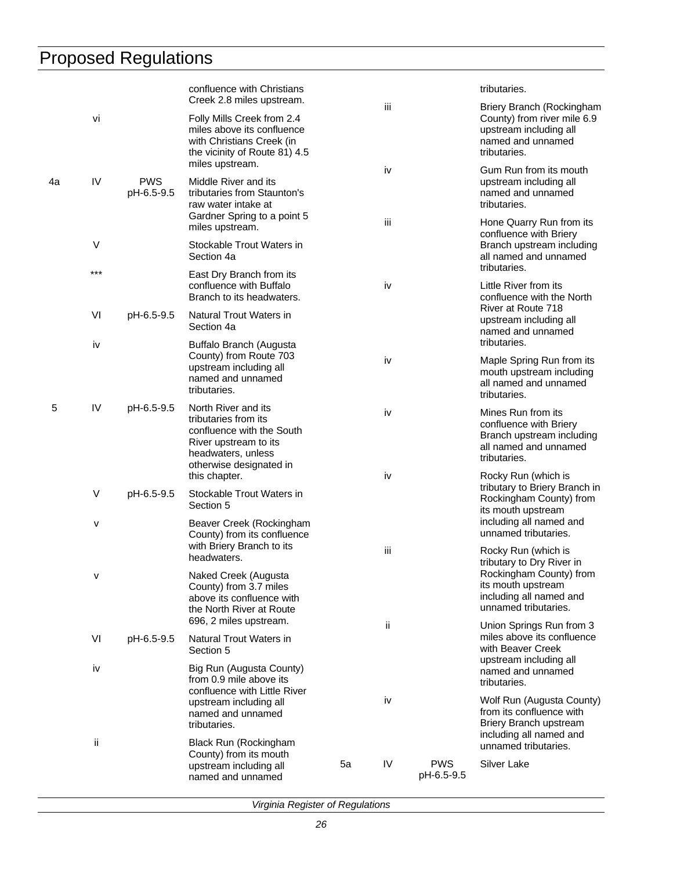|    |                  |                          | confluence with Christians                                                                                                                                                                                                                           |     |     |                                                                             | tributaries.                                                                                                            |
|----|------------------|--------------------------|------------------------------------------------------------------------------------------------------------------------------------------------------------------------------------------------------------------------------------------------------|-----|-----|-----------------------------------------------------------------------------|-------------------------------------------------------------------------------------------------------------------------|
|    | vi               |                          | Creek 2.8 miles upstream.<br>Folly Mills Creek from 2.4<br>miles above its confluence<br>with Christians Creek (in<br>the vicinity of Route 81) 4.5                                                                                                  |     | iii |                                                                             | Briery Branch (Rockingham<br>County) from river mile 6.9<br>upstream including all<br>named and unnamed<br>tributaries. |
| 4a | IV               | <b>PWS</b><br>pH-6.5-9.5 | miles upstream.<br>Middle River and its<br>tributaries from Staunton's<br>raw water intake at                                                                                                                                                        |     | iv  |                                                                             | Gum Run from its mouth<br>upstream including all<br>named and unnamed<br>tributaries.                                   |
|    |                  |                          | Gardner Spring to a point 5<br>miles upstream.                                                                                                                                                                                                       |     | iij |                                                                             | Hone Quarry Run from its<br>confluence with Briery                                                                      |
|    | $\vee$           |                          | Stockable Trout Waters in<br>Section 4a                                                                                                                                                                                                              |     |     |                                                                             | Branch upstream including<br>all named and unnamed<br>tributaries.                                                      |
|    | $***$            |                          | East Dry Branch from its<br>confluence with Buffalo<br>Branch to its headwaters.                                                                                                                                                                     | iv  |     |                                                                             | Little River from its<br>confluence with the North                                                                      |
|    | VI               | pH-6.5-9.5               | Natural Trout Waters in<br>Section 4a                                                                                                                                                                                                                |     | iv  |                                                                             | River at Route 718<br>upstream including all<br>named and unnamed<br>tributaries.                                       |
| iv |                  |                          | Buffalo Branch (Augusta<br>County) from Route 703<br>upstream including all<br>named and unnamed<br>tributaries.                                                                                                                                     |     |     |                                                                             | Maple Spring Run from its<br>mouth upstream including<br>all named and unnamed<br>tributaries.                          |
| 5  | IV               | pH-6.5-9.5               | North River and its<br>tributaries from its<br>confluence with the South<br>River upstream to its<br>headwaters, unless<br>otherwise designated in                                                                                                   |     | iv  |                                                                             | Mines Run from its<br>confluence with Briery<br>Branch upstream including<br>all named and unnamed<br>tributaries.      |
|    | $\vee$           | pH-6.5-9.5               | this chapter.<br>Stockable Trout Waters in<br>Section 5                                                                                                                                                                                              |     | iv  |                                                                             | Rocky Run (which is<br>tributary to Briery Branch in<br>Rockingham County) from<br>its mouth upstream                   |
|    | ٧                |                          | Beaver Creek (Rockingham<br>County) from its confluence<br>with Briery Branch to its<br>headwaters.<br>Naked Creek (Augusta<br>County) from 3.7 miles<br>above its confluence with<br>the North River at Route<br>696, 2 miles upstream.             | iίi |     |                                                                             | including all named and<br>unnamed tributaries.                                                                         |
|    | v                |                          |                                                                                                                                                                                                                                                      |     |     |                                                                             | Rocky Run (which is<br>tributary to Dry River in<br>Rockingham County) from<br>its mouth upstream                       |
|    |                  |                          |                                                                                                                                                                                                                                                      | ii. |     | including all named and<br>unnamed tributaries.<br>Union Springs Run from 3 |                                                                                                                         |
|    | VI<br>pH-6.5-9.5 |                          | Natural Trout Waters in<br>Section 5                                                                                                                                                                                                                 |     |     |                                                                             | miles above its confluence<br>with Beaver Creek                                                                         |
|    | iv<br>ij.        |                          | Big Run (Augusta County)<br>from 0.9 mile above its<br>confluence with Little River<br>upstream including all<br>named and unnamed<br>tributaries.<br>Black Run (Rockingham<br>County) from its mouth<br>upstream including all<br>named and unnamed |     |     |                                                                             | upstream including all<br>named and unnamed<br>tributaries.                                                             |
|    |                  |                          |                                                                                                                                                                                                                                                      |     | iv  |                                                                             | Wolf Run (Augusta County)<br>from its confluence with<br>Briery Branch upstream                                         |
|    |                  |                          |                                                                                                                                                                                                                                                      | 5a  | IV  | <b>PWS</b><br>pH-6.5-9.5                                                    | including all named and<br>unnamed tributaries.<br>Silver Lake                                                          |
|    |                  |                          |                                                                                                                                                                                                                                                      |     |     |                                                                             |                                                                                                                         |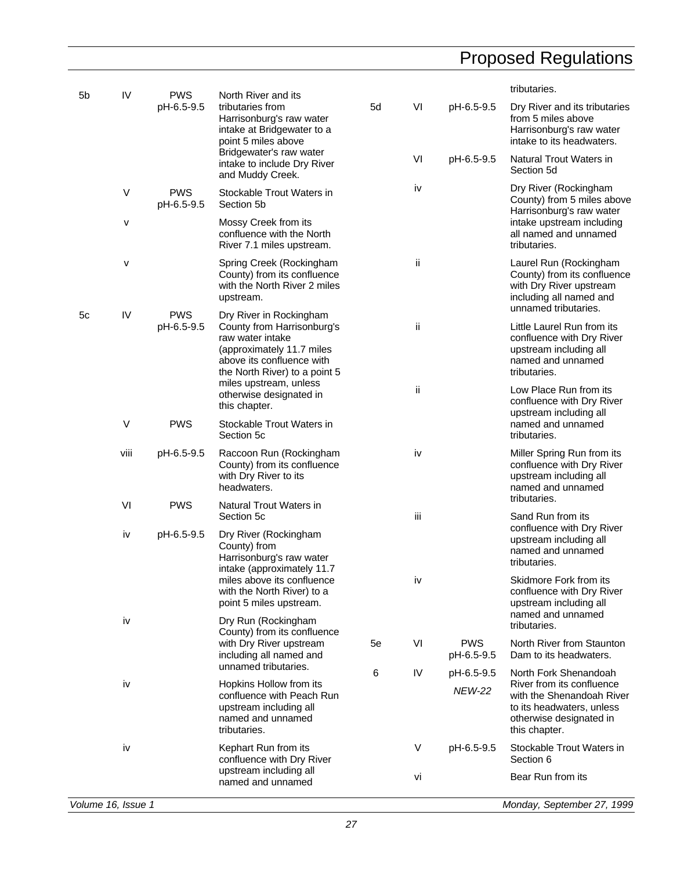| 5 <sub>b</sub> | IV                 | <b>PWS</b>                                                                                                                | North River and its                                                                                                                                                                            |    |               |                                                                                                    | tributaries.                                                                                                                        |
|----------------|--------------------|---------------------------------------------------------------------------------------------------------------------------|------------------------------------------------------------------------------------------------------------------------------------------------------------------------------------------------|----|---------------|----------------------------------------------------------------------------------------------------|-------------------------------------------------------------------------------------------------------------------------------------|
|                |                    | pH-6.5-9.5                                                                                                                | tributaries from<br>Harrisonburg's raw water<br>intake at Bridgewater to a<br>point 5 miles above                                                                                              | 5d | VI            | pH-6.5-9.5                                                                                         | Dry River and its tributaries<br>from 5 miles above<br>Harrisonburg's raw water<br>intake to its headwaters.                        |
|                |                    |                                                                                                                           | Bridgewater's raw water<br>intake to include Dry River<br>and Muddy Creek.                                                                                                                     |    | VI            | pH-6.5-9.5                                                                                         | Natural Trout Waters in<br>Section 5d                                                                                               |
|                | $\vee$             | <b>PWS</b><br>pH-6.5-9.5                                                                                                  | Stockable Trout Waters in<br>Section 5b                                                                                                                                                        |    | iv            |                                                                                                    | Dry River (Rockingham<br>County) from 5 miles above<br>Harrisonburg's raw water                                                     |
|                | v                  |                                                                                                                           | Mossy Creek from its<br>confluence with the North<br>River 7.1 miles upstream.                                                                                                                 |    |               |                                                                                                    | intake upstream including<br>all named and unnamed<br>tributaries.                                                                  |
|                | v                  |                                                                                                                           | Spring Creek (Rockingham<br>County) from its confluence<br>with the North River 2 miles<br>upstream.                                                                                           |    | ii            |                                                                                                    | Laurel Run (Rockingham<br>County) from its confluence<br>with Dry River upstream<br>including all named and<br>unnamed tributaries. |
| 5c             | IV                 | <b>PWS</b><br>pH-6.5-9.5                                                                                                  | Dry River in Rockingham<br>County from Harrisonburg's<br>raw water intake<br>(approximately 11.7 miles<br>above its confluence with<br>the North River) to a point 5<br>miles upstream, unless |    | ij            |                                                                                                    | Little Laurel Run from its<br>confluence with Dry River<br>upstream including all<br>named and unnamed<br>tributaries.              |
|                |                    |                                                                                                                           | otherwise designated in<br>this chapter.                                                                                                                                                       |    | ii            |                                                                                                    | Low Place Run from its<br>confluence with Dry River<br>upstream including all                                                       |
|                | V                  | <b>PWS</b>                                                                                                                | Stockable Trout Waters in<br>Section 5c                                                                                                                                                        |    |               |                                                                                                    | named and unnamed<br>tributaries.                                                                                                   |
|                | viii               | pH-6.5-9.5                                                                                                                | Raccoon Run (Rockingham<br>County) from its confluence<br>with Dry River to its<br>headwaters.                                                                                                 |    | iv            |                                                                                                    | Miller Spring Run from its<br>confluence with Dry River<br>upstream including all<br>named and unnamed<br>tributaries.              |
|                | VI                 | <b>PWS</b>                                                                                                                | Natural Trout Waters in<br>Section 5c                                                                                                                                                          |    | iii           |                                                                                                    | Sand Run from its                                                                                                                   |
|                | iv                 | pH-6.5-9.5                                                                                                                | Dry River (Rockingham<br>County) from<br>Harrisonburg's raw water<br>intake (approximately 11.7<br>miles above its confluence<br>with the North River) to a<br>point 5 miles upstream.         |    |               |                                                                                                    | confluence with Dry River<br>upstream including all<br>named and unnamed<br>tributaries.                                            |
|                |                    |                                                                                                                           |                                                                                                                                                                                                |    | iv            |                                                                                                    | Skidmore Fork from its<br>confluence with Dry River<br>upstream including all<br>named and unnamed                                  |
|                | iv                 |                                                                                                                           | Dry Run (Rockingham<br>County) from its confluence                                                                                                                                             |    |               |                                                                                                    | tributaries.                                                                                                                        |
|                |                    |                                                                                                                           | with Dry River upstream<br>including all named and<br>unnamed tributaries.                                                                                                                     | 5e | VI            | <b>PWS</b><br>pH-6.5-9.5                                                                           | North River from Staunton<br>Dam to its headwaters.                                                                                 |
|                |                    | iv<br>Hopkins Hollow from its<br>confluence with Peach Run<br>upstream including all<br>named and unnamed<br>tributaries. |                                                                                                                                                                                                | 6  | IV            | pH-6.5-9.5                                                                                         | North Fork Shenandoah<br>River from its confluence                                                                                  |
|                |                    |                                                                                                                           |                                                                                                                                                                                                |    | <b>NEW-22</b> | with the Shenandoah River<br>to its headwaters, unless<br>otherwise designated in<br>this chapter. |                                                                                                                                     |
|                | iv                 |                                                                                                                           | Kephart Run from its<br>confluence with Dry River                                                                                                                                              |    | V             | pH-6.5-9.5                                                                                         | Stockable Trout Waters in<br>Section 6                                                                                              |
|                |                    |                                                                                                                           | upstream including all<br>named and unnamed                                                                                                                                                    |    | vi            |                                                                                                    | Bear Run from its                                                                                                                   |
|                | Volume 16, Issue 1 |                                                                                                                           |                                                                                                                                                                                                |    |               |                                                                                                    | Monday, September 27, 1999                                                                                                          |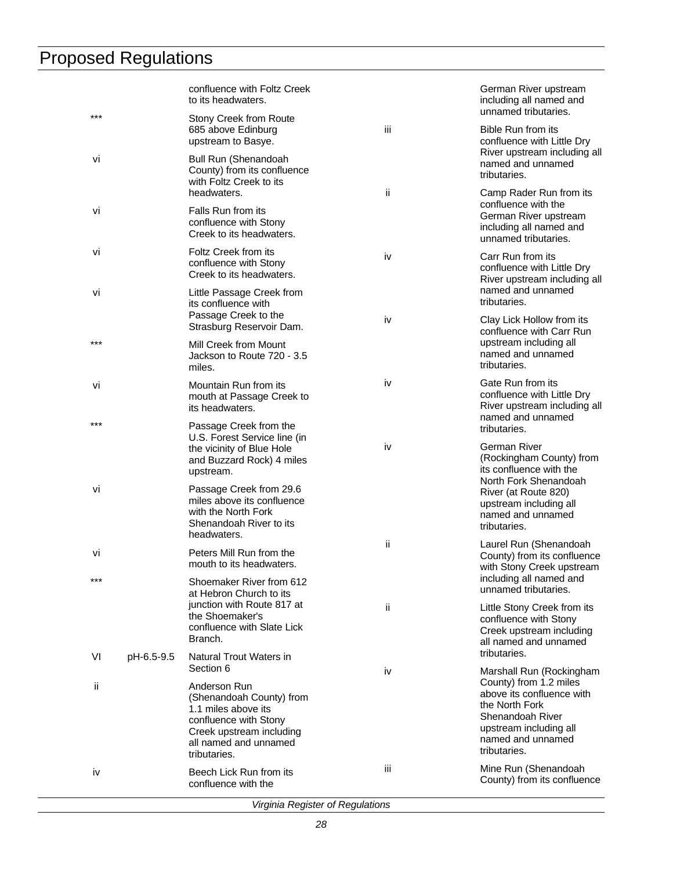|       |            | confluence with Foltz Creek<br>to its headwaters.                                                                                                             |     | German River upstream<br>including all named and<br>unnamed tributaries.                                                                                 |
|-------|------------|---------------------------------------------------------------------------------------------------------------------------------------------------------------|-----|----------------------------------------------------------------------------------------------------------------------------------------------------------|
| $***$ |            | <b>Stony Creek from Route</b><br>685 above Edinburg<br>upstream to Basye.                                                                                     | iii | Bible Run from its<br>confluence with Little Dry                                                                                                         |
| vi    |            | <b>Bull Run (Shenandoah</b><br>County) from its confluence<br>with Foltz Creek to its                                                                         |     | River upstream including all<br>named and unnamed<br>tributaries.                                                                                        |
| Vİ    |            | headwaters.<br>Falls Run from its<br>confluence with Stony<br>Creek to its headwaters.                                                                        | ii. | Camp Rader Run from its<br>confluence with the<br>German River upstream<br>including all named and<br>unnamed tributaries.                               |
| Vİ    |            | Foltz Creek from its<br>confluence with Stony<br>Creek to its headwaters.                                                                                     | iv  | Carr Run from its<br>confluence with Little Dry<br>River upstream including all                                                                          |
| vi    |            | Little Passage Creek from<br>its confluence with<br>Passage Creek to the                                                                                      | iv  | named and unnamed<br>tributaries.<br>Clay Lick Hollow from its                                                                                           |
| ***   |            | Strasburg Reservoir Dam.<br>Mill Creek from Mount<br>Jackson to Route 720 - 3.5<br>miles.                                                                     |     | confluence with Carr Run<br>upstream including all<br>named and unnamed<br>tributaries.                                                                  |
| Vİ    |            | Mountain Run from its<br>mouth at Passage Creek to<br>its headwaters.                                                                                         | iv  | Gate Run from its<br>confluence with Little Dry<br>River upstream including all<br>named and unnamed                                                     |
| $***$ |            | Passage Creek from the<br>U.S. Forest Service line (in                                                                                                        | iv  | tributaries.<br>German River                                                                                                                             |
|       |            | the vicinity of Blue Hole<br>and Buzzard Rock) 4 miles<br>upstream.                                                                                           |     | (Rockingham County) from<br>its confluence with the<br>North Fork Shenandoah                                                                             |
| Vİ    |            | Passage Creek from 29.6<br>miles above its confluence<br>with the North Fork<br>Shenandoah River to its<br>headwaters.                                        |     | River (at Route 820)<br>upstream including all<br>named and unnamed<br>tributaries.                                                                      |
| Vİ    |            | Peters Mill Run from the<br>mouth to its headwaters.                                                                                                          | ii. | Laurel Run (Shenandoah<br>County) from its confluence<br>with Stony Creek upstream                                                                       |
| ***   |            | Shoemaker River from 612<br>at Hebron Church to its                                                                                                           |     | including all named and<br>unnamed tributaries.                                                                                                          |
|       |            | junction with Route 817 at<br>the Shoemaker's<br>confluence with Slate Lick<br>Branch.                                                                        | ii. | Little Stony Creek from its<br>confluence with Stony<br>Creek upstream including<br>all named and unnamed                                                |
| VI    | pH-6.5-9.5 | Natural Trout Waters in<br>Section 6                                                                                                                          | iv  | tributaries.<br>Marshall Run (Rockingham                                                                                                                 |
| ii.   |            | Anderson Run<br>(Shenandoah County) from<br>1.1 miles above its<br>confluence with Stony<br>Creek upstream including<br>all named and unnamed<br>tributaries. |     | County) from 1.2 miles<br>above its confluence with<br>the North Fork<br>Shenandoah River<br>upstream including all<br>named and unnamed<br>tributaries. |
| İV    |            | Beech Lick Run from its<br>confluence with the                                                                                                                | Ш   | Mine Run (Shenandoah<br>County) from its confluence                                                                                                      |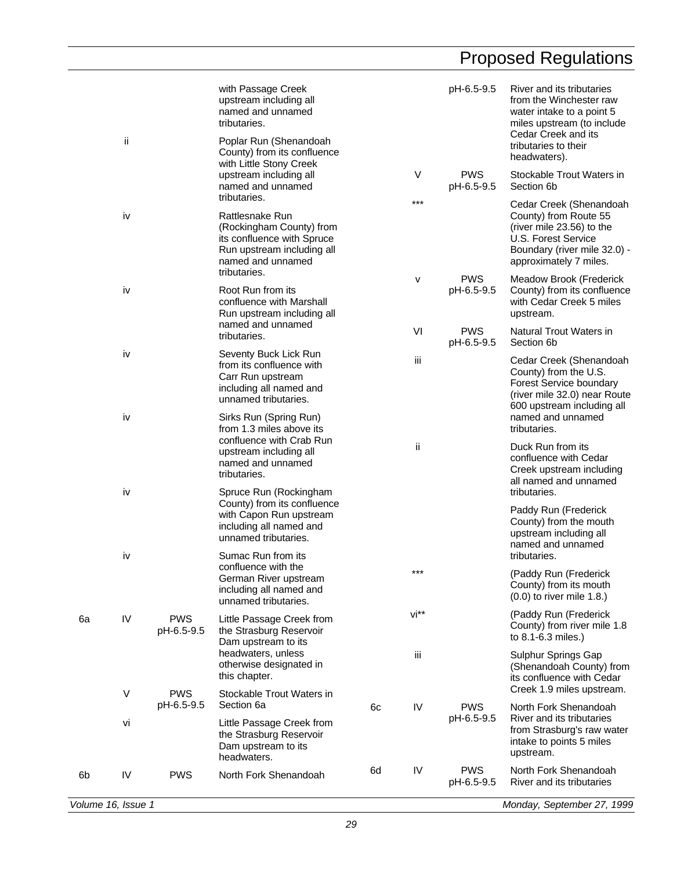|    | ii                 |                          | with Passage Creek<br>upstream including all<br>named and unnamed<br>tributaries.<br>Poplar Run (Shenandoah<br>County) from its confluence   |    |       | pH-6.5-9.5               | River and its tributaries<br>from the Winchester raw<br>water intake to a point 5<br>miles upstream (to include<br>Cedar Creek and its<br>tributaries to their<br>headwaters). |
|----|--------------------|--------------------------|----------------------------------------------------------------------------------------------------------------------------------------------|----|-------|--------------------------|--------------------------------------------------------------------------------------------------------------------------------------------------------------------------------|
|    |                    |                          | with Little Stony Creek<br>upstream including all<br>named and unnamed                                                                       |    | V     | <b>PWS</b><br>pH-6.5-9.5 | Stockable Trout Waters in<br>Section 6b                                                                                                                                        |
|    | iv                 |                          | tributaries.<br>Rattlesnake Run<br>(Rockingham County) from<br>its confluence with Spruce<br>Run upstream including all<br>named and unnamed |    | $***$ |                          | Cedar Creek (Shenandoah<br>County) from Route 55<br>(river mile 23.56) to the<br>U.S. Forest Service<br>Boundary (river mile 32.0) -<br>approximately 7 miles.                 |
|    | iv                 |                          | tributaries.<br>Root Run from its<br>confluence with Marshall<br>Run upstream including all                                                  |    | v     | <b>PWS</b><br>pH-6.5-9.5 | Meadow Brook (Frederick<br>County) from its confluence<br>with Cedar Creek 5 miles<br>upstream.                                                                                |
|    |                    |                          | named and unnamed<br>tributaries.                                                                                                            |    | VI    | <b>PWS</b><br>pH-6.5-9.5 | Natural Trout Waters in<br>Section 6b                                                                                                                                          |
|    | iv                 |                          | Seventy Buck Lick Run<br>from its confluence with<br>Carr Run upstream<br>including all named and<br>unnamed tributaries.                    |    | iii   |                          | Cedar Creek (Shenandoah<br>County) from the U.S.<br>Forest Service boundary<br>(river mile 32.0) near Route<br>600 upstream including all                                      |
|    | iv                 |                          | Sirks Run (Spring Run)<br>from 1.3 miles above its                                                                                           |    |       |                          | named and unnamed<br>tributaries.                                                                                                                                              |
|    | iv                 |                          | confluence with Crab Run<br>upstream including all<br>named and unnamed<br>tributaries.<br>Spruce Run (Rockingham                            |    | ij.   |                          | Duck Run from its<br>confluence with Cedar<br>Creek upstream including<br>all named and unnamed<br>tributaries.                                                                |
|    |                    |                          | County) from its confluence<br>with Capon Run upstream<br>including all named and<br>unnamed tributaries.                                    |    |       |                          | Paddy Run (Frederick<br>County) from the mouth<br>upstream including all<br>named and unnamed                                                                                  |
|    | iv                 |                          | Sumac Run from its<br>confluence with the<br>German River upstream<br>including all named and<br>unnamed tributaries.                        |    | ***   |                          | tributaries.<br>(Paddy Run (Frederick<br>County) from its mouth<br>$(0.0)$ to river mile 1.8.)                                                                                 |
| 6a | IV                 | <b>PWS</b><br>pH-6.5-9.5 | Little Passage Creek from<br>the Strasburg Reservoir<br>Dam upstream to its                                                                  |    | vi**  |                          | (Paddy Run (Frederick<br>County) from river mile 1.8<br>to 8.1-6.3 miles.)                                                                                                     |
|    |                    |                          | headwaters, unless<br>otherwise designated in<br>this chapter.                                                                               |    | iii   |                          | Sulphur Springs Gap<br>(Shenandoah County) from<br>its confluence with Cedar                                                                                                   |
|    | V                  | <b>PWS</b><br>pH-6.5-9.5 | Stockable Trout Waters in<br>Section 6a                                                                                                      | 6c | IV    | <b>PWS</b>               | Creek 1.9 miles upstream.<br>North Fork Shenandoah                                                                                                                             |
|    | vi                 |                          | Little Passage Creek from<br>the Strasburg Reservoir<br>Dam upstream to its<br>headwaters.                                                   |    |       | pH-6.5-9.5               | River and its tributaries<br>from Strasburg's raw water<br>intake to points 5 miles<br>upstream.                                                                               |
| 6b | IV                 | <b>PWS</b>               | North Fork Shenandoah                                                                                                                        | 6d | IV    | <b>PWS</b><br>pH-6.5-9.5 | North Fork Shenandoah<br>River and its tributaries                                                                                                                             |
|    | Volume 16, Issue 1 |                          |                                                                                                                                              |    |       |                          | Monday, September 27, 1999                                                                                                                                                     |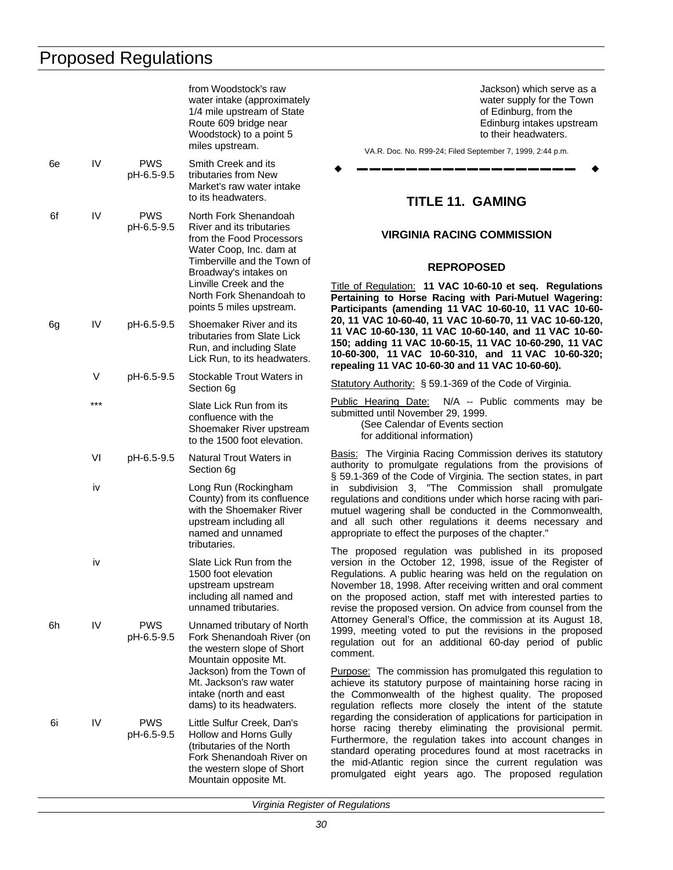<span id="page-31-0"></span>

|    |     |                          | from Woodstock's raw<br>water intake (approximately<br>1/4 mile upstream of State<br>Route 609 bridge near<br>Woodstock) to a point 5<br>miles upstream.                                                                                            |                                                         |
|----|-----|--------------------------|-----------------------------------------------------------------------------------------------------------------------------------------------------------------------------------------------------------------------------------------------------|---------------------------------------------------------|
| 6e | IV  | <b>PWS</b><br>pH-6.5-9.5 | Smith Creek and its<br>tributaries from New<br>Market's raw water intake<br>to its headwaters.                                                                                                                                                      |                                                         |
| 6f | IV  | <b>PWS</b><br>pH-6.5-9.5 | North Fork Shenandoah<br>River and its tributaries<br>from the Food Processors<br>Water Coop, Inc. dam at<br>Timberville and the Town of<br>Broadway's intakes on<br>Linville Creek and the<br>North Fork Shenandoah to<br>points 5 miles upstream. | Title<br>Per<br>Par                                     |
| 6g | IV  | pH-6.5-9.5               | Shoemaker River and its<br>tributaries from Slate Lick<br>Run, and including Slate<br>Lick Run, to its headwaters.                                                                                                                                  | 20,<br>11 ˈ<br>150<br>$10-6$<br>rep                     |
|    | V   | pH-6.5-9.5               | Stockable Trout Waters in<br>Section 6g                                                                                                                                                                                                             | <b>Stat</b>                                             |
|    | *** |                          | Slate Lick Run from its<br>confluence with the<br>Shoemaker River upstream<br>to the 1500 foot elevation.                                                                                                                                           | Pub<br>sub                                              |
|    | VI  | pH-6.5-9.5               | Natural Trout Waters in<br>Section 6g                                                                                                                                                                                                               | <u>Bas</u><br>auth<br>§59                               |
|    | iv  |                          | Long Run (Rockingham<br>County) from its confluence<br>with the Shoemaker River<br>upstream including all<br>named and unnamed<br>tributaries.                                                                                                      | in<br>regu<br>mut<br>and<br>app<br>The                  |
|    | iv  |                          | Slate Lick Run from the<br>1500 foot elevation<br>upstream upstream<br>including all named and<br>unnamed tributaries.                                                                                                                              | vers<br>Reg<br>Nov<br>on :<br>revi                      |
| 6h | IV  | <b>PWS</b><br>pH-6.5-9.5 | Unnamed tributary of North<br>Fork Shenandoah River (on<br>the western slope of Short<br>Mountain opposite Mt.<br>Jackson) from the Town of<br>Mt. Jackson's raw water<br>intake (north and east<br>dams) to its headwaters.                        | Atto<br>199<br>regu<br>com<br>Pur<br>ach<br>the<br>regu |
| 6i | IV  | PWS<br>pH-6.5-9.5        | Little Sulfur Creek, Dan's<br>Hollow and Horns Gully<br>(tributaries of the North<br>Fork Shenandoah River on<br>the western slope of Short<br>Mountain opposite Mt.                                                                                | rega<br>hors<br>Furt<br>star<br>the<br>pror             |

Jackson) which serve as a water supply for the Town of Edinburg, from the Edinburg intakes upstream to their headwaters.

VA.R. Doc. No. R99-24; Filed September 7, 1999, 2:44 p.m.

w **––––––––––––––––––** w

### **TITLE 11. GAMING**

#### **VIRGINIA RACING COMMISSION**

#### **REPROPOSED**

Title of Regulation: **11 VAC 10-60-10 et seq. Regulations Pertaining to Horse Racing with Pari-Mutuel Wagering: Participants (amending 11 VAC 10-60-10, 11 VAC 10-60- 20, 11 VAC 10-60-40, 11 VAC 10-60-70, 11 VAC 10-60-120, 11 VAC 10-60-130, 11 VAC 10-60-140, and 11 VAC 10-60- 150; adding 11 VAC 10-60-15, 11 VAC 10-60-290, 11 VAC 10-60-300, 11 VAC 10-60-310, and 11 VAC 10-60-320; repealing 11 VAC 10-60-30 and 11 VAC 10-60-60).**

tutory Authority: § 59.1-369 of the Code of Virginia.

blic Hearing Date: N/A -- Public comments may be mitted until November 29, 1999.

(See Calendar of Events section for additional information)

sis: The Virginia Racing Commission derives its statutory hority to promulgate regulations from the provisions of § 59.1-369 of the Code of Virginia. The section states, in part subdivision 3, "The Commission shall promulgate ulations and conditions under which horse racing with parituel wagering shall be conducted in the Commonwealth, all such other regulations it deems necessary and ropriate to effect the purposes of the chapter."

proposed regulation was published in its proposed sion in the October 12, 1998, issue of the Register of gulations. A public hearing was held on the regulation on ember 18, 1998. After receiving written and oral comment the proposed action, staff met with interested parties to se the proposed version. On advice from counsel from the orney General's Office, the commission at its August 18, 19, meeting voted to put the revisions in the proposed ulation out for an additional 60-day period of public nment.

pose: The commission has promulgated this regulation to ieve its statutory purpose of maintaining horse racing in Commonwealth of the highest quality. The proposed ulation reflects more closely the intent of the statute arding the consideration of applications for participation in se racing thereby eliminating the provisional permit. thermore, the regulation takes into account changes in ndard operating procedures found at most racetracks in mid-Atlantic region since the current regulation was mulgated eight years ago. The proposed regulation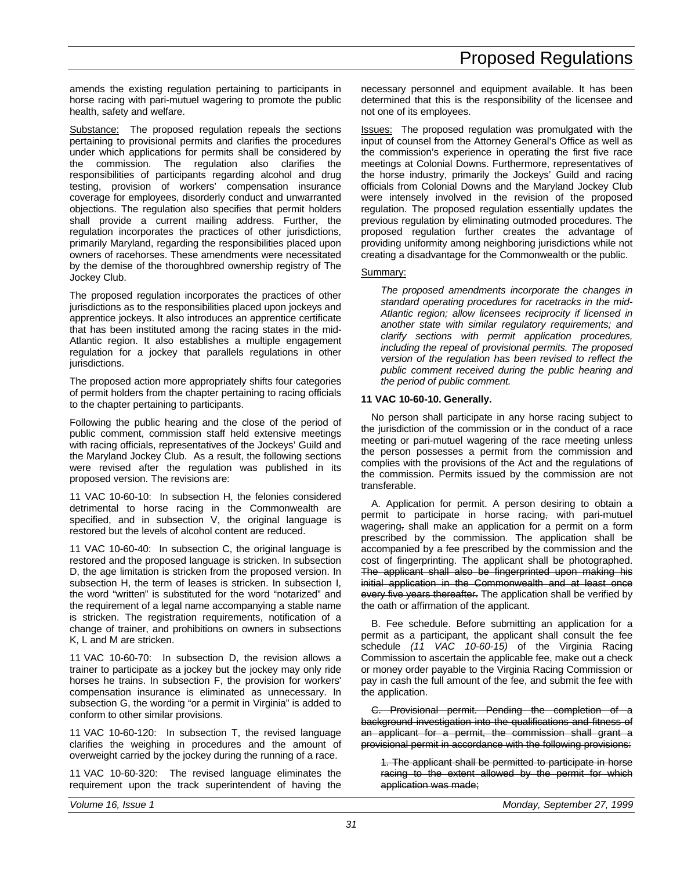amends the existing regulation pertaining to participants in horse racing with pari-mutuel wagering to promote the public health, safety and welfare.

Substance: The proposed regulation repeals the sections pertaining to provisional permits and clarifies the procedures under which applications for permits shall be considered by the commission. The regulation also clarifies the responsibilities of participants regarding alcohol and drug testing, provision of workers' compensation insurance coverage for employees, disorderly conduct and unwarranted objections. The regulation also specifies that permit holders shall provide a current mailing address. Further, the regulation incorporates the practices of other jurisdictions, primarily Maryland, regarding the responsibilities placed upon owners of racehorses. These amendments were necessitated by the demise of the thoroughbred ownership registry of The Jockey Club.

The proposed regulation incorporates the practices of other jurisdictions as to the responsibilities placed upon jockeys and apprentice jockeys. It also introduces an apprentice certificate that has been instituted among the racing states in the mid-Atlantic region. It also establishes a multiple engagement regulation for a jockey that parallels regulations in other jurisdictions.

The proposed action more appropriately shifts four categories of permit holders from the chapter pertaining to racing officials to the chapter pertaining to participants.

Following the public hearing and the close of the period of public comment, commission staff held extensive meetings with racing officials, representatives of the Jockeys' Guild and the Maryland Jockey Club. As a result, the following sections were revised after the regulation was published in its proposed version. The revisions are:

11 VAC 10-60-10: In subsection H, the felonies considered detrimental to horse racing in the Commonwealth are specified, and in subsection V, the original language is restored but the levels of alcohol content are reduced.

11 VAC 10-60-40: In subsection C, the original language is restored and the proposed language is stricken. In subsection D, the age limitation is stricken from the proposed version. In subsection H, the term of leases is stricken. In subsection I, the word "written" is substituted for the word "notarized" and the requirement of a legal name accompanying a stable name is stricken. The registration requirements, notification of a change of trainer, and prohibitions on owners in subsections K, L and M are stricken.

11 VAC 10-60-70: In subsection D, the revision allows a trainer to participate as a jockey but the jockey may only ride horses he trains. In subsection F, the provision for workers' compensation insurance is eliminated as unnecessary. In subsection G, the wording "or a permit in Virginia" is added to conform to other similar provisions.

11 VAC 10-60-120: In subsection T, the revised language clarifies the weighing in procedures and the amount of overweight carried by the jockey during the running of a race.

11 VAC 10-60-320: The revised language eliminates the requirement upon the track superintendent of having the necessary personnel and equipment available. It has been determined that this is the responsibility of the licensee and not one of its employees.

Issues: The proposed regulation was promulgated with the input of counsel from the Attorney General's Office as well as the commission's experience in operating the first five race meetings at Colonial Downs. Furthermore, representatives of the horse industry, primarily the Jockeys' Guild and racing officials from Colonial Downs and the Maryland Jockey Club were intensely involved in the revision of the proposed regulation. The proposed regulation essentially updates the previous regulation by eliminating outmoded procedures. The proposed regulation further creates the advantage of providing uniformity among neighboring jurisdictions while not creating a disadvantage for the Commonwealth or the public.

#### Summary:

*The proposed amendments incorporate the changes in standard operating procedures for racetracks in the mid-Atlantic region; allow licensees reciprocity if licensed in another state with similar regulatory requirements; and clarify sections with permit application procedures, including the repeal of provisional permits. The proposed version of the regulation has been revised to reflect the public comment received during the public hearing and the period of public comment.*

#### **11 VAC 10-60-10. Generally.**

No person shall participate in any horse racing subject to the jurisdiction of the commission or in the conduct of a race meeting or pari-mutuel wagering of the race meeting unless the person possesses a permit from the commission and complies with the provisions of the Act and the regulations of the commission. Permits issued by the commission are not transferable.

A. Application for permit. A person desiring to obtain a permit to participate in horse racing, with pari-mutuel wagering, shall make an application for a permit on a form prescribed by the commission. The application shall be accompanied by a fee prescribed by the commission and the cost of fingerprinting. The applicant shall be photographed. The applicant shall also be fingerprinted upon making his initial application in the Commonwealth and at least once every five years thereafter. The application shall be verified by the oath or affirmation of the applicant.

B. Fee schedule. Before submitting an application for a permit as a participant, the applicant shall consult the fee schedule *(11 VAC 10-60-15)* of the Virginia Racing Commission to ascertain the applicable fee, make out a check or money order payable to the Virginia Racing Commission or pay in cash the full amount of the fee, and submit the fee with the application.

C. Provisional permit. Pending the completion of a background investigation into the qualifications and fitness of an applicant for a permit, the commission shall grant a provisional permit in accordance with the following provisions:

1. The applicant shall be permitted to participate in horse racing to the extent allowed by the permit for which application was made;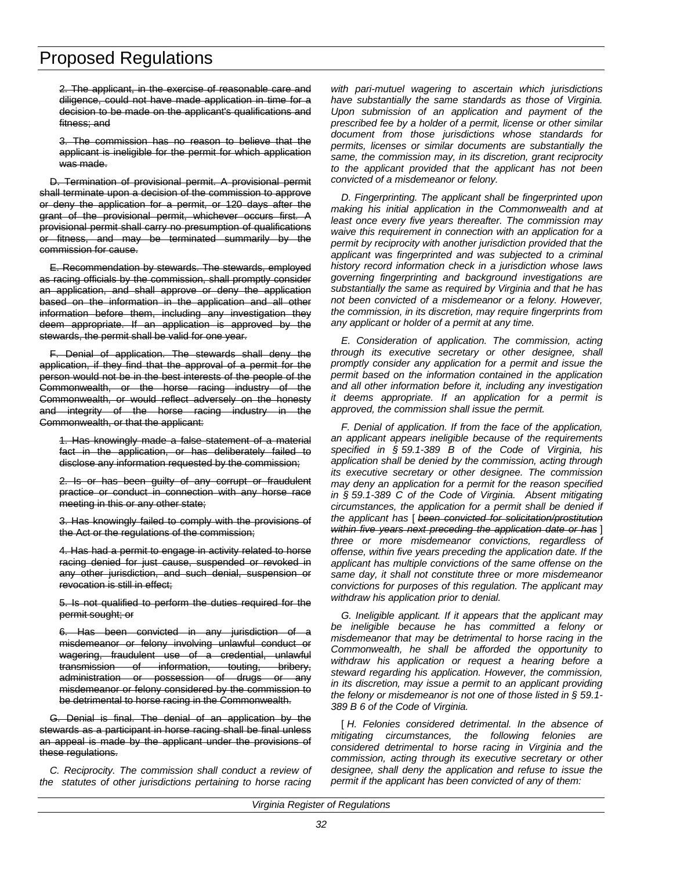2. The applicant, in the exercise of reasonable care and diligence, could not have made application in time for a decision to be made on the applicant's qualifications and fitness; and

3. The commission has no reason to believe that the applicant is ineligible for the permit for which application was made.

D. Termination of provisional permit. A provisional permit shall terminate upon a decision of the commission to approve or deny the application for a permit, or 120 days after the grant of the provisional permit, whichever occurs first. A provisional permit shall carry no presumption of qualifications or fitness, and may be terminated summarily by the commission for cause.

E. Recommendation by stewards. The stewards, employed as racing officials by the commission, shall promptly consider an application, and shall approve or deny the application based on the information in the application and all other information before them, including any investigation they deem appropriate. If an application is approved by the stewards, the permit shall be valid for one year.

F. Denial of application. The stewards shall deny the application, if they find that the approval of a permit for the person would not be in the best interests of the people of the Commonwealth, or the horse racing industry of the Commonwealth, or would reflect adversely on the honesty and integrity of the horse racing industry in the Commonwealth, or that the applicant:

1. Has knowingly made a false statement of a material fact in the application, or has deliberately failed to disclose any information requested by the commission;

2. Is or has been guilty of any corrupt or fraudulent practice or conduct in connection with any horse race meeting in this or any other state;

3. Has knowingly failed to comply with the provisions of the Act or the regulations of the commission;

4. Has had a permit to engage in activity related to horse racing denied for just cause, suspended or revoked in any other jurisdiction, and such denial, suspension or revocation is still in effect;

5. Is not qualified to perform the duties required for the permit sought; or

6. Has been convicted in any jurisdiction of a misdemeanor or felony involving unlawful conduct or wagering, fraudulent use of a credential, unlawful transmission of information, touting, bribery, administration or possession of drugs or any misdemeanor or felony considered by the commission to be detrimental to horse racing in the Commonwealth.

Denial is final. The denial of an application by the stewards as a participant in horse racing shall be final unless an appeal is made by the applicant under the provisions of these regulations.

*C. Reciprocity. The commission shall conduct a review of the statutes of other jurisdictions pertaining to horse racing*

*with pari-mutuel wagering to ascertain which jurisdictions have substantially the same standards as those of Virginia. Upon submission of an application and payment of the prescribed fee by a holder of a permit, license or other similar document from those jurisdictions whose standards for permits, licenses or similar documents are substantially the same, the commission may, in its discretion, grant reciprocity to the applicant provided that the applicant has not been convicted of a misdemeanor or felony.*

*D. Fingerprinting. The applicant shall be fingerprinted upon making his initial application in the Commonwealth and at least once every five years thereafter. The commission may waive this requirement in connection with an application for a permit by reciprocity with another jurisdiction provided that the applicant was fingerprinted and was subjected to a criminal history record information check in a jurisdiction whose laws governing fingerprinting and background investigations are substantially the same as required by Virginia and that he has not been convicted of a misdemeanor or a felony. However, the commission, in its discretion, may require fingerprints from any applicant or holder of a permit at any time.*

*E. Consideration of application. The commission, acting through its executive secretary or other designee, shall promptly consider any application for a permit and issue the permit based on the information contained in the application and all other information before it, including any investigation it deems appropriate. If an application for a permit is approved, the commission shall issue the permit.*

*F. Denial of application. If from the face of the application, an applicant appears ineligible because of the requirements specified in § 59.1-389 B of the Code of Virginia, his application shall be denied by the commission, acting through its executive secretary or other designee. The commission may deny an application for a permit for the reason specified in § 59.1-389 C of the Code of Virginia. Absent mitigating circumstances, the application for a permit shall be denied if the applicant has* [ *been convicted for solicitation/prostitution within five years next preceding the application date or has* ] *three or more misdemeanor convictions, regardless of offense, within five years preceding the application date. If the applicant has multiple convictions of the same offense on the same day, it shall not constitute three or more misdemeanor convictions for purposes of this regulation. The applicant may withdraw his application prior to denial.*

*G. Ineligible applicant. If it appears that the applicant may be ineligible because he has committed a felony or misdemeanor that may be detrimental to horse racing in the Commonwealth, he shall be afforded the opportunity to withdraw his application or request a hearing before a steward regarding his application. However, the commission, in its discretion, may issue a permit to an applicant providing the felony or misdemeanor is not one of those listed in § 59.1- 389 B 6 of the Code of Virginia.*

[ *H. Felonies considered detrimental. In the absence of mitigating circumstances, the following felonies are considered detrimental to horse racing in Virginia and the commission, acting through its executive secretary or other designee, shall deny the application and refuse to issue the permit if the applicant has been convicted of any of them:*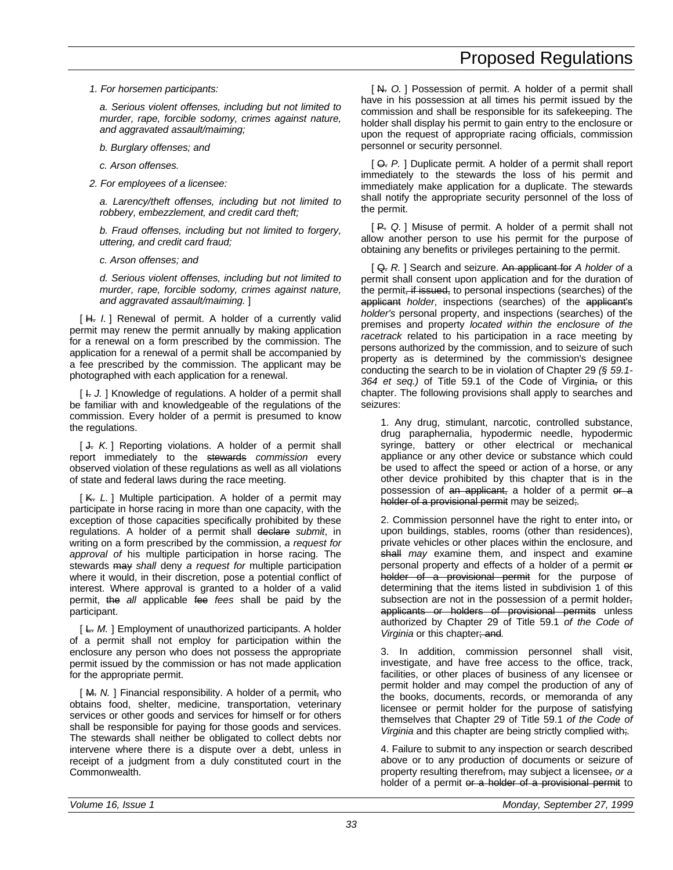*1. For horsemen participants:*

*a. Serious violent offenses, including but not limited to murder, rape, forcible sodomy, crimes against nature, and aggravated assault/maiming;*

*b. Burglary offenses; and*

*c. Arson offenses.*

*2. For employees of a licensee:*

*a. Larency/theft offenses, including but not limited to robbery, embezzlement, and credit card theft;*

*b. Fraud offenses, including but not limited to forgery, uttering, and credit card fraud;*

*c. Arson offenses; and*

*d. Serious violent offenses, including but not limited to murder, rape, forcible sodomy, crimes against nature, and aggravated assault/maiming.* ]

[H. *I.*] Renewal of permit. A holder of a currently valid permit may renew the permit annually by making application for a renewal on a form prescribed by the commission. The application for a renewal of a permit shall be accompanied by a fee prescribed by the commission. The applicant may be photographed with each application for a renewal.

[  $\vdash$  *J.* ] Knowledge of regulations. A holder of a permit shall be familiar with and knowledgeable of the regulations of the commission. Every holder of a permit is presumed to know the regulations.

[  $\downarrow$  K. ] Reporting violations. A holder of a permit shall report immediately to the stewards *commission* every observed violation of these regulations as well as all violations of state and federal laws during the race meeting.

[K. L.] Multiple participation. A holder of a permit may participate in horse racing in more than one capacity, with the exception of those capacities specifically prohibited by these regulations. A holder of a permit shall declare *submit*, in writing on a form prescribed by the commission, *a request for approval of* his multiple participation in horse racing. The stewards may *shall* deny *a request for* multiple participation where it would, in their discretion, pose a potential conflict of interest. Where approval is granted to a holder of a valid permit, the *all* applicable fee *fees* shall be paid by the participant.

[ L. *M.* ] Employment of unauthorized participants. A holder of a permit shall not employ for participation within the enclosure any person who does not possess the appropriate permit issued by the commission or has not made application for the appropriate permit.

[M. N. ] Financial responsibility. A holder of a permit, who obtains food, shelter, medicine, transportation, veterinary services or other goods and services for himself or for others shall be responsible for paying for those goods and services. The stewards shall neither be obligated to collect debts nor intervene where there is a dispute over a debt, unless in receipt of a judgment from a duly constituted court in the Commonwealth.

[N. O.] Possession of permit. A holder of a permit shall have in his possession at all times his permit issued by the commission and shall be responsible for its safekeeping. The holder shall display his permit to gain entry to the enclosure or upon the request of appropriate racing officials, commission personnel or security personnel.

[ $\Theta$ . *P.* ] Duplicate permit. A holder of a permit shall report immediately to the stewards the loss of his permit and immediately make application for a duplicate. The stewards shall notify the appropriate security personnel of the loss of the permit.

[ P. *Q.* ] Misuse of permit. A holder of a permit shall not allow another person to use his permit for the purpose of obtaining any benefits or privileges pertaining to the permit.

[ Q. *R.* ] Search and seizure. An applicant for *A holder of* a permit shall consent upon application and for the duration of the permit, if issued, to personal inspections (searches) of the applicant *holder*, inspections (searches) of the applicant's *holder's* personal property, and inspections (searches) of the premises and property *located within the enclosure of the racetrack* related to his participation in a race meeting by persons authorized by the commission, and to seizure of such property as is determined by the commission's designee conducting the search to be in violation of Chapter 29 *(§ 59.1-* 364 et seq.) of Title 59.1 of the Code of Virginia, or this chapter. The following provisions shall apply to searches and seizures:

1. Any drug, stimulant, narcotic, controlled substance, drug paraphernalia, hypodermic needle, hypodermic syringe, battery or other electrical or mechanical appliance or any other device or substance which could be used to affect the speed or action of a horse, or any other device prohibited by this chapter that is in the possession of an applicant, a holder of a permit or a holder of a provisional permit may be seized;*.*

2. Commission personnel have the right to enter into, or upon buildings, stables, rooms (other than residences), private vehicles or other places within the enclosure, and shall *may* examine them, and inspect and examine personal property and effects of a holder of a permit or holder of a provisional permit for the purpose of determining that the items listed in subdivision 1 of this subsection are not in the possession of a permit holder, applicants or holders of provisional permits unless authorized by Chapter 29 of Title 59.1 *of the Code of Virginia* or this chapter; and*.*

3. In addition, commission personnel shall visit, investigate, and have free access to the office, track, facilities, or other places of business of any licensee or permit holder and may compel the production of any of the books, documents, records, or memoranda of any licensee or permit holder for the purpose of satisfying themselves that Chapter 29 of Title 59.1 *of the Code of Virginia* and this chapter are being strictly complied with;*.*

4. Failure to submit to any inspection or search described above or to any production of documents or seizure of property resulting therefrom, may subject a licensee, *or a* holder of a permit or a holder of a provisional permit to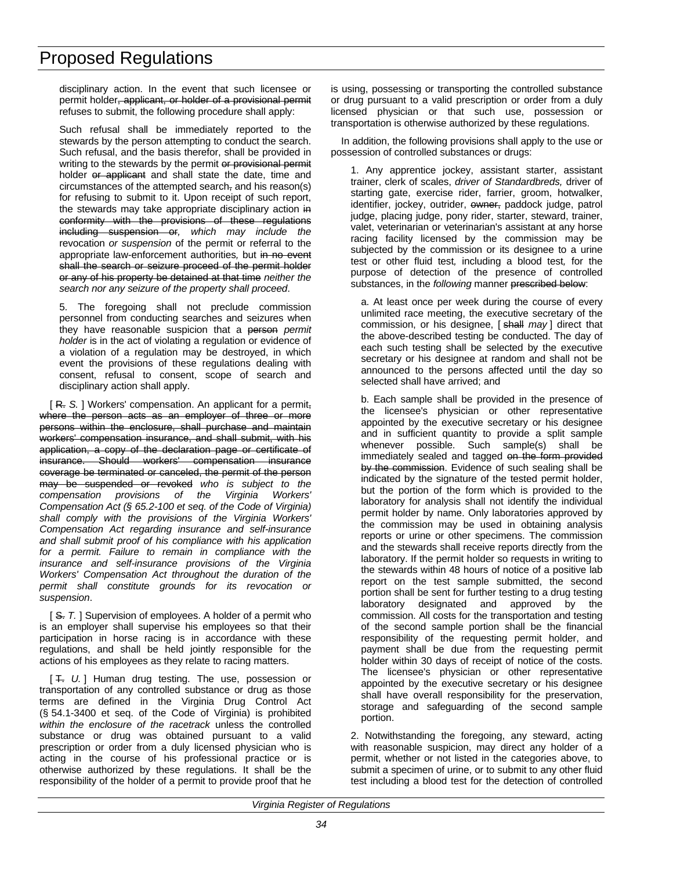disciplinary action. In the event that such licensee or permit holder, applicant, or holder of a provisional permit refuses to submit, the following procedure shall apply:

Such refusal shall be immediately reported to the stewards by the person attempting to conduct the search. Such refusal, and the basis therefor, shall be provided in writing to the stewards by the permit or provisional permit holder or applicant and shall state the date, time and circumstances of the attempted search, and his reason(s) for refusing to submit to it. Upon receipt of such report, the stewards may take appropriate disciplinary action in conformity with the provisions of these regulations including suspension or*, which may include the* revocation *or suspension* of the permit or referral to the appropriate law-enforcement authorities*,* but in no event shall the search or seizure proceed of the permit holder or any of his property be detained at that time *neither the search nor any seizure of the property shall proceed*.

5. The foregoing shall not preclude commission personnel from conducting searches and seizures when they have reasonable suspicion that a person *permit holder* is in the act of violating a regulation or evidence of a violation of a regulation may be destroyed, in which event the provisions of these regulations dealing with consent, refusal to consent, scope of search and disciplinary action shall apply.

[ R. S. ] Workers' compensation. An applicant for a permit, where the person acts as an employer of three or more persons within the enclosure, shall purchase and maintain workers' compensation insurance, and shall submit, with his application, a copy of the declaration page or certificate of insurance. Should workers' compensation insurance coverage be terminated or canceled, the permit of the person may be suspended or revoked *who is subject to the compensation provisions of the Virginia Workers' Compensation Act (§ 65.2-100 et seq. of the Code of Virginia) shall comply with the provisions of the Virginia Workers' Compensation Act regarding insurance and self-insurance and shall submit proof of his compliance with his application for a permit. Failure to remain in compliance with the insurance and self-insurance provisions of the Virginia Workers' Compensation Act throughout the duration of the permit shall constitute grounds for its revocation or suspension*.

[ $S$ . *T.* ] Supervision of employees. A holder of a permit who is an employer shall supervise his employees so that their participation in horse racing is in accordance with these regulations, and shall be held jointly responsible for the actions of his employees as they relate to racing matters.

[ T. *U.* ] Human drug testing. The use, possession or transportation of any controlled substance or drug as those terms are defined in the Virginia Drug Control Act (§ 54.1-3400 et seq. of the Code of Virginia) is prohibited *within the enclosure of the racetrack* unless the controlled substance or drug was obtained pursuant to a valid prescription or order from a duly licensed physician who is acting in the course of his professional practice or is otherwise authorized by these regulations. It shall be the responsibility of the holder of a permit to provide proof that he is using, possessing or transporting the controlled substance or drug pursuant to a valid prescription or order from a duly licensed physician or that such use, possession or transportation is otherwise authorized by these regulations.

In addition, the following provisions shall apply to the use or possession of controlled substances or drugs:

1. Any apprentice jockey, assistant starter, assistant trainer, clerk of scales, *driver of Standardbreds,* driver of starting gate, exercise rider, farrier, groom, hotwalker, identifier, jockey, outrider, owner, paddock judge, patrol judge, placing judge, pony rider, starter, steward, trainer, valet, veterinarian or veterinarian's assistant at any horse racing facility licensed by the commission may be subjected by the commission or its designee to a urine test or other fluid test*,* including a blood test*,* for the purpose of detection of the presence of controlled substances, in the *following* manner prescribed below:

a. At least once per week during the course of every unlimited race meeting, the executive secretary of the commission, or his designee, [ shall *may* ] direct that the above-described testing be conducted. The day of each such testing shall be selected by the executive secretary or his designee at random and shall not be announced to the persons affected until the day so selected shall have arrived; and

b. Each sample shall be provided in the presence of the licensee's physician or other representative appointed by the executive secretary or his designee and in sufficient quantity to provide a split sample whenever possible. Such sample(s) shall be immediately sealed and tagged on the form provided by the commission. Evidence of such sealing shall be indicated by the signature of the tested permit holder, but the portion of the form which is provided to the laboratory for analysis shall not identify the individual permit holder by name. Only laboratories approved by the commission may be used in obtaining analysis reports or urine or other specimens. The commission and the stewards shall receive reports directly from the laboratory. If the permit holder so requests in writing to the stewards within 48 hours of notice of a positive lab report on the test sample submitted, the second portion shall be sent for further testing to a drug testing laboratory designated and approved by the commission. All costs for the transportation and testing of the second sample portion shall be the financial responsibility of the requesting permit holder, and payment shall be due from the requesting permit holder within 30 days of receipt of notice of the costs. The licensee's physician or other representative appointed by the executive secretary or his designee shall have overall responsibility for the preservation, storage and safeguarding of the second sample portion.

2. Notwithstanding the foregoing, any steward, acting with reasonable suspicion, may direct any holder of a permit, whether or not listed in the categories above, to submit a specimen of urine, or to submit to any other fluid test including a blood test for the detection of controlled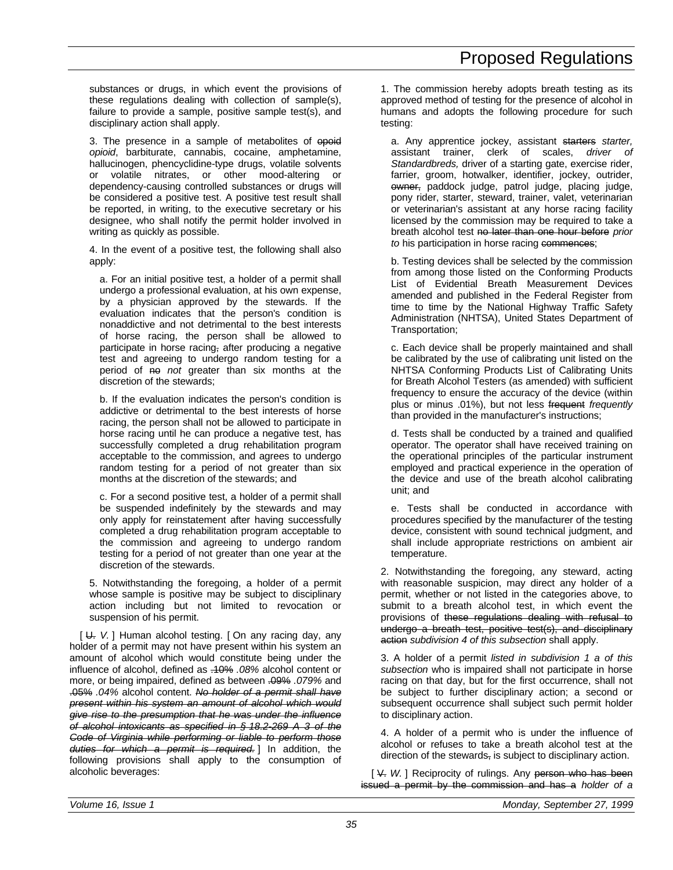substances or drugs, in which event the provisions of these regulations dealing with collection of sample(s), failure to provide a sample, positive sample test(s), and disciplinary action shall apply.

3. The presence in a sample of metabolites of epoid *opioid*, barbiturate, cannabis, cocaine, amphetamine, hallucinogen, phencyclidine-type drugs, volatile solvents or volatile nitrates, or other mood-altering or dependency-causing controlled substances or drugs will be considered a positive test. A positive test result shall be reported, in writing, to the executive secretary or his designee, who shall notify the permit holder involved in writing as quickly as possible.

4. In the event of a positive test, the following shall also apply:

a. For an initial positive test, a holder of a permit shall undergo a professional evaluation, at his own expense, by a physician approved by the stewards. If the evaluation indicates that the person's condition is nonaddictive and not detrimental to the best interests of horse racing, the person shall be allowed to participate in horse racing, after producing a negative test and agreeing to undergo random testing for a period of <del>no</del> *not* greater than six months at the discretion of the stewards;

b. If the evaluation indicates the person's condition is addictive or detrimental to the best interests of horse racing, the person shall not be allowed to participate in horse racing until he can produce a negative test, has successfully completed a drug rehabilitation program acceptable to the commission, and agrees to undergo random testing for a period of not greater than six months at the discretion of the stewards; and

c. For a second positive test, a holder of a permit shall be suspended indefinitely by the stewards and may only apply for reinstatement after having successfully completed a drug rehabilitation program acceptable to the commission and agreeing to undergo random testing for a period of not greater than one year at the discretion of the stewards.

5. Notwithstanding the foregoing, a holder of a permit whose sample is positive may be subject to disciplinary action including but not limited to revocation or suspension of his permit.

[ U. *V.* ] Human alcohol testing. [ On any racing day, any holder of a permit may not have present within his system an amount of alcohol which would constitute being under the influence of alcohol, defined as .10% *.08%* alcohol content or more, or being impaired, defined as between .09% *.079%* and .05% *.04%* alcohol content. *No holder of a permit shall have present within his system an amount of alcohol which would give rise to the presumption that he was under the influence of alcohol intoxicants as specified in § 18.2-269 A 3 of the Code of Virginia while performing or liable to perform those duties for which a permit is required.* ] In addition, the following provisions shall apply to the consumption of alcoholic beverages:

1. The commission hereby adopts breath testing as its approved method of testing for the presence of alcohol in humans and adopts the following procedure for such testing:

a. Any apprentice jockey, assistant starters *starter,* assistant trainer, clerk of scales, *driver of Standardbreds,* driver of a starting gate, exercise rider, farrier, groom, hotwalker, identifier, jockey, outrider, owner, paddock judge, patrol judge, placing judge, pony rider, starter, steward, trainer, valet, veterinarian or veterinarian's assistant at any horse racing facility licensed by the commission may be required to take a breath alcohol test no later than one hour before *prior to* his participation in horse racing commences;

b. Testing devices shall be selected by the commission from among those listed on the Conforming Products List of Evidential Breath Measurement Devices amended and published in the Federal Register from time to time by the National Highway Traffic Safety Administration (NHTSA), United States Department of Transportation;

c. Each device shall be properly maintained and shall be calibrated by the use of calibrating unit listed on the NHTSA Conforming Products List of Calibrating Units for Breath Alcohol Testers (as amended) with sufficient frequency to ensure the accuracy of the device (within plus or minus .01%), but not less frequent *frequently* than provided in the manufacturer's instructions;

d. Tests shall be conducted by a trained and qualified operator. The operator shall have received training on the operational principles of the particular instrument employed and practical experience in the operation of the device and use of the breath alcohol calibrating unit; and

e. Tests shall be conducted in accordance with procedures specified by the manufacturer of the testing device, consistent with sound technical judgment, and shall include appropriate restrictions on ambient air temperature.

2. Notwithstanding the foregoing, any steward, acting with reasonable suspicion, may direct any holder of a permit, whether or not listed in the categories above, to submit to a breath alcohol test, in which event the provisions of these regulations dealing with refusal to undergo a breath test, positive test(s), and disciplinary action *subdivision 4 of this subsection* shall apply.

3. A holder of a permit *listed in subdivision 1 a of this subsection* who is impaired shall not participate in horse racing on that day, but for the first occurrence, shall not be subject to further disciplinary action; a second or subsequent occurrence shall subject such permit holder to disciplinary action.

4. A holder of a permit who is under the influence of alcohol or refuses to take a breath alcohol test at the direction of the stewards, is subject to disciplinary action.

[  $\vee$  *W.* ] Reciprocity of rulings. Any person who has been issued a permit by the commission and has a *holder of a*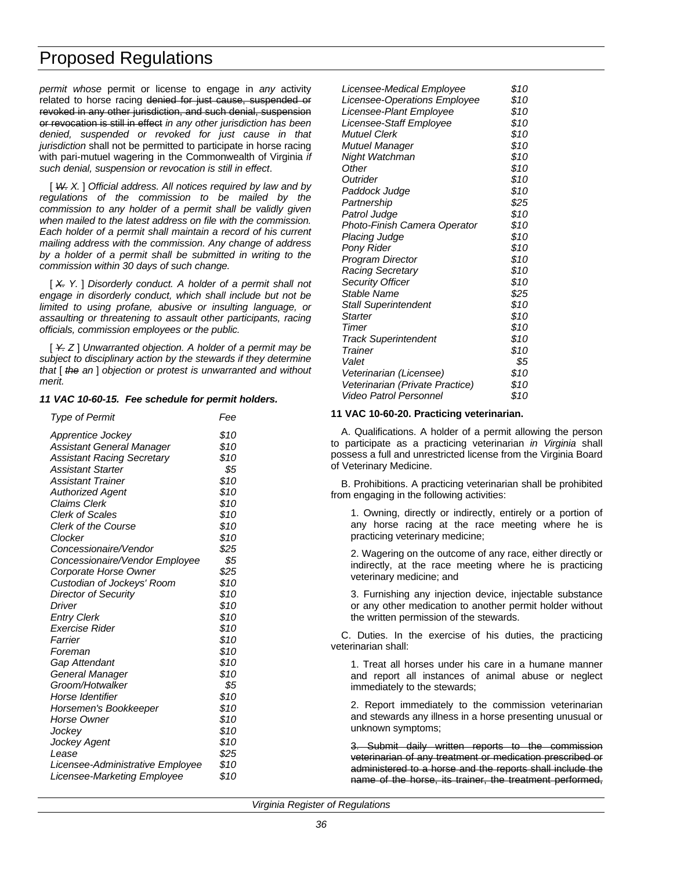*permit whose* permit or license to engage in *any* activity related to horse racing denied for just cause, suspended or revoked in any other jurisdiction, and such denial, suspension or revocation is still in effect *in any other jurisdiction has been denied, suspended or revoked for just cause in that jurisdiction* shall not be permitted to participate in horse racing with pari-mutuel wagering in the Commonwealth of Virginia *if such denial, suspension or revocation is still in effect*.

[ *W. X.* ] *Official address. All notices required by law and by regulations of the commission to be mailed by the commission to any holder of a permit shall be validly given when mailed to the latest address on file with the commission. Each holder of a permit shall maintain a record of his current mailing address with the commission. Any change of address by a holder of a permit shall be submitted in writing to the commission within 30 days of such change.*

[ *X. Y.* ] *Disorderly conduct. A holder of a permit shall not engage in disorderly conduct, which shall include but not be limited to using profane, abusive or insulting language, or assaulting or threatening to assault other participants, racing officials, commission employees or the public.*

[ *Y. Z* ] *Unwarranted objection. A holder of a permit may be subject to disciplinary action by the stewards if they determine that* [ *the an* ] *objection or protest is unwarranted and without merit.*

#### *11 VAC 10-60-15. Fee schedule for permit holders.*

| <b>Type of Permit</b>             | Fee  |
|-----------------------------------|------|
| Apprentice Jockey                 | \$10 |
| Assistant General Manager         | \$10 |
| <b>Assistant Racing Secretary</b> | \$10 |
| <b>Assistant Starter</b>          | \$5  |
| <b>Assistant Trainer</b>          | \$10 |
| <b>Authorized Agent</b>           | \$10 |
| <b>Claims Clerk</b>               | \$10 |
| <b>Clerk of Scales</b>            | \$10 |
| Clerk of the Course               | \$10 |
| Clocker                           | \$10 |
| Concessionaire/Vendor             | \$25 |
| Concessionaire/Vendor Employee    | \$5  |
| Corporate Horse Owner             | \$25 |
| Custodian of Jockeys' Room        | \$10 |
| Director of Security              | \$10 |
| Driver                            | \$10 |
| <b>Entry Clerk</b>                | \$10 |
| Exercise Rider                    | \$10 |
| Farrier                           | \$10 |
| Foreman                           | \$10 |
| Gap Attendant                     | \$10 |
| General Manager                   | \$10 |
| Groom/Hotwalker                   | \$5  |
| Horse Identifier                  | \$10 |
| Horsemen's Bookkeeper             | \$10 |
| Horse Owner                       | \$10 |
| Jockey                            | \$10 |
| Jockey Agent                      | \$10 |
| Lease                             | \$25 |
| Licensee-Administrative Employee  | \$10 |
| Licensee-Marketing Employee       | \$10 |

| Licensee-Medical Employee       | \$10 |
|---------------------------------|------|
| Licensee-Operations Employee    | \$10 |
| Licensee-Plant Employee         | \$10 |
| Licensee-Staff Employee         | \$10 |
| <b>Mutuel Clerk</b>             | \$10 |
| Mutuel Manager                  | \$10 |
| Night Watchman                  | \$10 |
| Other                           | \$10 |
| Outrider                        | \$10 |
| Paddock Judge                   | \$10 |
| Partnership                     | \$25 |
| Patrol Judge                    | \$10 |
| Photo-Finish Camera Operator    | \$10 |
| <b>Placing Judge</b>            | \$10 |
| Pony Rider                      | \$10 |
| Program Director                | \$10 |
| <b>Racing Secretary</b>         | \$10 |
| <b>Security Officer</b>         | \$10 |
| Stable Name                     | \$25 |
| <b>Stall Superintendent</b>     | \$10 |
| <b>Starter</b>                  | \$10 |
| Timer                           | \$10 |
| <b>Track Superintendent</b>     | \$10 |
| Trainer                         | \$10 |
| Valet                           | \$5  |
| Veterinarian (Licensee)         | \$10 |
| Veterinarian (Private Practice) | \$10 |
| <b>Video Patrol Personnel</b>   | \$10 |
|                                 |      |

#### **11 VAC 10-60-20. Practicing veterinarian.**

A. Qualifications. A holder of a permit allowing the person to participate as a practicing veterinarian *in Virginia* shall possess a full and unrestricted license from the Virginia Board of Veterinary Medicine.

B. Prohibitions. A practicing veterinarian shall be prohibited from engaging in the following activities:

1. Owning, directly or indirectly, entirely or a portion of any horse racing at the race meeting where he is practicing veterinary medicine;

2. Wagering on the outcome of any race, either directly or indirectly, at the race meeting where he is practicing veterinary medicine; and

3. Furnishing any injection device, injectable substance or any other medication to another permit holder without the written permission of the stewards.

C. Duties. In the exercise of his duties, the practicing veterinarian shall:

1. Treat all horses under his care in a humane manner and report all instances of animal abuse or neglect immediately to the stewards;

2. Report immediately to the commission veterinarian and stewards any illness in a horse presenting unusual or unknown symptoms;

3. Submit daily written reports to the commission veterinarian of any treatment or medication prescribed or administered to a horse and the reports shall include the name of the horse, its trainer, the treatment performed,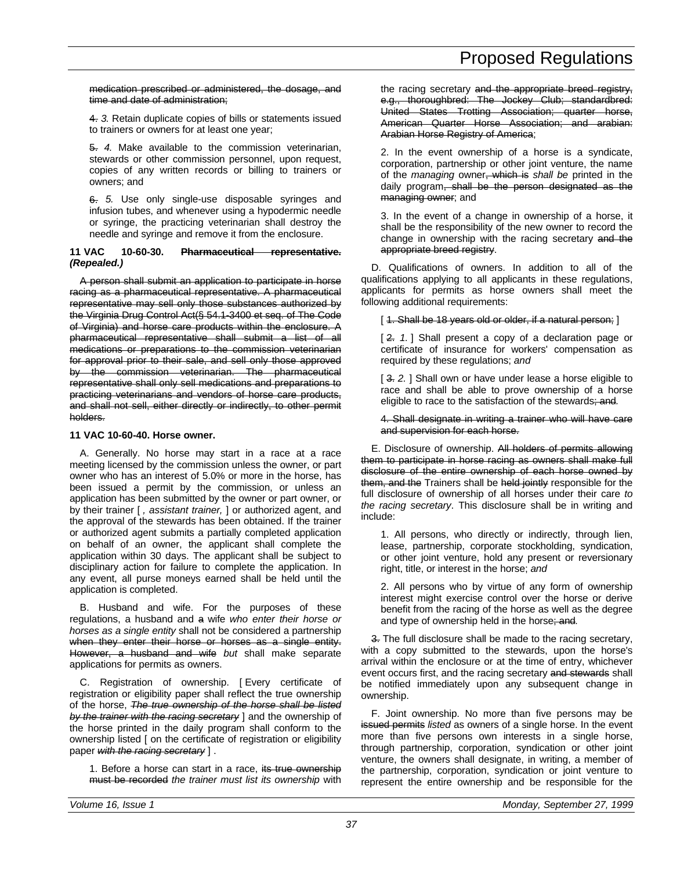medication prescribed or administered, the dosage, and time and date of administration;

4. *3.* Retain duplicate copies of bills or statements issued to trainers or owners for at least one year;

5. *4.* Make available to the commission veterinarian, stewards or other commission personnel, upon request, copies of any written records or billing to trainers or owners; and

6. *5.* Use only single-use disposable syringes and infusion tubes, and whenever using a hypodermic needle or syringe, the practicing veterinarian shall destroy the needle and syringe and remove it from the enclosure.

#### **11 VAC 10-60-30. Pharmaceutical representative.** *(Repealed.)*

A person shall submit an application to participate in horse racing as a pharmaceutical representative. A pharmaceutical representative may sell only those substances authorized by the Virginia Drug Control Act(§ 54.1-3400 et seq. of The Code of Virginia) and horse care products within the enclosure. A pharmaceutical representative shall submit a list of all medications or preparations to the commission veterinarian for approval prior to their sale, and sell only those approved by the commission veterinarian. The pharmaceutical representative shall only sell medications and preparations to practicing veterinarians and vendors of horse care products, and shall not sell, either directly or indirectly, to other permit holders.

#### **11 VAC 10-60-40. Horse owner.**

A. Generally. No horse may start in a race at a race meeting licensed by the commission unless the owner, or part owner who has an interest of 5.0% or more in the horse, has been issued a permit by the commission, or unless an application has been submitted by the owner or part owner, or by their trainer [ *, assistant trainer,* ] or authorized agent, and the approval of the stewards has been obtained. If the trainer or authorized agent submits a partially completed application on behalf of an owner, the applicant shall complete the application within 30 days. The applicant shall be subject to disciplinary action for failure to complete the application. In any event, all purse moneys earned shall be held until the application is completed.

B. Husband and wife. For the purposes of these regulations, a husband and a wife *who enter their horse or horses as a single entity* shall not be considered a partnership when they enter their horse or horses as a single entity. However, a husband and wife *but* shall make separate applications for permits as owners.

C. Registration of ownership. [ Every certificate of registration or eligibility paper shall reflect the true ownership of the horse, *The true ownership of the horse shall be listed by the trainer with the racing secretary* ] and the ownership of the horse printed in the daily program shall conform to the ownership listed [ on the certificate of registration or eligibility paper *with the racing secretary* ] .

1. Before a horse can start in a race, its true ownership must be recorded *the trainer must list its ownership* with the racing secretary and the appropriate breed registry, e.g., thoroughbred: The Jockey Club; standardbred: United States Trotting Association; quarter horse, American Quarter Horse Association; and arabian: Arabian Horse Registry of America;

2. In the event ownership of a horse is a syndicate, corporation, partnership or other joint venture, the name of the *managing* owner, which is *shall be* printed in the daily program, shall be the person designated as the managing owner; and

3. In the event of a change in ownership of a horse, it shall be the responsibility of the new owner to record the change in ownership with the racing secretary and the appropriate breed registry.

D. Qualifications of owners. In addition to all of the qualifications applying to all applicants in these regulations, applicants for permits as horse owners shall meet the following additional requirements:

[ 1. Shall be 18 years old or older, if a natural person; ]

[ 2. 1.] Shall present a copy of a declaration page or certificate of insurance for workers' compensation as required by these regulations; *and*

[3. 2.] Shall own or have under lease a horse eligible to race and shall be able to prove ownership of a horse eligible to race to the satisfaction of the stewards; and*.*

4. Shall designate in writing a trainer who will have care and supervision for each horse.

E. Disclosure of ownership. All holders of permits allowing them to participate in horse racing as owners shall make full disclosure of the entire ownership of each horse owned by them, and the Trainers shall be held jointly responsible for the full disclosure of ownership of all horses under their care *to the racing secretary*. This disclosure shall be in writing and include:

1. All persons, who directly or indirectly, through lien, lease, partnership, corporate stockholding, syndication, or other joint venture, hold any present or reversionary right, title, or interest in the horse; *and*

2. All persons who by virtue of any form of ownership interest might exercise control over the horse or derive benefit from the racing of the horse as well as the degree and type of ownership held in the horse; and*.*

3. The full disclosure shall be made to the racing secretary, with a copy submitted to the stewards, upon the horse's arrival within the enclosure or at the time of entry, whichever event occurs first, and the racing secretary and stewards shall be notified immediately upon any subsequent change in ownership.

F. Joint ownership. No more than five persons may be issued permits *listed* as owners of a single horse. In the event more than five persons own interests in a single horse, through partnership, corporation, syndication or other joint venture, the owners shall designate, in writing, a member of the partnership, corporation, syndication or joint venture to represent the entire ownership and be responsible for the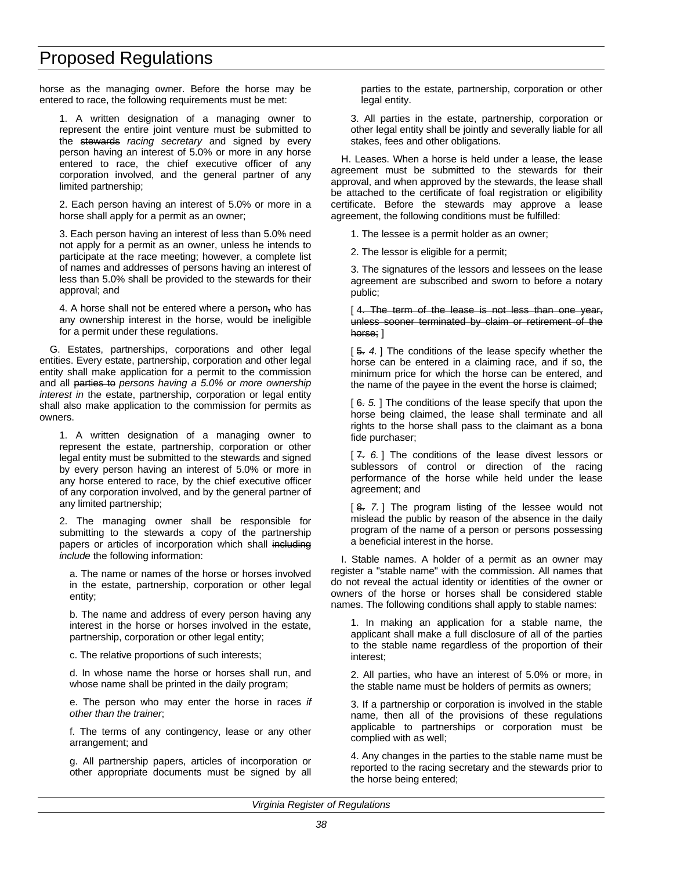horse as the managing owner. Before the horse may be entered to race, the following requirements must be met:

1. A written designation of a managing owner to represent the entire joint venture must be submitted to the stewards *racing secretary* and signed by every person having an interest of 5.0% or more in any horse entered to race, the chief executive officer of any corporation involved, and the general partner of any limited partnership;

2. Each person having an interest of 5.0% or more in a horse shall apply for a permit as an owner;

3. Each person having an interest of less than 5.0% need not apply for a permit as an owner, unless he intends to participate at the race meeting; however, a complete list of names and addresses of persons having an interest of less than 5.0% shall be provided to the stewards for their approval; and

4. A horse shall not be entered where a person, who has any ownership interest in the horse, would be ineligible for a permit under these regulations.

G. Estates, partnerships, corporations and other legal entities. Every estate, partnership, corporation and other legal entity shall make application for a permit to the commission and all parties to *persons having a 5.0% or more ownership interest in* the estate, partnership, corporation or legal entity shall also make application to the commission for permits as owners.

1. A written designation of a managing owner to represent the estate, partnership, corporation or other legal entity must be submitted to the stewards and signed by every person having an interest of 5.0% or more in any horse entered to race, by the chief executive officer of any corporation involved, and by the general partner of any limited partnership;

2. The managing owner shall be responsible for submitting to the stewards a copy of the partnership papers or articles of incorporation which shall including *include* the following information:

a. The name or names of the horse or horses involved in the estate, partnership, corporation or other legal entity;

b. The name and address of every person having any interest in the horse or horses involved in the estate, partnership, corporation or other legal entity;

c. The relative proportions of such interests;

d. In whose name the horse or horses shall run, and whose name shall be printed in the daily program;

e. The person who may enter the horse in races *if other than the trainer*;

f. The terms of any contingency, lease or any other arrangement; and

g. All partnership papers, articles of incorporation or other appropriate documents must be signed by all

parties to the estate, partnership, corporation or other legal entity.

3. All parties in the estate, partnership, corporation or other legal entity shall be jointly and severally liable for all stakes, fees and other obligations.

H. Leases. When a horse is held under a lease, the lease agreement must be submitted to the stewards for their approval, and when approved by the stewards, the lease shall be attached to the certificate of foal registration or eligibility certificate. Before the stewards may approve a lease agreement, the following conditions must be fulfilled:

1. The lessee is a permit holder as an owner;

2. The lessor is eligible for a permit;

3. The signatures of the lessors and lessees on the lease agreement are subscribed and sworn to before a notary public;

[4. The term of the lease is not less than one year, unless sooner terminated by claim or retirement of the horse; ]

[  $\frac{5}{2}$  4. ] The conditions of the lease specify whether the horse can be entered in a claiming race, and if so, the minimum price for which the horse can be entered, and the name of the payee in the event the horse is claimed;

[ 6. *5.* ] The conditions of the lease specify that upon the horse being claimed, the lease shall terminate and all rights to the horse shall pass to the claimant as a bona fide purchaser;

[7. 6.] The conditions of the lease divest lessors or sublessors of control or direction of the racing performance of the horse while held under the lease agreement; and

[8. 7.] The program listing of the lessee would not mislead the public by reason of the absence in the daily program of the name of a person or persons possessing a beneficial interest in the horse.

I. Stable names. A holder of a permit as an owner may register a "stable name" with the commission. All names that do not reveal the actual identity or identities of the owner or owners of the horse or horses shall be considered stable names. The following conditions shall apply to stable names:

1. In making an application for a stable name, the applicant shall make a full disclosure of all of the parties to the stable name regardless of the proportion of their interest;

2. All parties, who have an interest of 5.0% or more, in the stable name must be holders of permits as owners;

3. If a partnership or corporation is involved in the stable name, then all of the provisions of these regulations applicable to partnerships or corporation must be complied with as well;

4. Any changes in the parties to the stable name must be reported to the racing secretary and the stewards prior to the horse being entered;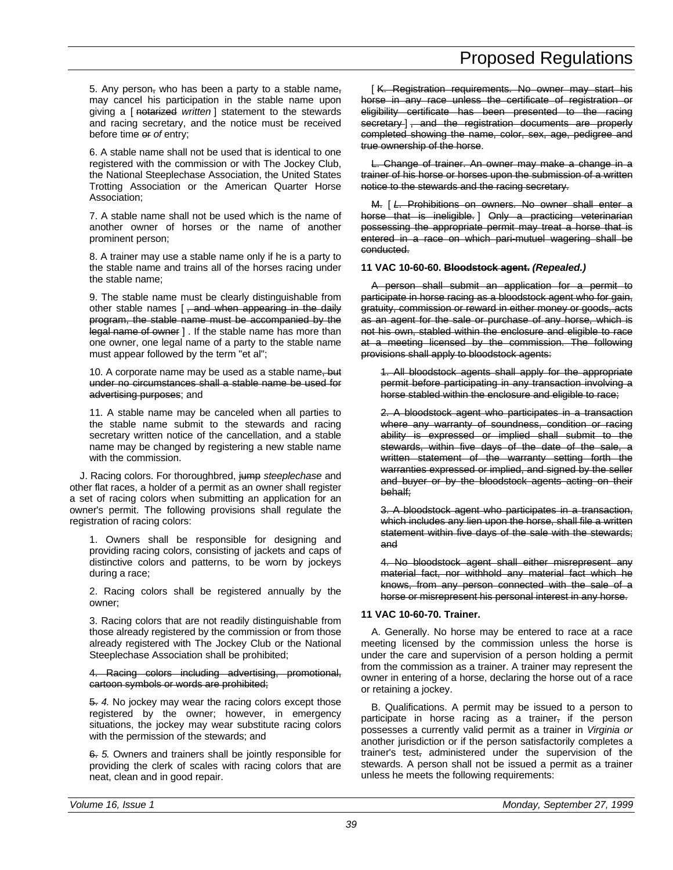5. Any person, who has been a party to a stable name, may cancel his participation in the stable name upon giving a [ notarized *written* ] statement to the stewards and racing secretary, and the notice must be received before time or *of* entry;

6. A stable name shall not be used that is identical to one registered with the commission or with The Jockey Club, the National Steeplechase Association, the United States Trotting Association or the American Quarter Horse Association;

7. A stable name shall not be used which is the name of another owner of horses or the name of another prominent person;

8. A trainer may use a stable name only if he is a party to the stable name and trains all of the horses racing under the stable name;

9. The stable name must be clearly distinguishable from other stable names [, and when appearing in the daily program, the stable name must be accompanied by the legal name of owner ] . If the stable name has more than one owner, one legal name of a party to the stable name must appear followed by the term "et al";

10. A corporate name may be used as a stable name, but under no circumstances shall a stable name be used for advertising purposes; and

11. A stable name may be canceled when all parties to the stable name submit to the stewards and racing secretary written notice of the cancellation, and a stable name may be changed by registering a new stable name with the commission.

J. Racing colors. For thoroughbred, jump *steeplechase* and other flat races, a holder of a permit as an owner shall register a set of racing colors when submitting an application for an owner's permit. The following provisions shall regulate the registration of racing colors:

1. Owners shall be responsible for designing and providing racing colors, consisting of jackets and caps of distinctive colors and patterns, to be worn by jockeys during a race;

2. Racing colors shall be registered annually by the owner;

3. Racing colors that are not readily distinguishable from those already registered by the commission or from those already registered with The Jockey Club or the National Steeplechase Association shall be prohibited;

4. Racing colors including advertising, promotional, cartoon symbols or words are prohibited;

5. *4.* No jockey may wear the racing colors except those registered by the owner; however, in emergency situations, the jockey may wear substitute racing colors with the permission of the stewards; and

6. *5.* Owners and trainers shall be jointly responsible for providing the clerk of scales with racing colors that are neat, clean and in good repair.

[ K. Registration requirements. No owner may start his horse in any race unless the certificate of registration or eligibility certificate has been presented to the racing secretary ] , and the registration documents are properly completed showing the name, color, sex, age, pedigree and true ownership of the horse.

L. Change of trainer. An owner may make a change in a trainer of his horse or horses upon the submission of a written notice to the stewards and the racing secretary.

M. [ *L.* Prohibitions on owners. No owner shall enter a horse that is ineligible. ] Only a practicing veterinarian possessing the appropriate permit may treat a horse that is entered in a race on which pari-mutuel wagering shall be conducted.

#### **11 VAC 10-60-60. Bloodstock agent.** *(Repealed.)*

A person shall submit an application for a permit to participate in horse racing as a bloodstock agent who for gain, gratuity, commission or reward in either money or goods, acts as an agent for the sale or purchase of any horse, which is not his own, stabled within the enclosure and eligible to race at a meeting licensed by the commission. The following provisions shall apply to bloodstock agents:

1. All bloodstock agents shall apply for the appropriate permit before participating in any transaction involving a horse stabled within the enclosure and eligible to race;

2. A bloodstock agent who participates in a transaction where any warranty of soundness, condition or racing ability is expressed or implied shall submit to the stewards, within five days of the date of the sale, a written statement of the warranty setting forth the warranties expressed or implied, and signed by the seller and buyer or by the bloodstock agents acting on their behalf;

3. A bloodstock agent who participates in a transaction, which includes any lien upon the horse, shall file a written statement within five days of the sale with the stewards; and

4. No bloodstock agent shall either misrepresent any material fact, nor withhold any material fact which he knows, from any person connected with the sale of a horse or misrepresent his personal interest in any horse.

#### **11 VAC 10-60-70. Trainer.**

A. Generally. No horse may be entered to race at a race meeting licensed by the commission unless the horse is under the care and supervision of a person holding a permit from the commission as a trainer. A trainer may represent the owner in entering of a horse, declaring the horse out of a race or retaining a jockey.

B. Qualifications. A permit may be issued to a person to participate in horse racing as a trainer, if the person possesses a currently valid permit as a trainer in *Virginia or* another jurisdiction or if the person satisfactorily completes a trainer's test, administered under the supervision of the stewards. A person shall not be issued a permit as a trainer unless he meets the following requirements: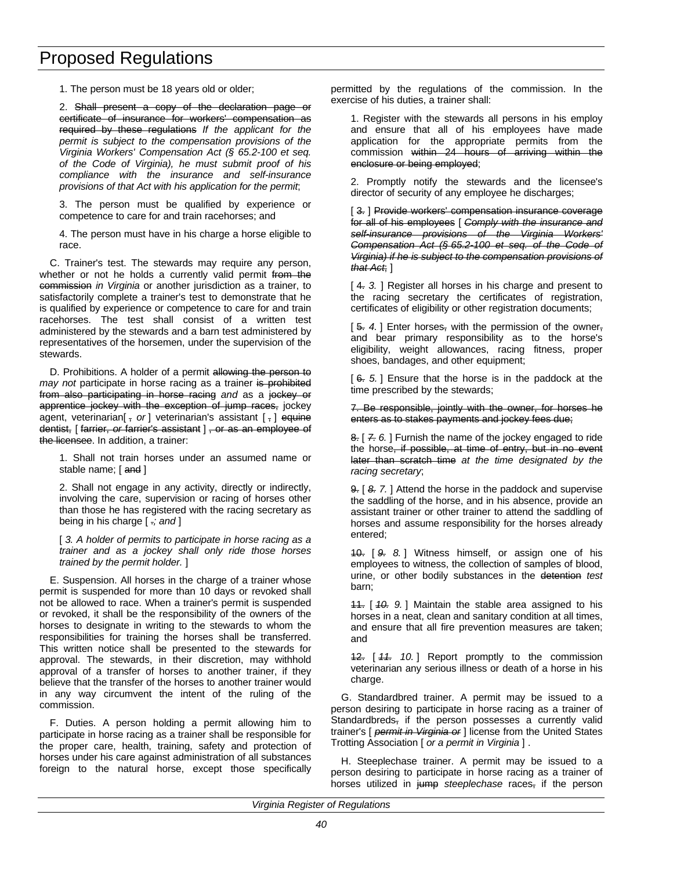1. The person must be 18 years old or older;

2. Shall present a copy of the declaration page or certificate of insurance for workers' compensation as required by these regulations *If the applicant for the permit is subject to the compensation provisions of the Virginia Workers' Compensation Act (§ 65.2-100 et seq. of the Code of Virginia), he must submit proof of his compliance with the insurance and self-insurance provisions of that Act with his application for the permit*;

3. The person must be qualified by experience or competence to care for and train racehorses; and

4. The person must have in his charge a horse eligible to race.

C. Trainer's test. The stewards may require any person, whether or not he holds a currently valid permit from the commission *in Virginia* or another jurisdiction as a trainer, to satisfactorily complete a trainer's test to demonstrate that he is qualified by experience or competence to care for and train racehorses. The test shall consist of a written test administered by the stewards and a barn test administered by representatives of the horsemen, under the supervision of the stewards.

D. Prohibitions. A holder of a permit allowing the person to *may not* participate in horse racing as a trainer is prohibited from also participating in horse racing *and* as a jockey or apprentice jockey with the exception of jump races, jockey agent, veterinarian<sup>[</sup>, or] veterinarian's assistant [, ] equine dentist, [ farrier, *or* farrier's assistant ] , or as an employee of the licensee. In addition, a trainer:

1. Shall not train horses under an assumed name or stable name; [ and ]

2. Shall not engage in any activity, directly or indirectly, involving the care, supervision or racing of horses other than those he has registered with the racing secretary as being in his charge [ .*; and* ]

[ *3. A holder of permits to participate in horse racing as a trainer and as a jockey shall only ride those horses trained by the permit holder.* ]

E. Suspension. All horses in the charge of a trainer whose permit is suspended for more than 10 days or revoked shall not be allowed to race. When a trainer's permit is suspended or revoked, it shall be the responsibility of the owners of the horses to designate in writing to the stewards to whom the responsibilities for training the horses shall be transferred. This written notice shall be presented to the stewards for approval. The stewards, in their discretion, may withhold approval of a transfer of horses to another trainer, if they believe that the transfer of the horses to another trainer would in any way circumvent the intent of the ruling of the commission.

F. Duties. A person holding a permit allowing him to participate in horse racing as a trainer shall be responsible for the proper care, health, training, safety and protection of horses under his care against administration of all substances foreign to the natural horse, except those specifically permitted by the regulations of the commission. In the exercise of his duties, a trainer shall:

1. Register with the stewards all persons in his employ and ensure that all of his employees have made application for the appropriate permits from the commission within 24 hours of arriving within the enclosure or being employed;

2. Promptly notify the stewards and the licensee's director of security of any employee he discharges;

[ 3. ] Provide workers' compensation insurance coverage for all of his employees [ *Comply with the insurance and self-insurance provisions of the Virginia Workers' Compensation Act (§ 65.2-100 et seq. of the Code of Virginia) if he is subject to the compensation provisions of that Act*; ]

[4. 3.] Register all horses in his charge and present to the racing secretary the certificates of registration, certificates of eligibility or other registration documents;

[5. 4.] Enter horses, with the permission of the owner, and bear primary responsibility as to the horse's eligibility, weight allowances, racing fitness, proper shoes, bandages, and other equipment;

[ 6. *5.* ] Ensure that the horse is in the paddock at the time prescribed by the stewards;

7. Be responsible, jointly with the owner, for horses he enters as to stakes payments and jockey fees due;

8. [ *7. 6.* ] Furnish the name of the jockey engaged to ride the horse, if possible, at time of entry, but in no event later than scratch time *at the time designated by the racing secretary*;

9. [ *8. 7.* ] Attend the horse in the paddock and supervise the saddling of the horse, and in his absence, provide an assistant trainer or other trainer to attend the saddling of horses and assume responsibility for the horses already entered;

10. [ *9. 8.* ] Witness himself, or assign one of his employees to witness, the collection of samples of blood, urine, or other bodily substances in the detention *test* barn;

11. [ *10. 9.* ] Maintain the stable area assigned to his horses in a neat, clean and sanitary condition at all times, and ensure that all fire prevention measures are taken; and

12. [ *11. 10.* ] Report promptly to the commission veterinarian any serious illness or death of a horse in his charge.

G. Standardbred trainer. A permit may be issued to a person desiring to participate in horse racing as a trainer of Standardbreds, if the person possesses a currently valid trainer's [ *permit in Virginia or* ] license from the United States Trotting Association [ *or a permit in Virginia* ] .

H. Steeplechase trainer. A permit may be issued to a person desiring to participate in horse racing as a trainer of horses utilized in jump *steeplechase* races, if the person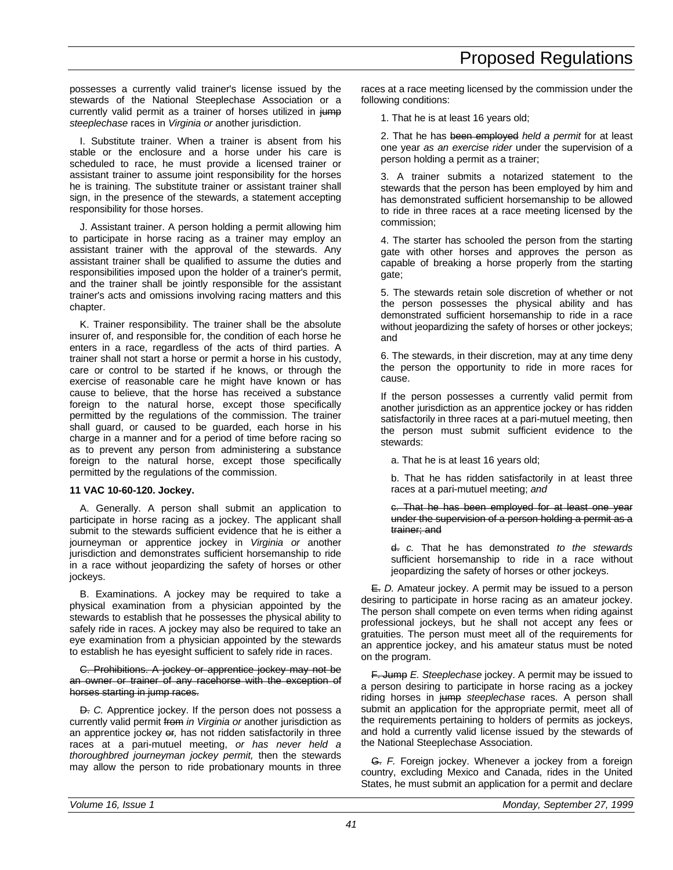possesses a currently valid trainer's license issued by the stewards of the National Steeplechase Association or a currently valid permit as a trainer of horses utilized in jump *steeplechase* races in *Virginia or* another jurisdiction.

I. Substitute trainer. When a trainer is absent from his stable or the enclosure and a horse under his care is scheduled to race, he must provide a licensed trainer or assistant trainer to assume joint responsibility for the horses he is training. The substitute trainer or assistant trainer shall sign, in the presence of the stewards, a statement accepting responsibility for those horses.

J. Assistant trainer. A person holding a permit allowing him to participate in horse racing as a trainer may employ an assistant trainer with the approval of the stewards. Any assistant trainer shall be qualified to assume the duties and responsibilities imposed upon the holder of a trainer's permit, and the trainer shall be jointly responsible for the assistant trainer's acts and omissions involving racing matters and this chapter.

K. Trainer responsibility. The trainer shall be the absolute insurer of, and responsible for, the condition of each horse he enters in a race, regardless of the acts of third parties. A trainer shall not start a horse or permit a horse in his custody, care or control to be started if he knows, or through the exercise of reasonable care he might have known or has cause to believe, that the horse has received a substance foreign to the natural horse, except those specifically permitted by the regulations of the commission. The trainer shall guard, or caused to be guarded, each horse in his charge in a manner and for a period of time before racing so as to prevent any person from administering a substance foreign to the natural horse, except those specifically permitted by the regulations of the commission.

### **11 VAC 10-60-120. Jockey.**

A. Generally. A person shall submit an application to participate in horse racing as a jockey. The applicant shall submit to the stewards sufficient evidence that he is either a journeyman or apprentice jockey in *Virginia or* another jurisdiction and demonstrates sufficient horsemanship to ride in a race without jeopardizing the safety of horses or other jockeys.

B. Examinations. A jockey may be required to take a physical examination from a physician appointed by the stewards to establish that he possesses the physical ability to safely ride in races. A jockey may also be required to take an eye examination from a physician appointed by the stewards to establish he has eyesight sufficient to safely ride in races.

C. Prohibitions. A jockey or apprentice jockey may not be an owner or trainer of any racehorse with the exception of horses starting in jump races.

D. *C.* Apprentice jockey. If the person does not possess a currently valid permit from *in Virginia or* another jurisdiction as an apprentice jockey or*,* has not ridden satisfactorily in three races at a pari-mutuel meeting, *or has never held a thoroughbred journeyman jockey permit,* then the stewards may allow the person to ride probationary mounts in three races at a race meeting licensed by the commission under the following conditions:

1. That he is at least 16 years old;

2. That he has been employed *held a permit* for at least one year *as an exercise rider* under the supervision of a person holding a permit as a trainer;

3. A trainer submits a notarized statement to the stewards that the person has been employed by him and has demonstrated sufficient horsemanship to be allowed to ride in three races at a race meeting licensed by the commission;

4. The starter has schooled the person from the starting gate with other horses and approves the person as capable of breaking a horse properly from the starting gate;

5. The stewards retain sole discretion of whether or not the person possesses the physical ability and has demonstrated sufficient horsemanship to ride in a race without jeopardizing the safety of horses or other jockeys; and

6. The stewards, in their discretion, may at any time deny the person the opportunity to ride in more races for cause.

If the person possesses a currently valid permit from another jurisdiction as an apprentice jockey or has ridden satisfactorily in three races at a pari-mutuel meeting, then the person must submit sufficient evidence to the stewards:

a. That he is at least 16 years old;

b. That he has ridden satisfactorily in at least three races at a pari-mutuel meeting; *and*

#### c. That he has been employed for at least one year under the supervision of a person holding a permit as a trainer; and

d. *c.* That he has demonstrated *to the stewards* sufficient horsemanship to ride in a race without jeopardizing the safety of horses or other jockeys.

E. *D.* Amateur jockey. A permit may be issued to a person desiring to participate in horse racing as an amateur jockey. The person shall compete on even terms when riding against professional jockeys, but he shall not accept any fees or gratuities. The person must meet all of the requirements for an apprentice jockey, and his amateur status must be noted on the program.

F. Jump *E. Steeplechase* jockey. A permit may be issued to a person desiring to participate in horse racing as a jockey riding horses in jump *steeplechase* races. A person shall submit an application for the appropriate permit, meet all of the requirements pertaining to holders of permits as jockeys, and hold a currently valid license issued by the stewards of the National Steeplechase Association.

G. *F.* Foreign jockey. Whenever a jockey from a foreign country, excluding Mexico and Canada, rides in the United States, he must submit an application for a permit and declare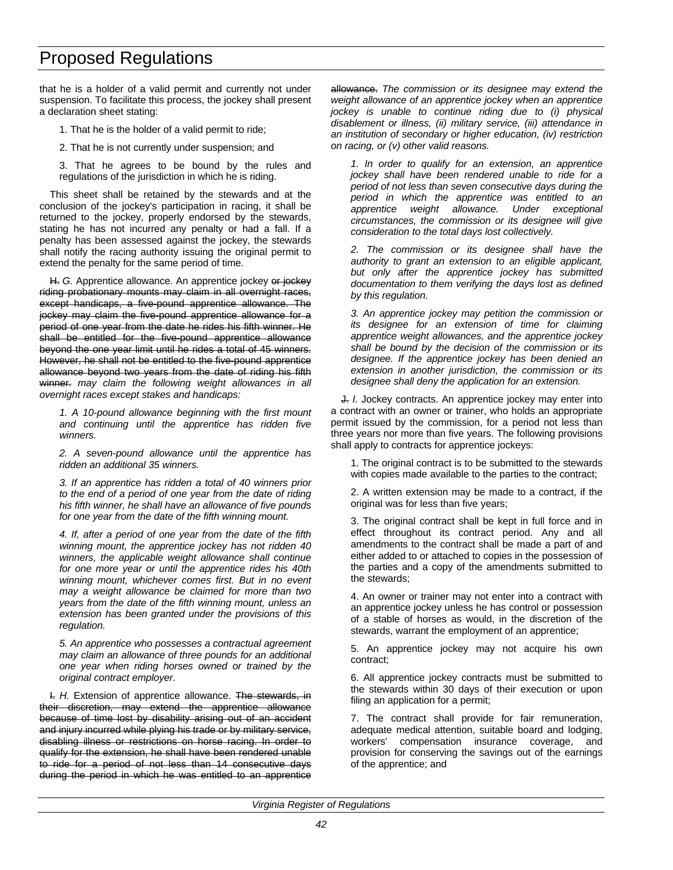that he is a holder of a valid permit and currently not under suspension. To facilitate this process, the jockey shall present a declaration sheet stating:

- 1. That he is the holder of a valid permit to ride;
- 2. That he is not currently under suspension; and

3. That he agrees to be bound by the rules and regulations of the jurisdiction in which he is riding.

This sheet shall be retained by the stewards and at the conclusion of the jockey's participation in racing, it shall be returned to the jockey, properly endorsed by the stewards, stating he has not incurred any penalty or had a fall. If a penalty has been assessed against the jockey, the stewards shall notify the racing authority issuing the original permit to extend the penalty for the same period of time.

H. G. Apprentice allowance. An apprentice jockey or jockey riding probationary mounts may claim in all overnight races, except handicaps, a five-pound apprentice allowance. The jockey may claim the five-pound apprentice allowance for a period of one year from the date he rides his fifth winner. He shall be entitled for the five-pound apprentice allowance beyond the one year limit until he rides a total of 45 winners. However, he shall not be entitled to the five-pound apprentice allowance beyond two years from the date of riding his fifth winner. *may claim the following weight allowances in all overnight races except stakes and handicaps:*

*1. A 10-pound allowance beginning with the first mount and continuing until the apprentice has ridden five winners.*

*2. A seven-pound allowance until the apprentice has ridden an additional 35 winners.*

*3. If an apprentice has ridden a total of 40 winners prior to the end of a period of one year from the date of riding his fifth winner, he shall have an allowance of five pounds for one year from the date of the fifth winning mount.*

*4. If, after a period of one year from the date of the fifth winning mount, the apprentice jockey has not ridden 40 winners, the applicable weight allowance shall continue for one more year or until the apprentice rides his 40th winning mount, whichever comes first. But in no event may a weight allowance be claimed for more than two years from the date of the fifth winning mount, unless an extension has been granted under the provisions of this regulation.*

*5. An apprentice who possesses a contractual agreement may claim an allowance of three pounds for an additional one year when riding horses owned or trained by the original contract employer.*

I. *H.* Extension of apprentice allowance. The stewards, in their discretion, may extend the apprentice allowance because of time lost by disability arising out of an accident and injury incurred while plying his trade or by military service, disabling illness or restrictions on horse racing. In order to qualify for the extension, he shall have been rendered unable to ride for a period of not less than 14 consecutive days during the period in which he was entitled to an apprentice allowance. *The commission or its designee may extend the weight allowance of an apprentice jockey when an apprentice jockey is unable to continue riding due to (i) physical disablement or illness, (ii) military service, (iii) attendance in an institution of secondary or higher education, (iv) restriction on racing, or (v) other valid reasons.*

*1. In order to qualify for an extension, an apprentice jockey shall have been rendered unable to ride for a period of not less than seven consecutive days during the period in which the apprentice was entitled to an apprentice weight allowance. Under exceptional circumstances, the commission or its designee will give consideration to the total days lost collectively.*

*2. The commission or its designee shall have the authority to grant an extension to an eligible applicant, but only after the apprentice jockey has submitted documentation to them verifying the days lost as defined by this regulation.*

*3. An apprentice jockey may petition the commission or its designee for an extension of time for claiming apprentice weight allowances, and the apprentice jockey shall be bound by the decision of the commission or its designee. If the apprentice jockey has been denied an extension in another jurisdiction, the commission or its designee shall deny the application for an extension.*

J. *I.* Jockey contracts. An apprentice jockey may enter into a contract with an owner or trainer, who holds an appropriate permit issued by the commission, for a period not less than three years nor more than five years. The following provisions shall apply to contracts for apprentice jockeys:

1. The original contract is to be submitted to the stewards with copies made available to the parties to the contract;

2. A written extension may be made to a contract, if the original was for less than five years;

3. The original contract shall be kept in full force and in effect throughout its contract period. Any and all amendments to the contract shall be made a part of and either added to or attached to copies in the possession of the parties and a copy of the amendments submitted to the stewards;

4. An owner or trainer may not enter into a contract with an apprentice jockey unless he has control or possession of a stable of horses as would, in the discretion of the stewards, warrant the employment of an apprentice;

5. An apprentice jockey may not acquire his own contract;

6. All apprentice jockey contracts must be submitted to the stewards within 30 days of their execution or upon filing an application for a permit;

7. The contract shall provide for fair remuneration, adequate medical attention, suitable board and lodging, workers' compensation insurance coverage, and provision for conserving the savings out of the earnings of the apprentice; and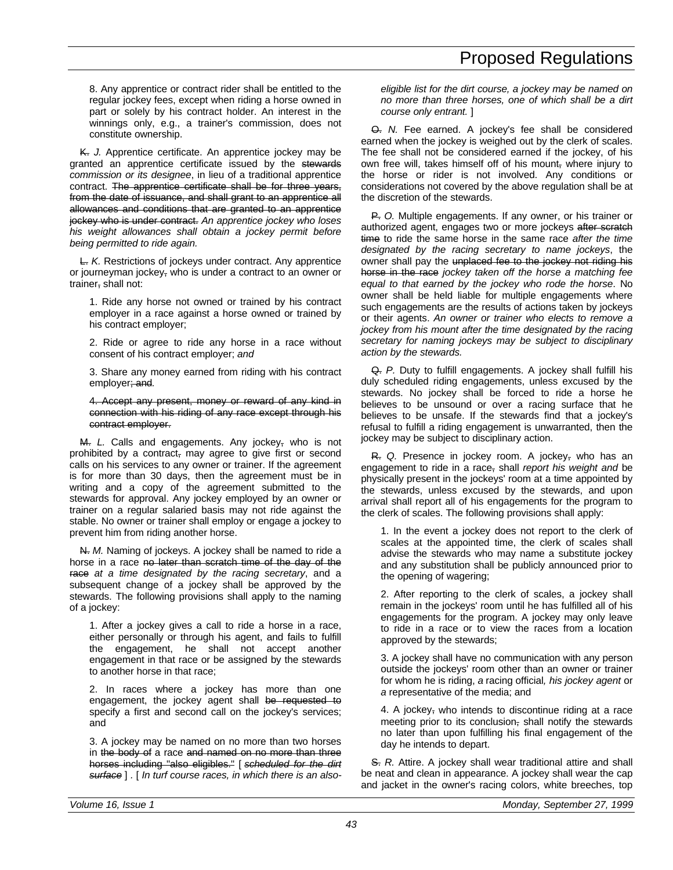8. Any apprentice or contract rider shall be entitled to the regular jockey fees, except when riding a horse owned in part or solely by his contract holder. An interest in the winnings only, e.g., a trainer's commission, does not constitute ownership.

K. *J.* Apprentice certificate. An apprentice jockey may be granted an apprentice certificate issued by the stewards *commission or its designee*, in lieu of a traditional apprentice contract. The apprentice certificate shall be for three years, from the date of issuance, and shall grant to an apprentice all allowances and conditions that are granted to an apprentice jockey who is under contract. *An apprentice jockey who loses his weight allowances shall obtain a jockey permit before being permitted to ride again.*

L. *K.* Restrictions of jockeys under contract. Any apprentice or journeyman jockey, who is under a contract to an owner or trainer, shall not:

1. Ride any horse not owned or trained by his contract employer in a race against a horse owned or trained by his contract employer;

2. Ride or agree to ride any horse in a race without consent of his contract employer; *and*

3. Share any money earned from riding with his contract employer; and*.*

4. Accept any present, money or reward of any kind in connection with his riding of any race except through his contract employer.

M. *L.* Calls and engagements. Any jockey, who is not prohibited by a contract, may agree to give first or second calls on his services to any owner or trainer. If the agreement is for more than 30 days, then the agreement must be in writing and a copy of the agreement submitted to the stewards for approval. Any jockey employed by an owner or trainer on a regular salaried basis may not ride against the stable. No owner or trainer shall employ or engage a jockey to prevent him from riding another horse.

N. *M.* Naming of jockeys. A jockey shall be named to ride a horse in a race no later than scratch time of the day of the race *at a time designated by the racing secretary*, and a subsequent change of a jockey shall be approved by the stewards. The following provisions shall apply to the naming of a jockey:

1. After a jockey gives a call to ride a horse in a race, either personally or through his agent, and fails to fulfill the engagement, he shall not accept another engagement in that race or be assigned by the stewards to another horse in that race;

2. In races where a jockey has more than one engagement, the jockey agent shall be requested to specify a first and second call on the jockey's services; and

3. A jockey may be named on no more than two horses in the body of a race and named on no more than three horses including "also eligibles." [ *scheduled for the dirt surface* ] *.* [ *In turf course races, in which there is an also-* *eligible list for the dirt course, a jockey may be named on no more than three horses, one of which shall be a dirt course only entrant.* ]

O. *N.* Fee earned. A jockey's fee shall be considered earned when the jockey is weighed out by the clerk of scales. The fee shall not be considered earned if the jockey, of his own free will, takes himself off of his mount, where injury to the horse or rider is not involved. Any conditions or considerations not covered by the above regulation shall be at the discretion of the stewards.

P. *O.* Multiple engagements. If any owner, or his trainer or authorized agent, engages two or more jockeys after scratch time to ride the same horse in the same race *after the time designated by the racing secretary to name jockeys*, the owner shall pay the unplaced fee to the jockey not riding his horse in the race *jockey taken off the horse a matching fee equal to that earned by the jockey who rode the horse*. No owner shall be held liable for multiple engagements where such engagements are the results of actions taken by jockeys or their agents. *An owner or trainer who elects to remove a jockey from his mount after the time designated by the racing secretary for naming jockeys may be subject to disciplinary action by the stewards.*

Q. *P.* Duty to fulfill engagements. A jockey shall fulfill his duly scheduled riding engagements, unless excused by the stewards. No jockey shall be forced to ride a horse he believes to be unsound or over a racing surface that he believes to be unsafe. If the stewards find that a jockey's refusal to fulfill a riding engagement is unwarranted, then the jockey may be subject to disciplinary action.

R. *Q.* Presence in jockey room. A jockey, who has an engagement to ride in a race, shall *report his weight and* be physically present in the jockeys' room at a time appointed by the stewards, unless excused by the stewards, and upon arrival shall report all of his engagements for the program to the clerk of scales. The following provisions shall apply:

1. In the event a jockey does not report to the clerk of scales at the appointed time, the clerk of scales shall advise the stewards who may name a substitute jockey and any substitution shall be publicly announced prior to the opening of wagering;

2. After reporting to the clerk of scales, a jockey shall remain in the jockeys' room until he has fulfilled all of his engagements for the program. A jockey may only leave to ride in a race or to view the races from a location approved by the stewards;

3. A jockey shall have no communication with any person outside the jockeys' room other than an owner or trainer for whom he is riding, *a* racing official*, his jockey agent* or *a* representative of the media; and

4. A jockey, who intends to discontinue riding at a race meeting prior to its conclusion, shall notify the stewards no later than upon fulfilling his final engagement of the day he intends to depart.

S. *R.* Attire. A jockey shall wear traditional attire and shall be neat and clean in appearance. A jockey shall wear the cap and jacket in the owner's racing colors, white breeches, top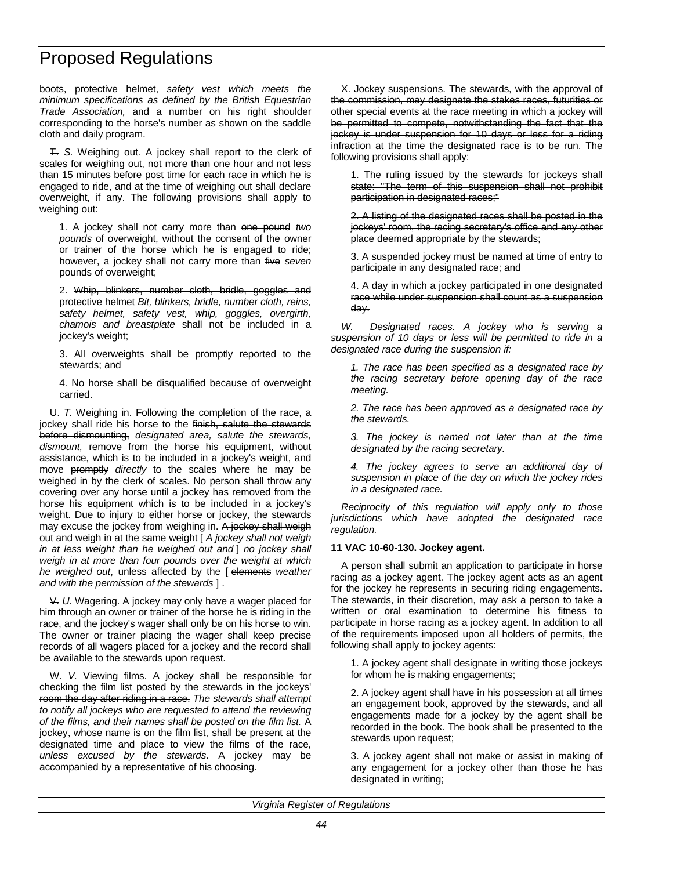boots, protective helmet, *safety vest which meets the minimum specifications as defined by the British Equestrian Trade Association,* and a number on his right shoulder corresponding to the horse's number as shown on the saddle cloth and daily program.

T. *S.* Weighing out. A jockey shall report to the clerk of scales for weighing out, not more than one hour and not less than 15 minutes before post time for each race in which he is engaged to ride, and at the time of weighing out shall declare overweight, if any. The following provisions shall apply to weighing out:

1. A jockey shall not carry more than one pound *two pounds* of overweight, without the consent of the owner or trainer of the horse which he is engaged to ride; however, a jockey shall not carry more than five *seven* pounds of overweight;

2. Whip, blinkers, number cloth, bridle, goggles and protective helmet *Bit, blinkers, bridle, number cloth, reins, safety helmet, safety vest, whip, goggles, overgirth, chamois and breastplate* shall not be included in a jockey's weight;

3. All overweights shall be promptly reported to the stewards; and

4. No horse shall be disqualified because of overweight carried.

U. *T.* Weighing in. Following the completion of the race, a jockey shall ride his horse to the finish, salute the stewards before dismounting, *designated area, salute the stewards, dismount,* remove from the horse his equipment, without assistance, which is to be included in a jockey's weight, and move promptly *directly* to the scales where he may be weighed in by the clerk of scales. No person shall throw any covering over any horse until a jockey has removed from the horse his equipment which is to be included in a jockey's weight. Due to injury to either horse or jockey, the stewards may excuse the jockey from weighing in. A jockey shall weigh out and weigh in at the same weight [ *A jockey shall not weigh in at less weight than he weighed out and* ] *no jockey shall weigh in at more than four pounds over the weight at which he weighed out*, unless affected by the [ elements *weather and with the permission of the stewards* ] .

V. *U.* Wagering. A jockey may only have a wager placed for him through an owner or trainer of the horse he is riding in the race, and the jockey's wager shall only be on his horse to win. The owner or trainer placing the wager shall keep precise records of all wagers placed for a jockey and the record shall be available to the stewards upon request.

W. *V.* Viewing films. A jockey shall be responsible for checking the film list posted by the stewards in the jockeys' room the day after riding in a race. *The stewards shall attempt to notify all jockeys who are requested to attend the reviewing of the films, and their names shall be posted on the film list.* A jockey, whose name is on the film list, shall be present at the designated time and place to view the films of the race*, unless excused by the stewards*. A jockey may be accompanied by a representative of his choosing.

X. Jockey suspensions. The stewards, with the approval of the commission, may designate the stakes races, futurities or other special events at the race meeting in which a jockey will be permitted to compete, notwithstanding the fact that the jockey is under suspension for 10 days or less for a riding infraction at the time the designated race is to be run. The following provisions shall apply:

1. The ruling issued by the stewards for jockeys shall state: "The term of this suspension shall not prohibit participation in designated races;"

2. A listing of the designated races shall be posted in the jockeys' room, the racing secretary's office and any other place deemed appropriate by the stewards;

3. A suspended jockey must be named at time of entry to participate in any designated race; and

4. A day in which a jockey participated in one designated race while under suspension shall count as a suspension day.

*W. Designated races. A jockey who is serving a suspension of 10 days or less will be permitted to ride in a designated race during the suspension if:*

*1. The race has been specified as a designated race by the racing secretary before opening day of the race meeting.*

*2. The race has been approved as a designated race by the stewards.*

*3. The jockey is named not later than at the time designated by the racing secretary.*

*4. The jockey agrees to serve an additional day of suspension in place of the day on which the jockey rides in a designated race.*

*Reciprocity of this regulation will apply only to those jurisdictions which have adopted the designated race regulation.*

#### **11 VAC 10-60-130. Jockey agent.**

A person shall submit an application to participate in horse racing as a jockey agent. The jockey agent acts as an agent for the jockey he represents in securing riding engagements. The stewards, in their discretion, may ask a person to take a written or oral examination to determine his fitness to participate in horse racing as a jockey agent. In addition to all of the requirements imposed upon all holders of permits, the following shall apply to jockey agents:

1. A jockey agent shall designate in writing those jockeys for whom he is making engagements;

2. A jockey agent shall have in his possession at all times an engagement book, approved by the stewards, and all engagements made for a jockey by the agent shall be recorded in the book. The book shall be presented to the stewards upon request;

3. A jockey agent shall not make or assist in making of any engagement for a jockey other than those he has designated in writing;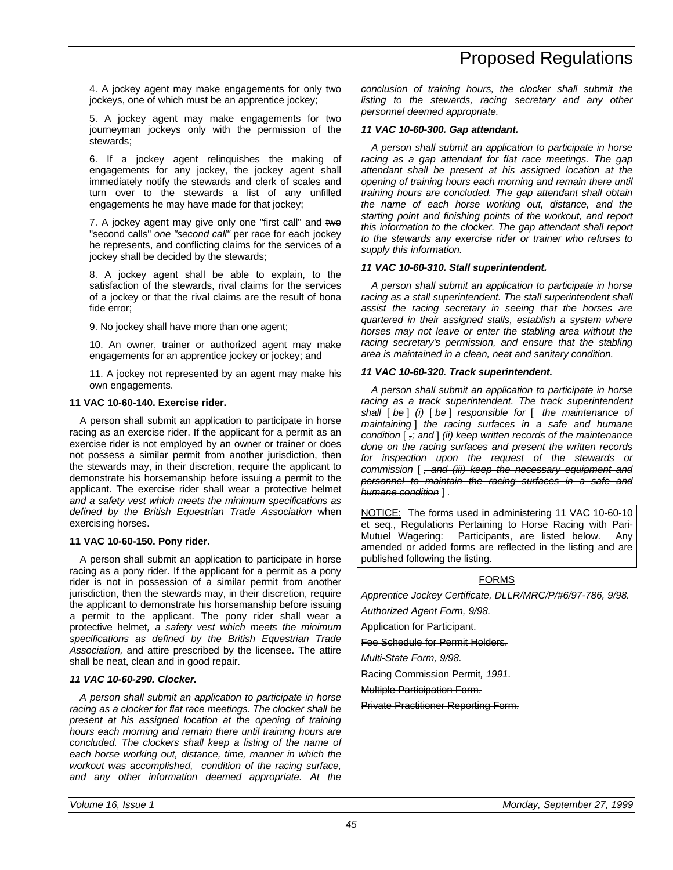4. A jockey agent may make engagements for only two jockeys, one of which must be an apprentice jockey;

5. A jockey agent may make engagements for two journeyman jockeys only with the permission of the stewards;

6. If a jockey agent relinquishes the making of engagements for any jockey, the jockey agent shall immediately notify the stewards and clerk of scales and turn over to the stewards a list of any unfilled engagements he may have made for that jockey;

7. A jockey agent may give only one "first call" and two "second calls" *one "second call"* per race for each jockey he represents, and conflicting claims for the services of a jockey shall be decided by the stewards;

8. A jockey agent shall be able to explain, to the satisfaction of the stewards, rival claims for the services of a jockey or that the rival claims are the result of bona fide error;

9. No jockey shall have more than one agent;

10. An owner, trainer or authorized agent may make engagements for an apprentice jockey or jockey; and

11. A jockey not represented by an agent may make his own engagements.

### **11 VAC 10-60-140. Exercise rider.**

A person shall submit an application to participate in horse racing as an exercise rider. If the applicant for a permit as an exercise rider is not employed by an owner or trainer or does not possess a similar permit from another jurisdiction, then the stewards may, in their discretion, require the applicant to demonstrate his horsemanship before issuing a permit to the applicant. The exercise rider shall wear a protective helmet *and a safety vest which meets the minimum specifications as defined by the British Equestrian Trade Association* when exercising horses.

### **11 VAC 10-60-150. Pony rider.**

A person shall submit an application to participate in horse racing as a pony rider. If the applicant for a permit as a pony rider is not in possession of a similar permit from another jurisdiction, then the stewards may, in their discretion, require the applicant to demonstrate his horsemanship before issuing a permit to the applicant. The pony rider shall wear a protective helmet*, a safety vest which meets the minimum specifications as defined by the British Equestrian Trade Association,* and attire prescribed by the licensee. The attire shall be neat, clean and in good repair.

### *11 VAC 10-60-290. Clocker.*

*A person shall submit an application to participate in horse racing as a clocker for flat race meetings. The clocker shall be present at his assigned location at the opening of training hours each morning and remain there until training hours are concluded. The clockers shall keep a listing of the name of each horse working out, distance, time, manner in which the workout was accomplished, condition of the racing surface, and any other information deemed appropriate. At the*

*conclusion of training hours, the clocker shall submit the listing to the stewards, racing secretary and any other personnel deemed appropriate.*

### *11 VAC 10-60-300. Gap attendant.*

*A person shall submit an application to participate in horse racing as a gap attendant for flat race meetings. The gap attendant shall be present at his assigned location at the opening of training hours each morning and remain there until training hours are concluded. The gap attendant shall obtain the name of each horse working out, distance, and the starting point and finishing points of the workout, and report this information to the clocker. The gap attendant shall report to the stewards any exercise rider or trainer who refuses to supply this information.*

### *11 VAC 10-60-310. Stall superintendent.*

*A person shall submit an application to participate in horse racing as a stall superintendent. The stall superintendent shall assist the racing secretary in seeing that the horses are quartered in their assigned stalls, establish a system where horses may not leave or enter the stabling area without the racing secretary's permission, and ensure that the stabling area is maintained in a clean, neat and sanitary condition.*

### *11 VAC 10-60-320. Track superintendent.*

*A person shall submit an application to participate in horse racing as a track superintendent. The track superintendent shall* [ *be* ] *(i)* [ *be* ] *responsible for* [ *the maintenance of maintaining* ] *the racing surfaces in a safe and humane condition* [ *,; and* ] *(ii) keep written records of the maintenance done on the racing surfaces and present the written records for inspection upon the request of the stewards or commission* [ *, and (iii) keep the necessary equipment and personnel to maintain the racing surfaces in a safe and humane condition* ] *.*

NOTICE: The forms used in administering 11 VAC 10-60-10 et seq., Regulations Pertaining to Horse Racing with Pari-Mutuel Wagering: Participants, are listed below. Any amended or added forms are reflected in the listing and are published following the listing.

### FORMS

*Apprentice Jockey Certificate, DLLR/MRC/P/#6/97-786, 9/98.*

*Authorized Agent Form, 9/98.* Application for Participant.

Fee Schedule for Permit Holders.

*Multi-State Form, 9/98.*

Racing Commission Permit*, 1991*.

Multiple Participation Form.

Private Practitioner Reporting Form.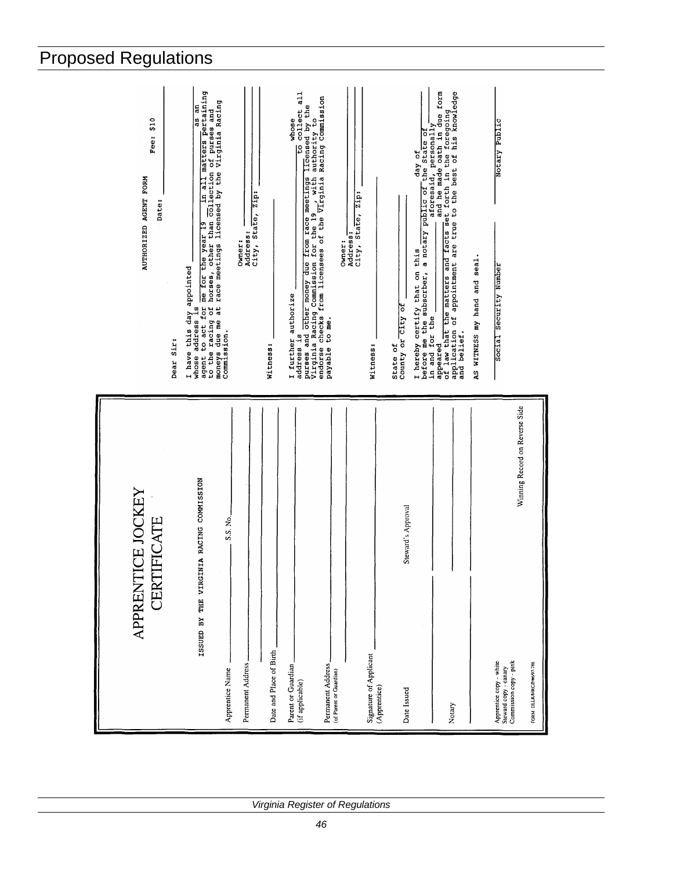| \$10<br>Fee:<br>AUTHORIZED AGENT FORM<br>Date:<br>Dear Sir: | in all matters pertaining<br>whose address is which the year 19 in all matters pertaining to act for me for the year 19 in all matters pertaining to the racing of horses, other than collection of purses and moneys due me at race meetings licensed by t<br>Address: <u>City</u> , State, Zip:<br>Owner:<br>I have this day appointed<br>Commission. | to collect all<br>address is other money due from race meetings licensed by the purses and other money due from race meetings licensed by the Virginia Racing Commission for the 19 , with authority to payable to me. It is interested by the p<br>whose<br>I further authorize<br>Witness: | the State of<br>day of<br>a notary public of<br>Address:<br>City, State, Zip:<br>Owner:<br>this<br>I hereby certify that on<br>before me the subscrber,<br>in and for the<br>County or City of<br>Witness:<br>State of | in and for the <u>contribution of</u> a foresaid, personally conditioned application of application of appointment are true to the best of his knowledge application of appointment are true to the best of his knowledge<br>AS WITNESS my hand and seal<br>and belief. | Notary Public<br>Social Security Number                                                                                                    |
|-------------------------------------------------------------|---------------------------------------------------------------------------------------------------------------------------------------------------------------------------------------------------------------------------------------------------------------------------------------------------------------------------------------------------------|----------------------------------------------------------------------------------------------------------------------------------------------------------------------------------------------------------------------------------------------------------------------------------------------|------------------------------------------------------------------------------------------------------------------------------------------------------------------------------------------------------------------------|-------------------------------------------------------------------------------------------------------------------------------------------------------------------------------------------------------------------------------------------------------------------------|--------------------------------------------------------------------------------------------------------------------------------------------|
| APPRENTICE JOCKEY<br><b>CERTIFICATE</b>                     | ISSUED BY THE VIRGINIA RACING COMMISSION<br>S.S. No.<br>Permanent Address<br>Apprentice Name                                                                                                                                                                                                                                                            | Date and Place of Birth<br>Permanent Address<br>Parent or Guardian<br>(of Parent or Guardian)<br>(if applicable)                                                                                                                                                                             | Steward's Approval<br>Signature of Applicant<br>(Apprentice)<br>Date Issued                                                                                                                                            | Notary                                                                                                                                                                                                                                                                  | Winning Record on Reverse Side<br>Commission copy - pink<br>Apprentice copy - white<br>Steward copy - canary<br>FORM: DLLR/MRC/P/#6/97-786 |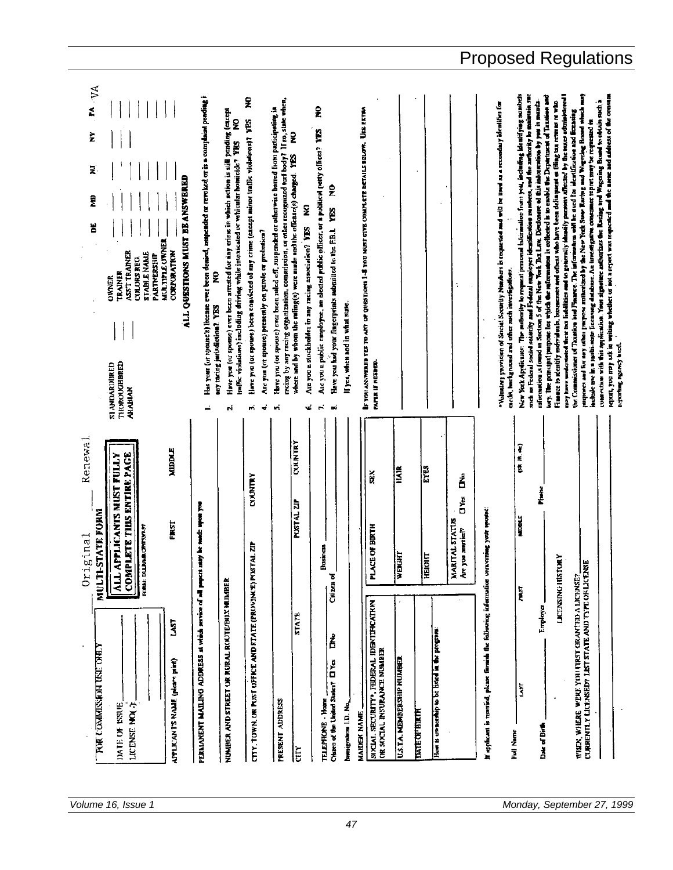| FA VA<br>ž<br>Z<br>ALL QUESTIONS MUST BE ANSWERED<br>ĝ<br>ă<br><b>MULTIPLE UNNER</b><br><b>CORPORATION</b><br>ASS'T TRAINER<br><b>STADILE NAME</b><br>PARTNERSHIP<br>CULORS REG.<br><b>TRAINER</b><br><b>OWNER</b><br>THOROUGHBRED<br><b>STANDARDURED</b><br><b>ARABIAN</b>                                                          | Has your (or sponse's) lieenase ever been denied, sospended or revolted or is a complaint pending i<br>Have you (at sponse) ever been arrested for any crines in which action is still prading (carept<br>£<br>traffic violations) including driving while intoxicated or vehicular homicide? YES<br>ş<br>any maring jurisdiction? VES<br>N | Z<br>racing by any recing organization, commission, or other recognized turf body? If so, state when,<br>Have you (or spouse) ever been raled off, suspended or otherwise barred from participating in<br>Here you (or sponse) been considered of any crime (except minor traffic violations)? IES<br>ş<br>where and by whem the ruling(s) were made and the offense(s) charged. YES<br>Are you (at spouse) presently on parole or probation?<br>4<br>۰ń<br>m | £<br>Are you a public employee, an elected public officer, or a poblical party officer? YES<br>$\tilde{\mathbf{z}}$<br>Are you a stockholder in any racing association? YES NO<br>Have you had your fungerprints automitted to the F.B.I. YES<br>If yes, when and in what state.<br>÷.<br>nó.<br>v. | EF TOU ANSWERED TO ART OF QUESTIONS 1-8 TWO MUST GIVE COMPLETE BETAILS BELOW. USE EXTRA<br>PAPER IF NEEDED.                                                                                  |                                                                                                                                                                     | such as Federal social sectority and Federal employer identification munders, and the authority to maintain suc-<br>New York Applicator. The multimity to request personal information from you, including identifying numbers<br>pay have understated their tax liabilities and to generally identity presons affected by the source administed<br>Lay. The paticipal jumpose for which the mitormation is collected is to easible the Department of Taxation and<br>Finance to rdentify morriduals, busunesses and others who have been delinquent at filing tax returns or who<br>infermation is found in Sections 5 of the New York Dix Law. Direducate of this information by you is manda-<br>while the provision of Social Security Numbers is requested and will be used as a recondary identifies for<br>caciói, hackground and other such investigations. | purposes and for any other purpose numerative the New York State Racing and Wagering Broad which man<br>report, you may set in writing whether or not a report was requested and the name and address of the consum<br>come with this application. Your signature audiocratic Recing and Wagering Bondd to obtain such a<br>the Commissioner of Taxaton and Finance. The information will be used for identification and licensing<br>include use in a mode ficcususg database. An investigative consumer report may be requested in<br>reporting agency touch. |
|--------------------------------------------------------------------------------------------------------------------------------------------------------------------------------------------------------------------------------------------------------------------------------------------------------------------------------------|---------------------------------------------------------------------------------------------------------------------------------------------------------------------------------------------------------------------------------------------------------------------------------------------------------------------------------------------|---------------------------------------------------------------------------------------------------------------------------------------------------------------------------------------------------------------------------------------------------------------------------------------------------------------------------------------------------------------------------------------------------------------------------------------------------------------|-----------------------------------------------------------------------------------------------------------------------------------------------------------------------------------------------------------------------------------------------------------------------------------------------------|----------------------------------------------------------------------------------------------------------------------------------------------------------------------------------------------|---------------------------------------------------------------------------------------------------------------------------------------------------------------------|---------------------------------------------------------------------------------------------------------------------------------------------------------------------------------------------------------------------------------------------------------------------------------------------------------------------------------------------------------------------------------------------------------------------------------------------------------------------------------------------------------------------------------------------------------------------------------------------------------------------------------------------------------------------------------------------------------------------------------------------------------------------------------------------------------------------------------------------------------------------|-----------------------------------------------------------------------------------------------------------------------------------------------------------------------------------------------------------------------------------------------------------------------------------------------------------------------------------------------------------------------------------------------------------------------------------------------------------------------------------------------------------------------------------------------------------------|
| Renewal<br><b>MIDDLE</b><br><b>COMPLETE THIS ENTIRE PAGE</b><br>APPLICANTS MUST FULLY<br>STATE FORM<br>FIRST<br><b>LIVING CHITCHIAN</b><br>ginal<br>iri<br>Ori<br>MULTI-<br><b>FURNI DU</b><br>$\overline{\mathbf{A}}$<br>LAST<br><b>TOR COMMISSION USE ONLY</b><br>APPLICANTS NAME (pleare paint)<br>LICENSE NO(7)<br>DATE OF ISSUE | may be much upon you<br>PERMANENT MAILING ADDRESS at which service of all pupers<br>NUMBER AND STREET OR RORAL ROUTE/BOX NUMBER                                                                                                                                                                                                             | COUNTRY<br>CYMNTRY<br><b>PUSTAL ZIP</b><br>CITY, TOWN, OR POST OFFICE AND STATE (PROVINCE) POSTAL ZIP<br><b>STATE</b><br>PRESENT ADDRESS<br>È                                                                                                                                                                                                                                                                                                                 | <b>Prostricts</b><br>Citizen of<br>å<br>Channel of the United States? [ ] Yes<br><b>TELEPHONE - Home</b><br>humigration LD. No.                                                                                                                                                                     | <b>HAIR</b><br>š<br><b>ACE OF BIRTH</b><br>WEIGHT<br>5<br>SIVELAI. SECURITY <sup>*</sup> , FEDERAL IDENTIFICATION<br>OR SOCIAL INSURANCE NUMBER<br>U.S.T.A. MEMBERSHIP NUMBER<br>MAIDEN NAME | EYES<br>á<br>č<br>D<br>MARITAL STATISS<br>Are you murries?<br>you murrien?<br>ion<br>E<br>但<br>How is ownership to be listed in the program<br><b>DATE OF BIRTH</b> | CH M. C.<br>riute<br>L<br>mercial your spouse<br><b>MOOLE</b><br>LJCENSING HISTORY<br>If applicant is matricel, please furnish the following infermation on<br><b>FIRST</b><br>Employer<br><b>LAST</b><br>Date of Birth<br>Fall Name                                                                                                                                                                                                                                                                                                                                                                                                                                                                                                                                                                                                                                | WHEN, WHERE WERE YOU FIRST GRAVIED A LICENSE?<br>CLARRENTLY LICENSED? LIST STATE AND TYPE OF LICENSE                                                                                                                                                                                                                                                                                                                                                                                                                                                            |

*Volume 16, Issue 1 Monday, September 27, 1999*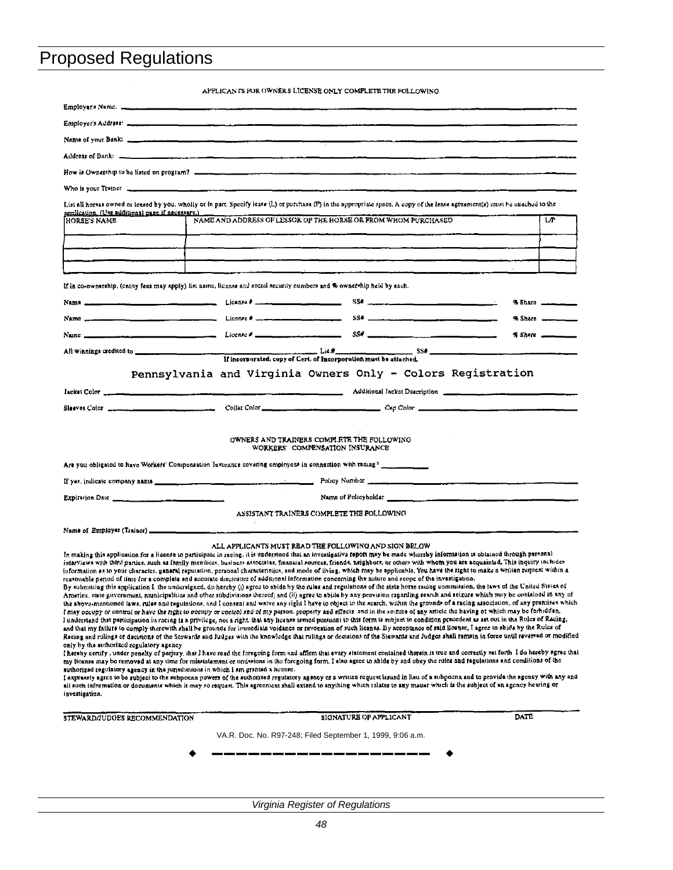| .<br>Employer's Address: <u>www.common.common.common.common.common.common.common.com</u>                                                                                                                                                                                                  |                                                                                                                                                                                                                                                                                                                                                                                                                                                                                                                                                                                                                                                                                                                                                                                                                                                                                                                                                                                                                                                                                                                                                                                                                                                                                                                                                                                                                                                                                                                                                                                                                                                                                                                                                                                                                                                                                                                                                                                                                                                                                                                                                                                                                                                                                                                                                                                                                                                                                                                                                                                                                                                                                                                                                                                                                                                  |                |
|-------------------------------------------------------------------------------------------------------------------------------------------------------------------------------------------------------------------------------------------------------------------------------------------|--------------------------------------------------------------------------------------------------------------------------------------------------------------------------------------------------------------------------------------------------------------------------------------------------------------------------------------------------------------------------------------------------------------------------------------------------------------------------------------------------------------------------------------------------------------------------------------------------------------------------------------------------------------------------------------------------------------------------------------------------------------------------------------------------------------------------------------------------------------------------------------------------------------------------------------------------------------------------------------------------------------------------------------------------------------------------------------------------------------------------------------------------------------------------------------------------------------------------------------------------------------------------------------------------------------------------------------------------------------------------------------------------------------------------------------------------------------------------------------------------------------------------------------------------------------------------------------------------------------------------------------------------------------------------------------------------------------------------------------------------------------------------------------------------------------------------------------------------------------------------------------------------------------------------------------------------------------------------------------------------------------------------------------------------------------------------------------------------------------------------------------------------------------------------------------------------------------------------------------------------------------------------------------------------------------------------------------------------------------------------------------------------------------------------------------------------------------------------------------------------------------------------------------------------------------------------------------------------------------------------------------------------------------------------------------------------------------------------------------------------------------------------------------------------------------------------------------------------|----------------|
|                                                                                                                                                                                                                                                                                           |                                                                                                                                                                                                                                                                                                                                                                                                                                                                                                                                                                                                                                                                                                                                                                                                                                                                                                                                                                                                                                                                                                                                                                                                                                                                                                                                                                                                                                                                                                                                                                                                                                                                                                                                                                                                                                                                                                                                                                                                                                                                                                                                                                                                                                                                                                                                                                                                                                                                                                                                                                                                                                                                                                                                                                                                                                                  |                |
|                                                                                                                                                                                                                                                                                           |                                                                                                                                                                                                                                                                                                                                                                                                                                                                                                                                                                                                                                                                                                                                                                                                                                                                                                                                                                                                                                                                                                                                                                                                                                                                                                                                                                                                                                                                                                                                                                                                                                                                                                                                                                                                                                                                                                                                                                                                                                                                                                                                                                                                                                                                                                                                                                                                                                                                                                                                                                                                                                                                                                                                                                                                                                                  |                |
|                                                                                                                                                                                                                                                                                           |                                                                                                                                                                                                                                                                                                                                                                                                                                                                                                                                                                                                                                                                                                                                                                                                                                                                                                                                                                                                                                                                                                                                                                                                                                                                                                                                                                                                                                                                                                                                                                                                                                                                                                                                                                                                                                                                                                                                                                                                                                                                                                                                                                                                                                                                                                                                                                                                                                                                                                                                                                                                                                                                                                                                                                                                                                                  |                |
| Who is your Trainer <b>the company of the contract of the contract of the contract of the contract of the contract of the contract of the contract of the contract of the contract of the contract of the contract of the contra</b>                                                      |                                                                                                                                                                                                                                                                                                                                                                                                                                                                                                                                                                                                                                                                                                                                                                                                                                                                                                                                                                                                                                                                                                                                                                                                                                                                                                                                                                                                                                                                                                                                                                                                                                                                                                                                                                                                                                                                                                                                                                                                                                                                                                                                                                                                                                                                                                                                                                                                                                                                                                                                                                                                                                                                                                                                                                                                                                                  |                |
| application. (Use additional page if necessary.)<br><b>HORSE'S NAME</b>                                                                                                                                                                                                                   | List all horses owned or leased by you, wholly or in part. Specify lease (L) or purchase (P) in the appropriate space. A copy of the lease agreement(s) must be auached to the<br>NAME AND ADDRESS OF LESSOR OF THE HORSE OR FROM WHOM PURCHASED                                                                                                                                                                                                                                                                                                                                                                                                                                                                                                                                                                                                                                                                                                                                                                                                                                                                                                                                                                                                                                                                                                                                                                                                                                                                                                                                                                                                                                                                                                                                                                                                                                                                                                                                                                                                                                                                                                                                                                                                                                                                                                                                                                                                                                                                                                                                                                                                                                                                                                                                                                                                 | LP.            |
|                                                                                                                                                                                                                                                                                           |                                                                                                                                                                                                                                                                                                                                                                                                                                                                                                                                                                                                                                                                                                                                                                                                                                                                                                                                                                                                                                                                                                                                                                                                                                                                                                                                                                                                                                                                                                                                                                                                                                                                                                                                                                                                                                                                                                                                                                                                                                                                                                                                                                                                                                                                                                                                                                                                                                                                                                                                                                                                                                                                                                                                                                                                                                                  |                |
|                                                                                                                                                                                                                                                                                           |                                                                                                                                                                                                                                                                                                                                                                                                                                                                                                                                                                                                                                                                                                                                                                                                                                                                                                                                                                                                                                                                                                                                                                                                                                                                                                                                                                                                                                                                                                                                                                                                                                                                                                                                                                                                                                                                                                                                                                                                                                                                                                                                                                                                                                                                                                                                                                                                                                                                                                                                                                                                                                                                                                                                                                                                                                                  |                |
|                                                                                                                                                                                                                                                                                           |                                                                                                                                                                                                                                                                                                                                                                                                                                                                                                                                                                                                                                                                                                                                                                                                                                                                                                                                                                                                                                                                                                                                                                                                                                                                                                                                                                                                                                                                                                                                                                                                                                                                                                                                                                                                                                                                                                                                                                                                                                                                                                                                                                                                                                                                                                                                                                                                                                                                                                                                                                                                                                                                                                                                                                                                                                                  |                |
| If in co-ownership, (entity fees may apply) list name, license and social security numbers and % ownership held by each.                                                                                                                                                                  |                                                                                                                                                                                                                                                                                                                                                                                                                                                                                                                                                                                                                                                                                                                                                                                                                                                                                                                                                                                                                                                                                                                                                                                                                                                                                                                                                                                                                                                                                                                                                                                                                                                                                                                                                                                                                                                                                                                                                                                                                                                                                                                                                                                                                                                                                                                                                                                                                                                                                                                                                                                                                                                                                                                                                                                                                                                  |                |
|                                                                                                                                                                                                                                                                                           |                                                                                                                                                                                                                                                                                                                                                                                                                                                                                                                                                                                                                                                                                                                                                                                                                                                                                                                                                                                                                                                                                                                                                                                                                                                                                                                                                                                                                                                                                                                                                                                                                                                                                                                                                                                                                                                                                                                                                                                                                                                                                                                                                                                                                                                                                                                                                                                                                                                                                                                                                                                                                                                                                                                                                                                                                                                  |                |
|                                                                                                                                                                                                                                                                                           |                                                                                                                                                                                                                                                                                                                                                                                                                                                                                                                                                                                                                                                                                                                                                                                                                                                                                                                                                                                                                                                                                                                                                                                                                                                                                                                                                                                                                                                                                                                                                                                                                                                                                                                                                                                                                                                                                                                                                                                                                                                                                                                                                                                                                                                                                                                                                                                                                                                                                                                                                                                                                                                                                                                                                                                                                                                  | % Share ______ |
|                                                                                                                                                                                                                                                                                           | Name $SSE$ and $E_{S}$ and $E_{S}$ and $E_{S}$ and $E_{S}$ and $SSE$ and $SSE$ and $SSE$ and $SSE$ and $SSE$ and $SSE$ and $SSE$ and $SSE$ and $SSE$ and $SSE$ and $SSE$ and $SSE$ and $SSE$ and $SSE$ and $SSE$ and $SSE$ and $SSE$ and $SSE$ and                                                                                                                                                                                                                                                                                                                                                                                                                                                                                                                                                                                                                                                                                                                                                                                                                                                                                                                                                                                                                                                                                                                                                                                                                                                                                                                                                                                                                                                                                                                                                                                                                                                                                                                                                                                                                                                                                                                                                                                                                                                                                                                                                                                                                                                                                                                                                                                                                                                                                                                                                                                               | % Share ______ |
|                                                                                                                                                                                                                                                                                           |                                                                                                                                                                                                                                                                                                                                                                                                                                                                                                                                                                                                                                                                                                                                                                                                                                                                                                                                                                                                                                                                                                                                                                                                                                                                                                                                                                                                                                                                                                                                                                                                                                                                                                                                                                                                                                                                                                                                                                                                                                                                                                                                                                                                                                                                                                                                                                                                                                                                                                                                                                                                                                                                                                                                                                                                                                                  |                |
|                                                                                                                                                                                                                                                                                           |                                                                                                                                                                                                                                                                                                                                                                                                                                                                                                                                                                                                                                                                                                                                                                                                                                                                                                                                                                                                                                                                                                                                                                                                                                                                                                                                                                                                                                                                                                                                                                                                                                                                                                                                                                                                                                                                                                                                                                                                                                                                                                                                                                                                                                                                                                                                                                                                                                                                                                                                                                                                                                                                                                                                                                                                                                                  |                |
|                                                                                                                                                                                                                                                                                           | Pennsylvania and Virginia Owners Only - Colors Registration                                                                                                                                                                                                                                                                                                                                                                                                                                                                                                                                                                                                                                                                                                                                                                                                                                                                                                                                                                                                                                                                                                                                                                                                                                                                                                                                                                                                                                                                                                                                                                                                                                                                                                                                                                                                                                                                                                                                                                                                                                                                                                                                                                                                                                                                                                                                                                                                                                                                                                                                                                                                                                                                                                                                                                                      |                |
|                                                                                                                                                                                                                                                                                           |                                                                                                                                                                                                                                                                                                                                                                                                                                                                                                                                                                                                                                                                                                                                                                                                                                                                                                                                                                                                                                                                                                                                                                                                                                                                                                                                                                                                                                                                                                                                                                                                                                                                                                                                                                                                                                                                                                                                                                                                                                                                                                                                                                                                                                                                                                                                                                                                                                                                                                                                                                                                                                                                                                                                                                                                                                                  |                |
|                                                                                                                                                                                                                                                                                           |                                                                                                                                                                                                                                                                                                                                                                                                                                                                                                                                                                                                                                                                                                                                                                                                                                                                                                                                                                                                                                                                                                                                                                                                                                                                                                                                                                                                                                                                                                                                                                                                                                                                                                                                                                                                                                                                                                                                                                                                                                                                                                                                                                                                                                                                                                                                                                                                                                                                                                                                                                                                                                                                                                                                                                                                                                                  |                |
|                                                                                                                                                                                                                                                                                           |                                                                                                                                                                                                                                                                                                                                                                                                                                                                                                                                                                                                                                                                                                                                                                                                                                                                                                                                                                                                                                                                                                                                                                                                                                                                                                                                                                                                                                                                                                                                                                                                                                                                                                                                                                                                                                                                                                                                                                                                                                                                                                                                                                                                                                                                                                                                                                                                                                                                                                                                                                                                                                                                                                                                                                                                                                                  |                |
| Expiration Date $\frac{1}{2}$ and $\frac{1}{2}$ and $\frac{1}{2}$ and $\frac{1}{2}$ and $\frac{1}{2}$ and $\frac{1}{2}$ and $\frac{1}{2}$ and $\frac{1}{2}$ and $\frac{1}{2}$ and $\frac{1}{2}$ and $\frac{1}{2}$ and $\frac{1}{2}$ and $\frac{1}{2}$ and $\frac{1}{2}$ and $\frac{1}{2}$ | Name of Policyholder <u>and the community of the contract of the contract of the contract of the contract of the contract of the contract of the contract of the contract of the contract of the contract of the contract of the</u>                                                                                                                                                                                                                                                                                                                                                                                                                                                                                                                                                                                                                                                                                                                                                                                                                                                                                                                                                                                                                                                                                                                                                                                                                                                                                                                                                                                                                                                                                                                                                                                                                                                                                                                                                                                                                                                                                                                                                                                                                                                                                                                                                                                                                                                                                                                                                                                                                                                                                                                                                                                                             |                |
|                                                                                                                                                                                                                                                                                           | ASSISTANT TRAINERS COMPLETE THE FOLLOWING                                                                                                                                                                                                                                                                                                                                                                                                                                                                                                                                                                                                                                                                                                                                                                                                                                                                                                                                                                                                                                                                                                                                                                                                                                                                                                                                                                                                                                                                                                                                                                                                                                                                                                                                                                                                                                                                                                                                                                                                                                                                                                                                                                                                                                                                                                                                                                                                                                                                                                                                                                                                                                                                                                                                                                                                        |                |
|                                                                                                                                                                                                                                                                                           |                                                                                                                                                                                                                                                                                                                                                                                                                                                                                                                                                                                                                                                                                                                                                                                                                                                                                                                                                                                                                                                                                                                                                                                                                                                                                                                                                                                                                                                                                                                                                                                                                                                                                                                                                                                                                                                                                                                                                                                                                                                                                                                                                                                                                                                                                                                                                                                                                                                                                                                                                                                                                                                                                                                                                                                                                                                  |                |
| only by the authorized regulatory agency.<br>authorized regulatory agency in the jurisdictions in which I am granted a lucase.<br>investigation.                                                                                                                                          | ALL APPLICANTS MUST READ THE FOLLOWING AND SIGN BELOW<br>In making this application for a license to participate in racing, it is understood that an investigative report may be made whereby information is obtained through personal<br>interviews with third parties, such as family members, business assoctates, financial sources, friends, neighbors, or others with whom you are acquainted. This inquiry includes<br>information as to your character, general reputation, personal characteristics, and mode of living, which may be applicable. You have the right to make a written request within a<br>reasonable period of time for a complete and accurate disclusive of additional information concerning the nature and scope of the investigation.<br>By submitting this application I, the undersigned, do hereby (i) agres to sbide by the rules and regulations of the state horse racing commission, the laws of the United States of<br>America, state government, municipalities and other subdivisions thereof; and (ii) agree to abide by any provision regarding search and seizure which may be contained in any of<br>the above-mentioned laws, rules and regulations, and I consent and wave any right I have to object to the scarch, within the grounds of a racing association, of any premises which<br>I may occupy or cantrol or have the right to occupy or control and of my parson, property and effects and in the seizure of any article the having of which may be forbidden.<br>I understand that participation in racing is a privilege, not a right, that any license issued pursuant to this form is subject to condition pracedent as set out in the Rules of Racing,<br>and that my failure to comply therewith shall be grounds for immediate voidance or revocation of such license. By acceptance of said license, I agree to abide by the Rules of<br>Racing and rulings or decisions of the Stowards and Judges with the knowledge that rulings or decisions of the Stewards and Judges shall remain in force until reversad or modified<br>I hereby certify , under penalty of parjury, that I have read the foregoing form and affirm that every statement contained therein is true and correctly sat forth I do hereby agree that<br>my licanse may be removed at any time for misstatement or omissions in the foregoing form, I also agree to abide by and obey the rules and regulations and conditions of the<br>I axpressly agree to be subject to the subpoena powers of the suthorized regulatory agency or a written request issued in lieu of a subpoena and to provide the agency with any and<br>ali such information or documents which it may so request. This agreement shall extend to anything which relates to any matter which is the subject of an agency hearing or |                |
| STEWARD/JUDGES RECOMMENDATION                                                                                                                                                                                                                                                             | SIGNATURE OF APPLICANT                                                                                                                                                                                                                                                                                                                                                                                                                                                                                                                                                                                                                                                                                                                                                                                                                                                                                                                                                                                                                                                                                                                                                                                                                                                                                                                                                                                                                                                                                                                                                                                                                                                                                                                                                                                                                                                                                                                                                                                                                                                                                                                                                                                                                                                                                                                                                                                                                                                                                                                                                                                                                                                                                                                                                                                                                           | DATE           |
|                                                                                                                                                                                                                                                                                           |                                                                                                                                                                                                                                                                                                                                                                                                                                                                                                                                                                                                                                                                                                                                                                                                                                                                                                                                                                                                                                                                                                                                                                                                                                                                                                                                                                                                                                                                                                                                                                                                                                                                                                                                                                                                                                                                                                                                                                                                                                                                                                                                                                                                                                                                                                                                                                                                                                                                                                                                                                                                                                                                                                                                                                                                                                                  |                |
|                                                                                                                                                                                                                                                                                           | VA.R. Doc. No. R97-248; Filed September 1, 1999, 9:06 a.m.                                                                                                                                                                                                                                                                                                                                                                                                                                                                                                                                                                                                                                                                                                                                                                                                                                                                                                                                                                                                                                                                                                                                                                                                                                                                                                                                                                                                                                                                                                                                                                                                                                                                                                                                                                                                                                                                                                                                                                                                                                                                                                                                                                                                                                                                                                                                                                                                                                                                                                                                                                                                                                                                                                                                                                                       |                |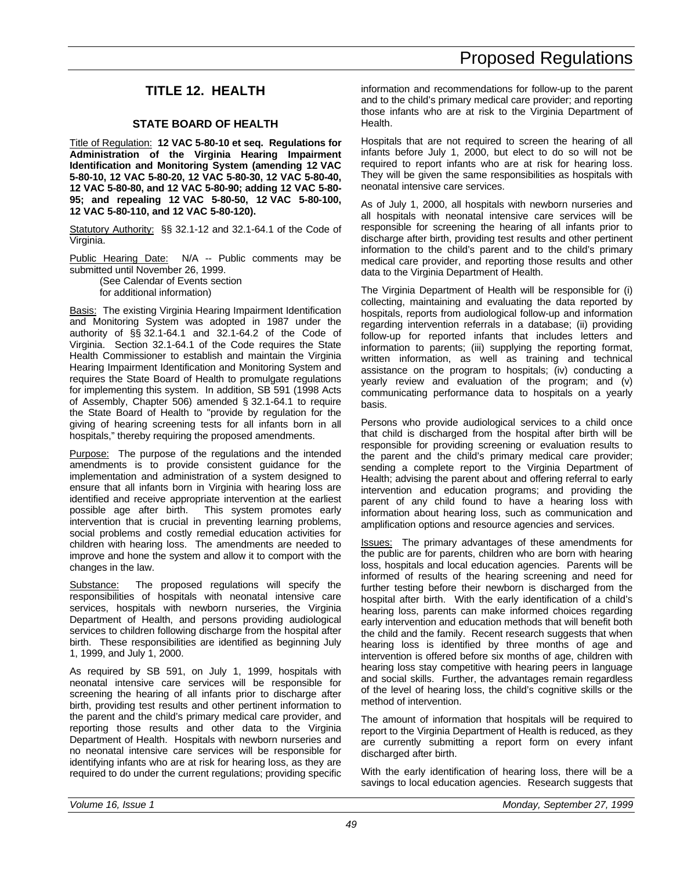### **TITLE 12. HEALTH**

### **STATE BOARD OF HEALTH**

Title of Regulation: **12 VAC 5-80-10 et seq. Regulations for Administration of the Virginia Hearing Impairment Identification and Monitoring System (amending 12 VAC 5-80-10, 12 VAC 5-80-20, 12 VAC 5-80-30, 12 VAC 5-80-40, 12 VAC 5-80-80, and 12 VAC 5-80-90; adding 12 VAC 5-80- 95; and repealing 12 VAC 5-80-50, 12 VAC 5-80-100, 12 VAC 5-80-110, and 12 VAC 5-80-120).**

Statutory Authority: §§ 32.1-12 and 32.1-64.1 of the Code of Virginia.

Public Hearing Date: N/A -- Public comments may be submitted until November 26, 1999.

(See Calendar of Events section for additional information)

Basis: The existing Virginia Hearing Impairment Identification and Monitoring System was adopted in 1987 under the authority of §§ 32.1-64.1 and 32.1-64.2 of the Code of Virginia. Section 32.1-64.1 of the Code requires the State Health Commissioner to establish and maintain the Virginia Hearing Impairment Identification and Monitoring System and requires the State Board of Health to promulgate regulations for implementing this system. In addition, SB 591 (1998 Acts of Assembly, Chapter 506) amended § 32.1-64.1 to require the State Board of Health to "provide by regulation for the giving of hearing screening tests for all infants born in all hospitals," thereby requiring the proposed amendments.

Purpose: The purpose of the regulations and the intended amendments is to provide consistent guidance for the implementation and administration of a system designed to ensure that all infants born in Virginia with hearing loss are identified and receive appropriate intervention at the earliest possible age after birth. This system promotes early intervention that is crucial in preventing learning problems, social problems and costly remedial education activities for children with hearing loss. The amendments are needed to improve and hone the system and allow it to comport with the changes in the law.

Substance: The proposed regulations will specify the responsibilities of hospitals with neonatal intensive care services, hospitals with newborn nurseries, the Virginia Department of Health, and persons providing audiological services to children following discharge from the hospital after birth. These responsibilities are identified as beginning July 1, 1999, and July 1, 2000.

As required by SB 591, on July 1, 1999, hospitals with neonatal intensive care services will be responsible for screening the hearing of all infants prior to discharge after birth, providing test results and other pertinent information to the parent and the child's primary medical care provider, and reporting those results and other data to the Virginia Department of Health. Hospitals with newborn nurseries and no neonatal intensive care services will be responsible for identifying infants who are at risk for hearing loss, as they are required to do under the current regulations; providing specific information and recommendations for follow-up to the parent and to the child's primary medical care provider; and reporting those infants who are at risk to the Virginia Department of Health.

Hospitals that are not required to screen the hearing of all infants before July 1, 2000, but elect to do so will not be required to report infants who are at risk for hearing loss. They will be given the same responsibilities as hospitals with neonatal intensive care services.

As of July 1, 2000, all hospitals with newborn nurseries and all hospitals with neonatal intensive care services will be responsible for screening the hearing of all infants prior to discharge after birth, providing test results and other pertinent information to the child's parent and to the child's primary medical care provider, and reporting those results and other data to the Virginia Department of Health.

The Virginia Department of Health will be responsible for (i) collecting, maintaining and evaluating the data reported by hospitals, reports from audiological follow-up and information regarding intervention referrals in a database; (ii) providing follow-up for reported infants that includes letters and information to parents; (iii) supplying the reporting format, written information, as well as training and technical assistance on the program to hospitals; (iv) conducting a yearly review and evaluation of the program; and (v) communicating performance data to hospitals on a yearly basis.

Persons who provide audiological services to a child once that child is discharged from the hospital after birth will be responsible for providing screening or evaluation results to the parent and the child's primary medical care provider; sending a complete report to the Virginia Department of Health; advising the parent about and offering referral to early intervention and education programs; and providing the parent of any child found to have a hearing loss with information about hearing loss, such as communication and amplification options and resource agencies and services.

Issues: The primary advantages of these amendments for the public are for parents, children who are born with hearing loss, hospitals and local education agencies. Parents will be informed of results of the hearing screening and need for further testing before their newborn is discharged from the hospital after birth. With the early identification of a child's hearing loss, parents can make informed choices regarding early intervention and education methods that will benefit both the child and the family. Recent research suggests that when hearing loss is identified by three months of age and intervention is offered before six months of age, children with hearing loss stay competitive with hearing peers in language and social skills. Further, the advantages remain regardless of the level of hearing loss, the child's cognitive skills or the method of intervention.

The amount of information that hospitals will be required to report to the Virginia Department of Health is reduced, as they are currently submitting a report form on every infant discharged after birth.

With the early identification of hearing loss, there will be a savings to local education agencies. Research suggests that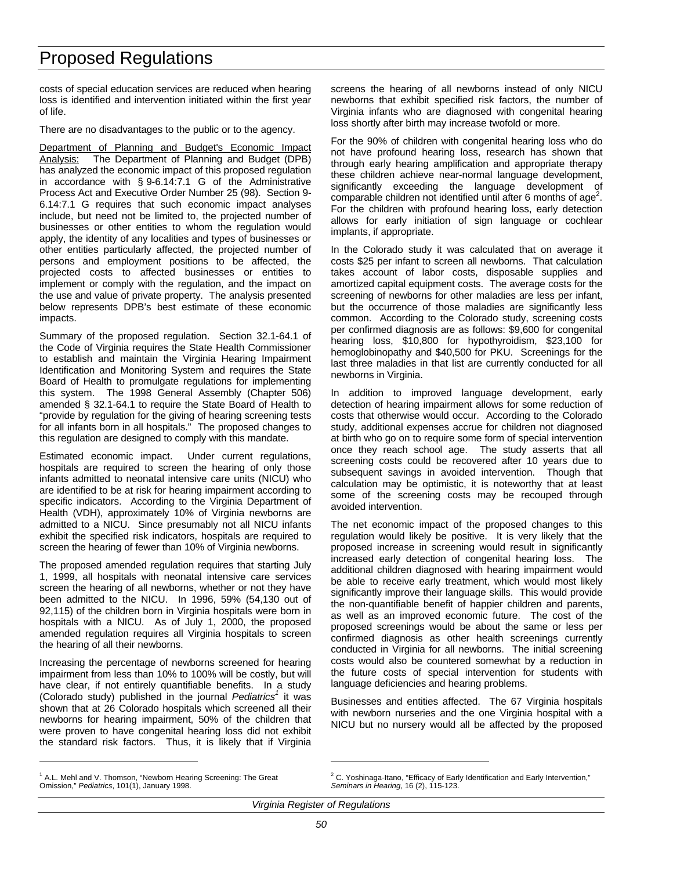costs of special education services are reduced when hearing loss is identified and intervention initiated within the first year of life.

There are no disadvantages to the public or to the agency.

Department of Planning and Budget's Economic Impact Analysis: The Department of Planning and Budget (DPB) has analyzed the economic impact of this proposed regulation in accordance with § 9-6.14:7.1 G of the Administrative Process Act and Executive Order Number 25 (98). Section 9- 6.14:7.1 G requires that such economic impact analyses include, but need not be limited to, the projected number of businesses or other entities to whom the regulation would apply, the identity of any localities and types of businesses or other entities particularly affected, the projected number of persons and employment positions to be affected, the projected costs to affected businesses or entities to implement or comply with the regulation, and the impact on the use and value of private property. The analysis presented below represents DPB's best estimate of these economic impacts.

Summary of the proposed regulation. Section 32.1-64.1 of the Code of Virginia requires the State Health Commissioner to establish and maintain the Virginia Hearing Impairment Identification and Monitoring System and requires the State Board of Health to promulgate regulations for implementing this system. The 1998 General Assembly (Chapter 506) amended § 32.1-64.1 to require the State Board of Health to "provide by regulation for the giving of hearing screening tests for all infants born in all hospitals." The proposed changes to this regulation are designed to comply with this mandate.

Estimated economic impact. Under current regulations, hospitals are required to screen the hearing of only those infants admitted to neonatal intensive care units (NICU) who are identified to be at risk for hearing impairment according to specific indicators. According to the Virginia Department of Health (VDH), approximately 10% of Virginia newborns are admitted to a NICU. Since presumably not all NICU infants exhibit the specified risk indicators, hospitals are required to screen the hearing of fewer than 10% of Virginia newborns.

The proposed amended regulation requires that starting July 1, 1999, all hospitals with neonatal intensive care services screen the hearing of all newborns, whether or not they have been admitted to the NICU. In 1996, 59% (54,130 out of 92,115) of the children born in Virginia hospitals were born in hospitals with a NICU. As of July 1, 2000, the proposed amended regulation requires all Virginia hospitals to screen the hearing of all their newborns.

Increasing the percentage of newborns screened for hearing impairment from less than 10% to 100% will be costly, but will have clear, if not entirely quantifiable benefits. In a study (Colorado study) published in the journal *Pediatrics<sup>1</sup>* it was shown that at 26 Colorado hospitals which screened all their newborns for hearing impairment, 50% of the children that were proven to have congenital hearing loss did not exhibit the standard risk factors. Thus, it is likely that if Virginia screens the hearing of all newborns instead of only NICU newborns that exhibit specified risk factors, the number of Virginia infants who are diagnosed with congenital hearing loss shortly after birth may increase twofold or more.

For the 90% of children with congenital hearing loss who do not have profound hearing loss, research has shown that through early hearing amplification and appropriate therapy these children achieve near-normal language development, significantly exceeding the language development of comparable children not identified until after 6 months of age<sup>2</sup>. For the children with profound hearing loss, early detection allows for early initiation of sign language or cochlear implants, if appropriate.

In the Colorado study it was calculated that on average it costs \$25 per infant to screen all newborns. That calculation takes account of labor costs, disposable supplies and amortized capital equipment costs. The average costs for the screening of newborns for other maladies are less per infant, but the occurrence of those maladies are significantly less common. According to the Colorado study, screening costs per confirmed diagnosis are as follows: \$9,600 for congenital hearing loss, \$10,800 for hypothyroidism, \$23,100 for hemoglobinopathy and \$40,500 for PKU. Screenings for the last three maladies in that list are currently conducted for all newborns in Virginia.

In addition to improved language development, early detection of hearing impairment allows for some reduction of costs that otherwise would occur. According to the Colorado study, additional expenses accrue for children not diagnosed at birth who go on to require some form of special intervention once they reach school age. The study asserts that all screening costs could be recovered after 10 years due to subsequent savings in avoided intervention. Though that calculation may be optimistic, it is noteworthy that at least some of the screening costs may be recouped through avoided intervention.

The net economic impact of the proposed changes to this regulation would likely be positive. It is very likely that the proposed increase in screening would result in significantly increased early detection of congenital hearing loss. The additional children diagnosed with hearing impairment would be able to receive early treatment, which would most likely significantly improve their language skills. This would provide the non-quantifiable benefit of happier children and parents, as well as an improved economic future. The cost of the proposed screenings would be about the same or less per confirmed diagnosis as other health screenings currently conducted in Virginia for all newborns. The initial screening costs would also be countered somewhat by a reduction in the future costs of special intervention for students with language deficiencies and hearing problems.

Businesses and entities affected. The 67 Virginia hospitals with newborn nurseries and the one Virginia hospital with a NICU but no nursery would all be affected by the proposed

-

*Virginia Register of Regulations*

 $\overline{a}$ 

<sup>&</sup>lt;sup>1</sup> A.L. Mehl and V. Thomson, "Newborn Hearing Screening: The Great Omission," *Pediatrics*, 101(1), January 1998.

 $2$  C. Yoshinaga-Itano, "Efficacy of Early Identification and Early Intervention," *Seminars in Hearing*, 16 (2), 115-123.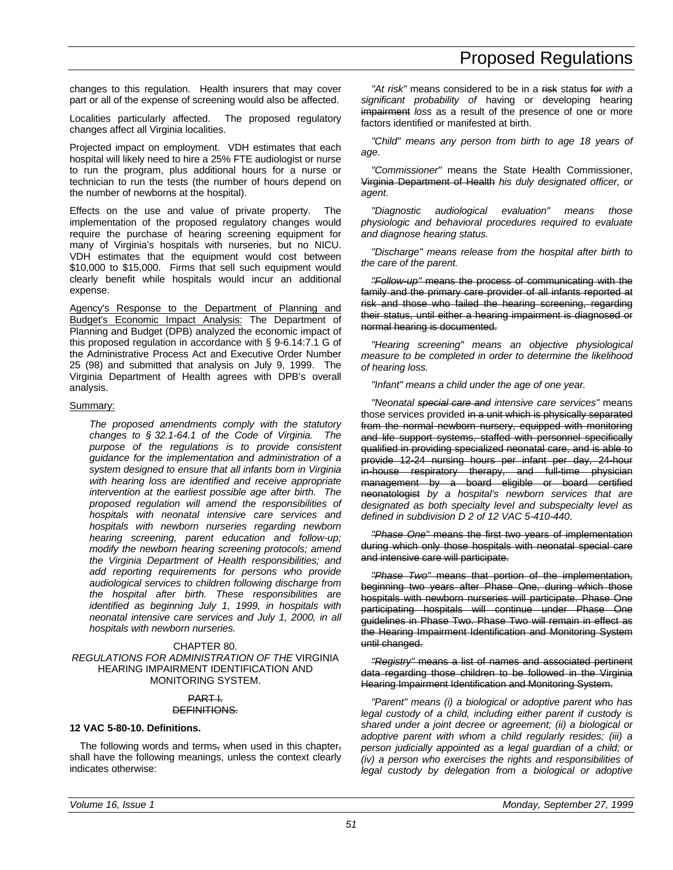changes to this regulation. Health insurers that may cover part or all of the expense of screening would also be affected.

Localities particularly affected. The proposed regulatory changes affect all Virginia localities.

Projected impact on employment. VDH estimates that each hospital will likely need to hire a 25% FTE audiologist or nurse to run the program, plus additional hours for a nurse or technician to run the tests (the number of hours depend on the number of newborns at the hospital).

Effects on the use and value of private property. The implementation of the proposed regulatory changes would require the purchase of hearing screening equipment for many of Virginia's hospitals with nurseries, but no NICU. VDH estimates that the equipment would cost between \$10,000 to \$15,000. Firms that sell such equipment would clearly benefit while hospitals would incur an additional expense.

Agency's Response to the Department of Planning and Budget's Economic Impact Analysis: The Department of Planning and Budget (DPB) analyzed the economic impact of this proposed regulation in accordance with § 9-6.14:7.1 G of the Administrative Process Act and Executive Order Number 25 (98) and submitted that analysis on July 9, 1999. The Virginia Department of Health agrees with DPB's overall analysis.

#### Summary:

*The proposed amendments comply with the statutory changes to § 32.1-64.1 of the Code of Virginia. The purpose of the regulations is to provide consistent guidance for the implementation and administration of a system designed to ensure that all infants born in Virginia with hearing loss are identified and receive appropriate intervention at the earliest possible age after birth. The proposed regulation will amend the responsibilities of hospitals with neonatal intensive care services and hospitals with newborn nurseries regarding newborn hearing screening, parent education and follow-up; modify the newborn hearing screening protocols; amend the Virginia Department of Health responsibilities; and add reporting requirements for persons who provide audiological services to children following discharge from the hospital after birth. These responsibilities are identified as beginning July 1, 1999, in hospitals with neonatal intensive care services and July 1, 2000, in all hospitals with newborn nurseries.*

#### CHAPTER 80. *REGULATIONS FOR ADMINISTRATION OF THE* VIRGINIA HEARING IMPAIRMENT IDENTIFICATION AND MONITORING SYSTEM.

#### PART I. DEFINITIONS.

#### **12 VAC 5-80-10. Definitions.**

The following words and terms, when used in this chapter, shall have the following meanings, unless the context clearly indicates otherwise:

"At risk" means considered to be in a risk status for *with a significant probability of* having or developing hearing impairment *loss* as a result of the presence of one or more factors identified or manifested at birth.

*"Child" means any person from birth to age 18 years of age.*

*"Commissioner"* means the State Health Commissioner, Virginia Department of Health *his duly designated officer, or agent*.

*"Diagnostic audiological evaluation" means those physiologic and behavioral procedures required to evaluate and diagnose hearing status.*

*"Discharge" means release from the hospital after birth to the care of the parent.*

*"Follow-up"* means the process of communicating with the family and the primary care provider of all infants reported at risk and those who failed the hearing screening, regarding their status, until either a hearing impairment is diagnosed or normal hearing is documented.

*"Hearing screening" means an objective physiological measure to be completed in order to determine the likelihood of hearing loss.*

*"Infant" means a child under the age of one year.*

*"Neonatal special care and intensive care services"* means those services provided in a unit which is physically separated from the normal newborn nursery, equipped with monitoring and life support systems, staffed with personnel specifically qualified in providing specialized neonatal care, and is able to provide 12-24 nursing hours per infant per day, 24-hour in-house respiratory therapy, and full-time physician management by a board eligible or board certified neonatologist *by a hospital's newborn services that are designated as both specialty level and subspecialty level as defined in subdivision D 2 of 12 VAC 5-410-440*.

*"Phase One"* means the first two years of implementation during which only those hospitals with neonatal special care and intensive care will participate.

*"Phase Two"* means that portion of the implementation, beginning two years after Phase One, during which those hospitals with newborn nurseries will participate. Phase One participating hospitals will continue under Phase One guidelines in Phase Two. Phase Two will remain in effect as the Hearing Impairment Identification and Monitoring System until changed.

*"Registry"* means a list of names and associated pertinent data regarding those children to be followed in the Virginia Hearing Impairment Identification and Monitoring System.

*"Parent" means (i) a biological or adoptive parent who has legal custody of a child, including either parent if custody is shared under a joint decree or agreement; (ii) a biological or adoptive parent with whom a child regularly resides; (iii) a person judicially appointed as a legal guardian of a child; or (iv) a person who exercises the rights and responsibilities of legal custody by delegation from a biological or adoptive*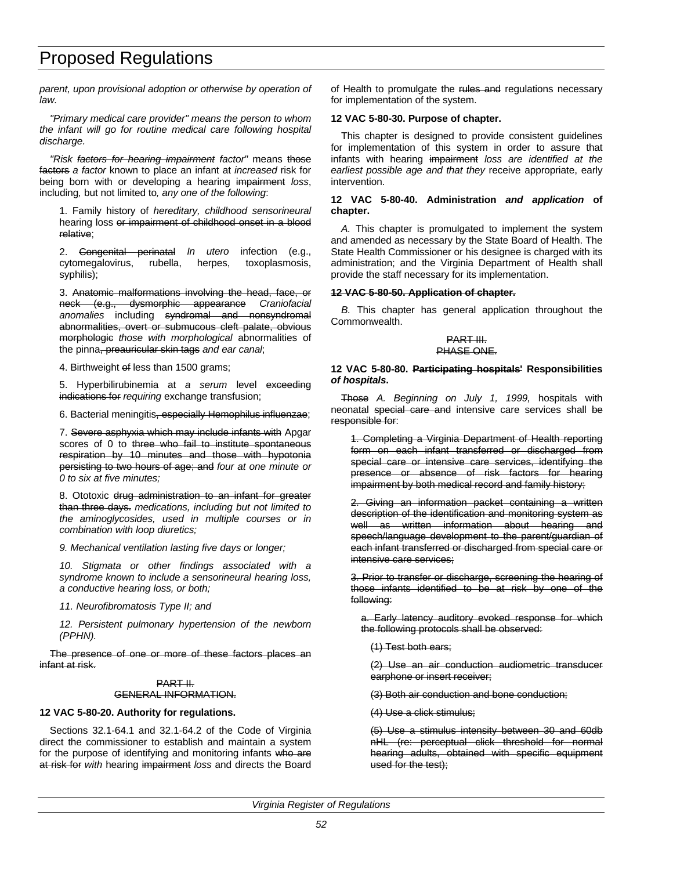*parent, upon provisional adoption or otherwise by operation of law.*

*"Primary medical care provider" means the person to whom the infant will go for routine medical care following hospital discharge.*

*"Risk factors for hearing impairment factor"* means those factors *a factor* known to place an infant at *increased* risk for being born with or developing a hearing impairment *loss*, including*,* but not limited to*, any one of the following*:

1. Family history of *hereditary, childhood sensorineural* hearing loss or impairment of childhood onset in a blood relative;

2. Congenital perinatal *In utero* infection (e.g., cytomegalovirus, rubella, herpes, toxoplasmosis, syphilis);

3. Anatomic malformations involving the head, face, or neck (e.g., dysmorphic appearance *Craniofacial anomalies* including syndromal and nonsyndromal abnormalities, overt or submucous cleft palate, obvious morphologic *those with morphological* abnormalities of the pinna, preauricular skin tags *and ear canal*;

4. Birthweight of less than 1500 grams;

5. Hyperbilirubinemia at *a serum* level exceeding indications for *requiring* exchange transfusion;

6. Bacterial meningitis, especially Hemophilus influenzae;

7. Severe asphyxia which may include infants with Apgar scores of 0 to three who fail to institute spontaneous respiration by 10 minutes and those with hypotonia persisting to two hours of age; and *four at one minute or 0 to six at five minutes;*

8. Ototoxic drug administration to an infant for greater than three days. *medications, including but not limited to the aminoglycosides, used in multiple courses or in combination with loop diuretics;*

*9. Mechanical ventilation lasting five days or longer;*

*10. Stigmata or other findings associated with a syndrome known to include a sensorineural hearing loss, a conductive hearing loss, or both;*

*11. Neurofibromatosis Type II; and*

*12. Persistent pulmonary hypertension of the newborn (PPHN).*

The presence of one or more of these factors places an infant at risk.

#### PART II. GENERAL INFORMATION.

#### **12 VAC 5-80-20. Authority for regulations.**

Sections 32.1-64.1 and 32.1-64.2 of the Code of Virginia direct the commissioner to establish and maintain a system for the purpose of identifying and monitoring infants who are at risk for *with* hearing impairment *loss* and directs the Board of Health to promulgate the rules and regulations necessary for implementation of the system.

#### **12 VAC 5-80-30. Purpose of chapter.**

This chapter is designed to provide consistent guidelines for implementation of this system in order to assure that infants with hearing impairment *loss are identified at the earliest possible age and that they* receive appropriate, early intervention.

#### **12 VAC 5-80-40. Administration** *and application* **of chapter.**

*A.* This chapter is promulgated to implement the system and amended as necessary by the State Board of Health. The State Health Commissioner or his designee is charged with its administration; and the Virginia Department of Health shall provide the staff necessary for its implementation.

#### **12 VAC 5-80-50. Application of chapter.**

*B.* This chapter has general application throughout the Commonwealth.

#### PART III. PHASE ONE.

#### **12 VAC 5-80-80. Participating hospitals' Responsibilities** *of hospitals***.**

Those *A. Beginning on July 1, 1999,* hospitals with neonatal special care and intensive care services shall be responsible for:

1. Completing a Virginia Department of Health reporting form on each infant transferred or discharged from special care or intensive care services, identifying the presence or absence of risk factors for hearing impairment by both medical record and family history;

2. Giving an information packet containing a written description of the identification and monitoring system as well as written information about hearing and speech/language development to the parent/guardian of each infant transferred or discharged from special care or intensive care services;

3. Prior to transfer or discharge, screening the hearing of those infants identified to be at risk by one of the following:

a. Early latency auditory evoked response for which the following protocols shall be observed:

(1) Test both ears;

(2) Use an air conduction audiometric transducer earphone or insert receiver;

(3) Both air conduction and bone conduction;

(4) Use a click stimulus;

(5) Use a stimulus intensity between 30 and 60db nHL (re: perceptual click threshold for normal hearing adults, obtained with specific equipment used for the test);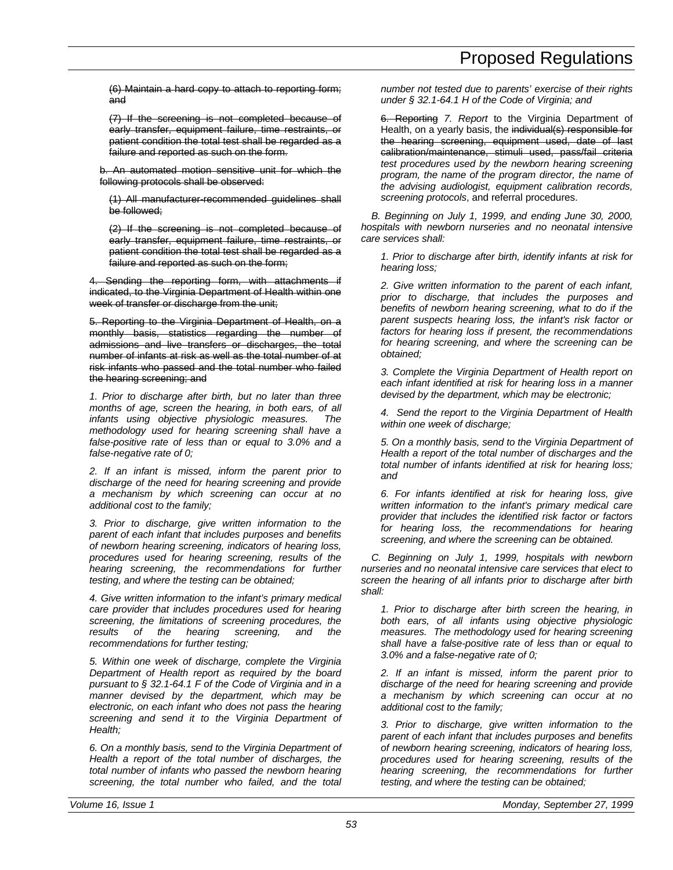(6) Maintain a hard copy to attach to reporting form; and

(7) If the screening is not completed because of early transfer, equipment failure, time restraints, or patient condition the total test shall be regarded as a failure and reported as such on the form.

b. An automated motion sensitive unit for which the following protocols shall be observed:

(1) All manufacturer-recommended guidelines shall be followed;

(2) If the screening is not completed because of early transfer, equipment failure, time restraints, or patient condition the total test shall be regarded as a failure and reported as such on the form;

4. Sending the reporting form, with attachments if indicated, to the Virginia Department of Health within one week of transfer or discharge from the unit;

5. Reporting to the Virginia Department of Health, on a monthly basis, statistics regarding the number of admissions and live transfers or discharges, the total number of infants at risk as well as the total number of at risk infants who passed and the total number who failed the hearing screening; and

*1. Prior to discharge after birth, but no later than three months of age, screen the hearing, in both ears, of all infants using objective physiologic measures. The methodology used for hearing screening shall have a false-positive rate of less than or equal to 3.0% and a false-negative rate of 0;*

*2. If an infant is missed, inform the parent prior to discharge of the need for hearing screening and provide a mechanism by which screening can occur at no additional cost to the family;*

*3. Prior to discharge, give written information to the parent of each infant that includes purposes and benefits of newborn hearing screening, indicators of hearing loss, procedures used for hearing screening, results of the hearing screening, the recommendations for further testing, and where the testing can be obtained;*

*4. Give written information to the infant's primary medical care provider that includes procedures used for hearing screening, the limitations of screening procedures, the results of the hearing screening, and the recommendations for further testing;*

*5. Within one week of discharge, complete the Virginia Department of Health report as required by the board pursuant to § 32.1-64.1 F of the Code of Virginia and in a manner devised by the department, which may be electronic, on each infant who does not pass the hearing screening and send it to the Virginia Department of Health;*

*6. On a monthly basis, send to the Virginia Department of Health a report of the total number of discharges, the total number of infants who passed the newborn hearing screening, the total number who failed, and the total*

*number not tested due to parents' exercise of their rights under § 32.1-64.1 H of the Code of Virginia; and*

6. Reporting *7. Report* to the Virginia Department of Health, on a yearly basis, the individual(s) responsible for the hearing screening, equipment used, date of last calibration/maintenance, stimuli used, pass/fail criteria *test procedures used by the newborn hearing screening program, the name of the program director, the name of the advising audiologist, equipment calibration records, screening protocols*, and referral procedures.

*B. Beginning on July 1, 1999, and ending June 30, 2000, hospitals with newborn nurseries and no neonatal intensive care services shall:*

*1. Prior to discharge after birth, identify infants at risk for hearing loss;*

*2. Give written information to the parent of each infant, prior to discharge, that includes the purposes and benefits of newborn hearing screening, what to do if the parent suspects hearing loss, the infant's risk factor or factors for hearing loss if present, the recommendations for hearing screening, and where the screening can be obtained;*

*3. Complete the Virginia Department of Health report on each infant identified at risk for hearing loss in a manner devised by the department, which may be electronic;*

*4. Send the report to the Virginia Department of Health within one week of discharge;*

*5. On a monthly basis, send to the Virginia Department of Health a report of the total number of discharges and the total number of infants identified at risk for hearing loss; and*

*6. For infants identified at risk for hearing loss, give written information to the infant's primary medical care provider that includes the identified risk factor or factors for hearing loss, the recommendations for hearing screening, and where the screening can be obtained.*

*C. Beginning on July 1, 1999, hospitals with newborn nurseries and no neonatal intensive care services that elect to screen the hearing of all infants prior to discharge after birth shall:*

*1. Prior to discharge after birth screen the hearing, in both ears, of all infants using objective physiologic measures. The methodology used for hearing screening shall have a false-positive rate of less than or equal to 3.0% and a false-negative rate of 0;*

*2. If an infant is missed, inform the parent prior to discharge of the need for hearing screening and provide a mechanism by which screening can occur at no additional cost to the family;*

*3. Prior to discharge, give written information to the parent of each infant that includes purposes and benefits of newborn hearing screening, indicators of hearing loss, procedures used for hearing screening, results of the hearing screening, the recommendations for further testing, and where the testing can be obtained;*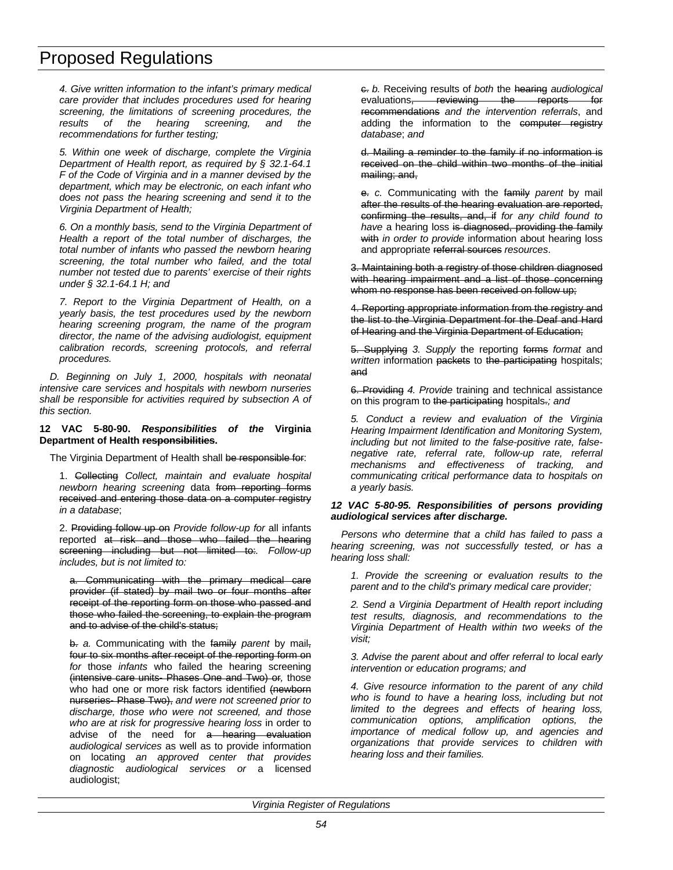*4. Give written information to the infant's primary medical care provider that includes procedures used for hearing screening, the limitations of screening procedures, the results of the hearing screening, and the recommendations for further testing;*

*5. Within one week of discharge, complete the Virginia Department of Health report, as required by § 32.1-64.1 F of the Code of Virginia and in a manner devised by the department, which may be electronic, on each infant who does not pass the hearing screening and send it to the Virginia Department of Health;*

*6. On a monthly basis, send to the Virginia Department of Health a report of the total number of discharges, the total number of infants who passed the newborn hearing screening, the total number who failed, and the total number not tested due to parents' exercise of their rights under § 32.1-64.1 H; and*

*7. Report to the Virginia Department of Health, on a yearly basis, the test procedures used by the newborn hearing screening program, the name of the program director, the name of the advising audiologist, equipment calibration records, screening protocols, and referral procedures.*

*D. Beginning on July 1, 2000, hospitals with neonatal intensive care services and hospitals with newborn nurseries shall be responsible for activities required by subsection A of this section.*

**12 VAC 5-80-90.** *Responsibilities of the* **Virginia Department of Health responsibilities.**

The Virginia Department of Health shall be responsible for:

1. Collecting *Collect, maintain and evaluate hospital newborn hearing screening* data from reporting forms received and entering those data on a computer registry *in a database*;

2. Providing follow up on *Provide follow-up for* all infants reported at risk and those who failed the hearing screening including but not limited to:*. Follow-up includes, but is not limited to:*

Communicating with the primary medical care provider (if stated) by mail two or four months after receipt of the reporting form on those who passed and those who failed the screening, to explain the program and to advise of the child's status;

b. *a.* Communicating with the family *parent* by mail, four to six months after receipt of the reporting form on *for* those *infants* who failed the hearing screening (intensive care units- Phases One and Two) or*,* those who had one or more risk factors identified (newborn nurseries- Phase Two), *and were not screened prior to discharge, those who were not screened, and those who are at risk for progressive hearing loss* in order to advise of the need for a hearing evaluation *audiological services* as well as to provide information on locating *an approved center that provides diagnostic audiological services or* a licensed audiologist;

c. *b.* Receiving results of *both* the hearing *audiological* evaluations, reviewing the reports for recommendations *and the intervention referrals*, and adding the information to the computer registry *database*; *and*

d. Mailing a reminder to the family if no information is received on the child within two months of the initial mailing; and,

e. *c.* Communicating with the family *parent* by mail after the results of the hearing evaluation are reported, confirming the results, and, if *for any child found to* have a hearing loss is diagnosed, providing the family with *in order to provide* information about hearing loss and appropriate referral sources *resources*.

3. Maintaining both a registry of those children diagnosed with hearing impairment and a list of those concerning whom no response has been received on follow up;

4. Reporting appropriate information from the registry and the list to the Virginia Department for the Deaf and Hard of Hearing and the Virginia Department of Education;

5. Supplying *3. Supply* the reporting forms *format* and *written* information packets to the participating hospitals; and

6. Providing *4. Provide* training and technical assistance on this program to the participating hospitals.*; and*

*5. Conduct a review and evaluation of the Virginia Hearing Impairment Identification and Monitoring System, including but not limited to the false-positive rate, falsenegative rate, referral rate, follow-up rate, referral mechanisms and effectiveness of tracking, and communicating critical performance data to hospitals on a yearly basis.*

#### *12 VAC 5-80-95. Responsibilities of persons providing audiological services after discharge.*

*Persons who determine that a child has failed to pass a hearing screening, was not successfully tested, or has a hearing loss shall:*

*1. Provide the screening or evaluation results to the parent and to the child's primary medical care provider;*

*2. Send a Virginia Department of Health report including test results, diagnosis, and recommendations to the Virginia Department of Health within two weeks of the visit;*

*3. Advise the parent about and offer referral to local early intervention or education programs; and*

*4. Give resource information to the parent of any child who is found to have a hearing loss, including but not limited to the degrees and effects of hearing loss, communication options, amplification options, the importance of medical follow up, and agencies and organizations that provide services to children with hearing loss and their families.*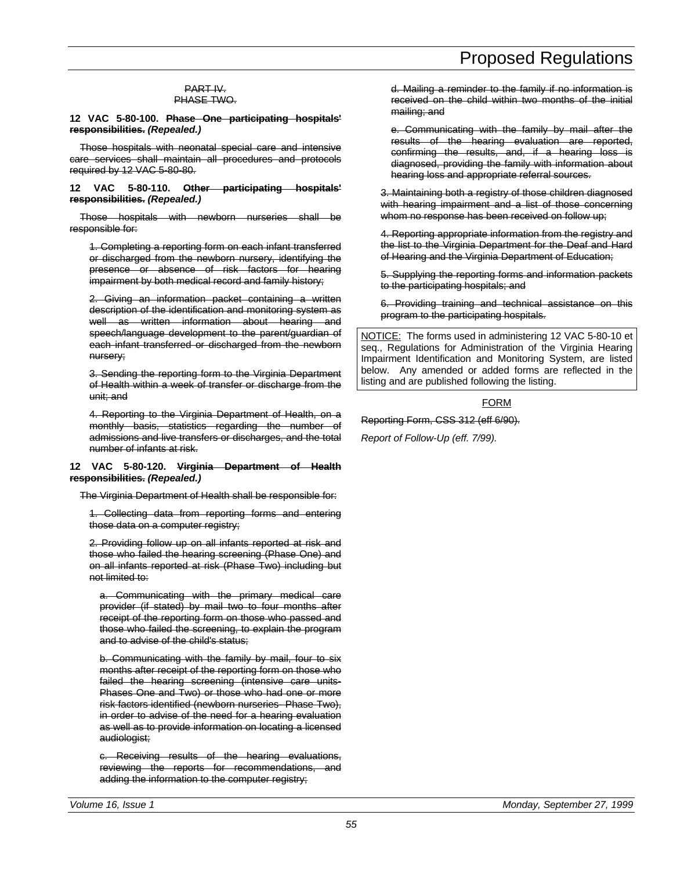#### PART IV. PHASE TWO.

**12 VAC 5-80-100. Phase One participating hospitals' responsibilities.** *(Repealed.)*

Those hospitals with neonatal special care and intensive care services shall maintain all procedures and protocols required by 12 VAC 5-80-80.

**12 VAC 5-80-110. Other participating hospitals' responsibilities.** *(Repealed.)*

Those hospitals with newborn nurseries shall be responsible for:

1. Completing a reporting form on each infant transferred or discharged from the newborn nursery, identifying the presence or absence of risk factors for hearing impairment by both medical record and family history;

2. Giving an information packet containing a written description of the identification and monitoring system as well as written information about hearing and speech/language development to the parent/guardian of each infant transferred or discharged from the newborn nursery;

3. Sending the reporting form to the Virginia Department of Health within a week of transfer or discharge from the unit; and

4. Reporting to the Virginia Department of Health, on a monthly basis, statistics regarding the number of admissions and live transfers or discharges, and the total number of infants at risk.

#### **12 VAC 5-80-120. Virginia Department of Health responsibilities.** *(Repealed.)*

The Virginia Department of Health shall be responsible for:

1. Collecting data from reporting forms and entering those data on a computer registry;

2. Providing follow up on all infants reported at risk and those who failed the hearing screening (Phase One) and on all infants reported at risk (Phase Two) including but not limited to:

a. Communicating with the primary medical care provider (if stated) by mail two to four months after receipt of the reporting form on those who passed and those who failed the screening, to explain the program and to advise of the child's status;

b. Communicating with the family by mail, four to six months after receipt of the reporting form on those who failed the hearing screening (intensive care units-Phases One and Two) or those who had one or more risk factors identified (newborn nurseries- Phase Two), in order to advise of the need for a hearing evaluation as well as to provide information on locating a licensed audiologist;

c. Receiving results of the hearing evaluations, reviewing the reports for recommendations, and adding the information to the computer registry;

d. Mailing a reminder to the family if no information is received on the child within two months of the initial mailing; and

e. Communicating with the family by mail after the results of the hearing evaluation are reported, confirming the results, and, if a hearing loss is diagnosed, providing the family with information about hearing loss and appropriate referral sources.

3. Maintaining both a registry of those children diagnosed with hearing impairment and a list of those concerning whom no response has been received on follow up;

4. Reporting appropriate information from the registry and the list to the Virginia Department for the Deaf and Hard of Hearing and the Virginia Department of Education;

5. Supplying the reporting forms and information packets to the participating hospitals; and

6. Providing training and technical assistance on this program to the participating hospitals.

NOTICE: The forms used in administering 12 VAC 5-80-10 et seq., Regulations for Administration of the Virginia Hearing Impairment Identification and Monitoring System, are listed below. Any amended or added forms are reflected in the listing and are published following the listing.

#### FORM

Reporting Form, CSS 312 (eff 6/90).

*Report of Follow-Up (eff. 7/99).*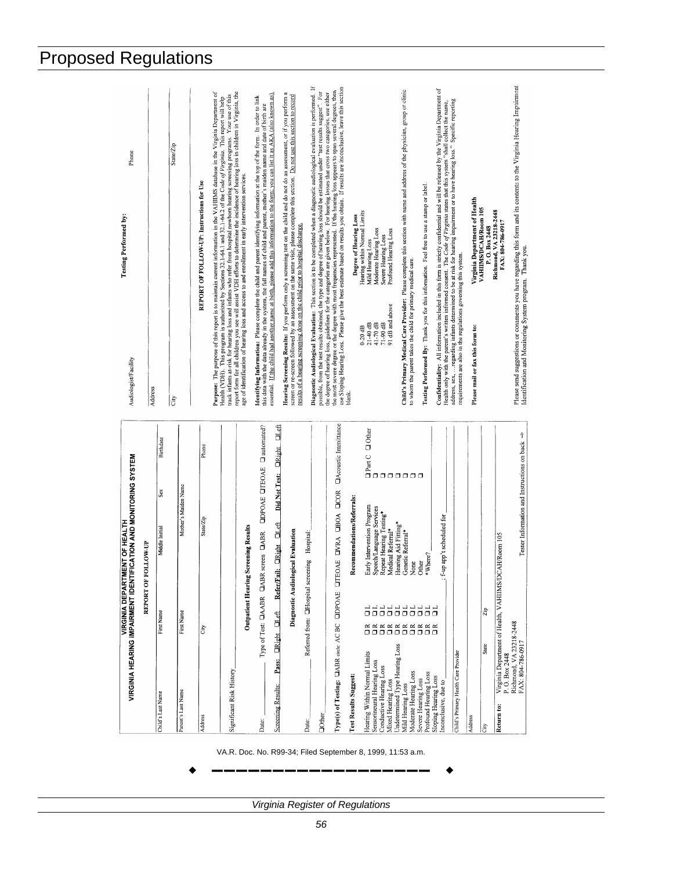|                                                                           | <b>VIRGINIA DEPART</b>                      | VIRGINIA HEARING IMPAIRMENT IDENTIFICATION AND MONITORING SYSTEM<br><b>WENT OF HEALTH</b> |                                   | Testing Performed by:<br>Audiologist/Facility                                                                                                                                                                                                                                                                                                                                                          | Phone     |
|---------------------------------------------------------------------------|---------------------------------------------|-------------------------------------------------------------------------------------------|-----------------------------------|--------------------------------------------------------------------------------------------------------------------------------------------------------------------------------------------------------------------------------------------------------------------------------------------------------------------------------------------------------------------------------------------------------|-----------|
|                                                                           | REPORT OF                                   | <b>ALLOW-UP</b>                                                                           |                                   | Address                                                                                                                                                                                                                                                                                                                                                                                                |           |
| Child's Last Name                                                         | First Name                                  | Sex<br>Middle Initial                                                                     | Birthdate                         | lš                                                                                                                                                                                                                                                                                                                                                                                                     |           |
| Parent's Last Name                                                        | First Name                                  | Mother's Maiden Name                                                                      |                                   |                                                                                                                                                                                                                                                                                                                                                                                                        | State/Zip |
| Address                                                                   | Сity                                        | State/Zip                                                                                 | Phone                             | REPORT OF FOLLOW-UP: Instructions for Use                                                                                                                                                                                                                                                                                                                                                              |           |
| Significant Risk History                                                  |                                             |                                                                                           |                                   | Purpose: The purpose of this report is to maintain current information in the VAHIIMS database in the Virginia Department of<br>track infants at-risk for hearing loss and infants who refer from hospital newborn hearing screening programs. Your use of this<br>Health (VDH). This program is authorized by Sections 32.1-64.1 and 32.1-64.2 of the Code of Virginia. This report will help         |           |
|                                                                           | <b>Outpatient Hearing</b>                   | <b>Screening Results</b>                                                                  |                                   | report form for all children you see will assist VDH efforts to determine the incidence of hearing loss in children in Virginia, the<br>age of identification of hearing loss and access to and enrollment in early intervention services.                                                                                                                                                             |           |
| Date:                                                                     | Type of Test: CIAABR CAB                    | R screen <b>CIABR</b>                                                                     | <b>ODPOAE OTEOAE O</b> automated? | essential. If the child had another name at birth, please add this information to the form; you can list it as AKA (also known as).<br>Identifying Information: Please complete the child and parent identifying information at the top of the form. In order to link<br>this data with the data already in the system, the full names of child and parent, mother's maiden name and date of birth are |           |
| <b>CRight</b><br>Pass:<br>Screening Results:                              | <b>Collett</b>                              | Did Not Test:<br>ult ORight OLeft<br>Refer/F                                              | <b>ClLeft</b><br><b>DRight</b>    | Hearing Screening Results: If you perform only a screening test on the child and do not do an assessment, or if you perform                                                                                                                                                                                                                                                                            |           |
|                                                                           |                                             | Diagnostic Audiological Evaluation                                                        |                                   | screen or re-screen followed by an assessment on the same visit, please complete this section. Do not use this section to record<br>results of a hearing screening done on the child prior to hospital discharge.                                                                                                                                                                                      |           |
| Date:                                                                     | Referred from: <b>CHospital</b> scr         | eening Hospital.                                                                          |                                   |                                                                                                                                                                                                                                                                                                                                                                                                        |           |
| Oother                                                                    |                                             |                                                                                           |                                   | Diagnostic Audiological Evaluation: This section is to be completed when a diagnostic audiological evaluation is performed. If<br>possible, from the test results obtained, the type and degree of hearing loss should be estimated under "test results suggest". For                                                                                                                                  |           |
| Type(s) of Testing: <b>CABR</b> circle: AC BC                             | <b>COPOAE</b>                               | BOAE DIVRA LIBOA LICOR<br>5                                                               | <b>OAcoustic Immittance</b>       | the degree of hearing loss, guidelines for the categories are given below. For hearing losses that cross two categories, use either<br>the shopping the structure of the structure of the structure of the structure of the struc                                                                                                                                                                      |           |
| <b>Test Results Suggest:</b>                                              |                                             | Recommendations/Referrals:                                                                |                                   | Degree of Hearing Loss<br>blank.                                                                                                                                                                                                                                                                                                                                                                       |           |
| Hearing Within Normal Limits                                              |                                             | Early Intervention Program                                                                |                                   | Hearing within Normal Limits<br>Mild Hearing Loss<br>$21-40$ dB<br>$0-20$ dB                                                                                                                                                                                                                                                                                                                           |           |
| Sensorineural Hearing Loss<br>Conductive Hearing Loss                     |                                             | Speech/Language Services                                                                  |                                   | Moderate Hearing Loss<br>41-70 dB                                                                                                                                                                                                                                                                                                                                                                      |           |
| Mixed Hearing Loss                                                        |                                             | Repeat Hearing Testing*<br>Medical Referral*                                              |                                   | Profound Hearing Loss<br>Severe Hearing Loss<br>91 dB and above<br>71-90 dB                                                                                                                                                                                                                                                                                                                            |           |
| Undetermined Type Hearing Loss                                            |                                             | Hearing Aid Fitting*                                                                      |                                   |                                                                                                                                                                                                                                                                                                                                                                                                        |           |
| Moderate Hearing Loss<br>Mild Hearing Loss                                |                                             | Genetic Referral*<br>None                                                                 | Ooks<br>Ooks<br>OOOOOOOO          | Child's Primary Medical Care Provider: Please complete this section with name and address of the physician, group or clinic<br>to whom the parent takes the child for primary medical care.                                                                                                                                                                                                            |           |
| Profound Hearing Loss<br>Severe Hearing Loss                              | エエエエエエエエエエ<br>000000000<br><b>ESSESSESS</b> | Other                                                                                     |                                   | Testing Performed By: Thank you for this information. Feel free to use a stamp or label.                                                                                                                                                                                                                                                                                                               |           |
| Sloping Hearing Loss<br>Inconclusive, due to                              |                                             | f-up app't scheduled for<br>*Where?                                                       |                                   | Confidentiality: All information included in this form is strictly confidential and will be released by the Virginia Department of                                                                                                                                                                                                                                                                     |           |
| Child's Primary Health Care Provider                                      |                                             |                                                                                           |                                   | Health only with the parent's written informed consent. The Code of Virginia states that this system "shall collect the name, address, sex,  regarding infants determined to be at risk for hearing impairment or to have<br>requirements are also in the regulations governing this system.                                                                                                           |           |
| Address                                                                   |                                             |                                                                                           |                                   | Virginia Department of Health<br>Please mail or fax this form to:                                                                                                                                                                                                                                                                                                                                      |           |
| State<br>City                                                             | Zip                                         |                                                                                           |                                   | VAHIIMS/DCAH/Room 105<br>P.O. Box 2448                                                                                                                                                                                                                                                                                                                                                                 |           |
| Virginia Department of Health, VAHIIMS/D<br>P. O. Box 2448<br>ë<br>Return |                                             | CAH/Room 105                                                                              |                                   | Richmond, VA 23218-2448<br>FAX: 804-786-0917                                                                                                                                                                                                                                                                                                                                                           |           |
| Richmond, VA 23218-2448<br>FAX: 804-786-0917                              |                                             | Tester Information and Instructions on back $\Rightarrow$                                 |                                   | Please send suggestions or connnents you have regarding this form and its contents to the Virginia Hearing Impairment<br>Identification and Monitoring System program. Thank you.                                                                                                                                                                                                                      |           |

*Virginia Register of Regulations*

# Proposed Regulations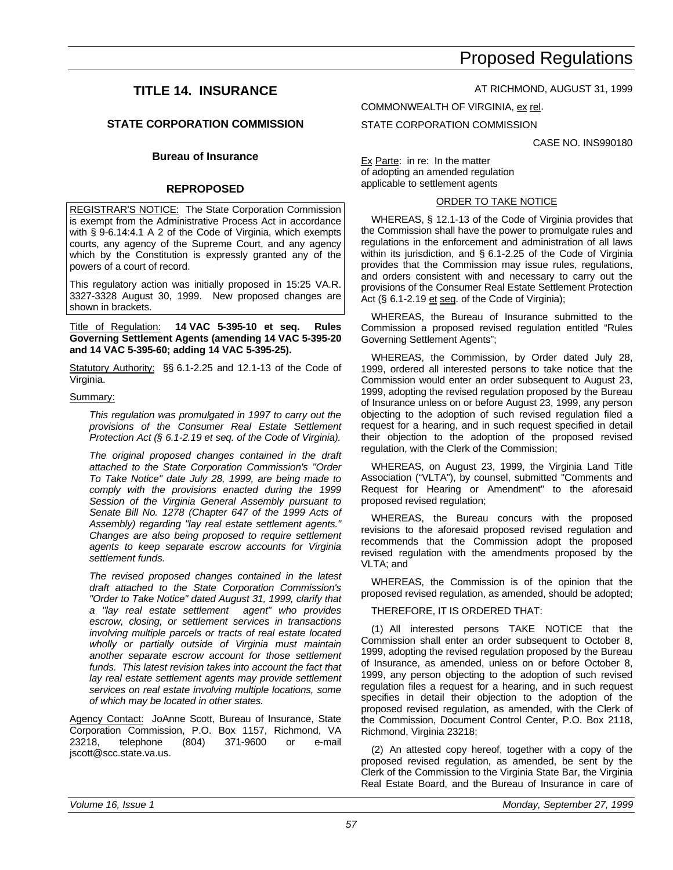### **TITLE 14. INSURANCE**

#### **STATE CORPORATION COMMISSION**

#### **Bureau of Insurance**

#### **REPROPOSED**

**REGISTRAR'S NOTICE:** The State Corporation Commission is exempt from the Administrative Process Act in accordance with § 9-6.14:4.1 A 2 of the Code of Virginia, which exempts courts, any agency of the Supreme Court, and any agency which by the Constitution is expressly granted any of the powers of a court of record.

This regulatory action was initially proposed in 15:25 VA.R. 3327-3328 August 30, 1999. New proposed changes are shown in brackets.

Title of Regulation: **14 VAC 5-395-10 et seq. Rules Governing Settlement Agents (amending 14 VAC 5-395-20 and 14 VAC 5-395-60; adding 14 VAC 5-395-25).**

Statutory Authority: §§ 6.1-2.25 and 12.1-13 of the Code of Virginia.

#### Summary:

*This regulation was promulgated in 1997 to carry out the provisions of the Consumer Real Estate Settlement Protection Act (§ 6.1-2.19 et seq. of the Code of Virginia).*

*The original proposed changes contained in the draft attached to the State Corporation Commission's "Order To Take Notice" date July 28, 1999, are being made to comply with the provisions enacted during the 1999 Session of the Virginia General Assembly pursuant to Senate Bill No. 1278 (Chapter 647 of the 1999 Acts of Assembly) regarding "lay real estate settlement agents." Changes are also being proposed to require settlement agents to keep separate escrow accounts for Virginia settlement funds.*

*The revised proposed changes contained in the latest draft attached to the State Corporation Commission's "Order to Take Notice" dated August 31, 1999, clarify that a "lay real estate settlement agent" who provides escrow, closing, or settlement services in transactions involving multiple parcels or tracts of real estate located wholly or partially outside of Virginia must maintain another separate escrow account for those settlement funds. This latest revision takes into account the fact that lay real estate settlement agents may provide settlement services on real estate involving multiple locations, some of which may be located in other states.*

Agency Contact: JoAnne Scott, Bureau of Insurance, State Corporation Commission, P.O. Box 1157, Richmond, VA 23218, telephone (804) 371-9600 or e-mail jscott@scc.state.va.us.

AT RICHMOND, AUGUST 31, 1999

COMMONWEALTH OF VIRGINIA, ex rel.

STATE CORPORATION COMMISSION

CASE NO. INS990180

Ex Parte: in re: In the matter of adopting an amended regulation applicable to settlement agents

#### ORDER TO TAKE NOTICE

WHEREAS, § 12.1-13 of the Code of Virginia provides that the Commission shall have the power to promulgate rules and regulations in the enforcement and administration of all laws within its jurisdiction, and § 6.1-2.25 of the Code of Virginia provides that the Commission may issue rules, regulations, and orders consistent with and necessary to carry out the provisions of the Consumer Real Estate Settlement Protection Act (§ 6.1-2.19 et seq. of the Code of Virginia);

WHEREAS, the Bureau of Insurance submitted to the Commission a proposed revised regulation entitled "Rules Governing Settlement Agents";

WHEREAS, the Commission, by Order dated July 28, 1999, ordered all interested persons to take notice that the Commission would enter an order subsequent to August 23, 1999, adopting the revised regulation proposed by the Bureau of Insurance unless on or before August 23, 1999, any person objecting to the adoption of such revised regulation filed a request for a hearing, and in such request specified in detail their objection to the adoption of the proposed revised regulation, with the Clerk of the Commission;

WHEREAS, on August 23, 1999, the Virginia Land Title Association ("VLTA"), by counsel, submitted "Comments and Request for Hearing or Amendment" to the aforesaid proposed revised regulation;

WHEREAS, the Bureau concurs with the proposed revisions to the aforesaid proposed revised regulation and recommends that the Commission adopt the proposed revised regulation with the amendments proposed by the VLTA; and

WHEREAS, the Commission is of the opinion that the proposed revised regulation, as amended, should be adopted;

#### THEREFORE, IT IS ORDERED THAT:

(1) All interested persons TAKE NOTICE that the Commission shall enter an order subsequent to October 8, 1999, adopting the revised regulation proposed by the Bureau of Insurance, as amended, unless on or before October 8, 1999, any person objecting to the adoption of such revised regulation files a request for a hearing, and in such request specifies in detail their objection to the adoption of the proposed revised regulation, as amended, with the Clerk of the Commission, Document Control Center, P.O. Box 2118, Richmond, Virginia 23218;

(2) An attested copy hereof, together with a copy of the proposed revised regulation, as amended, be sent by the Clerk of the Commission to the Virginia State Bar, the Virginia Real Estate Board, and the Bureau of Insurance in care of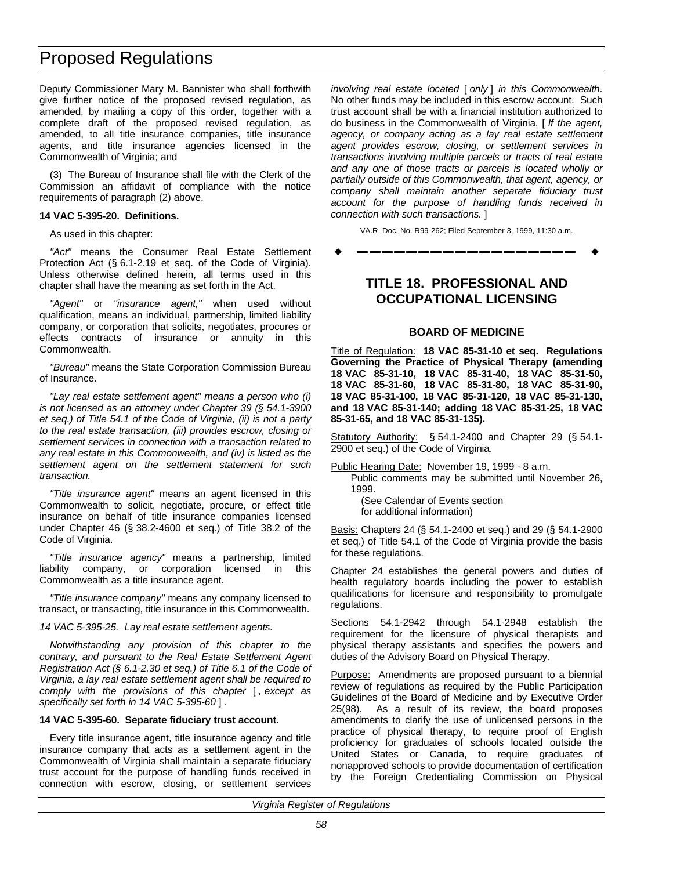Deputy Commissioner Mary M. Bannister who shall forthwith give further notice of the proposed revised regulation, as amended, by mailing a copy of this order, together with a complete draft of the proposed revised regulation, as amended, to all title insurance companies, title insurance agents, and title insurance agencies licensed in the Commonwealth of Virginia; and

(3) The Bureau of Insurance shall file with the Clerk of the Commission an affidavit of compliance with the notice requirements of paragraph (2) above.

#### **14 VAC 5-395-20. Definitions.**

As used in this chapter:

*"Act"* means the Consumer Real Estate Settlement Protection Act (§ 6.1-2.19 et seq. of the Code of Virginia). Unless otherwise defined herein, all terms used in this chapter shall have the meaning as set forth in the Act.

*"Agent"* or *"insurance agent,"* when used without qualification, means an individual, partnership, limited liability company, or corporation that solicits, negotiates, procures or effects contracts of insurance or annuity in this Commonwealth.

*"Bureau"* means the State Corporation Commission Bureau of Insurance.

*"Lay real estate settlement agent" means a person who (i) is not licensed as an attorney under Chapter 39 (§ 54.1-3900 et seq.) of Title 54.1 of the Code of Virginia, (ii) is not a party to the real estate transaction, (iii) provides escrow, closing or settlement services in connection with a transaction related to any real estate in this Commonwealth, and (iv) is listed as the settlement agent on the settlement statement for such transaction.*

*"Title insurance agent"* means an agent licensed in this Commonwealth to solicit, negotiate, procure, or effect title insurance on behalf of title insurance companies licensed under Chapter 46 (§ 38.2-4600 et seq.) of Title 38.2 of the Code of Virginia.

*"Title insurance agency"* means a partnership, limited liability company, or corporation licensed in this Commonwealth as a title insurance agent.

*"Title insurance company"* means any company licensed to transact, or transacting, title insurance in this Commonwealth.

*14 VAC 5-395-25. Lay real estate settlement agents.*

*Notwithstanding any provision of this chapter to the contrary, and pursuant to the Real Estate Settlement Agent Registration Act (§ 6.1-2.30 et seq.) of Title 6.1 of the Code of Virginia, a lay real estate settlement agent shall be required to comply with the provisions of this chapter* [ *, except as specifically set forth in 14 VAC 5-395-60* ] *.*

#### **14 VAC 5-395-60. Separate fiduciary trust account.**

Every title insurance agent, title insurance agency and title insurance company that acts as a settlement agent in the Commonwealth of Virginia shall maintain a separate fiduciary trust account for the purpose of handling funds received in connection with escrow, closing, or settlement services

*involving real estate located* [ *only* ] *in this Commonwealth*. No other funds may be included in this escrow account. Such trust account shall be with a financial institution authorized to do business in the Commonwealth of Virginia. [ *If the agent, agency, or company acting as a lay real estate settlement agent provides escrow, closing, or settlement services in transactions involving multiple parcels or tracts of real estate and any one of those tracts or parcels is located wholly or partially outside of this Commonwealth, that agent, agency, or company shall maintain another separate fiduciary trust account for the purpose of handling funds received in connection with such transactions.* ]

VA.R. Doc. No. R99-262; Filed September 3, 1999, 11:30 a.m.

w **––––––––––––––––––** w

### **TITLE 18. PROFESSIONAL AND OCCUPATIONAL LICENSING**

#### **BOARD OF MEDICINE**

Title of Regulation: **18 VAC 85-31-10 et seq. Regulations Governing the Practice of Physical Therapy (amending 18 VAC 85-31-10, 18 VAC 85-31-40, 18 VAC 85-31-50, 18 VAC 85-31-60, 18 VAC 85-31-80, 18 VAC 85-31-90, 18 VAC 85-31-100, 18 VAC 85-31-120, 18 VAC 85-31-130, and 18 VAC 85-31-140; adding 18 VAC 85-31-25, 18 VAC 85-31-65, and 18 VAC 85-31-135).**

Statutory Authority: § 54.1-2400 and Chapter 29 (§ 54.1- 2900 et seq.) of the Code of Virginia.

Public Hearing Date: November 19, 1999 - 8 a.m.

Public comments may be submitted until November 26, 1999.

(See Calendar of Events section for additional information)

Basis: Chapters 24 (§ 54.1-2400 et seq.) and 29 (§ 54.1-2900 et seq.) of Title 54.1 of the Code of Virginia provide the basis for these regulations.

Chapter 24 establishes the general powers and duties of health regulatory boards including the power to establish qualifications for licensure and responsibility to promulgate regulations.

Sections 54.1-2942 through 54.1-2948 establish the requirement for the licensure of physical therapists and physical therapy assistants and specifies the powers and duties of the Advisory Board on Physical Therapy.

Purpose: Amendments are proposed pursuant to a biennial review of regulations as required by the Public Participation Guidelines of the Board of Medicine and by Executive Order 25(98). As a result of its review, the board proposes amendments to clarify the use of unlicensed persons in the practice of physical therapy, to require proof of English proficiency for graduates of schools located outside the United States or Canada, to require graduates of nonapproved schools to provide documentation of certification by the Foreign Credentialing Commission on Physical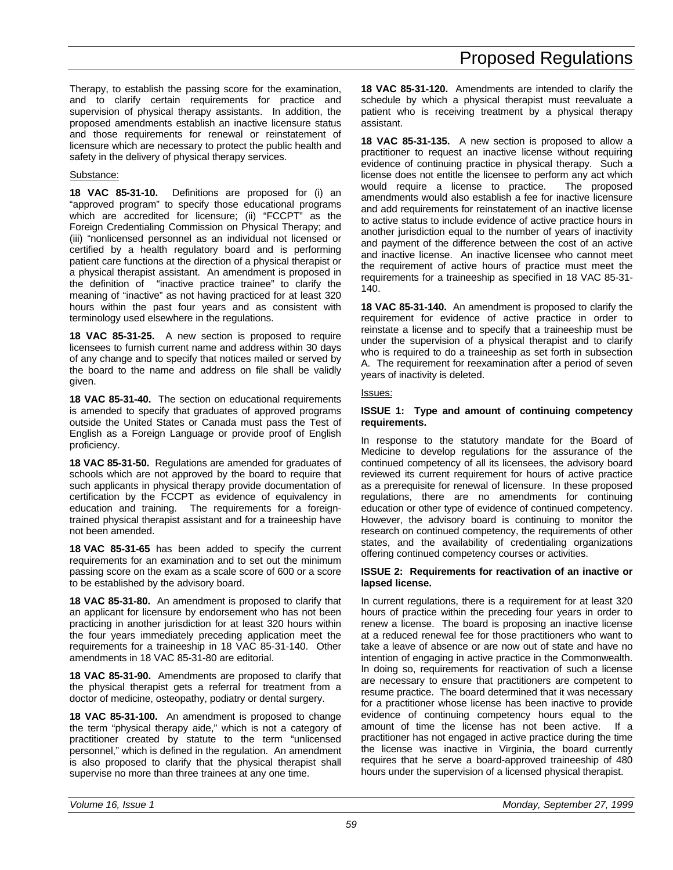Therapy, to establish the passing score for the examination, and to clarify certain requirements for practice and supervision of physical therapy assistants. In addition, the proposed amendments establish an inactive licensure status and those requirements for renewal or reinstatement of licensure which are necessary to protect the public health and safety in the delivery of physical therapy services.

### Substance:

**18 VAC 85-31-10.** Definitions are proposed for (i) an "approved program" to specify those educational programs which are accredited for licensure; (ii) "FCCPT" as the Foreign Credentialing Commission on Physical Therapy; and (iii) "nonlicensed personnel as an individual not licensed or certified by a health regulatory board and is performing patient care functions at the direction of a physical therapist or a physical therapist assistant. An amendment is proposed in the definition of "inactive practice trainee" to clarify the meaning of "inactive" as not having practiced for at least 320 hours within the past four years and as consistent with terminology used elsewhere in the regulations.

**18 VAC 85-31-25.** A new section is proposed to require licensees to furnish current name and address within 30 days of any change and to specify that notices mailed or served by the board to the name and address on file shall be validly given.

**18 VAC 85-31-40.** The section on educational requirements is amended to specify that graduates of approved programs outside the United States or Canada must pass the Test of English as a Foreign Language or provide proof of English proficiency.

**18 VAC 85-31-50.** Regulations are amended for graduates of schools which are not approved by the board to require that such applicants in physical therapy provide documentation of certification by the FCCPT as evidence of equivalency in education and training. The requirements for a foreigntrained physical therapist assistant and for a traineeship have not been amended.

**18 VAC 85-31-65** has been added to specify the current requirements for an examination and to set out the minimum passing score on the exam as a scale score of 600 or a score to be established by the advisory board.

**18 VAC 85-31-80.** An amendment is proposed to clarify that an applicant for licensure by endorsement who has not been practicing in another jurisdiction for at least 320 hours within the four years immediately preceding application meet the requirements for a traineeship in 18 VAC 85-31-140. Other amendments in 18 VAC 85-31-80 are editorial.

**18 VAC 85-31-90.** Amendments are proposed to clarify that the physical therapist gets a referral for treatment from a doctor of medicine, osteopathy, podiatry or dental surgery.

**18 VAC 85-31-100.** An amendment is proposed to change the term "physical therapy aide," which is not a category of practitioner created by statute to the term "unlicensed personnel," which is defined in the regulation. An amendment is also proposed to clarify that the physical therapist shall supervise no more than three trainees at any one time.

**18 VAC 85-31-120.** Amendments are intended to clarify the schedule by which a physical therapist must reevaluate a patient who is receiving treatment by a physical therapy assistant.

**18 VAC 85-31-135.** A new section is proposed to allow a practitioner to request an inactive license without requiring evidence of continuing practice in physical therapy. Such a license does not entitle the licensee to perform any act which would require a license to practice. The proposed amendments would also establish a fee for inactive licensure and add requirements for reinstatement of an inactive license to active status to include evidence of active practice hours in another jurisdiction equal to the number of years of inactivity and payment of the difference between the cost of an active and inactive license. An inactive licensee who cannot meet the requirement of active hours of practice must meet the requirements for a traineeship as specified in 18 VAC 85-31- 140.

**18 VAC 85-31-140.** An amendment is proposed to clarify the requirement for evidence of active practice in order to reinstate a license and to specify that a traineeship must be under the supervision of a physical therapist and to clarify who is required to do a traineeship as set forth in subsection A. The requirement for reexamination after a period of seven years of inactivity is deleted.

#### Issues:

#### **ISSUE 1: Type and amount of continuing competency requirements.**

In response to the statutory mandate for the Board of Medicine to develop regulations for the assurance of the continued competency of all its licensees, the advisory board reviewed its current requirement for hours of active practice as a prerequisite for renewal of licensure. In these proposed regulations, there are no amendments for continuing education or other type of evidence of continued competency. However, the advisory board is continuing to monitor the research on continued competency, the requirements of other states, and the availability of credentialing organizations offering continued competency courses or activities.

#### **ISSUE 2: Requirements for reactivation of an inactive or lapsed license.**

In current regulations, there is a requirement for at least 320 hours of practice within the preceding four years in order to renew a license. The board is proposing an inactive license at a reduced renewal fee for those practitioners who want to take a leave of absence or are now out of state and have no intention of engaging in active practice in the Commonwealth. In doing so, requirements for reactivation of such a license are necessary to ensure that practitioners are competent to resume practice. The board determined that it was necessary for a practitioner whose license has been inactive to provide evidence of continuing competency hours equal to the amount of time the license has not been active. If a practitioner has not engaged in active practice during the time the license was inactive in Virginia, the board currently requires that he serve a board-approved traineeship of 480 hours under the supervision of a licensed physical therapist.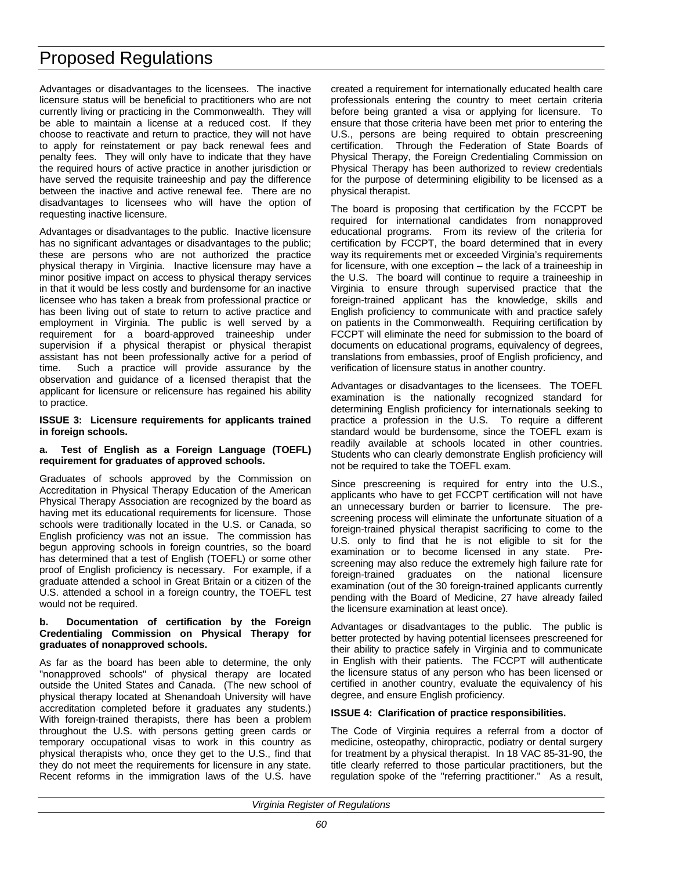Advantages or disadvantages to the licensees. The inactive licensure status will be beneficial to practitioners who are not currently living or practicing in the Commonwealth. They will be able to maintain a license at a reduced cost. If they choose to reactivate and return to practice, they will not have to apply for reinstatement or pay back renewal fees and penalty fees. They will only have to indicate that they have the required hours of active practice in another jurisdiction or have served the requisite traineeship and pay the difference between the inactive and active renewal fee. There are no disadvantages to licensees who will have the option of requesting inactive licensure.

Advantages or disadvantages to the public. Inactive licensure has no significant advantages or disadvantages to the public; these are persons who are not authorized the practice physical therapy in Virginia. Inactive licensure may have a minor positive impact on access to physical therapy services in that it would be less costly and burdensome for an inactive licensee who has taken a break from professional practice or has been living out of state to return to active practice and employment in Virginia. The public is well served by a requirement for a board-approved traineeship under supervision if a physical therapist or physical therapist assistant has not been professionally active for a period of time. Such a practice will provide assurance by the observation and guidance of a licensed therapist that the applicant for licensure or relicensure has regained his ability to practice.

#### **ISSUE 3: Licensure requirements for applicants trained in foreign schools.**

#### **a. Test of English as a Foreign Language (TOEFL) requirement for graduates of approved schools.**

Graduates of schools approved by the Commission on Accreditation in Physical Therapy Education of the American Physical Therapy Association are recognized by the board as having met its educational requirements for licensure. Those schools were traditionally located in the U.S. or Canada, so English proficiency was not an issue. The commission has begun approving schools in foreign countries, so the board has determined that a test of English (TOEFL) or some other proof of English proficiency is necessary. For example, if a graduate attended a school in Great Britain or a citizen of the U.S. attended a school in a foreign country, the TOEFL test would not be required.

#### **b. Documentation of certification by the Foreign Credentialing Commission on Physical Therapy for graduates of nonapproved schools.**

As far as the board has been able to determine, the only "nonapproved schools" of physical therapy are located outside the United States and Canada. (The new school of physical therapy located at Shenandoah University will have accreditation completed before it graduates any students.) With foreign-trained therapists, there has been a problem throughout the U.S. with persons getting green cards or temporary occupational visas to work in this country as physical therapists who, once they get to the U.S., find that they do not meet the requirements for licensure in any state. Recent reforms in the immigration laws of the U.S. have created a requirement for internationally educated health care professionals entering the country to meet certain criteria before being granted a visa or applying for licensure. To ensure that those criteria have been met prior to entering the U.S., persons are being required to obtain prescreening certification. Through the Federation of State Boards of Physical Therapy, the Foreign Credentialing Commission on Physical Therapy has been authorized to review credentials for the purpose of determining eligibility to be licensed as a physical therapist.

The board is proposing that certification by the FCCPT be required for international candidates from nonapproved educational programs. From its review of the criteria for certification by FCCPT, the board determined that in every way its requirements met or exceeded Virginia's requirements for licensure, with one exception – the lack of a traineeship in the U.S. The board will continue to require a traineeship in Virginia to ensure through supervised practice that the foreign-trained applicant has the knowledge, skills and English proficiency to communicate with and practice safely on patients in the Commonwealth. Requiring certification by FCCPT will eliminate the need for submission to the board of documents on educational programs, equivalency of degrees, translations from embassies, proof of English proficiency, and verification of licensure status in another country.

Advantages or disadvantages to the licensees. The TOEFL examination is the nationally recognized standard for determining English proficiency for internationals seeking to practice a profession in the U.S. To require a different standard would be burdensome, since the TOEFL exam is readily available at schools located in other countries. Students who can clearly demonstrate English proficiency will not be required to take the TOEFL exam.

Since prescreening is required for entry into the U.S., applicants who have to get FCCPT certification will not have an unnecessary burden or barrier to licensure. The prescreening process will eliminate the unfortunate situation of a foreign-trained physical therapist sacrificing to come to the U.S. only to find that he is not eligible to sit for the examination or to become licensed in any state. Prescreening may also reduce the extremely high failure rate for foreign-trained graduates on the national licensure examination (out of the 30 foreign-trained applicants currently pending with the Board of Medicine, 27 have already failed the licensure examination at least once).

Advantages or disadvantages to the public. The public is better protected by having potential licensees prescreened for their ability to practice safely in Virginia and to communicate in English with their patients. The FCCPT will authenticate the licensure status of any person who has been licensed or certified in another country, evaluate the equivalency of his degree, and ensure English proficiency.

#### **ISSUE 4: Clarification of practice responsibilities.**

The Code of Virginia requires a referral from a doctor of medicine, osteopathy, chiropractic, podiatry or dental surgery for treatment by a physical therapist. In 18 VAC 85-31-90, the title clearly referred to those particular practitioners, but the regulation spoke of the "referring practitioner." As a result,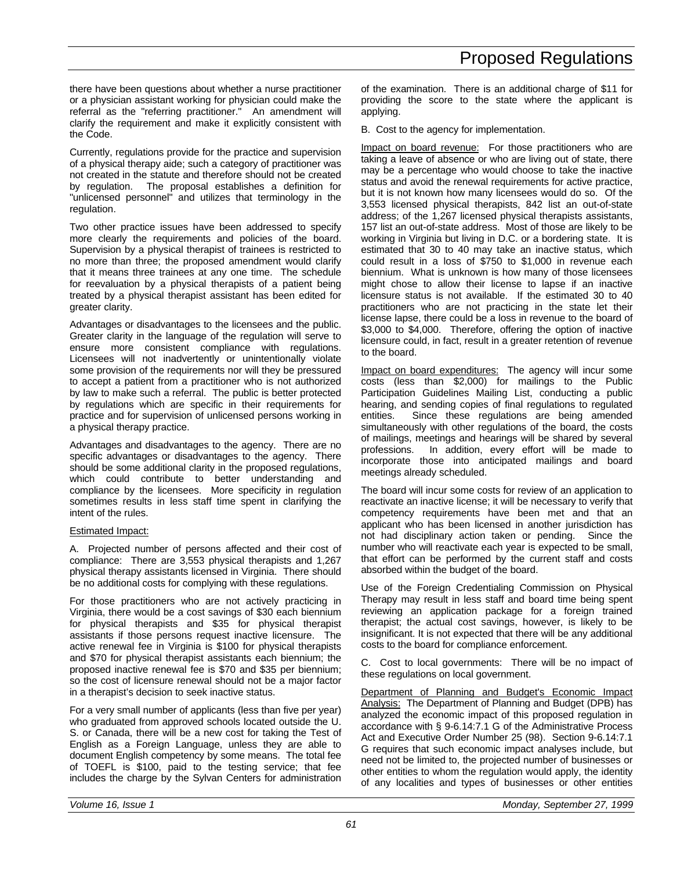there have been questions about whether a nurse practitioner or a physician assistant working for physician could make the referral as the "referring practitioner." An amendment will clarify the requirement and make it explicitly consistent with the Code.

Currently, regulations provide for the practice and supervision of a physical therapy aide; such a category of practitioner was not created in the statute and therefore should not be created by regulation. The proposal establishes a definition for "unlicensed personnel" and utilizes that terminology in the regulation.

Two other practice issues have been addressed to specify more clearly the requirements and policies of the board. Supervision by a physical therapist of trainees is restricted to no more than three; the proposed amendment would clarify that it means three trainees at any one time. The schedule for reevaluation by a physical therapists of a patient being treated by a physical therapist assistant has been edited for greater clarity.

Advantages or disadvantages to the licensees and the public. Greater clarity in the language of the regulation will serve to ensure more consistent compliance with regulations. Licensees will not inadvertently or unintentionally violate some provision of the requirements nor will they be pressured to accept a patient from a practitioner who is not authorized by law to make such a referral. The public is better protected by regulations which are specific in their requirements for practice and for supervision of unlicensed persons working in a physical therapy practice.

Advantages and disadvantages to the agency. There are no specific advantages or disadvantages to the agency. There should be some additional clarity in the proposed regulations, which could contribute to better understanding and compliance by the licensees. More specificity in regulation sometimes results in less staff time spent in clarifying the intent of the rules.

### Estimated Impact:

A. Projected number of persons affected and their cost of compliance: There are 3,553 physical therapists and 1,267 physical therapy assistants licensed in Virginia. There should be no additional costs for complying with these regulations.

For those practitioners who are not actively practicing in Virginia, there would be a cost savings of \$30 each biennium for physical therapists and \$35 for physical therapist assistants if those persons request inactive licensure. The active renewal fee in Virginia is \$100 for physical therapists and \$70 for physical therapist assistants each biennium; the proposed inactive renewal fee is \$70 and \$35 per biennium; so the cost of licensure renewal should not be a major factor in a therapist's decision to seek inactive status.

For a very small number of applicants (less than five per year) who graduated from approved schools located outside the U. S. or Canada, there will be a new cost for taking the Test of English as a Foreign Language, unless they are able to document English competency by some means. The total fee of TOEFL is \$100, paid to the testing service; that fee includes the charge by the Sylvan Centers for administration of the examination. There is an additional charge of \$11 for providing the score to the state where the applicant is applying.

B. Cost to the agency for implementation.

Impact on board revenue: For those practitioners who are taking a leave of absence or who are living out of state, there may be a percentage who would choose to take the inactive status and avoid the renewal requirements for active practice, but it is not known how many licensees would do so. Of the 3,553 licensed physical therapists, 842 list an out-of-state address; of the 1,267 licensed physical therapists assistants, 157 list an out-of-state address. Most of those are likely to be working in Virginia but living in D.C. or a bordering state. It is estimated that 30 to 40 may take an inactive status, which could result in a loss of \$750 to \$1,000 in revenue each biennium. What is unknown is how many of those licensees might chose to allow their license to lapse if an inactive licensure status is not available. If the estimated 30 to 40 practitioners who are not practicing in the state let their license lapse, there could be a loss in revenue to the board of \$3,000 to \$4,000. Therefore, offering the option of inactive licensure could, in fact, result in a greater retention of revenue to the board.

Impact on board expenditures: The agency will incur some costs (less than \$2,000) for mailings to the Public Participation Guidelines Mailing List, conducting a public hearing, and sending copies of final regulations to regulated entities. Since these regulations are being amended simultaneously with other regulations of the board, the costs of mailings, meetings and hearings will be shared by several professions. In addition, every effort will be made to incorporate those into anticipated mailings and board meetings already scheduled.

The board will incur some costs for review of an application to reactivate an inactive license; it will be necessary to verify that competency requirements have been met and that an applicant who has been licensed in another jurisdiction has not had disciplinary action taken or pending. Since the number who will reactivate each year is expected to be small, that effort can be performed by the current staff and costs absorbed within the budget of the board.

Use of the Foreign Credentialing Commission on Physical Therapy may result in less staff and board time being spent reviewing an application package for a foreign trained therapist; the actual cost savings, however, is likely to be insignificant. It is not expected that there will be any additional costs to the board for compliance enforcement.

C. Cost to local governments: There will be no impact of these regulations on local government.

Department of Planning and Budget's Economic Impact Analysis: The Department of Planning and Budget (DPB) has analyzed the economic impact of this proposed regulation in accordance with § 9-6.14:7.1 G of the Administrative Process Act and Executive Order Number 25 (98). Section 9-6.14:7.1 G requires that such economic impact analyses include, but need not be limited to, the projected number of businesses or other entities to whom the regulation would apply, the identity of any localities and types of businesses or other entities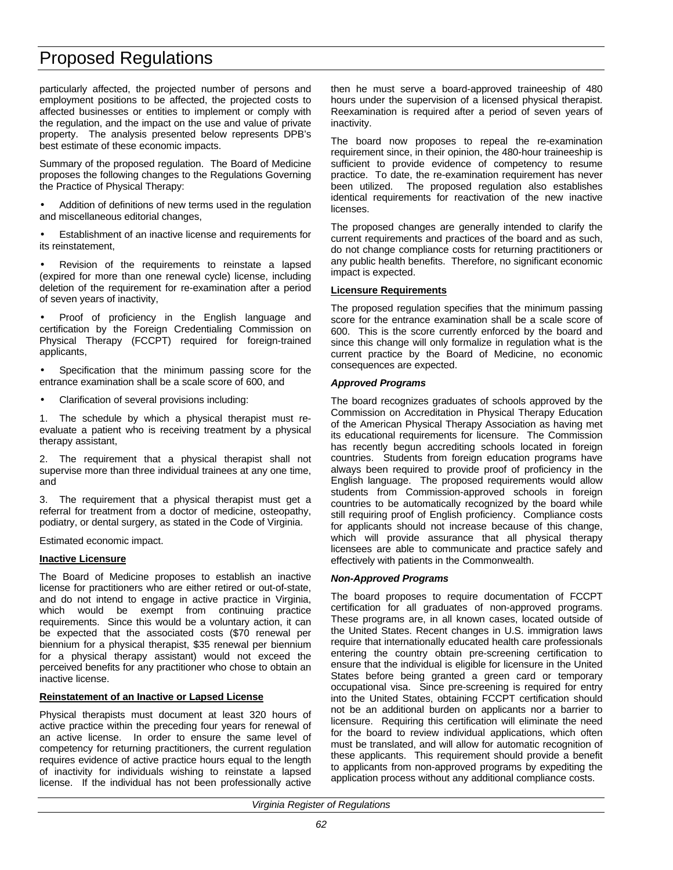particularly affected, the projected number of persons and employment positions to be affected, the projected costs to affected businesses or entities to implement or comply with the regulation, and the impact on the use and value of private property. The analysis presented below represents DPB's best estimate of these economic impacts.

Summary of the proposed regulation. The Board of Medicine proposes the following changes to the Regulations Governing the Practice of Physical Therapy:

Addition of definitions of new terms used in the regulation and miscellaneous editorial changes,

• Establishment of an inactive license and requirements for its reinstatement,

Revision of the requirements to reinstate a lapsed (expired for more than one renewal cycle) license, including deletion of the requirement for re-examination after a period of seven years of inactivity,

• Proof of proficiency in the English language and certification by the Foreign Credentialing Commission on Physical Therapy (FCCPT) required for foreign-trained applicants,

Specification that the minimum passing score for the entrance examination shall be a scale score of 600, and

• Clarification of several provisions including:

1. The schedule by which a physical therapist must reevaluate a patient who is receiving treatment by a physical therapy assistant,

2. The requirement that a physical therapist shall not supervise more than three individual trainees at any one time, and

3. The requirement that a physical therapist must get a referral for treatment from a doctor of medicine, osteopathy, podiatry, or dental surgery, as stated in the Code of Virginia.

Estimated economic impact.

#### **Inactive Licensure**

The Board of Medicine proposes to establish an inactive license for practitioners who are either retired or out-of-state, and do not intend to engage in active practice in Virginia, which would be exempt from continuing practice requirements. Since this would be a voluntary action, it can be expected that the associated costs (\$70 renewal per biennium for a physical therapist, \$35 renewal per biennium for a physical therapy assistant) would not exceed the perceived benefits for any practitioner who chose to obtain an inactive license.

#### **Reinstatement of an Inactive or Lapsed License**

Physical therapists must document at least 320 hours of active practice within the preceding four years for renewal of an active license. In order to ensure the same level of competency for returning practitioners, the current regulation requires evidence of active practice hours equal to the length of inactivity for individuals wishing to reinstate a lapsed license. If the individual has not been professionally active

then he must serve a board-approved traineeship of 480 hours under the supervision of a licensed physical therapist. Reexamination is required after a period of seven years of inactivity.

The board now proposes to repeal the re-examination requirement since, in their opinion, the 480-hour traineeship is sufficient to provide evidence of competency to resume practice. To date, the re-examination requirement has never been utilized. The proposed regulation also establishes identical requirements for reactivation of the new inactive licenses.

The proposed changes are generally intended to clarify the current requirements and practices of the board and as such, do not change compliance costs for returning practitioners or any public health benefits. Therefore, no significant economic impact is expected.

#### **Licensure Requirements**

The proposed regulation specifies that the minimum passing score for the entrance examination shall be a scale score of 600. This is the score currently enforced by the board and since this change will only formalize in regulation what is the current practice by the Board of Medicine, no economic consequences are expected.

#### *Approved Programs*

The board recognizes graduates of schools approved by the Commission on Accreditation in Physical Therapy Education of the American Physical Therapy Association as having met its educational requirements for licensure. The Commission has recently begun accrediting schools located in foreign countries. Students from foreign education programs have always been required to provide proof of proficiency in the English language. The proposed requirements would allow students from Commission-approved schools in foreign countries to be automatically recognized by the board while still requiring proof of English proficiency. Compliance costs for applicants should not increase because of this change, which will provide assurance that all physical therapy licensees are able to communicate and practice safely and effectively with patients in the Commonwealth.

#### *Non-Approved Programs*

The board proposes to require documentation of FCCPT certification for all graduates of non-approved programs. These programs are, in all known cases, located outside of the United States. Recent changes in U.S. immigration laws require that internationally educated health care professionals entering the country obtain pre-screening certification to ensure that the individual is eligible for licensure in the United States before being granted a green card or temporary occupational visa. Since pre-screening is required for entry into the United States, obtaining FCCPT certification should not be an additional burden on applicants nor a barrier to licensure. Requiring this certification will eliminate the need for the board to review individual applications, which often must be translated, and will allow for automatic recognition of these applicants. This requirement should provide a benefit to applicants from non-approved programs by expediting the application process without any additional compliance costs.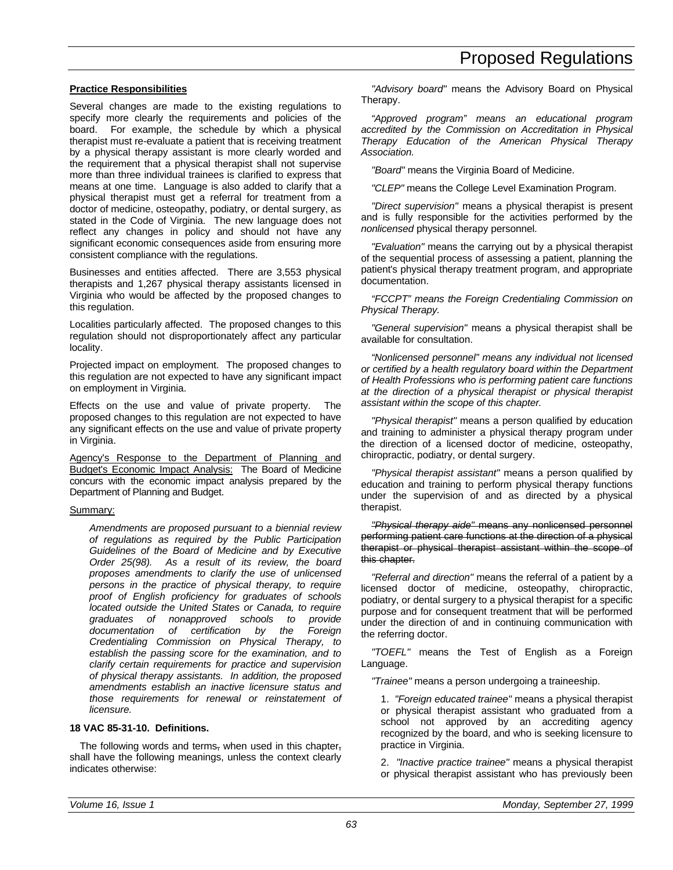#### **Practice Responsibilities**

Several changes are made to the existing regulations to specify more clearly the requirements and policies of the board. For example, the schedule by which a physical therapist must re-evaluate a patient that is receiving treatment by a physical therapy assistant is more clearly worded and the requirement that a physical therapist shall not supervise more than three individual trainees is clarified to express that means at one time. Language is also added to clarify that a physical therapist must get a referral for treatment from a doctor of medicine, osteopathy, podiatry, or dental surgery, as stated in the Code of Virginia. The new language does not reflect any changes in policy and should not have any significant economic consequences aside from ensuring more consistent compliance with the regulations.

Businesses and entities affected. There are 3,553 physical therapists and 1,267 physical therapy assistants licensed in Virginia who would be affected by the proposed changes to this regulation.

Localities particularly affected. The proposed changes to this regulation should not disproportionately affect any particular locality.

Projected impact on employment. The proposed changes to this regulation are not expected to have any significant impact on employment in Virginia.

Effects on the use and value of private property. The proposed changes to this regulation are not expected to have any significant effects on the use and value of private property in Virginia.

Agency's Response to the Department of Planning and Budget's Economic Impact Analysis: The Board of Medicine concurs with the economic impact analysis prepared by the Department of Planning and Budget.

#### Summary:

*Amendments are proposed pursuant to a biennial review of regulations as required by the Public Participation Guidelines of the Board of Medicine and by Executive Order 25(98). As a result of its review, the board proposes amendments to clarify the use of unlicensed persons in the practice of physical therapy, to require proof of English proficiency for graduates of schools located outside the United States or Canada, to require graduates of nonapproved schools to provide documentation of certification by the Foreign Credentialing Commission on Physical Therapy, to establish the passing score for the examination, and to clarify certain requirements for practice and supervision of physical therapy assistants. In addition, the proposed amendments establish an inactive licensure status and those requirements for renewal or reinstatement of licensure.*

#### **18 VAC 85-31-10. Definitions.**

The following words and terms, when used in this chapter, shall have the following meanings, unless the context clearly indicates otherwise:

*"Advisory board"* means the Advisory Board on Physical Therapy.

*"Approved program" means an educational program accredited by the Commission on Accreditation in Physical Therapy Education of the American Physical Therapy Association.*

*"Board"* means the Virginia Board of Medicine.

*"CLEP"* means the College Level Examination Program.

*"Direct supervision"* means a physical therapist is present and is fully responsible for the activities performed by the *nonlicensed* physical therapy personnel.

*"Evaluation"* means the carrying out by a physical therapist of the sequential process of assessing a patient, planning the patient's physical therapy treatment program, and appropriate documentation.

*"FCCPT" means the Foreign Credentialing Commission on Physical Therapy.*

*"General supervision"* means a physical therapist shall be available for consultation.

*"Nonlicensed personnel" means any individual not licensed or certified by a health regulatory board within the Department of Health Professions who is performing patient care functions at the direction of a physical therapist or physical therapist assistant within the scope of this chapter.*

*"Physical therapist"* means a person qualified by education and training to administer a physical therapy program under the direction of a licensed doctor of medicine, osteopathy, chiropractic, podiatry, or dental surgery.

*"Physical therapist assistant"* means a person qualified by education and training to perform physical therapy functions under the supervision of and as directed by a physical therapist.

*"Physical therapy aide"* means any nonlicensed personnel performing patient care functions at the direction of a physical therapist or physical therapist assistant within the scope of this chapter.

*"Referral and direction"* means the referral of a patient by a licensed doctor of medicine, osteopathy, chiropractic, podiatry, or dental surgery to a physical therapist for a specific purpose and for consequent treatment that will be performed under the direction of and in continuing communication with the referring doctor.

*"TOEFL"* means the Test of English as a Foreign Language.

*"Trainee"* means a person undergoing a traineeship.

1. *"Foreign educated trainee"* means a physical therapist or physical therapist assistant who graduated from a school not approved by an accrediting agency recognized by the board, and who is seeking licensure to practice in Virginia.

2. *"Inactive practice trainee"* means a physical therapist or physical therapist assistant who has previously been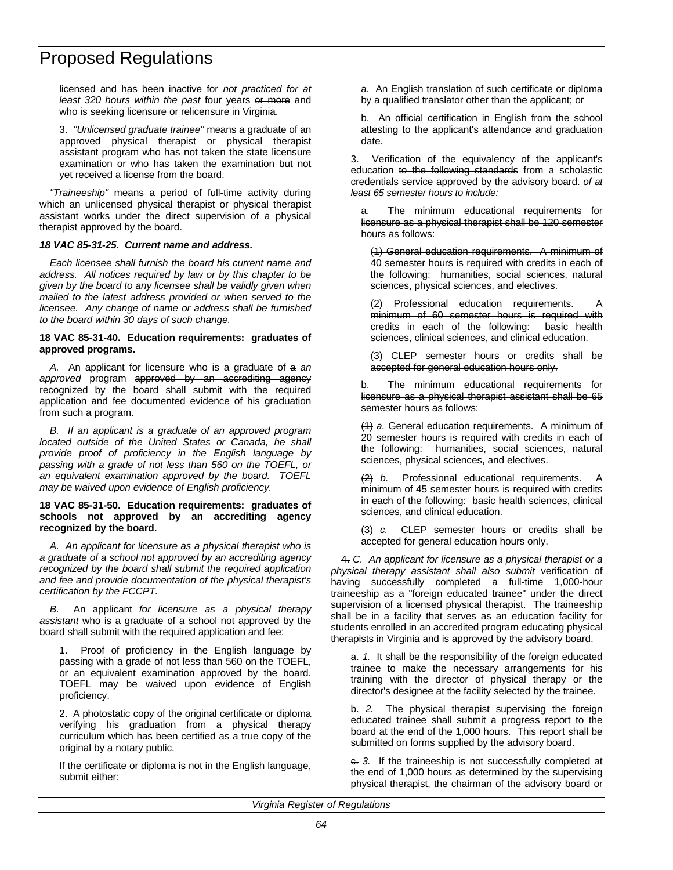licensed and has been inactive for *not practiced for at least 320 hours within the past* four years or more and who is seeking licensure or relicensure in Virginia.

3. *"Unlicensed graduate trainee"* means a graduate of an approved physical therapist or physical therapist assistant program who has not taken the state licensure examination or who has taken the examination but not yet received a license from the board.

*"Traineeship"* means a period of full-time activity during which an unlicensed physical therapist or physical therapist assistant works under the direct supervision of a physical therapist approved by the board.

#### *18 VAC 85-31-25. Current name and address.*

*Each licensee shall furnish the board his current name and address. All notices required by law or by this chapter to be given by the board to any licensee shall be validly given when mailed to the latest address provided or when served to the licensee. Any change of name or address shall be furnished to the board within 30 days of such change.*

#### **18 VAC 85-31-40. Education requirements: graduates of approved programs.**

*A.* An applicant for licensure who is a graduate of a *an* approved program approved by an accrediting agency recognized by the board shall submit with the required application and fee documented evidence of his graduation from such a program.

*B. If an applicant is a graduate of an approved program located outside of the United States or Canada, he shall provide proof of proficiency in the English language by passing with a grade of not less than 560 on the TOEFL, or an equivalent examination approved by the board. TOEFL may be waived upon evidence of English proficiency.*

#### **18 VAC 85-31-50. Education requirements: graduates of schools not approved by an accrediting agency recognized by the board.**

*A. An applicant for licensure as a physical therapist who is a graduate of a school not approved by an accrediting agency recognized by the board shall submit the required application and fee and provide documentation of the physical therapist's certification by the FCCPT.*

*B.* An applicant *for licensure as a physical therapy assistant* who is a graduate of a school not approved by the board shall submit with the required application and fee:

1. Proof of proficiency in the English language by passing with a grade of not less than 560 on the TOEFL, or an equivalent examination approved by the board. TOEFL may be waived upon evidence of English proficiency.

2. A photostatic copy of the original certificate or diploma verifying his graduation from a physical therapy curriculum which has been certified as a true copy of the original by a notary public.

If the certificate or diploma is not in the English language, submit either:

a. An English translation of such certificate or diploma by a qualified translator other than the applicant; or

b. An official certification in English from the school attesting to the applicant's attendance and graduation date.

3. Verification of the equivalency of the applicant's education to the following standards from a scholastic credentials service approved by the advisory board. *of at least 65 semester hours to include:*

The minimum educational requirements for licensure as a physical therapist shall be 120 semester hours as follows:

(1) General education requirements. A minimum of 40 semester hours is required with credits in each of the following: humanities, social sciences, natural sciences, physical sciences, and electives.

(2) Professional education requirements. minimum of 60 semester hours is required with credits in each of the following: basic health sciences, clinical sciences, and clinical education.

(3) CLEP semester hours or credits shall be accepted for general education hours only.

b. The minimum educational requirements for licensure as a physical therapist assistant shall be 65 semester hours as follows:

(1) *a.* General education requirements. A minimum of 20 semester hours is required with credits in each of the following: humanities, social sciences, natural sciences, physical sciences, and electives.

(2) *b.* Professional educational requirements. minimum of 45 semester hours is required with credits in each of the following: basic health sciences, clinical sciences, and clinical education.

(3) *c.* CLEP semester hours or credits shall be accepted for general education hours only.

4. *C. An applicant for licensure as a physical therapist or a physical therapy assistant shall also submit* verification of having successfully completed a full-time 1,000-hour traineeship as a "foreign educated trainee" under the direct supervision of a licensed physical therapist. The traineeship shall be in a facility that serves as an education facility for students enrolled in an accredited program educating physical therapists in Virginia and is approved by the advisory board.

a. 1. It shall be the responsibility of the foreign educated trainee to make the necessary arrangements for his training with the director of physical therapy or the director's designee at the facility selected by the trainee.

b. *2.* The physical therapist supervising the foreign educated trainee shall submit a progress report to the board at the end of the 1,000 hours. This report shall be submitted on forms supplied by the advisory board.

c. *3.* If the traineeship is not successfully completed at the end of 1,000 hours as determined by the supervising physical therapist, the chairman of the advisory board or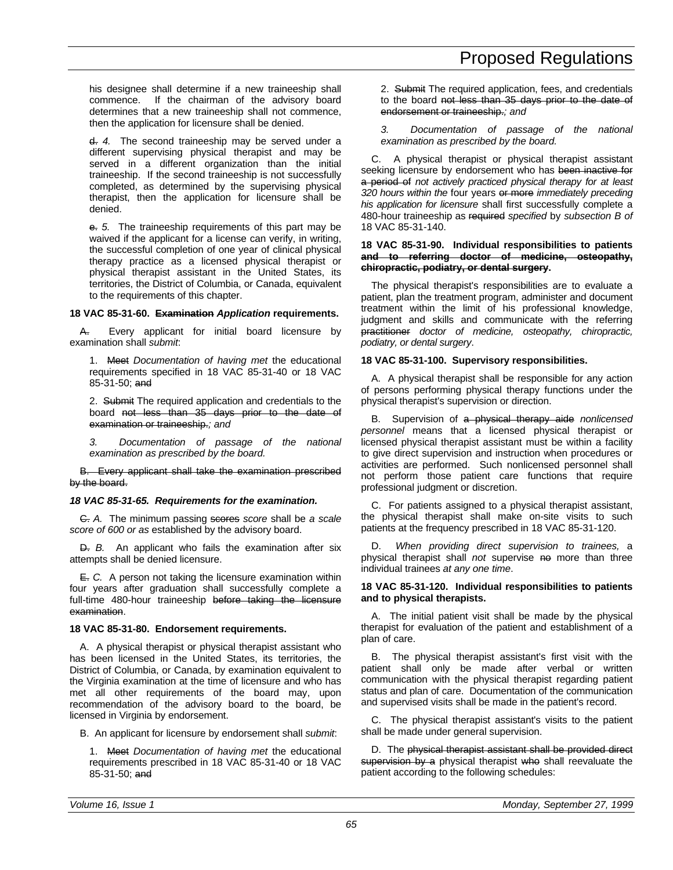his designee shall determine if a new traineeship shall commence. If the chairman of the advisory board determines that a new traineeship shall not commence, then the application for licensure shall be denied.

d. *4.* The second traineeship may be served under a different supervising physical therapist and may be served in a different organization than the initial traineeship. If the second traineeship is not successfully completed, as determined by the supervising physical therapist, then the application for licensure shall be denied.

e. *5.* The traineeship requirements of this part may be waived if the applicant for a license can verify, in writing, the successful completion of one year of clinical physical therapy practice as a licensed physical therapist or physical therapist assistant in the United States, its territories, the District of Columbia, or Canada, equivalent to the requirements of this chapter.

### **18 VAC 85-31-60. Examination** *Application* **requirements.**

A. Every applicant for initial board licensure by examination shall *submit*:

1. Meet *Documentation of having met* the educational requirements specified in 18 VAC 85-31-40 or 18 VAC 85-31-50; and

2. Submit The required application and credentials to the board not less than 35 days prior to the date of examination or traineeship.*; and*

*3. Documentation of passage of the national examination as prescribed by the board.*

B. Every applicant shall take the examination prescribed by the board.

### *18 VAC 85-31-65. Requirements for the examination.*

C. *A.* The minimum passing scores *score* shall be *a scale score of 600 or as* established by the advisory board.

D. *B.* An applicant who fails the examination after six attempts shall be denied licensure.

E. *C.* A person not taking the licensure examination within four years after graduation shall successfully complete a full-time 480-hour traineeship before taking the licensure examination.

### **18 VAC 85-31-80. Endorsement requirements.**

A. A physical therapist or physical therapist assistant who has been licensed in the United States, its territories, the District of Columbia, or Canada, by examination equivalent to the Virginia examination at the time of licensure and who has met all other requirements of the board may, upon recommendation of the advisory board to the board, be licensed in Virginia by endorsement.

B. An applicant for licensure by endorsement shall *submit*:

1. Meet *Documentation of having met* the educational requirements prescribed in 18 VAC 85-31-40 or 18 VAC 85-31-50; and

2. Submit The required application, fees, and credentials to the board not less than 35 days prior to the date of endorsement or traineeship.*; and*

*3. Documentation of passage of the national examination as prescribed by the board.*

C. A physical therapist or physical therapist assistant seeking licensure by endorsement who has been inactive for a period of *not actively practiced physical therapy for at least 320 hours within the* four years or more *immediately preceding his application for licensure* shall first successfully complete a 480-hour traineeship as required *specified* by *subsection B of* 18 VAC 85-31-140.

#### **18 VAC 85-31-90. Individual responsibilities to patients and to referring doctor of medicine, osteopathy, chiropractic, podiatry, or dental surgery.**

The physical therapist's responsibilities are to evaluate a patient, plan the treatment program, administer and document treatment within the limit of his professional knowledge, judgment and skills and communicate with the referring practitioner *doctor of medicine, osteopathy, chiropractic, podiatry, or dental surgery*.

### **18 VAC 85-31-100. Supervisory responsibilities.**

A. A physical therapist shall be responsible for any action of persons performing physical therapy functions under the physical therapist's supervision or direction.

B. Supervision of a physical therapy aide *nonlicensed personnel* means that a licensed physical therapist or licensed physical therapist assistant must be within a facility to give direct supervision and instruction when procedures or activities are performed. Such nonlicensed personnel shall not perform those patient care functions that require professional judgment or discretion.

C. For patients assigned to a physical therapist assistant, the physical therapist shall make on-site visits to such patients at the frequency prescribed in 18 VAC 85-31-120.

D. *When providing direct supervision to trainees,* a physical therapist shall *not* supervise no more than three individual trainees *at any one time*.

### **18 VAC 85-31-120. Individual responsibilities to patients and to physical therapists.**

A. The initial patient visit shall be made by the physical therapist for evaluation of the patient and establishment of a plan of care.

B. The physical therapist assistant's first visit with the patient shall only be made after verbal or written communication with the physical therapist regarding patient status and plan of care. Documentation of the communication and supervised visits shall be made in the patient's record.

C. The physical therapist assistant's visits to the patient shall be made under general supervision.

D. The physical therapist assistant shall be provided direct supervision by a physical therapist who shall reevaluate the patient according to the following schedules: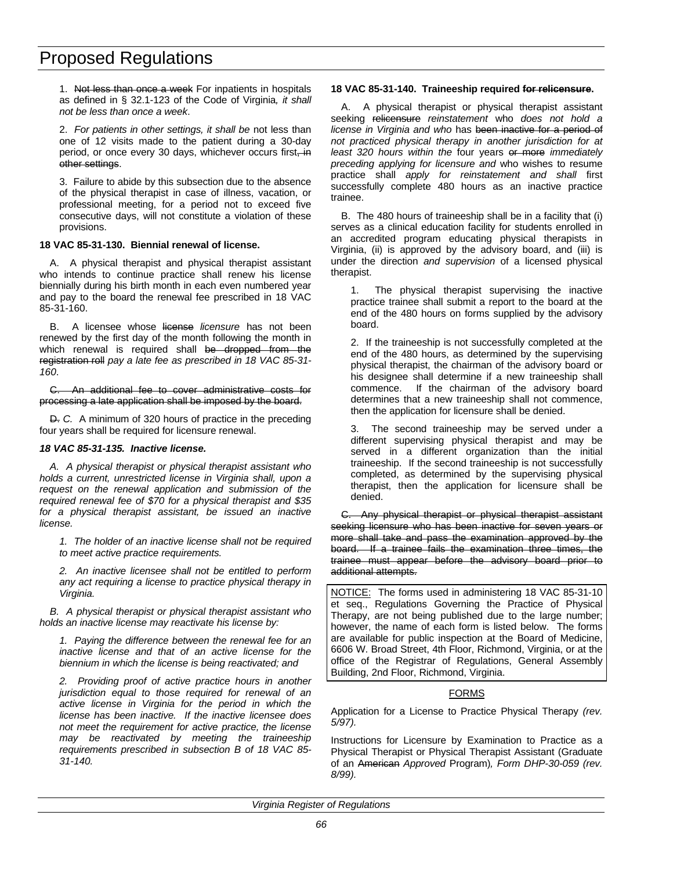1. Not less than once a week For inpatients in hospitals as defined in § 32.1-123 of the Code of Virginia*, it shall not be less than once a week*.

2. *For patients in other settings, it shall be* not less than one of 12 visits made to the patient during a 30-day period, or once every 30 days, whichever occurs first, in other settings.

3. Failure to abide by this subsection due to the absence of the physical therapist in case of illness, vacation, or professional meeting, for a period not to exceed five consecutive days, will not constitute a violation of these provisions.

#### **18 VAC 85-31-130. Biennial renewal of license.**

A. A physical therapist and physical therapist assistant who intends to continue practice shall renew his license biennially during his birth month in each even numbered year and pay to the board the renewal fee prescribed in 18 VAC 85-31-160.

B. A licensee whose license *licensure* has not been renewed by the first day of the month following the month in which renewal is required shall be dropped from the registration roll *pay a late fee as prescribed in 18 VAC 85-31- 160*.

C. An additional fee to cover administrative costs for processing a late application shall be imposed by the board.

D. *C.* A minimum of 320 hours of practice in the preceding four years shall be required for licensure renewal.

#### *18 VAC 85-31-135. Inactive license.*

*A. A physical therapist or physical therapist assistant who holds a current, unrestricted license in Virginia shall, upon a request on the renewal application and submission of the required renewal fee of \$70 for a physical therapist and \$35 for a physical therapist assistant, be issued an inactive license.*

*1. The holder of an inactive license shall not be required to meet active practice requirements.*

*2. An inactive licensee shall not be entitled to perform any act requiring a license to practice physical therapy in Virginia.*

*B. A physical therapist or physical therapist assistant who holds an inactive license may reactivate his license by:*

*1. Paying the difference between the renewal fee for an inactive license and that of an active license for the biennium in which the license is being reactivated; and*

*2. Providing proof of active practice hours in another jurisdiction equal to those required for renewal of an active license in Virginia for the period in which the license has been inactive. If the inactive licensee does not meet the requirement for active practice, the license may be reactivated by meeting the traineeship requirements prescribed in subsection B of 18 VAC 85- 31-140.*

#### **18 VAC 85-31-140. Traineeship required for relicensure.**

A. A physical therapist or physical therapist assistant seeking relicensure *reinstatement* who *does not hold a license in Virginia and who* has been inactive for a period of *not practiced physical therapy in another jurisdiction for at least 320 hours within the* four years or more *immediately preceding applying for licensure and* who wishes to resume practice shall *apply for reinstatement and shall* first successfully complete 480 hours as an inactive practice trainee.

B. The 480 hours of traineeship shall be in a facility that (i) serves as a clinical education facility for students enrolled in an accredited program educating physical therapists in Virginia, (ii) is approved by the advisory board, and (iii) is under the direction *and supervision* of a licensed physical therapist.

1. The physical therapist supervising the inactive practice trainee shall submit a report to the board at the end of the 480 hours on forms supplied by the advisory board.

2. If the traineeship is not successfully completed at the end of the 480 hours, as determined by the supervising physical therapist, the chairman of the advisory board or his designee shall determine if a new traineeship shall commence. If the chairman of the advisory board determines that a new traineeship shall not commence, then the application for licensure shall be denied.

3. The second traineeship may be served under a different supervising physical therapist and may be served in a different organization than the initial traineeship. If the second traineeship is not successfully completed, as determined by the supervising physical therapist, then the application for licensure shall be denied.

C. Any physical therapist or physical therapist assistant seeking licensure who has been inactive for seven years or more shall take and pass the examination approved by the board. If a trainee fails the examination three times, the trainee must appear before the advisory board prior to additional attempts.

NOTICE: The forms used in administering 18 VAC 85-31-10 et seq., Regulations Governing the Practice of Physical Therapy, are not being published due to the large number; however, the name of each form is listed below. The forms are available for public inspection at the Board of Medicine, 6606 W. Broad Street, 4th Floor, Richmond, Virginia, or at the office of the Registrar of Regulations, General Assembly Building, 2nd Floor, Richmond, Virginia.

#### FORMS

Application for a License to Practice Physical Therapy *(rev. 5/97).*

Instructions for Licensure by Examination to Practice as a Physical Therapist or Physical Therapist Assistant (Graduate of an American *Approved* Program)*, Form DHP-30-059 (rev. 8/99).*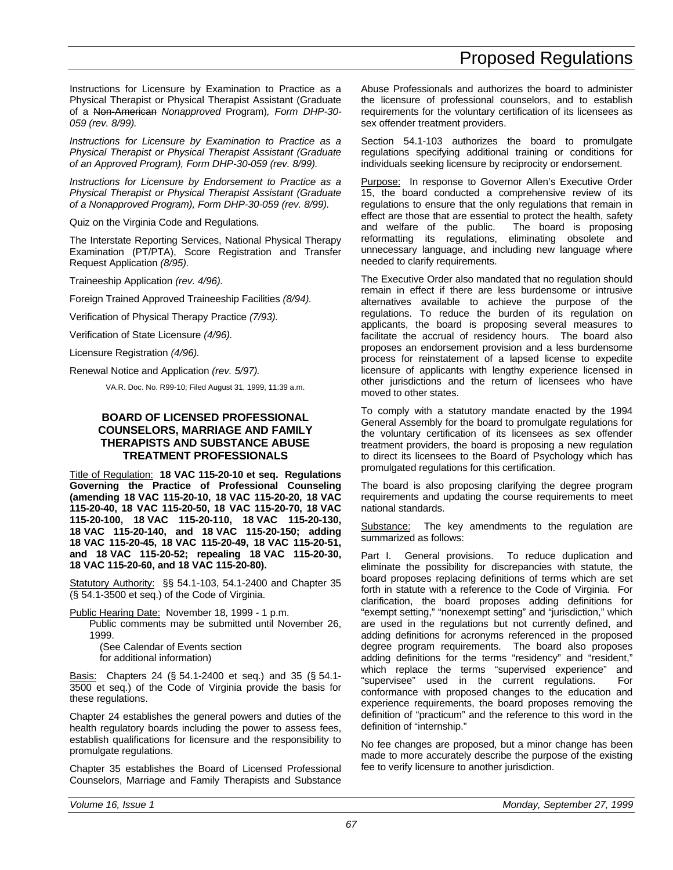Instructions for Licensure by Examination to Practice as a Physical Therapist or Physical Therapist Assistant (Graduate of a Non-American *Nonapproved* Program)*, Form DHP-30- 059 (rev. 8/99).*

*Instructions for Licensure by Examination to Practice as a Physical Therapist or Physical Therapist Assistant (Graduate of an Approved Program), Form DHP-30-059 (rev. 8/99).*

*Instructions for Licensure by Endorsement to Practice as a Physical Therapist or Physical Therapist Assistant (Graduate of a Nonapproved Program), Form DHP-30-059 (rev. 8/99).*

Quiz on the Virginia Code and Regulations*.*

The Interstate Reporting Services, National Physical Therapy Examination (PT/PTA), Score Registration and Transfer Request Application *(8/95).*

Traineeship Application *(rev. 4/96).*

Foreign Trained Approved Traineeship Facilities *(8/94).*

Verification of Physical Therapy Practice *(7/93).*

Verification of State Licensure *(4/96).*

Licensure Registration *(4/96).*

Renewal Notice and Application *(rev. 5/97).*

VA.R. Doc. No. R99-10; Filed August 31, 1999, 11:39 a.m.

#### **BOARD OF LICENSED PROFESSIONAL COUNSELORS, MARRIAGE AND FAMILY THERAPISTS AND SUBSTANCE ABUSE TREATMENT PROFESSIONALS**

Title of Regulation: **18 VAC 115-20-10 et seq. Regulations Governing the Practice of Professional Counseling (amending 18 VAC 115-20-10, 18 VAC 115-20-20, 18 VAC 115-20-40, 18 VAC 115-20-50, 18 VAC 115-20-70, 18 VAC 115-20-100, 18 VAC 115-20-110, 18 VAC 115-20-130, 18 VAC 115-20-140, and 18 VAC 115-20-150; adding 18 VAC 115-20-45, 18 VAC 115-20-49, 18 VAC 115-20-51, and 18 VAC 115-20-52; repealing 18 VAC 115-20-30, 18 VAC 115-20-60, and 18 VAC 115-20-80).**

Statutory Authority: §§ 54.1-103, 54.1-2400 and Chapter 35 (§ 54.1-3500 et seq.) of the Code of Virginia.

Public Hearing Date: November 18, 1999 - 1 p.m.

Public comments may be submitted until November 26, 1999. (See Calendar of Events section

for additional information)

Basis: Chapters 24 (§ 54.1-2400 et seq.) and 35 (§ 54.1-3500 et seq.) of the Code of Virginia provide the basis for these regulations.

Chapter 24 establishes the general powers and duties of the health regulatory boards including the power to assess fees, establish qualifications for licensure and the responsibility to promulgate regulations.

Chapter 35 establishes the Board of Licensed Professional Counselors, Marriage and Family Therapists and Substance Abuse Professionals and authorizes the board to administer the licensure of professional counselors, and to establish requirements for the voluntary certification of its licensees as sex offender treatment providers.

Section 54.1-103 authorizes the board to promulgate regulations specifying additional training or conditions for individuals seeking licensure by reciprocity or endorsement.

Purpose: In response to Governor Allen's Executive Order 15, the board conducted a comprehensive review of its regulations to ensure that the only regulations that remain in effect are those that are essential to protect the health, safety and welfare of the public. The board is proposing reformatting its regulations, eliminating obsolete and unnecessary language, and including new language where needed to clarify requirements.

The Executive Order also mandated that no regulation should remain in effect if there are less burdensome or intrusive alternatives available to achieve the purpose of the regulations. To reduce the burden of its regulation on applicants, the board is proposing several measures to facilitate the accrual of residency hours. The board also proposes an endorsement provision and a less burdensome process for reinstatement of a lapsed license to expedite licensure of applicants with lengthy experience licensed in other jurisdictions and the return of licensees who have moved to other states.

To comply with a statutory mandate enacted by the 1994 General Assembly for the board to promulgate regulations for the voluntary certification of its licensees as sex offender treatment providers, the board is proposing a new regulation to direct its licensees to the Board of Psychology which has promulgated regulations for this certification.

The board is also proposing clarifying the degree program requirements and updating the course requirements to meet national standards.

Substance: The key amendments to the regulation are summarized as follows:

Part I. General provisions. To reduce duplication and eliminate the possibility for discrepancies with statute, the board proposes replacing definitions of terms which are set forth in statute with a reference to the Code of Virginia. For clarification, the board proposes adding definitions for "exempt setting," "nonexempt setting" and "jurisdiction," which are used in the regulations but not currently defined, and adding definitions for acronyms referenced in the proposed degree program requirements. The board also proposes adding definitions for the terms "residency" and "resident," which replace the terms "supervised experience" and "supervisee" used in the current regulations. For conformance with proposed changes to the education and experience requirements, the board proposes removing the definition of "practicum" and the reference to this word in the definition of "internship."

No fee changes are proposed, but a minor change has been made to more accurately describe the purpose of the existing fee to verify licensure to another jurisdiction.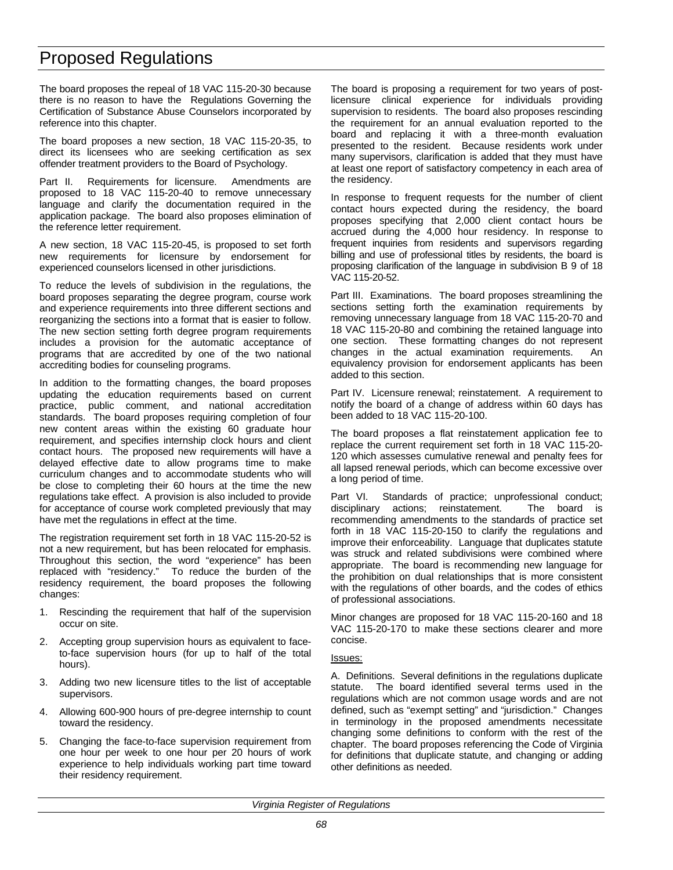The board proposes the repeal of 18 VAC 115-20-30 because there is no reason to have the Regulations Governing the Certification of Substance Abuse Counselors incorporated by reference into this chapter.

The board proposes a new section, 18 VAC 115-20-35, to direct its licensees who are seeking certification as sex offender treatment providers to the Board of Psychology.

Part II. Requirements for licensure. Amendments are proposed to 18 VAC 115-20-40 to remove unnecessary language and clarify the documentation required in the application package. The board also proposes elimination of the reference letter requirement.

A new section, 18 VAC 115-20-45, is proposed to set forth new requirements for licensure by endorsement for experienced counselors licensed in other jurisdictions.

To reduce the levels of subdivision in the regulations, the board proposes separating the degree program, course work and experience requirements into three different sections and reorganizing the sections into a format that is easier to follow. The new section setting forth degree program requirements includes a provision for the automatic acceptance of programs that are accredited by one of the two national accrediting bodies for counseling programs.

In addition to the formatting changes, the board proposes updating the education requirements based on current practice, public comment, and national accreditation standards. The board proposes requiring completion of four new content areas within the existing 60 graduate hour requirement, and specifies internship clock hours and client contact hours. The proposed new requirements will have a delayed effective date to allow programs time to make curriculum changes and to accommodate students who will be close to completing their 60 hours at the time the new regulations take effect. A provision is also included to provide for acceptance of course work completed previously that may have met the regulations in effect at the time.

The registration requirement set forth in 18 VAC 115-20-52 is not a new requirement, but has been relocated for emphasis. Throughout this section, the word "experience" has been replaced with "residency." To reduce the burden of the residency requirement, the board proposes the following changes:

- 1. Rescinding the requirement that half of the supervision occur on site.
- 2. Accepting group supervision hours as equivalent to faceto-face supervision hours (for up to half of the total hours).
- 3. Adding two new licensure titles to the list of acceptable supervisors.
- 4. Allowing 600-900 hours of pre-degree internship to count toward the residency.
- 5. Changing the face-to-face supervision requirement from one hour per week to one hour per 20 hours of work experience to help individuals working part time toward their residency requirement.

The board is proposing a requirement for two years of postlicensure clinical experience for individuals providing supervision to residents. The board also proposes rescinding the requirement for an annual evaluation reported to the board and replacing it with a three-month evaluation presented to the resident. Because residents work under many supervisors, clarification is added that they must have at least one report of satisfactory competency in each area of the residency.

In response to frequent requests for the number of client contact hours expected during the residency, the board proposes specifying that 2,000 client contact hours be accrued during the 4,000 hour residency. In response to frequent inquiries from residents and supervisors regarding billing and use of professional titles by residents, the board is proposing clarification of the language in subdivision B 9 of 18 VAC 115-20-52.

Part III. Examinations. The board proposes streamlining the sections setting forth the examination requirements by removing unnecessary language from 18 VAC 115-20-70 and 18 VAC 115-20-80 and combining the retained language into one section. These formatting changes do not represent changes in the actual examination requirements. An equivalency provision for endorsement applicants has been added to this section.

Part IV. Licensure renewal; reinstatement. A requirement to notify the board of a change of address within 60 days has been added to 18 VAC 115-20-100.

The board proposes a flat reinstatement application fee to replace the current requirement set forth in 18 VAC 115-20- 120 which assesses cumulative renewal and penalty fees for all lapsed renewal periods, which can become excessive over a long period of time.

Part VI. Standards of practice; unprofessional conduct; disciplinary actions; reinstatement. The board is recommending amendments to the standards of practice set forth in 18 VAC 115-20-150 to clarify the regulations and improve their enforceability. Language that duplicates statute was struck and related subdivisions were combined where appropriate. The board is recommending new language for the prohibition on dual relationships that is more consistent with the regulations of other boards, and the codes of ethics of professional associations.

Minor changes are proposed for 18 VAC 115-20-160 and 18 VAC 115-20-170 to make these sections clearer and more concise.

#### Issues:

A. Definitions. Several definitions in the regulations duplicate statute. The board identified several terms used in the regulations which are not common usage words and are not defined, such as "exempt setting" and "jurisdiction." Changes in terminology in the proposed amendments necessitate changing some definitions to conform with the rest of the chapter. The board proposes referencing the Code of Virginia for definitions that duplicate statute, and changing or adding other definitions as needed.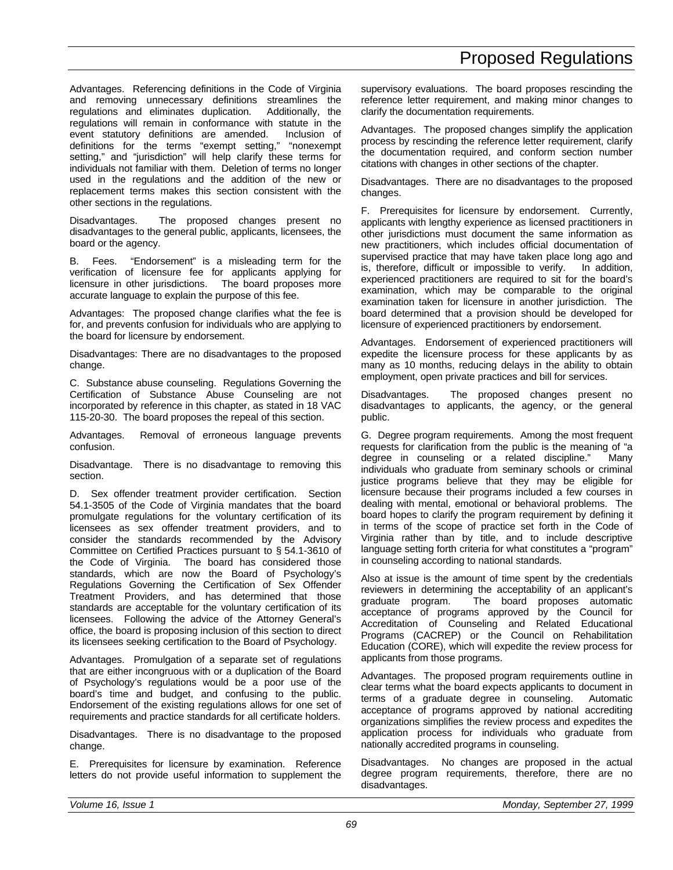Advantages. Referencing definitions in the Code of Virginia and removing unnecessary definitions streamlines the regulations and eliminates duplication. Additionally, the regulations will remain in conformance with statute in the event statutory definitions are amended. Inclusion of definitions for the terms "exempt setting," "nonexempt setting," and "jurisdiction" will help clarify these terms for individuals not familiar with them. Deletion of terms no longer used in the regulations and the addition of the new or replacement terms makes this section consistent with the other sections in the regulations.

Disadvantages. The proposed changes present no disadvantages to the general public, applicants, licensees, the board or the agency.

B. Fees. "Endorsement" is a misleading term for the verification of licensure fee for applicants applying for licensure in other jurisdictions. The board proposes more accurate language to explain the purpose of this fee.

Advantages: The proposed change clarifies what the fee is for, and prevents confusion for individuals who are applying to the board for licensure by endorsement.

Disadvantages: There are no disadvantages to the proposed change.

C. Substance abuse counseling. Regulations Governing the Certification of Substance Abuse Counseling are not incorporated by reference in this chapter, as stated in 18 VAC 115-20-30. The board proposes the repeal of this section.

Advantages. Removal of erroneous language prevents confusion.

Disadvantage. There is no disadvantage to removing this section.

D. Sex offender treatment provider certification. Section 54.1-3505 of the Code of Virginia mandates that the board promulgate regulations for the voluntary certification of its licensees as sex offender treatment providers, and to consider the standards recommended by the Advisory Committee on Certified Practices pursuant to § 54.1-3610 of the Code of Virginia. The board has considered those standards, which are now the Board of Psychology's Regulations Governing the Certification of Sex Offender Treatment Providers, and has determined that those standards are acceptable for the voluntary certification of its licensees. Following the advice of the Attorney General's office, the board is proposing inclusion of this section to direct its licensees seeking certification to the Board of Psychology.

Advantages. Promulgation of a separate set of regulations that are either incongruous with or a duplication of the Board of Psychology's regulations would be a poor use of the board's time and budget, and confusing to the public. Endorsement of the existing regulations allows for one set of requirements and practice standards for all certificate holders.

Disadvantages. There is no disadvantage to the proposed change.

E. Prerequisites for licensure by examination. Reference letters do not provide useful information to supplement the supervisory evaluations. The board proposes rescinding the reference letter requirement, and making minor changes to clarify the documentation requirements.

Advantages. The proposed changes simplify the application process by rescinding the reference letter requirement, clarify the documentation required, and conform section number citations with changes in other sections of the chapter.

Disadvantages. There are no disadvantages to the proposed changes.

F. Prerequisites for licensure by endorsement. Currently, applicants with lengthy experience as licensed practitioners in other jurisdictions must document the same information as new practitioners, which includes official documentation of supervised practice that may have taken place long ago and is, therefore, difficult or impossible to verify. In addition, experienced practitioners are required to sit for the board's examination, which may be comparable to the original examination taken for licensure in another jurisdiction. The board determined that a provision should be developed for licensure of experienced practitioners by endorsement.

Advantages. Endorsement of experienced practitioners will expedite the licensure process for these applicants by as many as 10 months, reducing delays in the ability to obtain employment, open private practices and bill for services.

Disadvantages. The proposed changes present no disadvantages to applicants, the agency, or the general public.

G. Degree program requirements. Among the most frequent requests for clarification from the public is the meaning of "a degree in counseling or a related discipline." Many individuals who graduate from seminary schools or criminal justice programs believe that they may be eligible for licensure because their programs included a few courses in dealing with mental, emotional or behavioral problems. The board hopes to clarify the program requirement by defining it in terms of the scope of practice set forth in the Code of Virginia rather than by title, and to include descriptive language setting forth criteria for what constitutes a "program" in counseling according to national standards.

Also at issue is the amount of time spent by the credentials reviewers in determining the acceptability of an applicant's graduate program. The board proposes automatic acceptance of programs approved by the Council for Accreditation of Counseling and Related Educational Programs (CACREP) or the Council on Rehabilitation Education (CORE), which will expedite the review process for applicants from those programs.

Advantages. The proposed program requirements outline in clear terms what the board expects applicants to document in terms of a graduate degree in counseling. Automatic acceptance of programs approved by national accrediting organizations simplifies the review process and expedites the application process for individuals who graduate from nationally accredited programs in counseling.

Disadvantages. No changes are proposed in the actual degree program requirements, therefore, there are no disadvantages.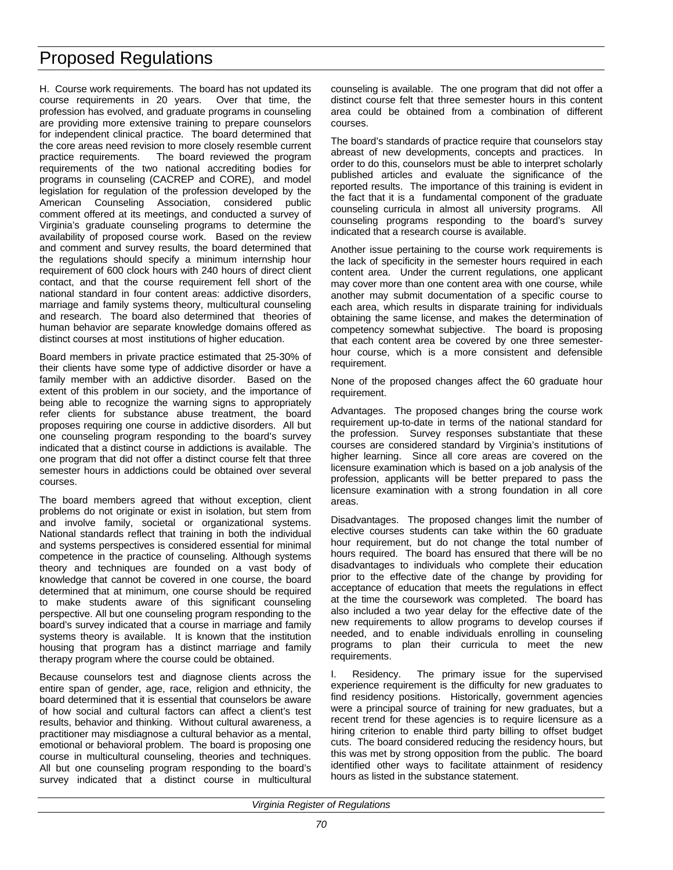H. Course work requirements. The board has not updated its course requirements in 20 years. Over that time, the profession has evolved, and graduate programs in counseling are providing more extensive training to prepare counselors for independent clinical practice. The board determined that the core areas need revision to more closely resemble current practice requirements. The board reviewed the program requirements of the two national accrediting bodies for programs in counseling (CACREP and CORE), and model legislation for regulation of the profession developed by the American Counseling Association, considered public comment offered at its meetings, and conducted a survey of Virginia's graduate counseling programs to determine the availability of proposed course work. Based on the review and comment and survey results, the board determined that the regulations should specify a minimum internship hour requirement of 600 clock hours with 240 hours of direct client contact, and that the course requirement fell short of the national standard in four content areas: addictive disorders, marriage and family systems theory, multicultural counseling and research. The board also determined that theories of human behavior are separate knowledge domains offered as distinct courses at most institutions of higher education.

Board members in private practice estimated that 25-30% of their clients have some type of addictive disorder or have a family member with an addictive disorder. Based on the extent of this problem in our society, and the importance of being able to recognize the warning signs to appropriately refer clients for substance abuse treatment, the board proposes requiring one course in addictive disorders. All but one counseling program responding to the board's survey indicated that a distinct course in addictions is available. The one program that did not offer a distinct course felt that three semester hours in addictions could be obtained over several courses.

The board members agreed that without exception, client problems do not originate or exist in isolation, but stem from and involve family, societal or organizational systems. National standards reflect that training in both the individual and systems perspectives is considered essential for minimal competence in the practice of counseling. Although systems theory and techniques are founded on a vast body of knowledge that cannot be covered in one course, the board determined that at minimum, one course should be required to make students aware of this significant counseling perspective. All but one counseling program responding to the board's survey indicated that a course in marriage and family systems theory is available. It is known that the institution housing that program has a distinct marriage and family therapy program where the course could be obtained.

Because counselors test and diagnose clients across the entire span of gender, age, race, religion and ethnicity, the board determined that it is essential that counselors be aware of how social and cultural factors can affect a client's test results, behavior and thinking. Without cultural awareness, a practitioner may misdiagnose a cultural behavior as a mental, emotional or behavioral problem. The board is proposing one course in multicultural counseling, theories and techniques. All but one counseling program responding to the board's survey indicated that a distinct course in multicultural counseling is available. The one program that did not offer a distinct course felt that three semester hours in this content area could be obtained from a combination of different courses.

The board's standards of practice require that counselors stay abreast of new developments, concepts and practices. In order to do this, counselors must be able to interpret scholarly published articles and evaluate the significance of the reported results. The importance of this training is evident in the fact that it is a fundamental component of the graduate counseling curricula in almost all university programs. All counseling programs responding to the board's survey indicated that a research course is available.

Another issue pertaining to the course work requirements is the lack of specificity in the semester hours required in each content area. Under the current regulations, one applicant may cover more than one content area with one course, while another may submit documentation of a specific course to each area, which results in disparate training for individuals obtaining the same license, and makes the determination of competency somewhat subjective. The board is proposing that each content area be covered by one three semesterhour course, which is a more consistent and defensible requirement.

None of the proposed changes affect the 60 graduate hour requirement.

Advantages. The proposed changes bring the course work requirement up-to-date in terms of the national standard for the profession. Survey responses substantiate that these courses are considered standard by Virginia's institutions of higher learning. Since all core areas are covered on the licensure examination which is based on a job analysis of the profession, applicants will be better prepared to pass the licensure examination with a strong foundation in all core areas.

Disadvantages. The proposed changes limit the number of elective courses students can take within the 60 graduate hour requirement, but do not change the total number of hours required. The board has ensured that there will be no disadvantages to individuals who complete their education prior to the effective date of the change by providing for acceptance of education that meets the regulations in effect at the time the coursework was completed. The board has also included a two year delay for the effective date of the new requirements to allow programs to develop courses if needed, and to enable individuals enrolling in counseling programs to plan their curricula to meet the new requirements.

I. Residency. The primary issue for the supervised experience requirement is the difficulty for new graduates to find residency positions. Historically, government agencies were a principal source of training for new graduates, but a recent trend for these agencies is to require licensure as a hiring criterion to enable third party billing to offset budget cuts. The board considered reducing the residency hours, but this was met by strong opposition from the public. The board identified other ways to facilitate attainment of residency hours as listed in the substance statement.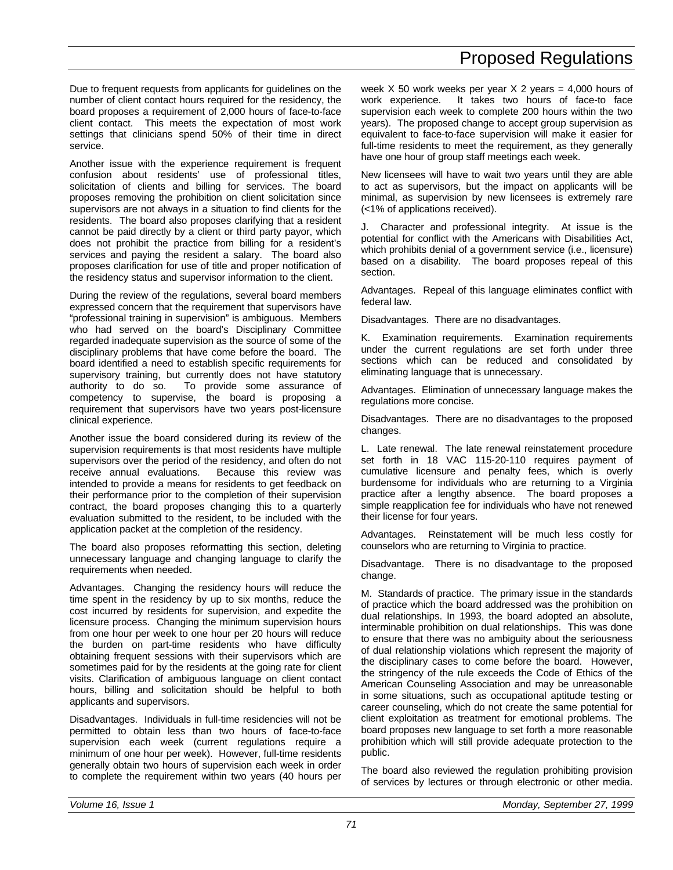Due to frequent requests from applicants for guidelines on the number of client contact hours required for the residency, the board proposes a requirement of 2,000 hours of face-to-face client contact. This meets the expectation of most work settings that clinicians spend 50% of their time in direct service.

Another issue with the experience requirement is frequent confusion about residents' use of professional titles, solicitation of clients and billing for services. The board proposes removing the prohibition on client solicitation since supervisors are not always in a situation to find clients for the residents. The board also proposes clarifying that a resident cannot be paid directly by a client or third party payor, which does not prohibit the practice from billing for a resident's services and paying the resident a salary. The board also proposes clarification for use of title and proper notification of the residency status and supervisor information to the client.

During the review of the regulations, several board members expressed concern that the requirement that supervisors have "professional training in supervision" is ambiguous. Members who had served on the board's Disciplinary Committee regarded inadequate supervision as the source of some of the disciplinary problems that have come before the board. The board identified a need to establish specific requirements for supervisory training, but currently does not have statutory authority to do so. To provide some assurance of competency to supervise, the board is proposing a requirement that supervisors have two years post-licensure clinical experience.

Another issue the board considered during its review of the supervision requirements is that most residents have multiple supervisors over the period of the residency, and often do not receive annual evaluations. Because this review was intended to provide a means for residents to get feedback on their performance prior to the completion of their supervision contract, the board proposes changing this to a quarterly evaluation submitted to the resident, to be included with the application packet at the completion of the residency.

The board also proposes reformatting this section, deleting unnecessary language and changing language to clarify the requirements when needed.

Advantages. Changing the residency hours will reduce the time spent in the residency by up to six months, reduce the cost incurred by residents for supervision, and expedite the licensure process. Changing the minimum supervision hours from one hour per week to one hour per 20 hours will reduce the burden on part-time residents who have difficulty obtaining frequent sessions with their supervisors which are sometimes paid for by the residents at the going rate for client visits. Clarification of ambiguous language on client contact hours, billing and solicitation should be helpful to both applicants and supervisors.

Disadvantages. Individuals in full-time residencies will not be permitted to obtain less than two hours of face-to-face supervision each week (current regulations require a minimum of one hour per week). However, full-time residents generally obtain two hours of supervision each week in order to complete the requirement within two years (40 hours per week  $X$  50 work weeks per year  $X$  2 years = 4,000 hours of work experience. It takes two hours of face-to face supervision each week to complete 200 hours within the two years). The proposed change to accept group supervision as equivalent to face-to-face supervision will make it easier for full-time residents to meet the requirement, as they generally have one hour of group staff meetings each week.

New licensees will have to wait two years until they are able to act as supervisors, but the impact on applicants will be minimal, as supervision by new licensees is extremely rare (<1% of applications received).

J. Character and professional integrity. At issue is the potential for conflict with the Americans with Disabilities Act, which prohibits denial of a government service (i.e., licensure) based on a disability. The board proposes repeal of this section.

Advantages. Repeal of this language eliminates conflict with federal law.

Disadvantages. There are no disadvantages.

K. Examination requirements. Examination requirements under the current regulations are set forth under three sections which can be reduced and consolidated by eliminating language that is unnecessary.

Advantages. Elimination of unnecessary language makes the regulations more concise.

Disadvantages. There are no disadvantages to the proposed changes.

L. Late renewal. The late renewal reinstatement procedure set forth in 18 VAC 115-20-110 requires payment of cumulative licensure and penalty fees, which is overly burdensome for individuals who are returning to a Virginia practice after a lengthy absence. The board proposes a simple reapplication fee for individuals who have not renewed their license for four years.

Advantages. Reinstatement will be much less costly for counselors who are returning to Virginia to practice.

Disadvantage. There is no disadvantage to the proposed change.

M. Standards of practice. The primary issue in the standards of practice which the board addressed was the prohibition on dual relationships. In 1993, the board adopted an absolute, interminable prohibition on dual relationships. This was done to ensure that there was no ambiguity about the seriousness of dual relationship violations which represent the majority of the disciplinary cases to come before the board. However, the stringency of the rule exceeds the Code of Ethics of the American Counseling Association and may be unreasonable in some situations, such as occupational aptitude testing or career counseling, which do not create the same potential for client exploitation as treatment for emotional problems. The board proposes new language to set forth a more reasonable prohibition which will still provide adequate protection to the public.

The board also reviewed the regulation prohibiting provision of services by lectures or through electronic or other media.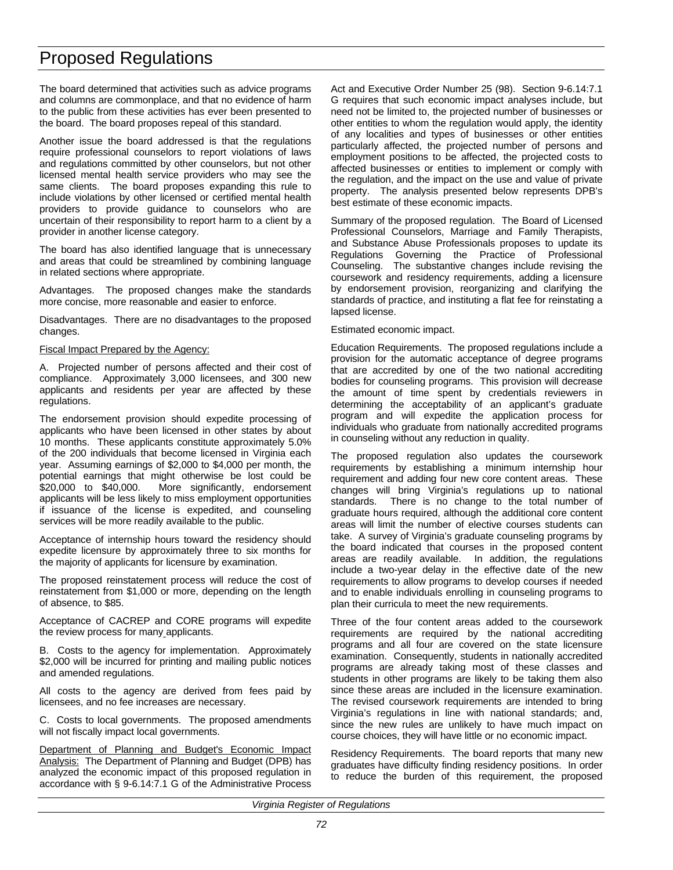The board determined that activities such as advice programs and columns are commonplace, and that no evidence of harm to the public from these activities has ever been presented to the board. The board proposes repeal of this standard.

Another issue the board addressed is that the regulations require professional counselors to report violations of laws and regulations committed by other counselors, but not other licensed mental health service providers who may see the same clients. The board proposes expanding this rule to include violations by other licensed or certified mental health providers to provide guidance to counselors who are uncertain of their responsibility to report harm to a client by a provider in another license category.

The board has also identified language that is unnecessary and areas that could be streamlined by combining language in related sections where appropriate.

Advantages. The proposed changes make the standards more concise, more reasonable and easier to enforce.

Disadvantages. There are no disadvantages to the proposed changes.

## Fiscal Impact Prepared by the Agency:

A. Projected number of persons affected and their cost of compliance. Approximately 3,000 licensees, and 300 new applicants and residents per year are affected by these regulations.

The endorsement provision should expedite processing of applicants who have been licensed in other states by about 10 months. These applicants constitute approximately 5.0% of the 200 individuals that become licensed in Virginia each year. Assuming earnings of \$2,000 to \$4,000 per month, the potential earnings that might otherwise be lost could be \$20,000 to \$40,000. More significantly, endorsement applicants will be less likely to miss employment opportunities if issuance of the license is expedited, and counseling services will be more readily available to the public.

Acceptance of internship hours toward the residency should expedite licensure by approximately three to six months for the majority of applicants for licensure by examination.

The proposed reinstatement process will reduce the cost of reinstatement from \$1,000 or more, depending on the length of absence, to \$85.

Acceptance of CACREP and CORE programs will expedite the review process for many applicants.

B. Costs to the agency for implementation. Approximately \$2,000 will be incurred for printing and mailing public notices and amended regulations.

All costs to the agency are derived from fees paid by licensees, and no fee increases are necessary.

C. Costs to local governments. The proposed amendments will not fiscally impact local governments.

Department of Planning and Budget's Economic Impact Analysis: The Department of Planning and Budget (DPB) has analyzed the economic impact of this proposed regulation in accordance with § 9-6.14:7.1 G of the Administrative Process

Act and Executive Order Number 25 (98). Section 9-6.14:7.1 G requires that such economic impact analyses include, but need not be limited to, the projected number of businesses or other entities to whom the regulation would apply, the identity of any localities and types of businesses or other entities particularly affected, the projected number of persons and employment positions to be affected, the projected costs to affected businesses or entities to implement or comply with the regulation, and the impact on the use and value of private property. The analysis presented below represents DPB's best estimate of these economic impacts.

Summary of the proposed regulation. The Board of Licensed Professional Counselors, Marriage and Family Therapists, and Substance Abuse Professionals proposes to update its Regulations Governing the Practice of Professional Counseling. The substantive changes include revising the coursework and residency requirements, adding a licensure by endorsement provision, reorganizing and clarifying the standards of practice, and instituting a flat fee for reinstating a lapsed license.

## Estimated economic impact.

Education Requirements. The proposed regulations include a provision for the automatic acceptance of degree programs that are accredited by one of the two national accrediting bodies for counseling programs. This provision will decrease the amount of time spent by credentials reviewers in determining the acceptability of an applicant's graduate program and will expedite the application process for individuals who graduate from nationally accredited programs in counseling without any reduction in quality.

The proposed regulation also updates the coursework requirements by establishing a minimum internship hour requirement and adding four new core content areas. These changes will bring Virginia's regulations up to national standards. There is no change to the total number of graduate hours required, although the additional core content areas will limit the number of elective courses students can take. A survey of Virginia's graduate counseling programs by the board indicated that courses in the proposed content areas are readily available. In addition, the regulations include a two-year delay in the effective date of the new requirements to allow programs to develop courses if needed and to enable individuals enrolling in counseling programs to plan their curricula to meet the new requirements.

Three of the four content areas added to the coursework requirements are required by the national accrediting programs and all four are covered on the state licensure examination. Consequently, students in nationally accredited programs are already taking most of these classes and students in other programs are likely to be taking them also since these areas are included in the licensure examination. The revised coursework requirements are intended to bring Virginia's regulations in line with national standards; and, since the new rules are unlikely to have much impact on course choices, they will have little or no economic impact.

Residency Requirements. The board reports that many new graduates have difficulty finding residency positions. In order to reduce the burden of this requirement, the proposed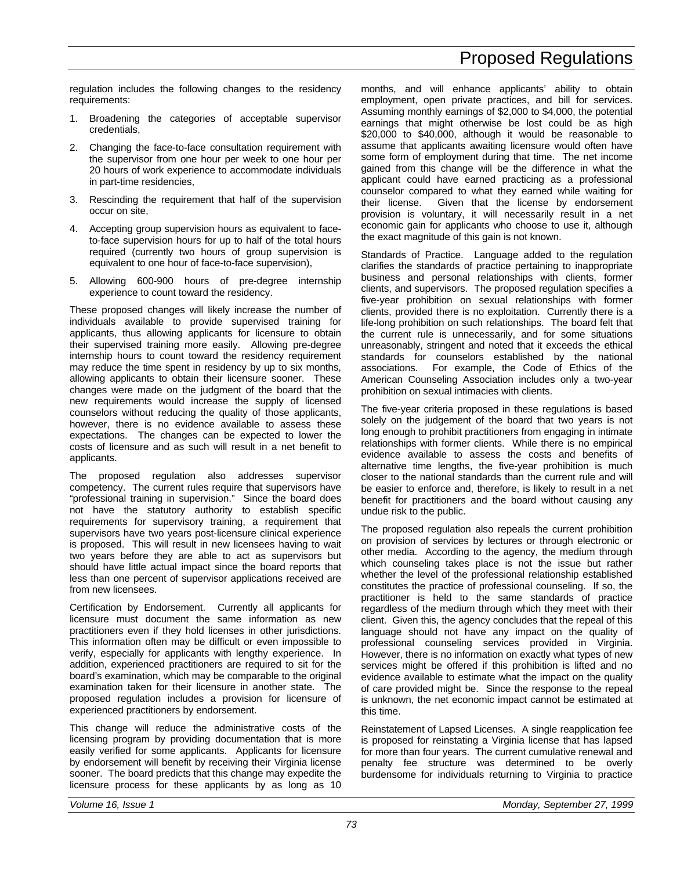regulation includes the following changes to the residency requirements:

- 1. Broadening the categories of acceptable supervisor credentials,
- 2. Changing the face-to-face consultation requirement with the supervisor from one hour per week to one hour per 20 hours of work experience to accommodate individuals in part-time residencies,
- 3. Rescinding the requirement that half of the supervision occur on site,
- 4. Accepting group supervision hours as equivalent to faceto-face supervision hours for up to half of the total hours required (currently two hours of group supervision is equivalent to one hour of face-to-face supervision),
- 5. Allowing 600-900 hours of pre-degree internship experience to count toward the residency.

These proposed changes will likely increase the number of individuals available to provide supervised training for applicants, thus allowing applicants for licensure to obtain their supervised training more easily. Allowing pre-degree internship hours to count toward the residency requirement may reduce the time spent in residency by up to six months, allowing applicants to obtain their licensure sooner. These changes were made on the judgment of the board that the new requirements would increase the supply of licensed counselors without reducing the quality of those applicants, however, there is no evidence available to assess these expectations. The changes can be expected to lower the costs of licensure and as such will result in a net benefit to applicants.

The proposed regulation also addresses supervisor competency. The current rules require that supervisors have "professional training in supervision." Since the board does not have the statutory authority to establish specific requirements for supervisory training, a requirement that supervisors have two years post-licensure clinical experience is proposed. This will result in new licensees having to wait two years before they are able to act as supervisors but should have little actual impact since the board reports that less than one percent of supervisor applications received are from new licensees.

Certification by Endorsement. Currently all applicants for licensure must document the same information as new practitioners even if they hold licenses in other jurisdictions. This information often may be difficult or even impossible to verify, especially for applicants with lengthy experience. In addition, experienced practitioners are required to sit for the board's examination, which may be comparable to the original examination taken for their licensure in another state. The proposed regulation includes a provision for licensure of experienced practitioners by endorsement.

This change will reduce the administrative costs of the licensing program by providing documentation that is more easily verified for some applicants. Applicants for licensure by endorsement will benefit by receiving their Virginia license sooner. The board predicts that this change may expedite the licensure process for these applicants by as long as 10 months, and will enhance applicants' ability to obtain employment, open private practices, and bill for services. Assuming monthly earnings of \$2,000 to \$4,000, the potential earnings that might otherwise be lost could be as high \$20,000 to \$40,000, although it would be reasonable to assume that applicants awaiting licensure would often have some form of employment during that time. The net income gained from this change will be the difference in what the applicant could have earned practicing as a professional counselor compared to what they earned while waiting for their license. Given that the license by endorsement provision is voluntary, it will necessarily result in a net economic gain for applicants who choose to use it, although the exact magnitude of this gain is not known.

Standards of Practice. Language added to the regulation clarifies the standards of practice pertaining to inappropriate business and personal relationships with clients, former clients, and supervisors. The proposed regulation specifies a five-year prohibition on sexual relationships with former clients, provided there is no exploitation. Currently there is a life-long prohibition on such relationships. The board felt that the current rule is unnecessarily, and for some situations unreasonably, stringent and noted that it exceeds the ethical standards for counselors established by the national associations. For example, the Code of Ethics of the American Counseling Association includes only a two-year prohibition on sexual intimacies with clients.

The five-year criteria proposed in these regulations is based solely on the judgement of the board that two years is not long enough to prohibit practitioners from engaging in intimate relationships with former clients. While there is no empirical evidence available to assess the costs and benefits of alternative time lengths, the five-year prohibition is much closer to the national standards than the current rule and will be easier to enforce and, therefore, is likely to result in a net benefit for practitioners and the board without causing any undue risk to the public.

The proposed regulation also repeals the current prohibition on provision of services by lectures or through electronic or other media. According to the agency, the medium through which counseling takes place is not the issue but rather whether the level of the professional relationship established constitutes the practice of professional counseling. If so, the practitioner is held to the same standards of practice regardless of the medium through which they meet with their client. Given this, the agency concludes that the repeal of this language should not have any impact on the quality of professional counseling services provided in Virginia. However, there is no information on exactly what types of new services might be offered if this prohibition is lifted and no evidence available to estimate what the impact on the quality of care provided might be. Since the response to the repeal is unknown, the net economic impact cannot be estimated at this time.

Reinstatement of Lapsed Licenses. A single reapplication fee is proposed for reinstating a Virginia license that has lapsed for more than four years. The current cumulative renewal and penalty fee structure was determined to be overly burdensome for individuals returning to Virginia to practice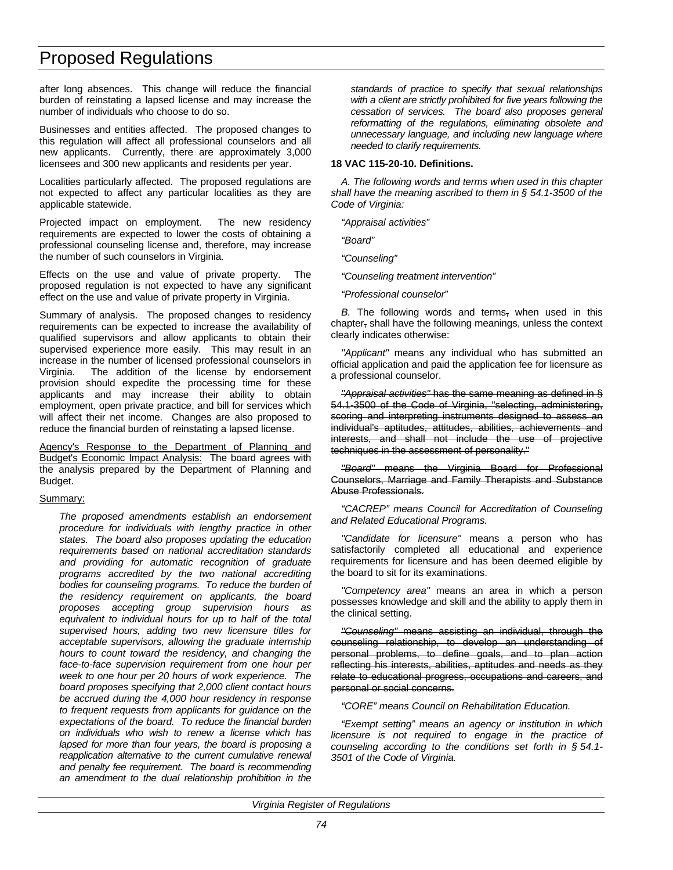after long absences. This change will reduce the financial burden of reinstating a lapsed license and may increase the number of individuals who choose to do so.

Businesses and entities affected. The proposed changes to this regulation will affect all professional counselors and all new applicants. Currently, there are approximately 3,000 licensees and 300 new applicants and residents per year.

Localities particularly affected. The proposed regulations are not expected to affect any particular localities as they are applicable statewide.

Projected impact on employment. The new residency requirements are expected to lower the costs of obtaining a professional counseling license and, therefore, may increase the number of such counselors in Virginia.

Effects on the use and value of private property. The proposed regulation is not expected to have any significant effect on the use and value of private property in Virginia.

Summary of analysis. The proposed changes to residency requirements can be expected to increase the availability of qualified supervisors and allow applicants to obtain their supervised experience more easily. This may result in an increase in the number of licensed professional counselors in Virginia. The addition of the license by endorsement provision should expedite the processing time for these applicants and may increase their ability to obtain employment, open private practice, and bill for services which will affect their net income. Changes are also proposed to reduce the financial burden of reinstating a lapsed license.

Agency's Response to the Department of Planning and Budget's Economic Impact Analysis: The board agrees with the analysis prepared by the Department of Planning and Budget.

## Summary:

*The proposed amendments establish an endorsement procedure for individuals with lengthy practice in other states. The board also proposes updating the education requirements based on national accreditation standards and providing for automatic recognition of graduate programs accredited by the two national accrediting bodies for counseling programs. To reduce the burden of the residency requirement on applicants, the board proposes accepting group supervision hours as equivalent to individual hours for up to half of the total supervised hours, adding two new licensure titles for acceptable supervisors, allowing the graduate internship hours to count toward the residency, and changing the face-to-face supervision requirement from one hour per week to one hour per 20 hours of work experience. The board proposes specifying that 2,000 client contact hours be accrued during the 4,000 hour residency in response to frequent requests from applicants for guidance on the expectations of the board. To reduce the financial burden on individuals who wish to renew a license which has lapsed for more than four years, the board is proposing a reapplication alternative to the current cumulative renewal and penalty fee requirement. The board is recommending an amendment to the dual relationship prohibition in the*

*standards of practice to specify that sexual relationships with a client are strictly prohibited for five years following the cessation of services. The board also proposes general reformatting of the regulations, eliminating obsolete and unnecessary language, and including new language where needed to clarify requirements.*

## **18 VAC 115-20-10. Definitions.**

*A. The following words and terms when used in this chapter shall have the meaning ascribed to them in § 54.1-3500 of the Code of Virginia:*

*"Appraisal activities"*

*"Board"*

*"Counseling"*

*"Counseling treatment intervention"*

*"Professional counselor"*

*B.* The following words and terms, when used in this chapter, shall have the following meanings, unless the context clearly indicates otherwise:

*"Applicant"* means any individual who has submitted an official application and paid the application fee for licensure as a professional counselor.

*"Appraisal activities"* has the same meaning as defined in § 54.1-3500 of the Code of Virginia, "selecting, administering, scoring and interpreting instruments designed to assess an individual's aptitudes, attitudes, abilities, achievements and interests, and shall not include the use of projective techniques in the assessment of personality."

*"Board"* means the Virginia Board for Professional Counselors, Marriage and Family Therapists and Substance Abuse Professionals.

*"CACREP" means Council for Accreditation of Counseling and Related Educational Programs.*

*"Candidate for licensure"* means a person who has satisfactorily completed all educational and experience requirements for licensure and has been deemed eligible by the board to sit for its examinations.

*"Competency area"* means an area in which a person possesses knowledge and skill and the ability to apply them in the clinical setting.

*"Counseling"* means assisting an individual, through the counseling relationship, to develop an understanding of personal problems, to define goals, and to plan action reflecting his interests, abilities, aptitudes and needs as they relate to educational progress, occupations and careers, and personal or social concerns.

*"CORE" means Council on Rehabilitation Education.*

*"Exempt setting" means an agency or institution in which licensure is not required to engage in the practice of counseling according to the conditions set forth in § 54.1- 3501 of the Code of Virginia.*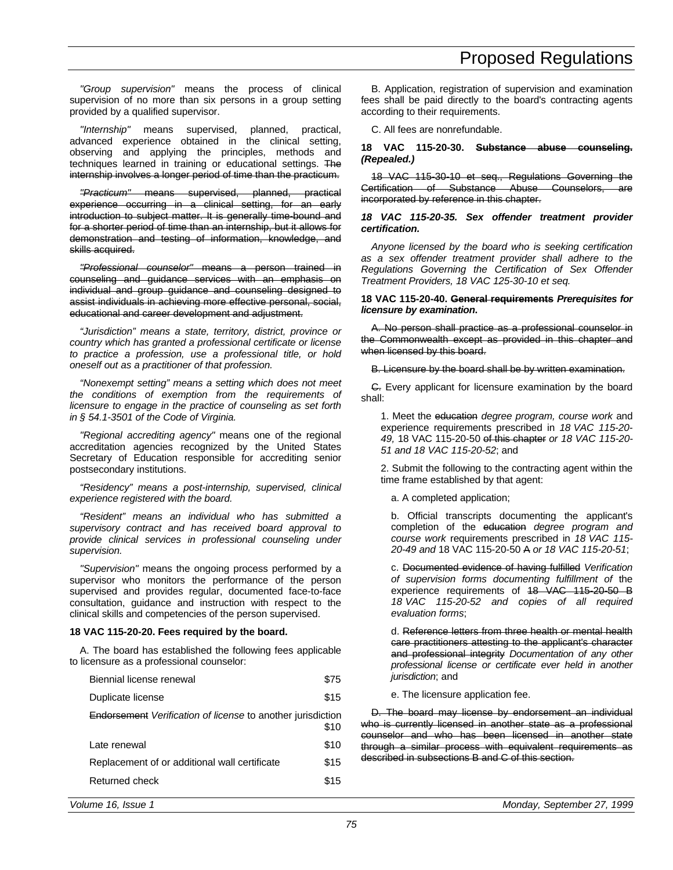*"Group supervision"* means the process of clinical supervision of no more than six persons in a group setting provided by a qualified supervisor.

*"Internship"* means supervised, planned, practical, advanced experience obtained in the clinical setting, observing and applying the principles, methods and techniques learned in training or educational settings. The internship involves a longer period of time than the practicum.

*"Practicum"* means supervised, planned, practical experience occurring in a clinical setting, for an early introduction to subject matter. It is generally time-bound and for a shorter period of time than an internship, but it allows for demonstration and testing of information, knowledge, and skills acquired.

*"Professional counselor"* means a person trained in counseling and guidance services with an emphasis on individual and group guidance and counseling designed to assist individuals in achieving more effective personal, social, educational and career development and adjustment.

*"Jurisdiction" means a state, territory, district, province or country which has granted a professional certificate or license to practice a profession, use a professional title, or hold oneself out as a practitioner of that profession.*

*"Nonexempt setting" means a setting which does not meet the conditions of exemption from the requirements of licensure to engage in the practice of counseling as set forth in § 54.1-3501 of the Code of Virginia.*

*"Regional accrediting agency"* means one of the regional accreditation agencies recognized by the United States Secretary of Education responsible for accrediting senior postsecondary institutions.

*"Residency" means a post-internship, supervised, clinical experience registered with the board.*

*"Resident" means an individual who has submitted a supervisory contract and has received board approval to provide clinical services in professional counseling under supervision.*

*"Supervision"* means the ongoing process performed by a supervisor who monitors the performance of the person supervised and provides regular, documented face-to-face consultation, guidance and instruction with respect to the clinical skills and competencies of the person supervised.

## **18 VAC 115-20-20. Fees required by the board.**

A. The board has established the following fees applicable to licensure as a professional counselor:

| Biennial license renewal                                           | \$75 |
|--------------------------------------------------------------------|------|
| Duplicate license                                                  | \$15 |
| <b>Endorsement</b> Verification of license to another jurisdiction | \$10 |
| Late renewal                                                       | \$10 |
| Replacement of or additional wall certificate                      | \$15 |

Returned check \$15

B. Application, registration of supervision and examination fees shall be paid directly to the board's contracting agents according to their requirements.

C. All fees are nonrefundable.

## **18 VAC 115-20-30. Substance abuse counseling.** *(Repealed.)*

18 VAC 115-30-10 et seq., Regulations Governing the Certification of Substance Abuse Counselors, are incorporated by reference in this chapter.

### *18 VAC 115-20-35. Sex offender treatment provider certification.*

*Anyone licensed by the board who is seeking certification as a sex offender treatment provider shall adhere to the Regulations Governing the Certification of Sex Offender Treatment Providers, 18 VAC 125-30-10 et seq.*

### **18 VAC 115-20-40. General requirements** *Prerequisites for licensure by examination***.**

A. No person shall practice as a professional counselor in the Commonwealth except as provided in this chapter and when licensed by this board.

B. Licensure by the board shall be by written examination.

C. Every applicant for licensure examination by the board shall:

1. Meet the education *degree program, course work* and experience requirements prescribed in *18 VAC 115-20- 49,* 18 VAC 115-20-50 of this chapter *or 18 VAC 115-20- 51 and 18 VAC 115-20-52*; and

2. Submit the following to the contracting agent within the time frame established by that agent:

a. A completed application;

b. Official transcripts documenting the applicant's completion of the education *degree program and course work* requirements prescribed in *18 VAC 115- 20-49 and* 18 VAC 115-20-50 A *or 18 VAC 115-20-51*;

c. Documented evidence of having fulfilled *Verification of supervision forms documenting fulfillment of* the experience requirements of 18 VAC 115-20-50 B *18 VAC 115-20-52 and copies of all required evaluation forms*;

d. Reference letters from three health or mental health care practitioners attesting to the applicant's character and professional integrity *Documentation of any other professional license or certificate ever held in another jurisdiction*; and

e. The licensure application fee.

D. The board may license by endorsement an individual who is currently licensed in another state as a professional counselor and who has been licensed in another state through a similar process with equivalent requirements as described in subsections B and C of this section.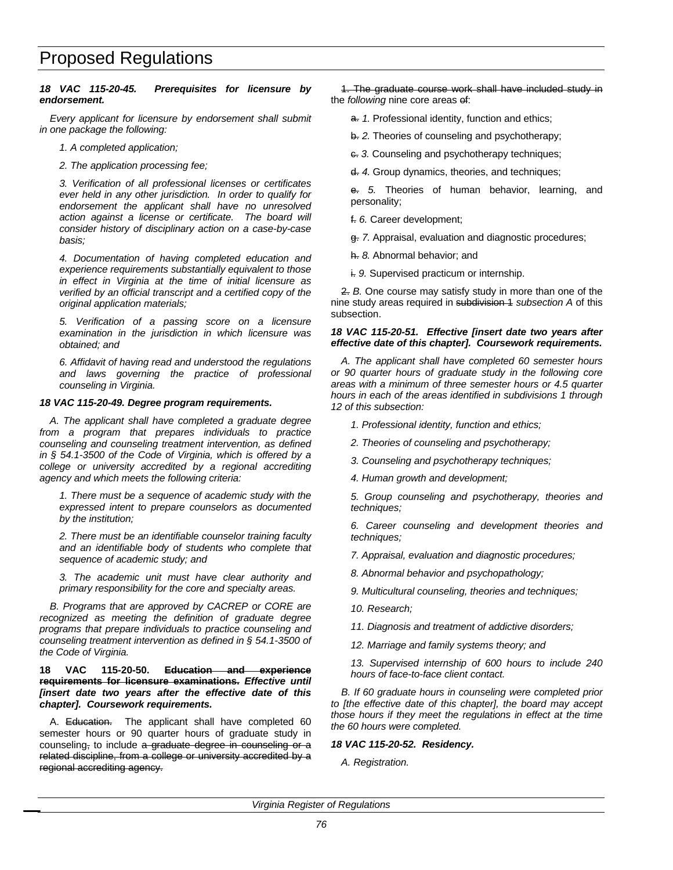## *18 VAC 115-20-45. Prerequisites for licensure by endorsement.*

*Every applicant for licensure by endorsement shall submit in one package the following:*

- *1. A completed application;*
- *2. The application processing fee;*

*3. Verification of all professional licenses or certificates ever held in any other jurisdiction. In order to qualify for endorsement the applicant shall have no unresolved action against a license or certificate. The board will consider history of disciplinary action on a case-by-case basis;*

*4. Documentation of having completed education and experience requirements substantially equivalent to those in effect in Virginia at the time of initial licensure as verified by an official transcript and a certified copy of the original application materials;*

*5. Verification of a passing score on a licensure examination in the jurisdiction in which licensure was obtained; and*

*6. Affidavit of having read and understood the regulations and laws governing the practice of professional counseling in Virginia.*

## *18 VAC 115-20-49. Degree program requirements.*

*A. The applicant shall have completed a graduate degree from a program that prepares individuals to practice counseling and counseling treatment intervention, as defined in § 54.1-3500 of the Code of Virginia, which is offered by a college or university accredited by a regional accrediting agency and which meets the following criteria:*

*1. There must be a sequence of academic study with the expressed intent to prepare counselors as documented by the institution;*

*2. There must be an identifiable counselor training faculty and an identifiable body of students who complete that sequence of academic study; and*

*3. The academic unit must have clear authority and primary responsibility for the core and specialty areas.*

*B. Programs that are approved by CACREP or CORE are recognized as meeting the definition of graduate degree programs that prepare individuals to practice counseling and counseling treatment intervention as defined in § 54.1-3500 of the Code of Virginia.*

## **18 VAC 115-20-50. Education and experience requirements for licensure examinations.** *Effective until [insert date two years after the effective date of this chapter]. Coursework requirements.*

A. Education. The applicant shall have completed 60 semester hours or 90 quarter hours of graduate study in counseling, to include a graduate degree in counseling or a related discipline, from a college or university accredited by a regional accrediting agency.

1. The graduate course work shall have included study in the *following* nine core areas of:

- a. 1. Professional identity, function and ethics;
- b. *2.* Theories of counseling and psychotherapy;
- c. *3.* Counseling and psychotherapy techniques;
- d. *4.* Group dynamics, theories, and techniques;

e. *5.* Theories of human behavior, learning, and personality;

- f. *6.* Career development;
- g. *7.* Appraisal, evaluation and diagnostic procedures;
- h. *8.* Abnormal behavior; and
- i. *9.* Supervised practicum or internship.

2. *B.* One course may satisfy study in more than one of the nine study areas required in subdivision 1 *subsection A* of this subsection.

## *18 VAC 115-20-51. Effective [insert date two years after effective date of this chapter]. Coursework requirements.*

*A. The applicant shall have completed 60 semester hours or 90 quarter hours of graduate study in the following core areas with a minimum of three semester hours or 4.5 quarter hours in each of the areas identified in subdivisions 1 through 12 of this subsection:*

- *1. Professional identity, function and ethics;*
- *2. Theories of counseling and psychotherapy;*
- *3. Counseling and psychotherapy techniques;*
- *4. Human growth and development;*

*5. Group counseling and psychotherapy, theories and techniques;*

*6. Career counseling and development theories and techniques;*

- *7. Appraisal, evaluation and diagnostic procedures;*
- *8. Abnormal behavior and psychopathology;*
- *9. Multicultural counseling, theories and techniques;*
- *10. Research;*
- *11. Diagnosis and treatment of addictive disorders;*
- *12. Marriage and family systems theory; and*

*13. Supervised internship of 600 hours to include 240 hours of face-to-face client contact.*

*B. If 60 graduate hours in counseling were completed prior to [the effective date of this chapter], the board may accept those hours if they meet the regulations in effect at the time the 60 hours were completed.*

## *18 VAC 115-20-52. Residency.*

*A. Registration.*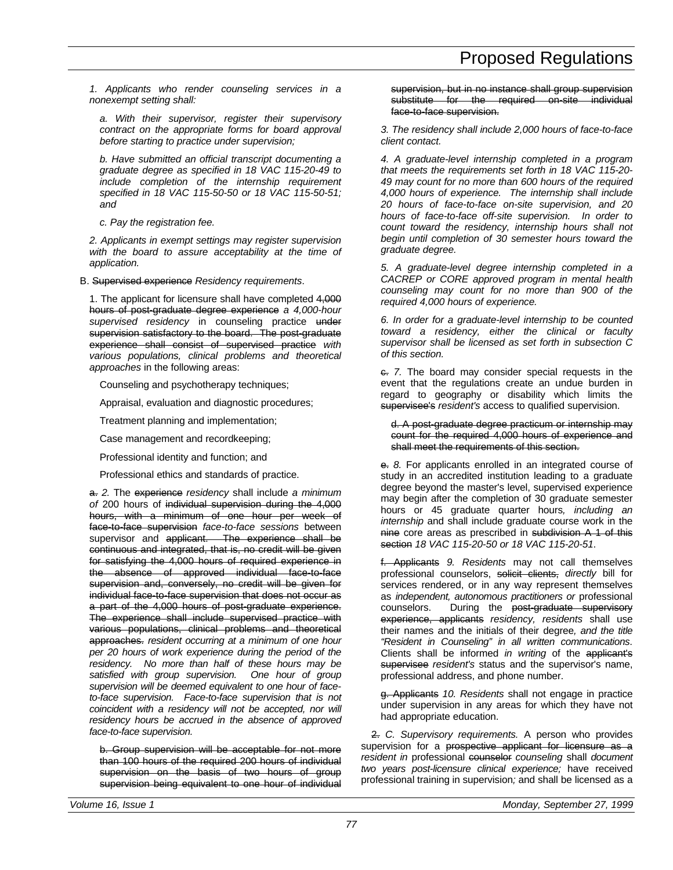*1. Applicants who render counseling services in a nonexempt setting shall:*

*a. With their supervisor, register their supervisory contract on the appropriate forms for board approval before starting to practice under supervision;*

*b. Have submitted an official transcript documenting a graduate degree as specified in 18 VAC 115-20-49 to include completion of the internship requirement specified in 18 VAC 115-50-50 or 18 VAC 115-50-51; and*

*c. Pay the registration fee.*

*2. Applicants in exempt settings may register supervision with the board to assure acceptability at the time of application.*

B. Supervised experience *Residency requirements*.

1. The applicant for licensure shall have completed 4,000 hours of post-graduate degree experience *a 4,000-hour supervised residency* in counseling practice under supervision satisfactory to the board. The post-graduate experience shall consist of supervised practice *with various populations, clinical problems and theoretical approaches* in the following areas:

Counseling and psychotherapy techniques;

Appraisal, evaluation and diagnostic procedures;

Treatment planning and implementation;

Case management and recordkeeping;

Professional identity and function; and

Professional ethics and standards of practice.

a. *2.* The experience *residency* shall include *a minimum of* 200 hours of individual supervision during the 4,000 hours, with a minimum of one hour per week of face-to-face supervision *face-to-face sessions* between supervisor and applicant. The experience shall be continuous and integrated, that is, no credit will be given for satisfying the 4,000 hours of required experience in the absence of approved individual face-to-face supervision and, conversely, no credit will be given for individual face-to-face supervision that does not occur as a part of the 4,000 hours of post-graduate experience. The experience shall include supervised practice with various populations, clinical problems and theoretical approaches. *resident occurring at a minimum of one hour per 20 hours of work experience during the period of the residency. No more than half of these hours may be satisfied with group supervision. One hour of group supervision will be deemed equivalent to one hour of faceto-face supervision. Face-to-face supervision that is not coincident with a residency will not be accepted, nor will residency hours be accrued in the absence of approved face-to-face supervision.*

b. Group supervision will be acceptable for not more than 100 hours of the required 200 hours of individual supervision on the basis of two hours of group supervision being equivalent to one hour of individual supervision, but in no instance shall group supervision substitute for the required on-site individual face-to-face supervision.

*3. The residency shall include 2,000 hours of face-to-face client contact.*

*4. A graduate-level internship completed in a program that meets the requirements set forth in 18 VAC 115-20- 49 may count for no more than 600 hours of the required 4,000 hours of experience. The internship shall include 20 hours of face-to-face on-site supervision, and 20 hours of face-to-face off-site supervision. In order to count toward the residency, internship hours shall not begin until completion of 30 semester hours toward the graduate degree.*

*5. A graduate-level degree internship completed in a CACREP or CORE approved program in mental health counseling may count for no more than 900 of the required 4,000 hours of experience.*

*6. In order for a graduate-level internship to be counted toward a residency, either the clinical or faculty supervisor shall be licensed as set forth in subsection C of this section.*

c. *7.* The board may consider special requests in the event that the regulations create an undue burden in regard to geography or disability which limits the supervisee's *resident's* access to qualified supervision.

d. A post-graduate degree practicum or internship may count for the required 4,000 hours of experience and shall meet the requirements of this section.

e. *8.* For applicants enrolled in an integrated course of study in an accredited institution leading to a graduate degree beyond the master's level, supervised experience may begin after the completion of 30 graduate semester hours or 45 graduate quarter hours*, including an internship* and shall include graduate course work in the nine core areas as prescribed in subdivision A 1 of this section *18 VAC 115-20-50 or 18 VAC 115-20-51*.

f. Applicants *9. Residents* may not call themselves professional counselors, solicit clients, *directly* bill for services rendered, or in any way represent themselves as *independent, autonomous practitioners or* professional counselors. During the post-graduate supervisory experience, applicants *residency, residents* shall use their names and the initials of their degree*, and the title "Resident in Counseling" in all written communications*. Clients shall be informed *in writing* of the applicant's supervisee *resident's* status and the supervisor's name, professional address, and phone number.

g. Applicants *10. Residents* shall not engage in practice under supervision in any areas for which they have not had appropriate education.

2. *C. Supervisory requirements.* A person who provides supervision for a prospective applicant for licensure as a *resident in* professional counselor *counseling* shall *document two years post-licensure clinical experience;* have received professional training in supervision*;* and shall be licensed as a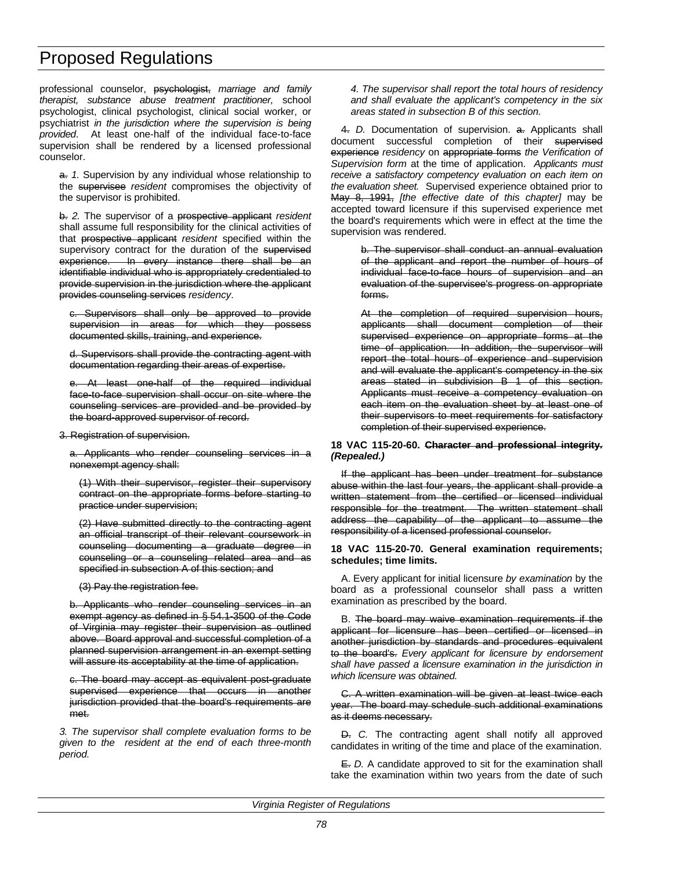professional counselor, psychologist, *marriage and family therapist, substance abuse treatment practitioner,* school psychologist, clinical psychologist, clinical social worker, or psychiatrist *in the jurisdiction where the supervision is being provided*. At least one-half of the individual face-to-face supervision shall be rendered by a licensed professional counselor.

a. *1.* Supervision by any individual whose relationship to the supervisee *resident* compromises the objectivity of the supervisor is prohibited.

b. *2.* The supervisor of a prospective applicant *resident* shall assume full responsibility for the clinical activities of that prospective applicant *resident* specified within the supervisory contract for the duration of the supervised experience. In every instance there shall be an identifiable individual who is appropriately credentialed to provide supervision in the jurisdiction where the applicant provides counseling services *residency*.

c. Supervisors shall only be approved to provide supervision in areas for which they possess documented skills, training, and experience.

d. Supervisors shall provide the contracting agent with documentation regarding their areas of expertise.

e. At least one-half of the required individual face-to-face supervision shall occur on site where the counseling services are provided and be provided by the board-approved supervisor of record.

3. Registration of supervision.

a. Applicants who render counseling services in a nonexempt agency shall:

(1) With their supervisor, register their supervisory contract on the appropriate forms before starting to practice under supervision;

(2) Have submitted directly to the contracting agent an official transcript of their relevant coursework in counseling documenting a graduate degree in counseling or a counseling related area and as specified in subsection A of this section; and

(3) Pay the registration fee.

b. Applicants who render counseling services in an exempt agency as defined in § 54.1-3500 of the Code of Virginia may register their supervision as outlined above. Board approval and successful completion of a planned supervision arrangement in an exempt setting will assure its acceptability at the time of application.

c. The board may accept as equivalent post-graduate supervised experience that occurs in another jurisdiction provided that the board's requirements are met.

*3. The supervisor shall complete evaluation forms to be given to the resident at the end of each three-month period.*

*4. The supervisor shall report the total hours of residency and shall evaluate the applicant's competency in the six areas stated in subsection B of this section.*

4. *D.* Documentation of supervision. a. Applicants shall document successful completion of their supervised experience *residency* on appropriate forms *the Verification of Supervision form* at the time of application. *Applicants must receive a satisfactory competency evaluation on each item on the evaluation sheet.* Supervised experience obtained prior to May 8, 1991, *[the effective date of this chapter]* may be accepted toward licensure if this supervised experience met the board's requirements which were in effect at the time the supervision was rendered.

> b. The supervisor shall conduct an annual evaluation of the applicant and report the number of hours of individual face-to-face hours of supervision and an evaluation of the supervisee's progress on appropriate forms.

> At the completion of required supervision hours, applicants shall document completion of their supervised experience on appropriate forms at the time of application. In addition, the supervisor will report the total hours of experience and supervision and will evaluate the applicant's competency in the six areas stated in subdivision B 1 of this section. Applicants must receive a competency evaluation on each item on the evaluation sheet by at least one of their supervisors to meet requirements for satisfactory completion of their supervised experience.

## **18 VAC 115-20-60. Character and professional integrity.** *(Repealed.)*

If the applicant has been under treatment for substance abuse within the last four years, the applicant shall provide a written statement from the certified or licensed individual responsible for the treatment. The written statement shall address the capability of the applicant to assume the responsibility of a licensed professional counselor.

## **18 VAC 115-20-70. General examination requirements; schedules; time limits.**

A. Every applicant for initial licensure *by examination* by the board as a professional counselor shall pass a written examination as prescribed by the board.

B. The board may waive examination requirements if the applicant for licensure has been certified or licensed in another jurisdiction by standards and procedures equivalent to the board's. *Every applicant for licensure by endorsement shall have passed a licensure examination in the jurisdiction in which licensure was obtained.*

C. A written examination will be given at least twice each year. The board may schedule such additional examinations as it deems necessary.

D. *C.* The contracting agent shall notify all approved candidates in writing of the time and place of the examination.

E. *D.* A candidate approved to sit for the examination shall take the examination within two years from the date of such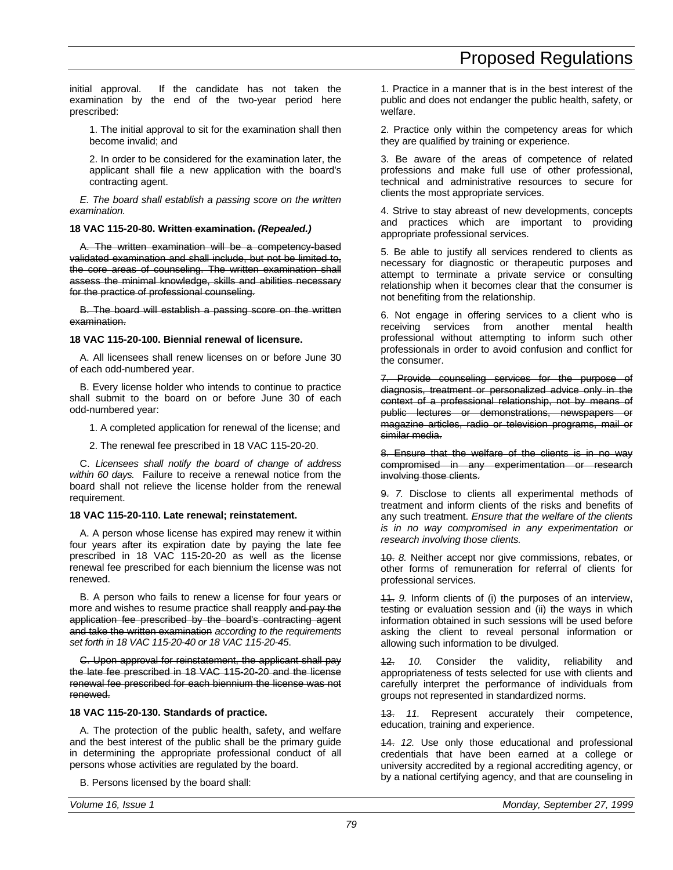initial approval. If the candidate has not taken the examination by the end of the two-year period here prescribed:

1. The initial approval to sit for the examination shall then become invalid; and

2. In order to be considered for the examination later, the applicant shall file a new application with the board's contracting agent.

*E. The board shall establish a passing score on the written examination.*

# **18 VAC 115-20-80. Written examination.** *(Repealed.)*

A. The written examination will be a competency-based validated examination and shall include, but not be limited to, the core areas of counseling. The written examination shall assess the minimal knowledge, skills and abilities necessary for the practice of professional counseling.

B. The board will establish a passing score on the written examination.

# **18 VAC 115-20-100. Biennial renewal of licensure.**

A. All licensees shall renew licenses on or before June 30 of each odd-numbered year.

B. Every license holder who intends to continue to practice shall submit to the board on or before June 30 of each odd-numbered year:

1. A completed application for renewal of the license; and

2. The renewal fee prescribed in 18 VAC 115-20-20.

C. *Licensees shall notify the board of change of address within 60 days.* Failure to receive a renewal notice from the board shall not relieve the license holder from the renewal requirement.

# **18 VAC 115-20-110. Late renewal; reinstatement.**

A. A person whose license has expired may renew it within four years after its expiration date by paying the late fee prescribed in 18 VAC 115-20-20 as well as the license renewal fee prescribed for each biennium the license was not renewed.

B. A person who fails to renew a license for four years or more and wishes to resume practice shall reapply and pay the application fee prescribed by the board's contracting agent and take the written examination *according to the requirements set forth in 18 VAC 115-20-40 or 18 VAC 115-20-45*.

C. Upon approval for reinstatement, the applicant shall pay the late fee prescribed in 18 VAC 115-20-20 and the license renewal fee prescribed for each biennium the license was not renewed.

# **18 VAC 115-20-130. Standards of practice.**

A. The protection of the public health, safety, and welfare and the best interest of the public shall be the primary guide in determining the appropriate professional conduct of all persons whose activities are regulated by the board.

B. Persons licensed by the board shall:

1. Practice in a manner that is in the best interest of the public and does not endanger the public health, safety, or welfare.

2. Practice only within the competency areas for which they are qualified by training or experience.

3. Be aware of the areas of competence of related professions and make full use of other professional, technical and administrative resources to secure for clients the most appropriate services.

4. Strive to stay abreast of new developments, concepts and practices which are important to providing appropriate professional services.

5. Be able to justify all services rendered to clients as necessary for diagnostic or therapeutic purposes and attempt to terminate a private service or consulting relationship when it becomes clear that the consumer is not benefiting from the relationship.

6. Not engage in offering services to a client who is receiving services from another mental health professional without attempting to inform such other professionals in order to avoid confusion and conflict for the consumer.

7. Provide counseling services for the purpose of diagnosis, treatment or personalized advice only in the context of a professional relationship, not by means of public lectures or demonstrations, newspapers or magazine articles, radio or television programs, mail or similar media.

8. Ensure that the welfare of the clients is in no way compromised in any experimentation or research involving those clients.

9. *7.* Disclose to clients all experimental methods of treatment and inform clients of the risks and benefits of any such treatment. *Ensure that the welfare of the clients is in no way compromised in any experimentation or research involving those clients.*

10. *8.* Neither accept nor give commissions, rebates, or other forms of remuneration for referral of clients for professional services.

11. *9.* Inform clients of (i) the purposes of an interview, testing or evaluation session and (ii) the ways in which information obtained in such sessions will be used before asking the client to reveal personal information or allowing such information to be divulged.

12. *10.* Consider the validity, reliability and appropriateness of tests selected for use with clients and carefully interpret the performance of individuals from groups not represented in standardized norms.

13. *11.* Represent accurately their competence, education, training and experience.

14. *12.* Use only those educational and professional credentials that have been earned at a college or university accredited by a regional accrediting agency, or by a national certifying agency, and that are counseling in

*79*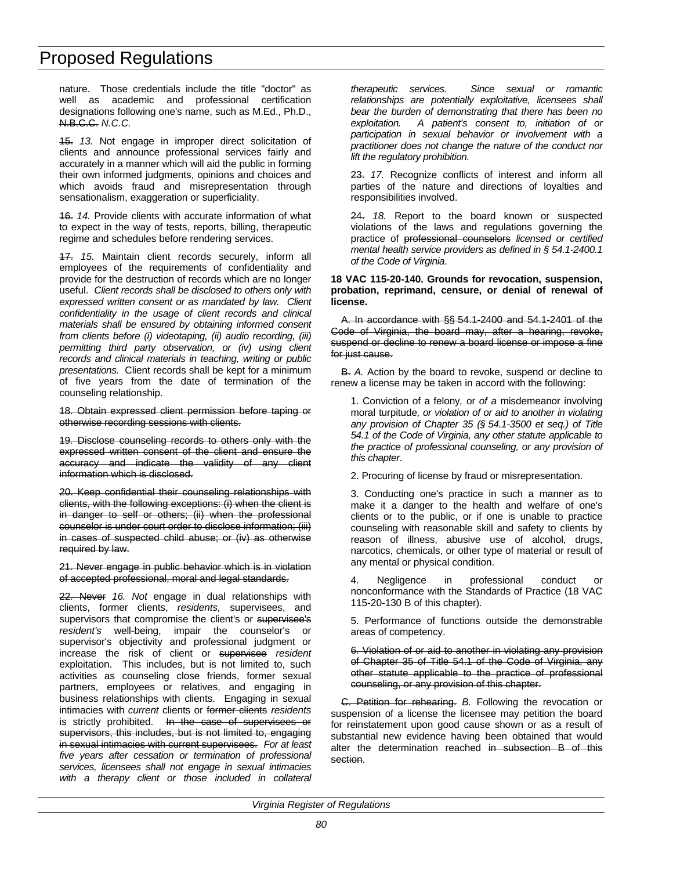nature. Those credentials include the title "doctor" as well as academic and professional certification designations following one's name, such as M.Ed., Ph.D., N.B.C.C. *N.C.C.*

15. *13.* Not engage in improper direct solicitation of clients and announce professional services fairly and accurately in a manner which will aid the public in forming their own informed judgments, opinions and choices and which avoids fraud and misrepresentation through sensationalism, exaggeration or superficiality.

16. *14.* Provide clients with accurate information of what to expect in the way of tests, reports, billing, therapeutic regime and schedules before rendering services.

17. *15.* Maintain client records securely, inform all employees of the requirements of confidentiality and provide for the destruction of records which are no longer useful. *Client records shall be disclosed to others only with expressed written consent or as mandated by law. Client confidentiality in the usage of client records and clinical materials shall be ensured by obtaining informed consent from clients before (i) videotaping, (ii) audio recording, (iii) permitting third party observation, or (iv) using client records and clinical materials in teaching, writing or public presentations.* Client records shall be kept for a minimum of five years from the date of termination of the counseling relationship.

18. Obtain expressed client permission before taping or otherwise recording sessions with clients.

19. Disclose counseling records to others only with the expressed written consent of the client and ensure the accuracy and indicate the validity of any client information which is disclosed.

20. Keep confidential their counseling relationships with clients, with the following exceptions: (i) when the client is in danger to self or others; (ii) when the professional counselor is under court order to disclose information; (iii) in cases of suspected child abuse; or (iv) as otherwise required by law.

21. Never engage in public behavior which is in violation of accepted professional, moral and legal standards.

22. Never *16. Not* engage in dual relationships with clients, former clients, *residents,* supervisees, and supervisors that compromise the client's or supervisee's *resident's* well-being, impair the counselor's or supervisor's objectivity and professional judgment or increase the risk of client or supervisee *resident* exploitation. This includes, but is not limited to, such activities as counseling close friends, former sexual partners, employees or relatives, and engaging in business relationships with clients. Engaging in sexual intimacies with *current* clients or former clients *residents* is strictly prohibited. In the case of supervisees or supervisors, this includes, but is not limited to, engaging in sexual intimacies with current supervisees. *For at least five years after cessation or termination of professional services, licensees shall not engage in sexual intimacies with a therapy client or those included in collateral*

*therapeutic services. Since sexual or romantic relationships are potentially exploitative, licensees shall bear the burden of demonstrating that there has been no exploitation. A patient's consent to, initiation of or participation in sexual behavior or involvement with a practitioner does not change the nature of the conduct nor lift the regulatory prohibition.*

23. *17.* Recognize conflicts of interest and inform all parties of the nature and directions of loyalties and responsibilities involved.

24. *18.* Report to the board known or suspected violations of the laws and regulations governing the practice of professional counselors *licensed or certified mental health service providers as defined in § 54.1-2400.1 of the Code of Virginia*.

## **18 VAC 115-20-140. Grounds for revocation, suspension, probation, reprimand, censure, or denial of renewal of license.**

A. In accordance with §§ 54.1-2400 and 54.1-2401 of the Code of Virginia, the board may, after a hearing, revoke, suspend or decline to renew a board license or impose a fine for just cause.

B. *A.* Action by the board to revoke, suspend or decline to renew a license may be taken in accord with the following:

1. Conviction of a felony*,* or *of a* misdemeanor involving moral turpitude*, or violation of or aid to another in violating any provision of Chapter 35 (§ 54.1-3500 et seq.) of Title 54.1 of the Code of Virginia, any other statute applicable to the practice of professional counseling, or any provision of this chapter*.

2. Procuring of license by fraud or misrepresentation.

3. Conducting one's practice in such a manner as to make it a danger to the health and welfare of one's clients or to the public, or if one is unable to practice counseling with reasonable skill and safety to clients by reason of illness, abusive use of alcohol, drugs, narcotics, chemicals, or other type of material or result of any mental or physical condition.

4. Negligence in professional conduct or nonconformance with the Standards of Practice (18 VAC 115-20-130 B of this chapter).

5. Performance of functions outside the demonstrable areas of competency.

6. Violation of or aid to another in violating any provision of Chapter 35 of Title 54.1 of the Code of Virginia, any other statute applicable to the practice of professional counseling, or any provision of this chapter.

C. Petition for rehearing. *B.* Following the revocation or suspension of a license the licensee may petition the board for reinstatement upon good cause shown or as a result of substantial new evidence having been obtained that would alter the determination reached in subsection B of this section.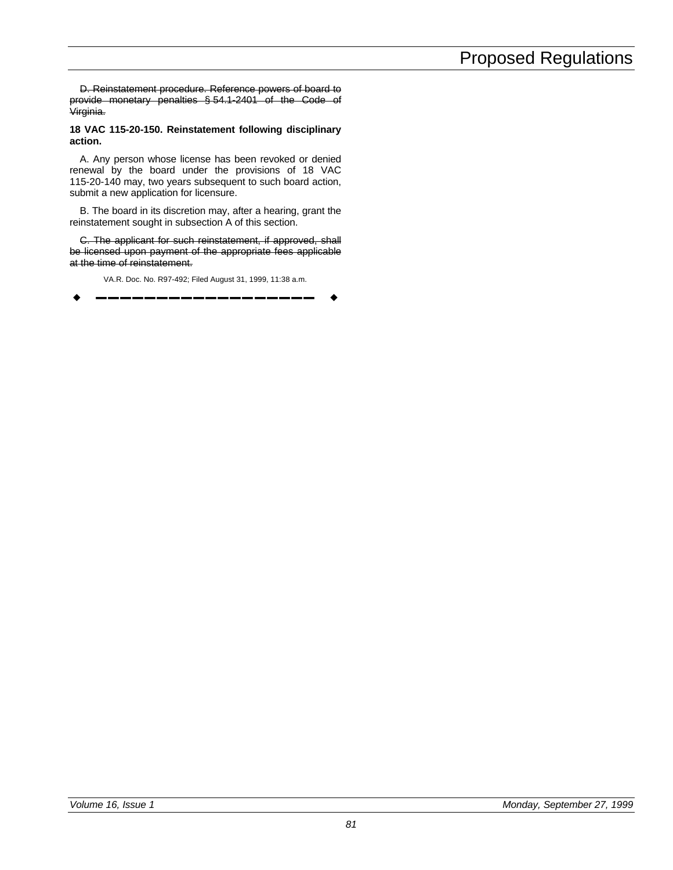D. Reinstatement procedure. Reference powers of board to provide monetary penalties § 54.1-2401 of the Code of Virginia.

**18 VAC 115-20-150. Reinstatement following disciplinary action.**

A. Any person whose license has been revoked or denied renewal by the board under the provisions of 18 VAC 115-20-140 may, two years subsequent to such board action, submit a new application for licensure.

B. The board in its discretion may, after a hearing, grant the reinstatement sought in subsection A of this section.

C. The applicant for such reinstatement, if approved, shall be licensed upon payment of the appropriate fees applicable at the time of reinstatement.

VA.R. Doc. No. R97-492; Filed August 31, 1999, 11:38 a.m.

w **––––––––––––––––––** w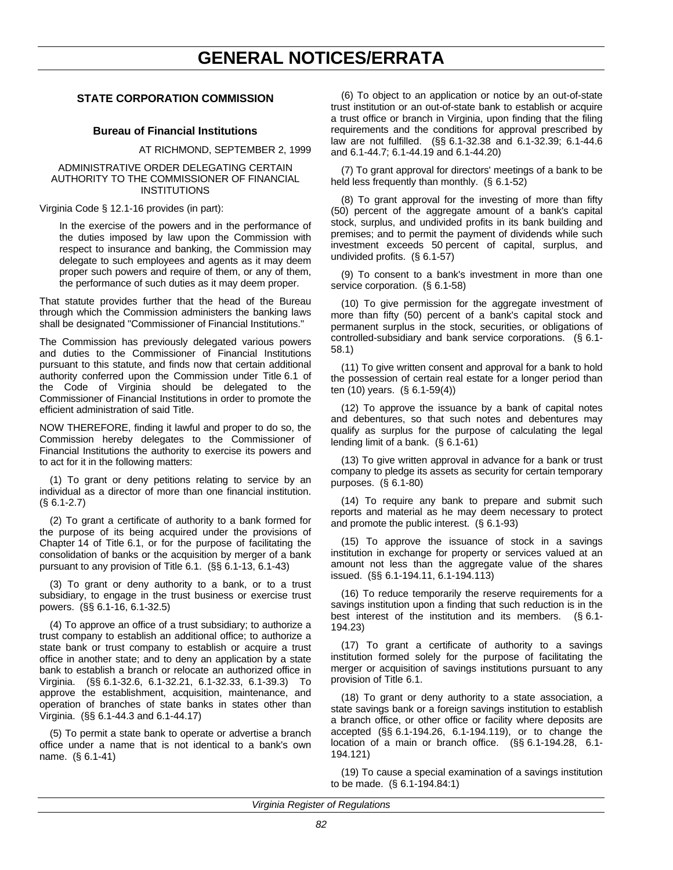# **STATE CORPORATION COMMISSION**

## **Bureau of Financial Institutions**

AT RICHMOND, SEPTEMBER 2, 1999

### ADMINISTRATIVE ORDER DELEGATING CERTAIN AUTHORITY TO THE COMMISSIONER OF FINANCIAL INSTITUTIONS

Virginia Code § 12.1-16 provides (in part):

In the exercise of the powers and in the performance of the duties imposed by law upon the Commission with respect to insurance and banking, the Commission may delegate to such employees and agents as it may deem proper such powers and require of them, or any of them, the performance of such duties as it may deem proper.

That statute provides further that the head of the Bureau through which the Commission administers the banking laws shall be designated "Commissioner of Financial Institutions."

The Commission has previously delegated various powers and duties to the Commissioner of Financial Institutions pursuant to this statute, and finds now that certain additional authority conferred upon the Commission under Title 6.1 of the Code of Virginia should be delegated to the Commissioner of Financial Institutions in order to promote the efficient administration of said Title.

NOW THEREFORE, finding it lawful and proper to do so, the Commission hereby delegates to the Commissioner of Financial Institutions the authority to exercise its powers and to act for it in the following matters:

(1) To grant or deny petitions relating to service by an individual as a director of more than one financial institution. (§ 6.1-2.7)

(2) To grant a certificate of authority to a bank formed for the purpose of its being acquired under the provisions of Chapter 14 of Title 6.1, or for the purpose of facilitating the consolidation of banks or the acquisition by merger of a bank pursuant to any provision of Title 6.1. (§§ 6.1-13, 6.1-43)

(3) To grant or deny authority to a bank, or to a trust subsidiary, to engage in the trust business or exercise trust powers. (§§ 6.1-16, 6.1-32.5)

(4) To approve an office of a trust subsidiary; to authorize a trust company to establish an additional office; to authorize a state bank or trust company to establish or acquire a trust office in another state; and to deny an application by a state bank to establish a branch or relocate an authorized office in Virginia. (§§ 6.1-32.6, 6.1-32.21, 6.1-32.33, 6.1-39.3) To approve the establishment, acquisition, maintenance, and operation of branches of state banks in states other than Virginia. (§§ 6.1-44.3 and 6.1-44.17)

(5) To permit a state bank to operate or advertise a branch office under a name that is not identical to a bank's own name. (§ 6.1-41)

(6) To object to an application or notice by an out-of-state trust institution or an out-of-state bank to establish or acquire a trust office or branch in Virginia, upon finding that the filing requirements and the conditions for approval prescribed by law are not fulfilled. (§§ 6.1-32.38 and 6.1-32.39; 6.1-44.6 and 6.1-44.7; 6.1-44.19 and 6.1-44.20)

(7) To grant approval for directors' meetings of a bank to be held less frequently than monthly. (§ 6.1-52)

(8) To grant approval for the investing of more than fifty (50) percent of the aggregate amount of a bank's capital stock, surplus, and undivided profits in its bank building and premises; and to permit the payment of dividends while such investment exceeds 50 percent of capital, surplus, and undivided profits. (§ 6.1-57)

(9) To consent to a bank's investment in more than one service corporation. (§ 6.1-58)

(10) To give permission for the aggregate investment of more than fifty (50) percent of a bank's capital stock and permanent surplus in the stock, securities, or obligations of controlled-subsidiary and bank service corporations. (§ 6.1- 58.1)

(11) To give written consent and approval for a bank to hold the possession of certain real estate for a longer period than ten (10) years. (§ 6.1-59(4))

(12) To approve the issuance by a bank of capital notes and debentures, so that such notes and debentures may qualify as surplus for the purpose of calculating the legal lending limit of a bank. (§ 6.1-61)

(13) To give written approval in advance for a bank or trust company to pledge its assets as security for certain temporary purposes. (§ 6.1-80)

(14) To require any bank to prepare and submit such reports and material as he may deem necessary to protect and promote the public interest. (§ 6.1-93)

(15) To approve the issuance of stock in a savings institution in exchange for property or services valued at an amount not less than the aggregate value of the shares issued. (§§ 6.1-194.11, 6.1-194.113)

(16) To reduce temporarily the reserve requirements for a savings institution upon a finding that such reduction is in the best interest of the institution and its members. (§ 6.1- 194.23)

(17) To grant a certificate of authority to a savings institution formed solely for the purpose of facilitating the merger or acquisition of savings institutions pursuant to any provision of Title 6.1.

(18) To grant or deny authority to a state association, a state savings bank or a foreign savings institution to establish a branch office, or other office or facility where deposits are accepted (§§ 6.1-194.26, 6.1-194.119), or to change the location of a main or branch office. (§§ 6.1-194.28, 6.1- 194.121)

(19) To cause a special examination of a savings institution to be made. (§ 6.1-194.84:1)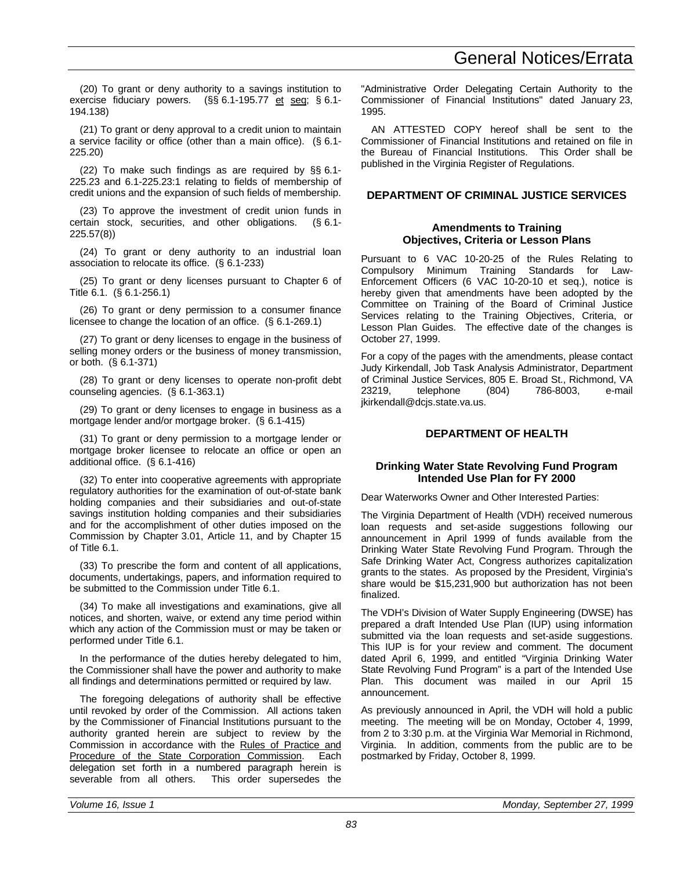(20) To grant or deny authority to a savings institution to exercise fiduciary powers. (§§ 6.1-195.77 et seq; § 6.1- 194.138)

(21) To grant or deny approval to a credit union to maintain a service facility or office (other than a main office). (§ 6.1- 225.20)

(22) To make such findings as are required by §§ 6.1- 225.23 and 6.1-225.23:1 relating to fields of membership of credit unions and the expansion of such fields of membership.

(23) To approve the investment of credit union funds in certain stock, securities, and other obligations. (§ 6.1- 225.57(8))

(24) To grant or deny authority to an industrial loan association to relocate its office. (§ 6.1-233)

(25) To grant or deny licenses pursuant to Chapter 6 of Title 6.1. (§ 6.1-256.1)

(26) To grant or deny permission to a consumer finance licensee to change the location of an office. (§ 6.1-269.1)

(27) To grant or deny licenses to engage in the business of selling money orders or the business of money transmission, or both. (§ 6.1-371)

(28) To grant or deny licenses to operate non-profit debt counseling agencies. (§ 6.1-363.1)

(29) To grant or deny licenses to engage in business as a mortgage lender and/or mortgage broker. (§ 6.1-415)

(31) To grant or deny permission to a mortgage lender or mortgage broker licensee to relocate an office or open an additional office. (§ 6.1-416)

(32) To enter into cooperative agreements with appropriate regulatory authorities for the examination of out-of-state bank holding companies and their subsidiaries and out-of-state savings institution holding companies and their subsidiaries and for the accomplishment of other duties imposed on the Commission by Chapter 3.01, Article 11, and by Chapter 15 of Title 6.1.

(33) To prescribe the form and content of all applications, documents, undertakings, papers, and information required to be submitted to the Commission under Title 6.1.

(34) To make all investigations and examinations, give all notices, and shorten, waive, or extend any time period within which any action of the Commission must or may be taken or performed under Title 6.1.

In the performance of the duties hereby delegated to him, the Commissioner shall have the power and authority to make all findings and determinations permitted or required by law.

The foregoing delegations of authority shall be effective until revoked by order of the Commission. All actions taken by the Commissioner of Financial Institutions pursuant to the authority granted herein are subject to review by the Commission in accordance with the Rules of Practice and Procedure of the State Corporation Commission. Each delegation set forth in a numbered paragraph herein is severable from all others. This order supersedes the "Administrative Order Delegating Certain Authority to the Commissioner of Financial Institutions" dated January 23, 1995.

AN ATTESTED COPY hereof shall be sent to the Commissioner of Financial Institutions and retained on file in the Bureau of Financial Institutions. This Order shall be published in the Virginia Register of Regulations.

## **DEPARTMENT OF CRIMINAL JUSTICE SERVICES**

## **Amendments to Training Objectives, Criteria or Lesson Plans**

Pursuant to 6 VAC 10-20-25 of the Rules Relating to Compulsory Minimum Training Standards for Law-Enforcement Officers (6 VAC 10-20-10 et seq.), notice is hereby given that amendments have been adopted by the Committee on Training of the Board of Criminal Justice Services relating to the Training Objectives, Criteria, or Lesson Plan Guides. The effective date of the changes is October 27, 1999.

For a copy of the pages with the amendments, please contact Judy Kirkendall, Job Task Analysis Administrator, Department of Criminal Justice Services, 805 E. Broad St., Richmond, VA 23219, telephone (804) 786-8003, e-mail jkirkendall@dcjs.state.va.us.

# **DEPARTMENT OF HEALTH**

# **Drinking Water State Revolving Fund Program Intended Use Plan for FY 2000**

Dear Waterworks Owner and Other Interested Parties:

The Virginia Department of Health (VDH) received numerous loan requests and set-aside suggestions following our announcement in April 1999 of funds available from the Drinking Water State Revolving Fund Program. Through the Safe Drinking Water Act, Congress authorizes capitalization grants to the states. As proposed by the President, Virginia's share would be \$15,231,900 but authorization has not been finalized.

The VDH's Division of Water Supply Engineering (DWSE) has prepared a draft Intended Use Plan (IUP) using information submitted via the loan requests and set-aside suggestions. This IUP is for your review and comment. The document dated April 6, 1999, and entitled "Virginia Drinking Water State Revolving Fund Program" is a part of the Intended Use Plan. This document was mailed in our April 15 announcement.

As previously announced in April, the VDH will hold a public meeting. The meeting will be on Monday, October 4, 1999, from 2 to 3:30 p.m. at the Virginia War Memorial in Richmond, Virginia. In addition, comments from the public are to be postmarked by Friday, October 8, 1999.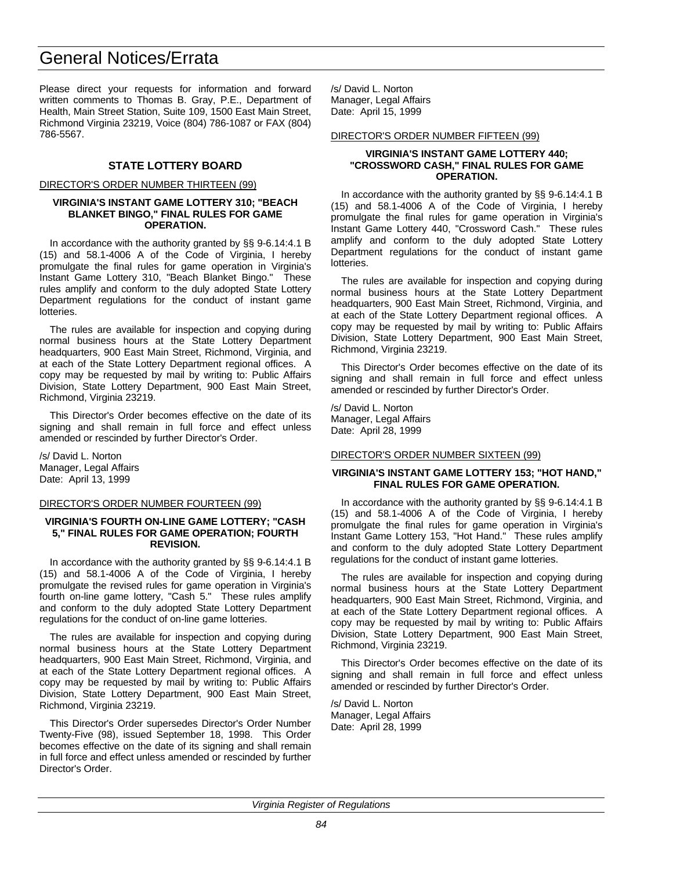Please direct your requests for information and forward written comments to Thomas B. Gray, P.E., Department of Health, Main Street Station, Suite 109, 1500 East Main Street, Richmond Virginia 23219, Voice (804) 786-1087 or FAX (804) 786-5567.

## **STATE LOTTERY BOARD**

### DIRECTOR'S ORDER NUMBER THIRTEEN (99)

### **VIRGINIA'S INSTANT GAME LOTTERY 310; "BEACH BLANKET BINGO," FINAL RULES FOR GAME OPERATION.**

In accordance with the authority granted by §§ 9-6.14:4.1 B (15) and 58.1-4006 A of the Code of Virginia, I hereby promulgate the final rules for game operation in Virginia's Instant Game Lottery 310, "Beach Blanket Bingo." These rules amplify and conform to the duly adopted State Lottery Department regulations for the conduct of instant game lotteries.

The rules are available for inspection and copying during normal business hours at the State Lottery Department headquarters, 900 East Main Street, Richmond, Virginia, and at each of the State Lottery Department regional offices. A copy may be requested by mail by writing to: Public Affairs Division, State Lottery Department, 900 East Main Street, Richmond, Virginia 23219.

This Director's Order becomes effective on the date of its signing and shall remain in full force and effect unless amended or rescinded by further Director's Order.

/s/ David L. Norton Manager, Legal Affairs Date: April 13, 1999

### DIRECTOR'S ORDER NUMBER FOURTEEN (99)

## **VIRGINIA'S FOURTH ON-LINE GAME LOTTERY; "CASH 5," FINAL RULES FOR GAME OPERATION; FOURTH REVISION.**

In accordance with the authority granted by §§ 9-6.14:4.1 B (15) and 58.1-4006 A of the Code of Virginia, I hereby promulgate the revised rules for game operation in Virginia's fourth on-line game lottery, "Cash 5." These rules amplify and conform to the duly adopted State Lottery Department regulations for the conduct of on-line game lotteries.

The rules are available for inspection and copying during normal business hours at the State Lottery Department headquarters, 900 East Main Street, Richmond, Virginia, and at each of the State Lottery Department regional offices. A copy may be requested by mail by writing to: Public Affairs Division, State Lottery Department, 900 East Main Street, Richmond, Virginia 23219.

This Director's Order supersedes Director's Order Number Twenty-Five (98), issued September 18, 1998. This Order becomes effective on the date of its signing and shall remain in full force and effect unless amended or rescinded by further Director's Order.

/s/ David L. Norton Manager, Legal Affairs Date: April 15, 1999

### DIRECTOR'S ORDER NUMBER FIFTEEN (99)

### **VIRGINIA'S INSTANT GAME LOTTERY 440; "CROSSWORD CASH," FINAL RULES FOR GAME OPERATION.**

In accordance with the authority granted by §§ 9-6.14:4.1 B (15) and 58.1-4006 A of the Code of Virginia, I hereby promulgate the final rules for game operation in Virginia's Instant Game Lottery 440, "Crossword Cash." These rules amplify and conform to the duly adopted State Lottery Department regulations for the conduct of instant game lotteries.

The rules are available for inspection and copying during normal business hours at the State Lottery Department headquarters, 900 East Main Street, Richmond, Virginia, and at each of the State Lottery Department regional offices. A copy may be requested by mail by writing to: Public Affairs Division, State Lottery Department, 900 East Main Street, Richmond, Virginia 23219.

This Director's Order becomes effective on the date of its signing and shall remain in full force and effect unless amended or rescinded by further Director's Order.

/s/ David L. Norton Manager, Legal Affairs Date: April 28, 1999

## DIRECTOR'S ORDER NUMBER SIXTEEN (99)

## **VIRGINIA'S INSTANT GAME LOTTERY 153; "HOT HAND," FINAL RULES FOR GAME OPERATION.**

In accordance with the authority granted by §§ 9-6.14:4.1 B (15) and 58.1-4006 A of the Code of Virginia, I hereby promulgate the final rules for game operation in Virginia's Instant Game Lottery 153, "Hot Hand." These rules amplify and conform to the duly adopted State Lottery Department regulations for the conduct of instant game lotteries.

The rules are available for inspection and copying during normal business hours at the State Lottery Department headquarters, 900 East Main Street, Richmond, Virginia, and at each of the State Lottery Department regional offices. A copy may be requested by mail by writing to: Public Affairs Division, State Lottery Department, 900 East Main Street, Richmond, Virginia 23219.

This Director's Order becomes effective on the date of its signing and shall remain in full force and effect unless amended or rescinded by further Director's Order.

/s/ David L. Norton Manager, Legal Affairs Date: April 28, 1999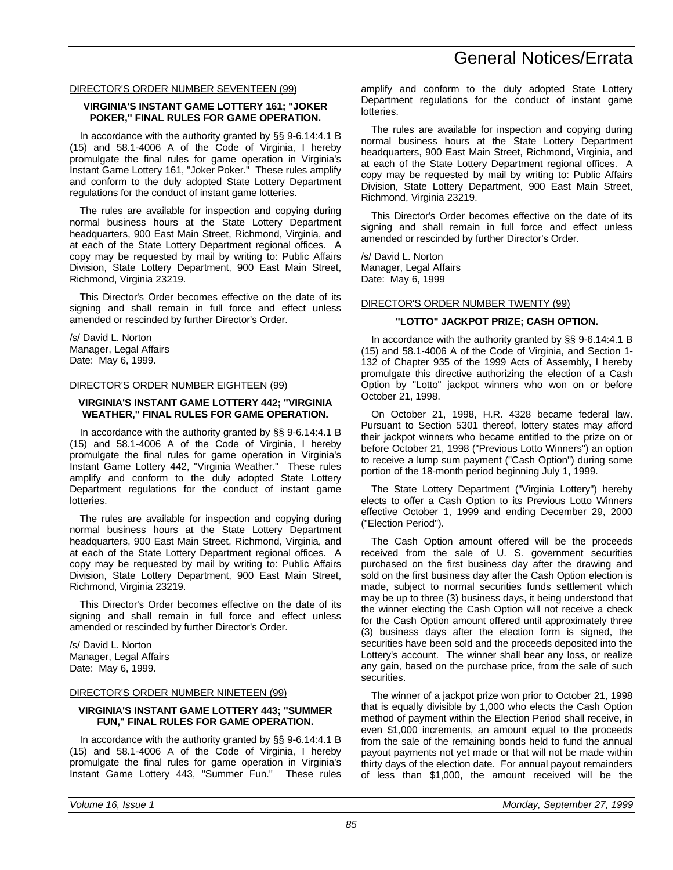## DIRECTOR'S ORDER NUMBER SEVENTEEN (99)

## **VIRGINIA'S INSTANT GAME LOTTERY 161; "JOKER POKER," FINAL RULES FOR GAME OPERATION.**

In accordance with the authority granted by §§ 9-6.14:4.1 B (15) and 58.1-4006 A of the Code of Virginia, I hereby promulgate the final rules for game operation in Virginia's Instant Game Lottery 161, "Joker Poker." These rules amplify and conform to the duly adopted State Lottery Department regulations for the conduct of instant game lotteries.

The rules are available for inspection and copying during normal business hours at the State Lottery Department headquarters, 900 East Main Street, Richmond, Virginia, and at each of the State Lottery Department regional offices. A copy may be requested by mail by writing to: Public Affairs Division, State Lottery Department, 900 East Main Street, Richmond, Virginia 23219.

This Director's Order becomes effective on the date of its signing and shall remain in full force and effect unless amended or rescinded by further Director's Order.

/s/ David L. Norton Manager, Legal Affairs Date: May 6, 1999.

## DIRECTOR'S ORDER NUMBER EIGHTEEN (99)

## **VIRGINIA'S INSTANT GAME LOTTERY 442; "VIRGINIA WEATHER," FINAL RULES FOR GAME OPERATION.**

In accordance with the authority granted by §§ 9-6.14:4.1 B (15) and 58.1-4006 A of the Code of Virginia, I hereby promulgate the final rules for game operation in Virginia's Instant Game Lottery 442, "Virginia Weather." These rules amplify and conform to the duly adopted State Lottery Department regulations for the conduct of instant game lotteries.

The rules are available for inspection and copying during normal business hours at the State Lottery Department headquarters, 900 East Main Street, Richmond, Virginia, and at each of the State Lottery Department regional offices. A copy may be requested by mail by writing to: Public Affairs Division, State Lottery Department, 900 East Main Street, Richmond, Virginia 23219.

This Director's Order becomes effective on the date of its signing and shall remain in full force and effect unless amended or rescinded by further Director's Order.

/s/ David L. Norton Manager, Legal Affairs Date: May 6, 1999.

### DIRECTOR'S ORDER NUMBER NINETEEN (99)

## **VIRGINIA'S INSTANT GAME LOTTERY 443; "SUMMER FUN," FINAL RULES FOR GAME OPERATION.**

In accordance with the authority granted by §§ 9-6.14:4.1 B (15) and 58.1-4006 A of the Code of Virginia, I hereby promulgate the final rules for game operation in Virginia's Instant Game Lottery 443, "Summer Fun." These rules amplify and conform to the duly adopted State Lottery Department regulations for the conduct of instant game lotteries.

The rules are available for inspection and copying during normal business hours at the State Lottery Department headquarters, 900 East Main Street, Richmond, Virginia, and at each of the State Lottery Department regional offices. A copy may be requested by mail by writing to: Public Affairs Division, State Lottery Department, 900 East Main Street, Richmond, Virginia 23219.

This Director's Order becomes effective on the date of its signing and shall remain in full force and effect unless amended or rescinded by further Director's Order.

/s/ David L. Norton Manager, Legal Affairs Date: May 6, 1999

## DIRECTOR'S ORDER NUMBER TWENTY (99)

## **"LOTTO" JACKPOT PRIZE; CASH OPTION.**

In accordance with the authority granted by §§ 9-6.14:4.1 B (15) and 58.1-4006 A of the Code of Virginia, and Section 1- 132 of Chapter 935 of the 1999 Acts of Assembly, I hereby promulgate this directive authorizing the election of a Cash Option by "Lotto" jackpot winners who won on or before October 21, 1998.

On October 21, 1998, H.R. 4328 became federal law. Pursuant to Section 5301 thereof, lottery states may afford their jackpot winners who became entitled to the prize on or before October 21, 1998 ("Previous Lotto Winners") an option to receive a lump sum payment ("Cash Option") during some portion of the 18-month period beginning July 1, 1999.

The State Lottery Department ("Virginia Lottery") hereby elects to offer a Cash Option to its Previous Lotto Winners effective October 1, 1999 and ending December 29, 2000 ("Election Period").

The Cash Option amount offered will be the proceeds received from the sale of U. S. government securities purchased on the first business day after the drawing and sold on the first business day after the Cash Option election is made, subject to normal securities funds settlement which may be up to three (3) business days, it being understood that the winner electing the Cash Option will not receive a check for the Cash Option amount offered until approximately three (3) business days after the election form is signed, the securities have been sold and the proceeds deposited into the Lottery's account. The winner shall bear any loss, or realize any gain, based on the purchase price, from the sale of such securities.

The winner of a jackpot prize won prior to October 21, 1998 that is equally divisible by 1,000 who elects the Cash Option method of payment within the Election Period shall receive, in even \$1,000 increments, an amount equal to the proceeds from the sale of the remaining bonds held to fund the annual payout payments not yet made or that will not be made within thirty days of the election date. For annual payout remainders of less than \$1,000, the amount received will be the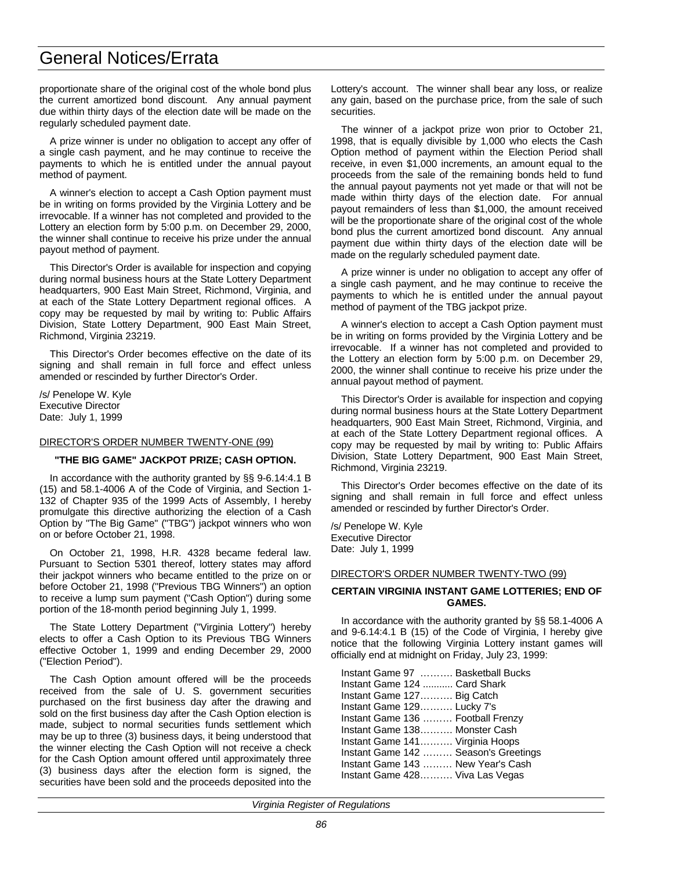proportionate share of the original cost of the whole bond plus the current amortized bond discount. Any annual payment due within thirty days of the election date will be made on the regularly scheduled payment date.

A prize winner is under no obligation to accept any offer of a single cash payment, and he may continue to receive the payments to which he is entitled under the annual payout method of payment.

A winner's election to accept a Cash Option payment must be in writing on forms provided by the Virginia Lottery and be irrevocable. If a winner has not completed and provided to the Lottery an election form by 5:00 p.m. on December 29, 2000, the winner shall continue to receive his prize under the annual payout method of payment.

This Director's Order is available for inspection and copying during normal business hours at the State Lottery Department headquarters, 900 East Main Street, Richmond, Virginia, and at each of the State Lottery Department regional offices. A copy may be requested by mail by writing to: Public Affairs Division, State Lottery Department, 900 East Main Street, Richmond, Virginia 23219.

This Director's Order becomes effective on the date of its signing and shall remain in full force and effect unless amended or rescinded by further Director's Order.

/s/ Penelope W. Kyle Executive Director Date: July 1, 1999

## DIRECTOR'S ORDER NUMBER TWENTY-ONE (99)

## **"THE BIG GAME" JACKPOT PRIZE; CASH OPTION.**

In accordance with the authority granted by §§ 9-6.14:4.1 B (15) and 58.1-4006 A of the Code of Virginia, and Section 1- 132 of Chapter 935 of the 1999 Acts of Assembly, I hereby promulgate this directive authorizing the election of a Cash Option by "The Big Game" ("TBG") jackpot winners who won on or before October 21, 1998.

On October 21, 1998, H.R. 4328 became federal law. Pursuant to Section 5301 thereof, lottery states may afford their jackpot winners who became entitled to the prize on or before October 21, 1998 ("Previous TBG Winners") an option to receive a lump sum payment ("Cash Option") during some portion of the 18-month period beginning July 1, 1999.

The State Lottery Department ("Virginia Lottery") hereby elects to offer a Cash Option to its Previous TBG Winners effective October 1, 1999 and ending December 29, 2000 ("Election Period").

The Cash Option amount offered will be the proceeds received from the sale of U. S. government securities purchased on the first business day after the drawing and sold on the first business day after the Cash Option election is made, subject to normal securities funds settlement which may be up to three (3) business days, it being understood that the winner electing the Cash Option will not receive a check for the Cash Option amount offered until approximately three (3) business days after the election form is signed, the securities have been sold and the proceeds deposited into the

Lottery's account. The winner shall bear any loss, or realize any gain, based on the purchase price, from the sale of such securities.

The winner of a jackpot prize won prior to October 21, 1998, that is equally divisible by 1,000 who elects the Cash Option method of payment within the Election Period shall receive, in even \$1,000 increments, an amount equal to the proceeds from the sale of the remaining bonds held to fund the annual payout payments not yet made or that will not be made within thirty days of the election date. For annual payout remainders of less than \$1,000, the amount received will be the proportionate share of the original cost of the whole bond plus the current amortized bond discount. Any annual payment due within thirty days of the election date will be made on the regularly scheduled payment date.

A prize winner is under no obligation to accept any offer of a single cash payment, and he may continue to receive the payments to which he is entitled under the annual payout method of payment of the TBG jackpot prize.

A winner's election to accept a Cash Option payment must be in writing on forms provided by the Virginia Lottery and be irrevocable. If a winner has not completed and provided to the Lottery an election form by 5:00 p.m. on December 29, 2000, the winner shall continue to receive his prize under the annual payout method of payment.

This Director's Order is available for inspection and copying during normal business hours at the State Lottery Department headquarters, 900 East Main Street, Richmond, Virginia, and at each of the State Lottery Department regional offices. A copy may be requested by mail by writing to: Public Affairs Division, State Lottery Department, 900 East Main Street, Richmond, Virginia 23219.

This Director's Order becomes effective on the date of its signing and shall remain in full force and effect unless amended or rescinded by further Director's Order.

/s/ Penelope W. Kyle Executive Director Date: July 1, 1999

## DIRECTOR'S ORDER NUMBER TWENTY-TWO (99)

## **CERTAIN VIRGINIA INSTANT GAME LOTTERIES; END OF GAMES.**

In accordance with the authority granted by §§ 58.1-4006 A and 9-6.14:4.1 B (15) of the Code of Virginia, I hereby give notice that the following Virginia Lottery instant games will officially end at midnight on Friday, July 23, 1999:

|                              | Instant Game 97  Basketball Bucks    |
|------------------------------|--------------------------------------|
| Instant Game 124  Card Shark |                                      |
| Instant Game 127 Big Catch   |                                      |
| Instant Game 129 Lucky 7's   |                                      |
|                              | Instant Game 136  Football Frenzy    |
|                              | Instant Game 138 Monster Cash        |
|                              | Instant Game 141 Virginia Hoops      |
|                              | Instant Game 142  Season's Greetings |
|                              | Instant Game 143  New Year's Cash    |
|                              | Instant Game 428 Viva Las Vegas      |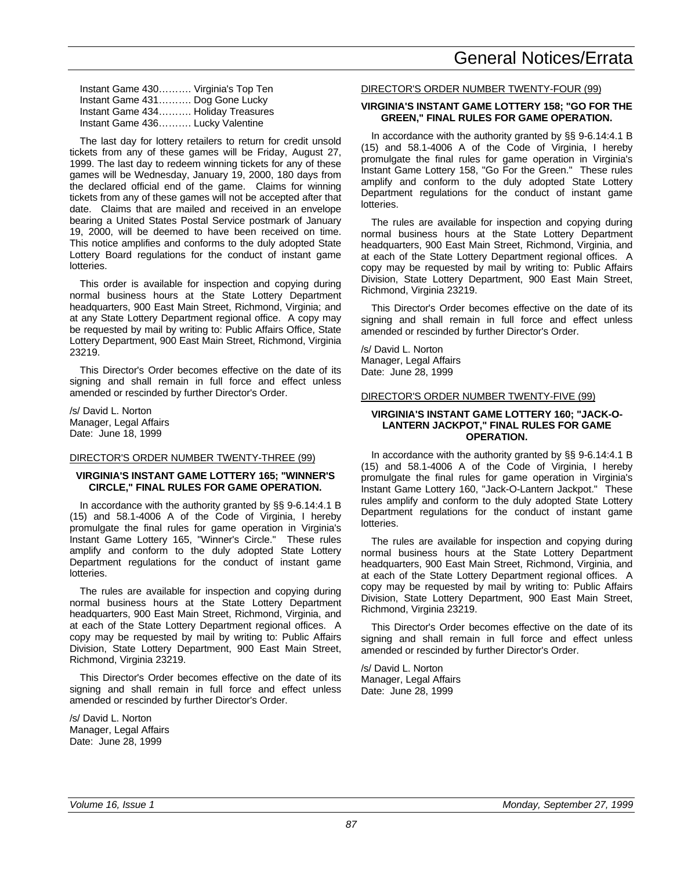| Instant Game 430 Virginia's Top Ten |  |
|-------------------------------------|--|
| Instant Game 431 Dog Gone Lucky     |  |
| Instant Game 434 Holiday Treasures  |  |
| Instant Game 436 Lucky Valentine    |  |

The last day for lottery retailers to return for credit unsold tickets from any of these games will be Friday, August 27, 1999. The last day to redeem winning tickets for any of these games will be Wednesday, January 19, 2000, 180 days from the declared official end of the game. Claims for winning tickets from any of these games will not be accepted after that date. Claims that are mailed and received in an envelope bearing a United States Postal Service postmark of January 19, 2000, will be deemed to have been received on time. This notice amplifies and conforms to the duly adopted State Lottery Board regulations for the conduct of instant game lotteries.

This order is available for inspection and copying during normal business hours at the State Lottery Department headquarters, 900 East Main Street, Richmond, Virginia; and at any State Lottery Department regional office. A copy may be requested by mail by writing to: Public Affairs Office, State Lottery Department, 900 East Main Street, Richmond, Virginia 23219.

This Director's Order becomes effective on the date of its signing and shall remain in full force and effect unless amended or rescinded by further Director's Order.

/s/ David L. Norton Manager, Legal Affairs Date: June 18, 1999

### DIRECTOR'S ORDER NUMBER TWENTY-THREE (99)

## **VIRGINIA'S INSTANT GAME LOTTERY 165; "WINNER'S CIRCLE," FINAL RULES FOR GAME OPERATION.**

In accordance with the authority granted by §§ 9-6.14:4.1 B (15) and 58.1-4006 A of the Code of Virginia, I hereby promulgate the final rules for game operation in Virginia's Instant Game Lottery 165, "Winner's Circle." These rules amplify and conform to the duly adopted State Lottery Department regulations for the conduct of instant game lotteries.

The rules are available for inspection and copying during normal business hours at the State Lottery Department headquarters, 900 East Main Street, Richmond, Virginia, and at each of the State Lottery Department regional offices. A copy may be requested by mail by writing to: Public Affairs Division, State Lottery Department, 900 East Main Street, Richmond, Virginia 23219.

This Director's Order becomes effective on the date of its signing and shall remain in full force and effect unless amended or rescinded by further Director's Order.

/s/ David L. Norton Manager, Legal Affairs Date: June 28, 1999

### DIRECTOR'S ORDER NUMBER TWENTY-FOUR (99)

#### **VIRGINIA'S INSTANT GAME LOTTERY 158; "GO FOR THE GREEN," FINAL RULES FOR GAME OPERATION.**

In accordance with the authority granted by §§ 9-6.14:4.1 B (15) and 58.1-4006 A of the Code of Virginia, I hereby promulgate the final rules for game operation in Virginia's Instant Game Lottery 158, "Go For the Green." These rules amplify and conform to the duly adopted State Lottery Department regulations for the conduct of instant game lotteries.

The rules are available for inspection and copying during normal business hours at the State Lottery Department headquarters, 900 East Main Street, Richmond, Virginia, and at each of the State Lottery Department regional offices. A copy may be requested by mail by writing to: Public Affairs Division, State Lottery Department, 900 East Main Street, Richmond, Virginia 23219.

This Director's Order becomes effective on the date of its signing and shall remain in full force and effect unless amended or rescinded by further Director's Order.

/s/ David L. Norton Manager, Legal Affairs Date: June 28, 1999

#### DIRECTOR'S ORDER NUMBER TWENTY-FIVE (99)

### **VIRGINIA'S INSTANT GAME LOTTERY 160; "JACK-O-LANTERN JACKPOT," FINAL RULES FOR GAME OPERATION.**

In accordance with the authority granted by §§ 9-6.14:4.1 B (15) and 58.1-4006 A of the Code of Virginia, I hereby promulgate the final rules for game operation in Virginia's Instant Game Lottery 160, "Jack-O-Lantern Jackpot." These rules amplify and conform to the duly adopted State Lottery Department regulations for the conduct of instant game lotteries.

The rules are available for inspection and copying during normal business hours at the State Lottery Department headquarters, 900 East Main Street, Richmond, Virginia, and at each of the State Lottery Department regional offices. A copy may be requested by mail by writing to: Public Affairs Division, State Lottery Department, 900 East Main Street, Richmond, Virginia 23219.

This Director's Order becomes effective on the date of its signing and shall remain in full force and effect unless amended or rescinded by further Director's Order.

/s/ David L. Norton Manager, Legal Affairs Date: June 28, 1999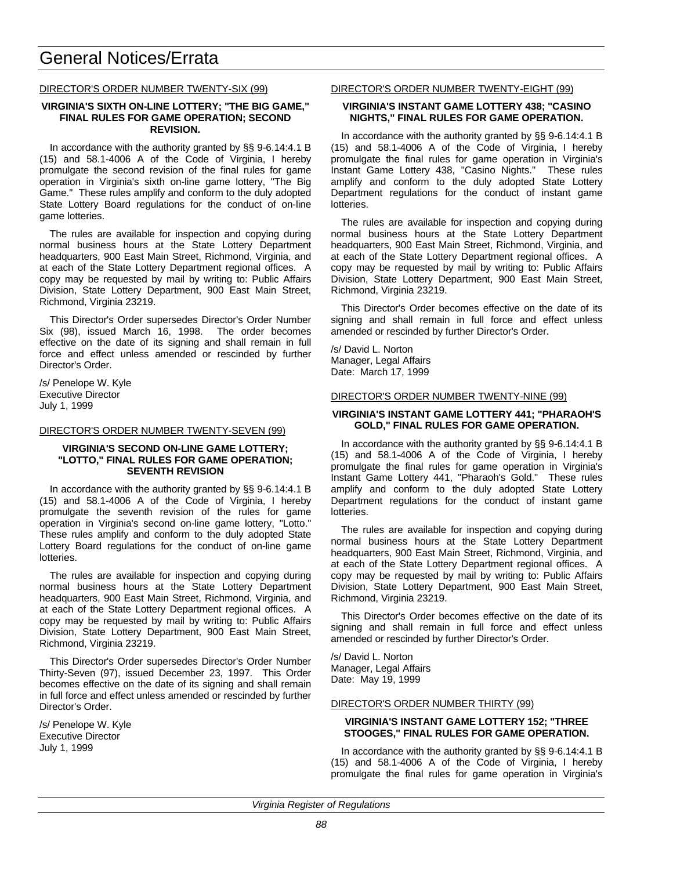## DIRECTOR'S ORDER NUMBER TWENTY-SIX (99)

### **VIRGINIA'S SIXTH ON-LINE LOTTERY; "THE BIG GAME," FINAL RULES FOR GAME OPERATION; SECOND REVISION.**

In accordance with the authority granted by §§ 9-6.14:4.1 B (15) and 58.1-4006 A of the Code of Virginia, I hereby promulgate the second revision of the final rules for game operation in Virginia's sixth on-line game lottery, "The Big Game." These rules amplify and conform to the duly adopted State Lottery Board regulations for the conduct of on-line game lotteries.

The rules are available for inspection and copying during normal business hours at the State Lottery Department headquarters, 900 East Main Street, Richmond, Virginia, and at each of the State Lottery Department regional offices. A copy may be requested by mail by writing to: Public Affairs Division, State Lottery Department, 900 East Main Street, Richmond, Virginia 23219.

This Director's Order supersedes Director's Order Number Six (98), issued March 16, 1998. The order becomes effective on the date of its signing and shall remain in full force and effect unless amended or rescinded by further Director's Order.

/s/ Penelope W. Kyle Executive Director July 1, 1999

### DIRECTOR'S ORDER NUMBER TWENTY-SEVEN (99)

### **VIRGINIA'S SECOND ON-LINE GAME LOTTERY; "LOTTO," FINAL RULES FOR GAME OPERATION; SEVENTH REVISION**

In accordance with the authority granted by §§ 9-6.14:4.1 B (15) and 58.1-4006 A of the Code of Virginia, I hereby promulgate the seventh revision of the rules for game operation in Virginia's second on-line game lottery, "Lotto." These rules amplify and conform to the duly adopted State Lottery Board regulations for the conduct of on-line game lotteries.

The rules are available for inspection and copying during normal business hours at the State Lottery Department headquarters, 900 East Main Street, Richmond, Virginia, and at each of the State Lottery Department regional offices. A copy may be requested by mail by writing to: Public Affairs Division, State Lottery Department, 900 East Main Street, Richmond, Virginia 23219.

This Director's Order supersedes Director's Order Number Thirty-Seven (97), issued December 23, 1997. This Order becomes effective on the date of its signing and shall remain in full force and effect unless amended or rescinded by further Director's Order.

/s/ Penelope W. Kyle Executive Director July 1, 1999

### DIRECTOR'S ORDER NUMBER TWENTY-EIGHT (99)

## **VIRGINIA'S INSTANT GAME LOTTERY 438; "CASINO NIGHTS," FINAL RULES FOR GAME OPERATION.**

In accordance with the authority granted by §§ 9-6.14:4.1 B (15) and 58.1-4006 A of the Code of Virginia, I hereby promulgate the final rules for game operation in Virginia's Instant Game Lottery 438, "Casino Nights." These rules amplify and conform to the duly adopted State Lottery Department regulations for the conduct of instant game lotteries.

The rules are available for inspection and copying during normal business hours at the State Lottery Department headquarters, 900 East Main Street, Richmond, Virginia, and at each of the State Lottery Department regional offices. A copy may be requested by mail by writing to: Public Affairs Division, State Lottery Department, 900 East Main Street, Richmond, Virginia 23219.

This Director's Order becomes effective on the date of its signing and shall remain in full force and effect unless amended or rescinded by further Director's Order.

/s/ David L. Norton Manager, Legal Affairs Date: March 17, 1999

## DIRECTOR'S ORDER NUMBER TWENTY-NINE (99)

### **VIRGINIA'S INSTANT GAME LOTTERY 441; "PHARAOH'S GOLD," FINAL RULES FOR GAME OPERATION.**

In accordance with the authority granted by §§ 9-6.14:4.1 B (15) and 58.1-4006 A of the Code of Virginia, I hereby promulgate the final rules for game operation in Virginia's Instant Game Lottery 441, "Pharaoh's Gold." These rules amplify and conform to the duly adopted State Lottery Department regulations for the conduct of instant game lotteries.

The rules are available for inspection and copying during normal business hours at the State Lottery Department headquarters, 900 East Main Street, Richmond, Virginia, and at each of the State Lottery Department regional offices. A copy may be requested by mail by writing to: Public Affairs Division, State Lottery Department, 900 East Main Street, Richmond, Virginia 23219.

This Director's Order becomes effective on the date of its signing and shall remain in full force and effect unless amended or rescinded by further Director's Order.

/s/ David L. Norton Manager, Legal Affairs Date: May 19, 1999

### DIRECTOR'S ORDER NUMBER THIRTY (99)

#### **VIRGINIA'S INSTANT GAME LOTTERY 152; "THREE STOOGES," FINAL RULES FOR GAME OPERATION.**

In accordance with the authority granted by §§ 9-6.14:4.1 B (15) and 58.1-4006 A of the Code of Virginia, I hereby promulgate the final rules for game operation in Virginia's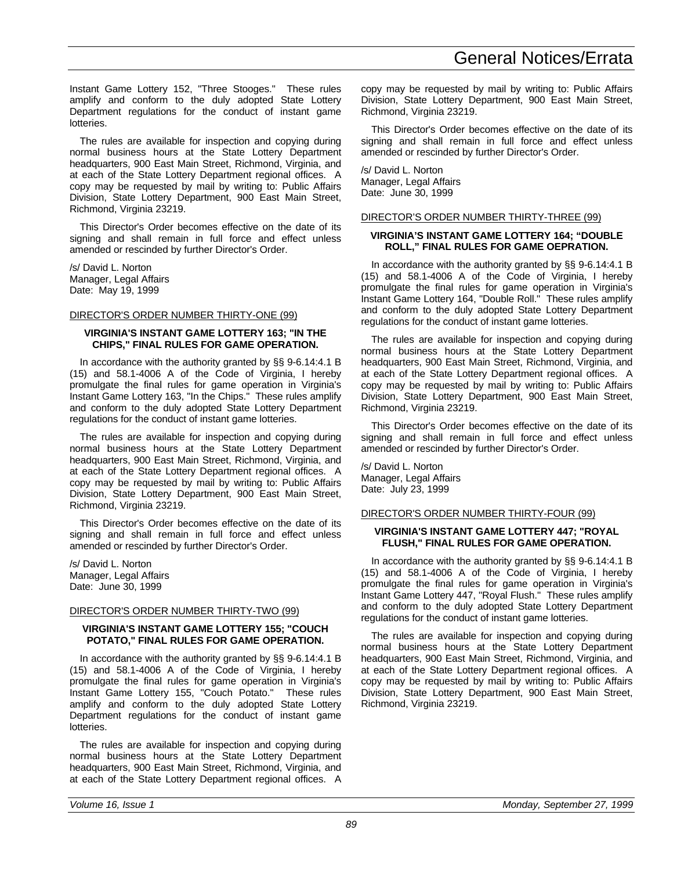Instant Game Lottery 152, "Three Stooges." These rules amplify and conform to the duly adopted State Lottery Department regulations for the conduct of instant game lotteries.

The rules are available for inspection and copying during normal business hours at the State Lottery Department headquarters, 900 East Main Street, Richmond, Virginia, and at each of the State Lottery Department regional offices. A copy may be requested by mail by writing to: Public Affairs Division, State Lottery Department, 900 East Main Street, Richmond, Virginia 23219.

This Director's Order becomes effective on the date of its signing and shall remain in full force and effect unless amended or rescinded by further Director's Order.

/s/ David L. Norton Manager, Legal Affairs Date: May 19, 1999

### DIRECTOR'S ORDER NUMBER THIRTY-ONE (99)

## **VIRGINIA'S INSTANT GAME LOTTERY 163; "IN THE CHIPS," FINAL RULES FOR GAME OPERATION.**

In accordance with the authority granted by §§ 9-6.14:4.1 B (15) and 58.1-4006 A of the Code of Virginia, I hereby promulgate the final rules for game operation in Virginia's Instant Game Lottery 163, "In the Chips." These rules amplify and conform to the duly adopted State Lottery Department regulations for the conduct of instant game lotteries.

The rules are available for inspection and copying during normal business hours at the State Lottery Department headquarters, 900 East Main Street, Richmond, Virginia, and at each of the State Lottery Department regional offices. A copy may be requested by mail by writing to: Public Affairs Division, State Lottery Department, 900 East Main Street, Richmond, Virginia 23219.

This Director's Order becomes effective on the date of its signing and shall remain in full force and effect unless amended or rescinded by further Director's Order.

/s/ David L. Norton Manager, Legal Affairs Date: June 30, 1999

### DIRECTOR'S ORDER NUMBER THIRTY-TWO (99)

## **VIRGINIA'S INSTANT GAME LOTTERY 155; "COUCH POTATO," FINAL RULES FOR GAME OPERATION.**

In accordance with the authority granted by §§ 9-6.14:4.1 B (15) and 58.1-4006 A of the Code of Virginia, I hereby promulgate the final rules for game operation in Virginia's Instant Game Lottery 155, "Couch Potato." These rules amplify and conform to the duly adopted State Lottery Department regulations for the conduct of instant game lotteries.

The rules are available for inspection and copying during normal business hours at the State Lottery Department headquarters, 900 East Main Street, Richmond, Virginia, and at each of the State Lottery Department regional offices. A copy may be requested by mail by writing to: Public Affairs Division, State Lottery Department, 900 East Main Street, Richmond, Virginia 23219.

This Director's Order becomes effective on the date of its signing and shall remain in full force and effect unless amended or rescinded by further Director's Order.

/s/ David L. Norton Manager, Legal Affairs Date: June 30, 1999

## DIRECTOR'S ORDER NUMBER THIRTY-THREE (99)

## **VIRGINIA'S INSTANT GAME LOTTERY 164; "DOUBLE ROLL," FINAL RULES FOR GAME OEPRATION.**

In accordance with the authority granted by §§ 9-6.14:4.1 B (15) and 58.1-4006 A of the Code of Virginia, I hereby promulgate the final rules for game operation in Virginia's Instant Game Lottery 164, "Double Roll." These rules amplify and conform to the duly adopted State Lottery Department regulations for the conduct of instant game lotteries.

The rules are available for inspection and copying during normal business hours at the State Lottery Department headquarters, 900 East Main Street, Richmond, Virginia, and at each of the State Lottery Department regional offices. A copy may be requested by mail by writing to: Public Affairs Division, State Lottery Department, 900 East Main Street, Richmond, Virginia 23219.

This Director's Order becomes effective on the date of its signing and shall remain in full force and effect unless amended or rescinded by further Director's Order.

/s/ David L. Norton Manager, Legal Affairs Date: July 23, 1999

## DIRECTOR'S ORDER NUMBER THIRTY-FOUR (99)

## **VIRGINIA'S INSTANT GAME LOTTERY 447; "ROYAL FLUSH," FINAL RULES FOR GAME OPERATION.**

In accordance with the authority granted by §§ 9-6.14:4.1 B (15) and 58.1-4006 A of the Code of Virginia, I hereby promulgate the final rules for game operation in Virginia's Instant Game Lottery 447, "Royal Flush." These rules amplify and conform to the duly adopted State Lottery Department regulations for the conduct of instant game lotteries.

The rules are available for inspection and copying during normal business hours at the State Lottery Department headquarters, 900 East Main Street, Richmond, Virginia, and at each of the State Lottery Department regional offices. A copy may be requested by mail by writing to: Public Affairs Division, State Lottery Department, 900 East Main Street, Richmond, Virginia 23219.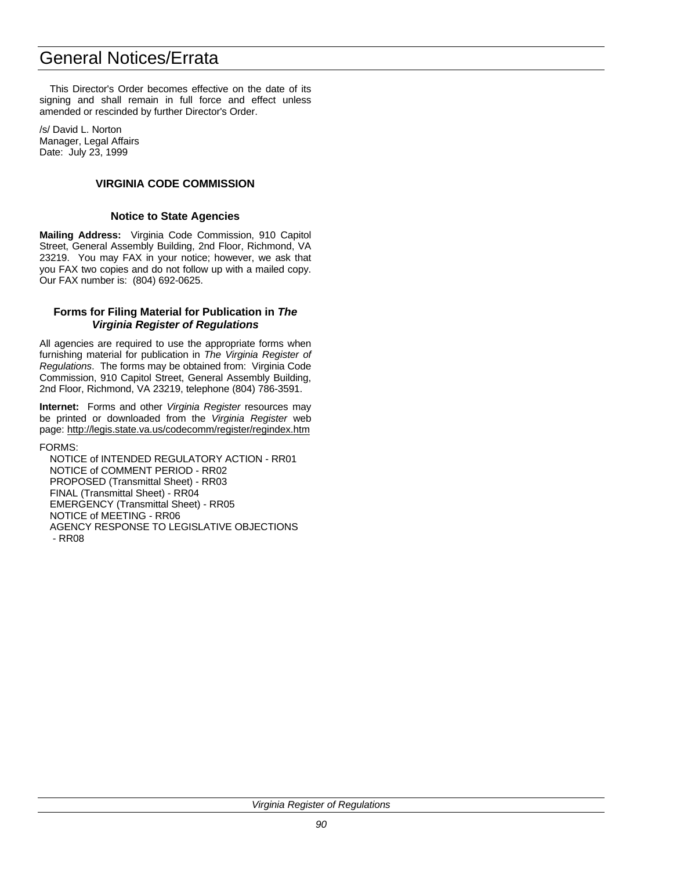This Director's Order becomes effective on the date of its signing and shall remain in full force and effect unless amended or rescinded by further Director's Order.

/s/ David L. Norton Manager, Legal Affairs Date: July 23, 1999

# **VIRGINIA CODE COMMISSION**

# **Notice to State Agencies**

**Mailing Address:** Virginia Code Commission, 910 Capitol Street, General Assembly Building, 2nd Floor, Richmond, VA 23219. You may FAX in your notice; however, we ask that you FAX two copies and do not follow up with a mailed copy. Our FAX number is: (804) 692-0625.

## **Forms for Filing Material for Publication in** *The Virginia Register of Regulations*

All agencies are required to use the appropriate forms when furnishing material for publication in *The Virginia Register of Regulations*. The forms may be obtained from: Virginia Code Commission, 910 Capitol Street, General Assembly Building, 2nd Floor, Richmond, VA 23219, telephone (804) 786-3591.

**Internet:** Forms and other *Virginia Register* resources may be printed or downloaded from the *Virginia Register* web page: http://legis.state.va.us/codecomm/register/regindex.htm

FORMS:

NOTICE of INTENDED REGULATORY ACTION - RR01 NOTICE of COMMENT PERIOD - RR02 PROPOSED (Transmittal Sheet) - RR03 FINAL (Transmittal Sheet) - RR04 EMERGENCY (Transmittal Sheet) - RR05 NOTICE of MEETING - RR06 AGENCY RESPONSE TO LEGISLATIVE OBJECTIONS - RR08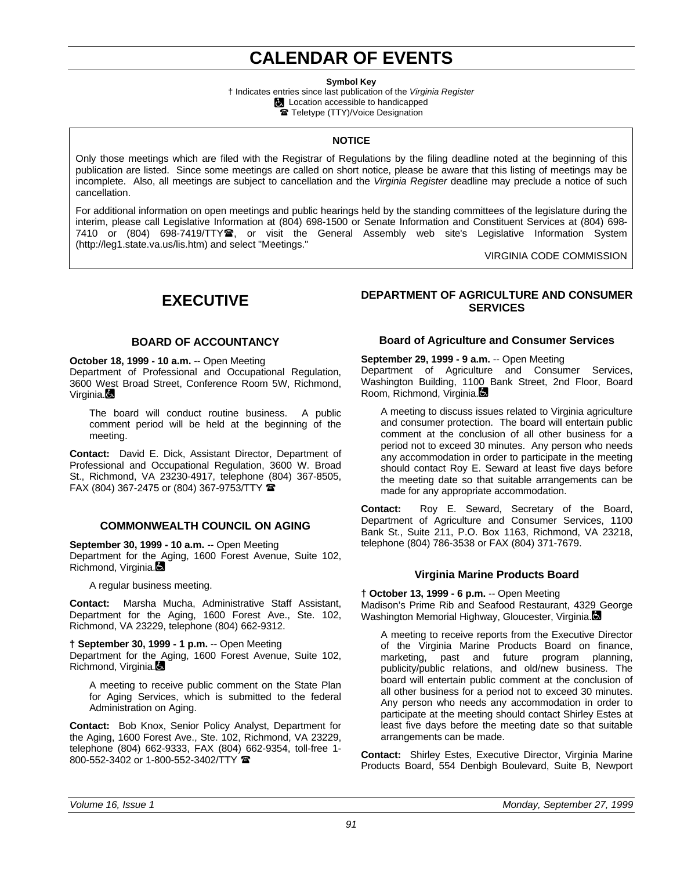# **CALENDAR OF EVENTS**

**Symbol Key**

† Indicates entries since last publication of the *Virginia Register* **Location accessible to handicapped** Teletype (TTY)/Voice Designation

# **NOTICE**

Only those meetings which are filed with the Registrar of Regulations by the filing deadline noted at the beginning of this publication are listed. Since some meetings are called on short notice, please be aware that this listing of meetings may be incomplete. Also, all meetings are subject to cancellation and the *Virginia Register* deadline may preclude a notice of such cancellation.

For additional information on open meetings and public hearings held by the standing committees of the legislature during the interim, please call Legislative Information at (804) 698-1500 or Senate Information and Constituent Services at (804) 698- 7410 or (804) 698-7419/TTY雪, or visit the General Assembly web site's Legislative Information System (http://leg1.state.va.us/lis.htm) and select "Meetings."

VIRGINIA CODE COMMISSION

# **EXECUTIVE**

# **BOARD OF ACCOUNTANCY**

**October 18, 1999 - 10 a.m.** -- Open Meeting Department of Professional and Occupational Regulation, 3600 West Broad Street, Conference Room 5W, Richmond, Virginia.

The board will conduct routine business. A public comment period will be held at the beginning of the meeting.

**Contact:** David E. Dick, Assistant Director, Department of Professional and Occupational Regulation, 3600 W. Broad St., Richmond, VA 23230-4917, telephone (804) 367-8505, FAX (804) 367-2475 or (804) 367-9753/TTY  $\hat{=}$ 

# **COMMONWEALTH COUNCIL ON AGING**

**September 30, 1999 - 10 a.m.** -- Open Meeting Department for the Aging, 1600 Forest Avenue, Suite 102,

Richmond, Virginia.

A regular business meeting.

**Contact:** Marsha Mucha, Administrative Staff Assistant, Department for the Aging, 1600 Forest Ave., Ste. 102, Richmond, VA 23229, telephone (804) 662-9312.

**† September 30, 1999 - 1 p.m.** -- Open Meeting Department for the Aging, 1600 Forest Avenue, Suite 102, Richmond, Virginia.

A meeting to receive public comment on the State Plan for Aging Services, which is submitted to the federal Administration on Aging.

**Contact:** Bob Knox, Senior Policy Analyst, Department for the Aging, 1600 Forest Ave., Ste. 102, Richmond, VA 23229, telephone (804) 662-9333, FAX (804) 662-9354, toll-free 1- 800-552-3402 or 1-800-552-3402/TTY

# **DEPARTMENT OF AGRICULTURE AND CONSUMER SERVICES**

# **Board of Agriculture and Consumer Services**

## **September 29, 1999 - 9 a.m.** -- Open Meeting

Department of Agriculture and Consumer Services, Washington Building, 1100 Bank Street, 2nd Floor, Board Room, Richmond, Virginia.

A meeting to discuss issues related to Virginia agriculture and consumer protection. The board will entertain public comment at the conclusion of all other business for a period not to exceed 30 minutes. Any person who needs any accommodation in order to participate in the meeting should contact Roy E. Seward at least five days before the meeting date so that suitable arrangements can be made for any appropriate accommodation.

**Contact:** Roy E. Seward, Secretary of the Board, Department of Agriculture and Consumer Services, 1100 Bank St., Suite 211, P.O. Box 1163, Richmond, VA 23218, telephone (804) 786-3538 or FAX (804) 371-7679.

# **Virginia Marine Products Board**

## **† October 13, 1999 - 6 p.m.** -- Open Meeting

Madison's Prime Rib and Seafood Restaurant, 4329 George Washington Memorial Highway, Gloucester, Virginia.

A meeting to receive reports from the Executive Director of the Virginia Marine Products Board on finance, marketing, past and future program planning, publicity/public relations, and old/new business. The board will entertain public comment at the conclusion of all other business for a period not to exceed 30 minutes. Any person who needs any accommodation in order to participate at the meeting should contact Shirley Estes at least five days before the meeting date so that suitable arrangements can be made.

**Contact:** Shirley Estes, Executive Director, Virginia Marine Products Board, 554 Denbigh Boulevard, Suite B, Newport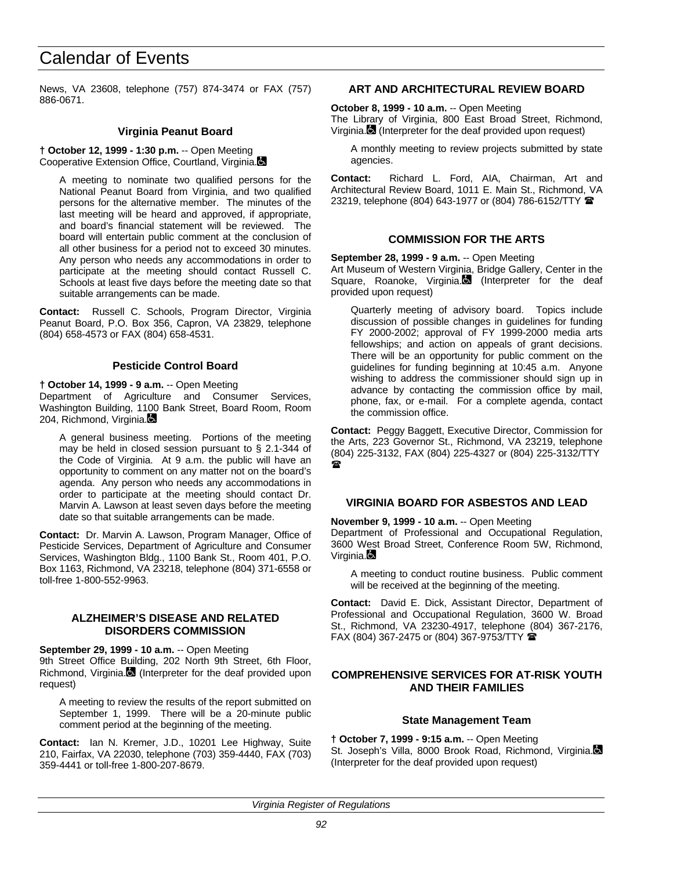News, VA 23608, telephone (757) 874-3474 or FAX (757) 886-0671.

## **Virginia Peanut Board**

**† October 12, 1999 - 1:30 p.m.** -- Open Meeting Cooperative Extension Office, Courtland, Virginia.

A meeting to nominate two qualified persons for the National Peanut Board from Virginia, and two qualified persons for the alternative member. The minutes of the last meeting will be heard and approved, if appropriate, and board's financial statement will be reviewed. The board will entertain public comment at the conclusion of all other business for a period not to exceed 30 minutes. Any person who needs any accommodations in order to participate at the meeting should contact Russell C. Schools at least five days before the meeting date so that suitable arrangements can be made.

**Contact:** Russell C. Schools, Program Director, Virginia Peanut Board, P.O. Box 356, Capron, VA 23829, telephone (804) 658-4573 or FAX (804) 658-4531.

# **Pesticide Control Board**

**† October 14, 1999 - 9 a.m.** -- Open Meeting Department of Agriculture and Consumer Services, Washington Building, 1100 Bank Street, Board Room, Room 204, Richmond, Virginia.

A general business meeting. Portions of the meeting may be held in closed session pursuant to § 2.1-344 of the Code of Virginia. At 9 a.m. the public will have an opportunity to comment on any matter not on the board's agenda. Any person who needs any accommodations in order to participate at the meeting should contact Dr. Marvin A. Lawson at least seven days before the meeting date so that suitable arrangements can be made.

**Contact:** Dr. Marvin A. Lawson, Program Manager, Office of Pesticide Services, Department of Agriculture and Consumer Services, Washington Bldg., 1100 Bank St., Room 401, P.O. Box 1163, Richmond, VA 23218, telephone (804) 371-6558 or toll-free 1-800-552-9963.

## **ALZHEIMER'S DISEASE AND RELATED DISORDERS COMMISSION**

**September 29, 1999 - 10 a.m.** -- Open Meeting 9th Street Office Building, 202 North 9th Street, 6th Floor, Richmond, Virginia. (Interpreter for the deaf provided upon request)

A meeting to review the results of the report submitted on September 1, 1999. There will be a 20-minute public comment period at the beginning of the meeting.

**Contact:** Ian N. Kremer, J.D., 10201 Lee Highway, Suite 210, Fairfax, VA 22030, telephone (703) 359-4440, FAX (703) 359-4441 or toll-free 1-800-207-8679.

# **ART AND ARCHITECTURAL REVIEW BOARD**

**October 8, 1999 - 10 a.m.** -- Open Meeting

The Library of Virginia, 800 East Broad Street, Richmond, Virginia. (Interpreter for the deaf provided upon request)

A monthly meeting to review projects submitted by state agencies.

**Contact:** Richard L. Ford, AIA, Chairman, Art and Architectural Review Board, 1011 E. Main St., Richmond, VA 23219, telephone (804) 643-1977 or (804) 786-6152/TTY <sup>金</sup>

# **COMMISSION FOR THE ARTS**

**September 28, 1999 - 9 a.m.** -- Open Meeting

Art Museum of Western Virginia, Bridge Gallery, Center in the Square, Roanoke, Virginia. (Interpreter for the deaf provided upon request)

Quarterly meeting of advisory board. Topics include discussion of possible changes in guidelines for funding FY 2000-2002; approval of FY 1999-2000 media arts fellowships; and action on appeals of grant decisions. There will be an opportunity for public comment on the guidelines for funding beginning at 10:45 a.m. Anyone wishing to address the commissioner should sign up in advance by contacting the commission office by mail, phone, fax, or e-mail. For a complete agenda, contact the commission office.

**Contact:** Peggy Baggett, Executive Director, Commission for the Arts, 223 Governor St., Richmond, VA 23219, telephone (804) 225-3132, FAX (804) 225-4327 or (804) 225-3132/TTY  $\mathbf{r}$ 

## **VIRGINIA BOARD FOR ASBESTOS AND LEAD**

**November 9, 1999 - 10 a.m.** -- Open Meeting

Department of Professional and Occupational Regulation, 3600 West Broad Street, Conference Room 5W, Richmond, Virginia.**B** 

A meeting to conduct routine business. Public comment will be received at the beginning of the meeting.

**Contact:** David E. Dick, Assistant Director, Department of Professional and Occupational Regulation, 3600 W. Broad St., Richmond, VA 23230-4917, telephone (804) 367-2176, FAX (804) 367-2475 or (804) 367-9753/TTY  $\blacksquare$ 

# **COMPREHENSIVE SERVICES FOR AT-RISK YOUTH AND THEIR FAMILIES**

# **State Management Team**

**† October 7, 1999 - 9:15 a.m.** -- Open Meeting St. Joseph's Villa, 8000 Brook Road, Richmond, Virginia. (Interpreter for the deaf provided upon request)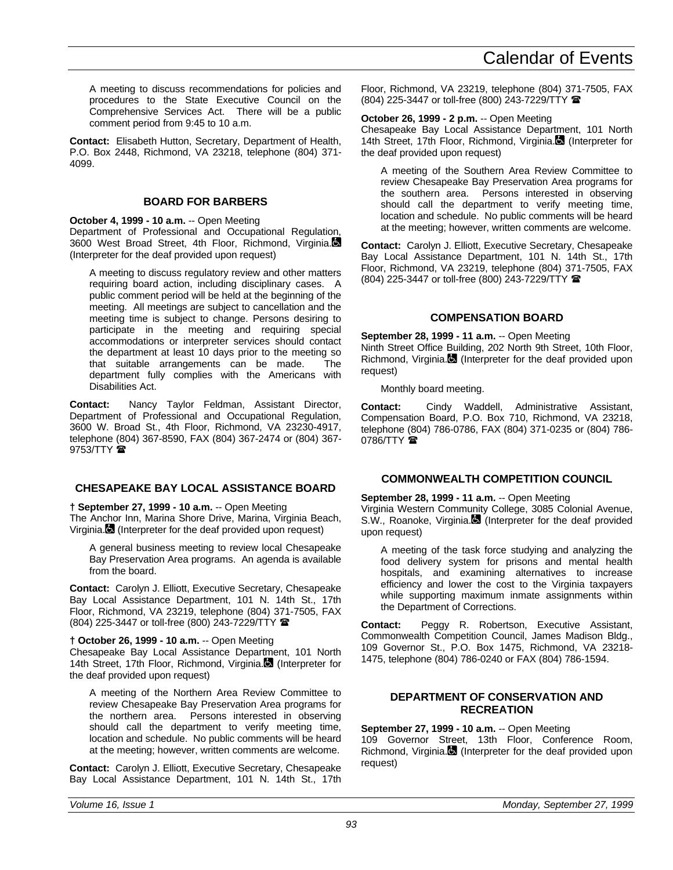A meeting to discuss recommendations for policies and procedures to the State Executive Council on the Comprehensive Services Act. There will be a public comment period from 9:45 to 10 a.m.

**Contact:** Elisabeth Hutton, Secretary, Department of Health, P.O. Box 2448, Richmond, VA 23218, telephone (804) 371- 4099.

# **BOARD FOR BARBERS**

# **October 4, 1999 - 10 a.m.** -- Open Meeting

Department of Professional and Occupational Regulation, 3600 West Broad Street, 4th Floor, Richmond, Virginia. (Interpreter for the deaf provided upon request)

A meeting to discuss regulatory review and other matters requiring board action, including disciplinary cases. A public comment period will be held at the beginning of the meeting. All meetings are subject to cancellation and the meeting time is subject to change. Persons desiring to participate in the meeting and requiring special accommodations or interpreter services should contact the department at least 10 days prior to the meeting so that suitable arrangements can be made. The department fully complies with the Americans with Disabilities Act.

**Contact:** Nancy Taylor Feldman, Assistant Director, Department of Professional and Occupational Regulation, 3600 W. Broad St., 4th Floor, Richmond, VA 23230-4917, telephone (804) 367-8590, FAX (804) 367-2474 or (804) 367-  $9753/TTY$ 

# **CHESAPEAKE BAY LOCAL ASSISTANCE BOARD**

# **† September 27, 1999 - 10 a.m.** -- Open Meeting

The Anchor Inn, Marina Shore Drive, Marina, Virginia Beach, Virginia. (Interpreter for the deaf provided upon request)

A general business meeting to review local Chesapeake Bay Preservation Area programs. An agenda is available from the board.

**Contact:** Carolyn J. Elliott, Executive Secretary, Chesapeake Bay Local Assistance Department, 101 N. 14th St., 17th Floor, Richmond, VA 23219, telephone (804) 371-7505, FAX (804) 225-3447 or toll-free (800) 243-7229/TTY (

# **† October 26, 1999 - 10 a.m.** -- Open Meeting

Chesapeake Bay Local Assistance Department, 101 North 14th Street, 17th Floor, Richmond, Virginia. (Interpreter for the deaf provided upon request)

A meeting of the Northern Area Review Committee to review Chesapeake Bay Preservation Area programs for the northern area. Persons interested in observing should call the department to verify meeting time, location and schedule. No public comments will be heard at the meeting; however, written comments are welcome.

**Contact:** Carolyn J. Elliott, Executive Secretary, Chesapeake Bay Local Assistance Department, 101 N. 14th St., 17th Floor, Richmond, VA 23219, telephone (804) 371-7505, FAX (804) 225-3447 or toll-free (800) 243-7229/TTY (

# **October 26, 1999 - 2 p.m.** -- Open Meeting

Chesapeake Bay Local Assistance Department, 101 North 14th Street, 17th Floor, Richmond, Virginia. (Interpreter for the deaf provided upon request)

A meeting of the Southern Area Review Committee to review Chesapeake Bay Preservation Area programs for the southern area. Persons interested in observing should call the department to verify meeting time, location and schedule. No public comments will be heard at the meeting; however, written comments are welcome.

**Contact:** Carolyn J. Elliott, Executive Secretary, Chesapeake Bay Local Assistance Department, 101 N. 14th St., 17th Floor, Richmond, VA 23219, telephone (804) 371-7505, FAX (804) 225-3447 or toll-free (800) 243-7229/TTY (

# **COMPENSATION BOARD**

**September 28, 1999 - 11 a.m.** -- Open Meeting Ninth Street Office Building, 202 North 9th Street, 10th Floor, Richmond, Virginia. (Interpreter for the deaf provided upon request)

Monthly board meeting.

**Contact:** Cindy Waddell, Administrative Assistant, Compensation Board, P.O. Box 710, Richmond, VA 23218, telephone (804) 786-0786, FAX (804) 371-0235 or (804) 786- 0786/TTY $\hat{\mathbf{a}}$ 

# **COMMONWEALTH COMPETITION COUNCIL**

# **September 28, 1999 - 11 a.m.** -- Open Meeting

Virginia Western Community College, 3085 Colonial Avenue, S.W., Roanoke, Virginia. (Interpreter for the deaf provided upon request)

A meeting of the task force studying and analyzing the food delivery system for prisons and mental health hospitals, and examining alternatives to increase efficiency and lower the cost to the Virginia taxpayers while supporting maximum inmate assignments within the Department of Corrections.

**Contact:** Peggy R. Robertson, Executive Assistant, Commonwealth Competition Council, James Madison Bldg., 109 Governor St., P.O. Box 1475, Richmond, VA 23218- 1475, telephone (804) 786-0240 or FAX (804) 786-1594.

# **DEPARTMENT OF CONSERVATION AND RECREATION**

**September 27, 1999 - 10 a.m.** -- Open Meeting 109 Governor Street, 13th Floor, Conference Room, Richmond, Virginia. (Interpreter for the deaf provided upon request)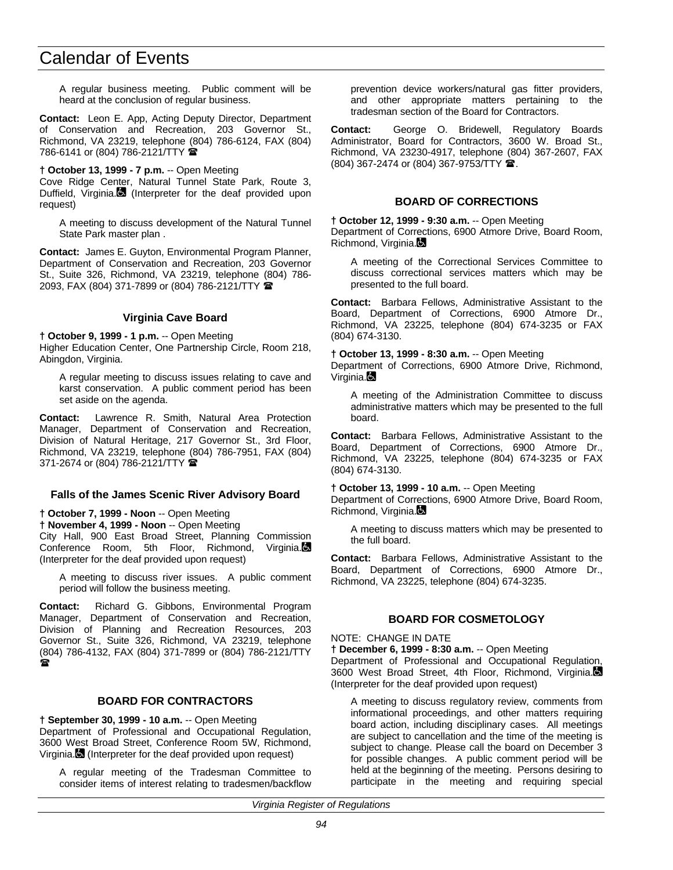A regular business meeting. Public comment will be heard at the conclusion of regular business.

**Contact:** Leon E. App, Acting Deputy Director, Department of Conservation and Recreation, 203 Governor St., Richmond, VA 23219, telephone (804) 786-6124, FAX (804) 786-6141 or (804) 786-2121/TTY  $\hat{=}$ 

**† October 13, 1999 - 7 p.m.** -- Open Meeting

Cove Ridge Center, Natural Tunnel State Park, Route 3, Duffield, Virginia. (Interpreter for the deaf provided upon request)

A meeting to discuss development of the Natural Tunnel State Park master plan .

**Contact:** James E. Guyton, Environmental Program Planner, Department of Conservation and Recreation, 203 Governor St., Suite 326, Richmond, VA 23219, telephone (804) 786- 2093, FAX (804) 371-7899 or (804) 786-2121/TTY

# **Virginia Cave Board**

**† October 9, 1999 - 1 p.m.** -- Open Meeting

Higher Education Center, One Partnership Circle, Room 218, Abingdon, Virginia.

A regular meeting to discuss issues relating to cave and karst conservation. A public comment period has been set aside on the agenda.

**Contact:** Lawrence R. Smith, Natural Area Protection Manager, Department of Conservation and Recreation, Division of Natural Heritage, 217 Governor St., 3rd Floor, Richmond, VA 23219, telephone (804) 786-7951, FAX (804) 371-2674 or (804) 786-2121/TTY 2

## **Falls of the James Scenic River Advisory Board**

**† October 7, 1999 - Noon** -- Open Meeting

**† November 4, 1999 - Noon** -- Open Meeting

City Hall, 900 East Broad Street, Planning Commission Conference Room, 5th Floor, Richmond, Virginia. (Interpreter for the deaf provided upon request)

A meeting to discuss river issues. A public comment period will follow the business meeting.

**Contact:** Richard G. Gibbons, Environmental Program Manager, Department of Conservation and Recreation, Division of Planning and Recreation Resources, 203 Governor St., Suite 326, Richmond, VA 23219, telephone (804) 786-4132, FAX (804) 371-7899 or (804) 786-2121/TTY ଳ

# **BOARD FOR CONTRACTORS**

**† September 30, 1999 - 10 a.m.** -- Open Meeting Department of Professional and Occupational Regulation, 3600 West Broad Street, Conference Room 5W, Richmond, Virginia. (Interpreter for the deaf provided upon request)

A regular meeting of the Tradesman Committee to consider items of interest relating to tradesmen/backflow prevention device workers/natural gas fitter providers, and other appropriate matters pertaining to the tradesman section of the Board for Contractors.

**Contact:** George O. Bridewell, Regulatory Boards Administrator, Board for Contractors, 3600 W. Broad St., Richmond, VA 23230-4917, telephone (804) 367-2607, FAX (804) 367-2474 or (804) 367-9753/TTY  $\hat{=}$ .

# **BOARD OF CORRECTIONS**

**† October 12, 1999 - 9:30 a.m.** -- Open Meeting Department of Corrections, 6900 Atmore Drive, Board Room, Richmond, Virginia.

A meeting of the Correctional Services Committee to discuss correctional services matters which may be presented to the full board.

**Contact:** Barbara Fellows, Administrative Assistant to the Board, Department of Corrections, 6900 Atmore Dr., Richmond, VA 23225, telephone (804) 674-3235 or FAX (804) 674-3130.

## **† October 13, 1999 - 8:30 a.m.** -- Open Meeting

Department of Corrections, 6900 Atmore Drive, Richmond, Virginia.**D** 

A meeting of the Administration Committee to discuss administrative matters which may be presented to the full board.

**Contact:** Barbara Fellows, Administrative Assistant to the Board, Department of Corrections, 6900 Atmore Dr., Richmond, VA 23225, telephone (804) 674-3235 or FAX (804) 674-3130.

## **† October 13, 1999 - 10 a.m.** -- Open Meeting

Department of Corrections, 6900 Atmore Drive, Board Room, Richmond, Virginia.

A meeting to discuss matters which may be presented to the full board.

**Contact:** Barbara Fellows, Administrative Assistant to the Board, Department of Corrections, 6900 Atmore Dr., Richmond, VA 23225, telephone (804) 674-3235.

# **BOARD FOR COSMETOLOGY**

### NOTE: CHANGE IN DATE

**† December 6, 1999 - 8:30 a.m.** -- Open Meeting Department of Professional and Occupational Regulation, 3600 West Broad Street, 4th Floor, Richmond, Virginia. (Interpreter for the deaf provided upon request)

A meeting to discuss regulatory review, comments from informational proceedings, and other matters requiring board action, including disciplinary cases. All meetings are subject to cancellation and the time of the meeting is subject to change. Please call the board on December 3 for possible changes. A public comment period will be held at the beginning of the meeting. Persons desiring to participate in the meeting and requiring special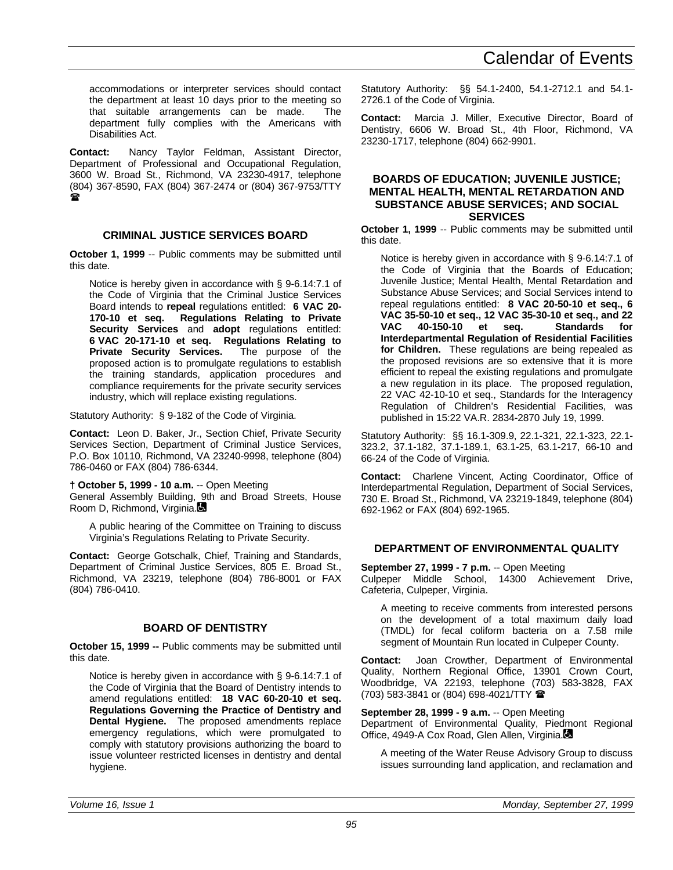accommodations or interpreter services should contact the department at least 10 days prior to the meeting so that suitable arrangements can be made. The department fully complies with the Americans with Disabilities Act.

**Contact:** Nancy Taylor Feldman, Assistant Director, Department of Professional and Occupational Regulation, 3600 W. Broad St., Richmond, VA 23230-4917, telephone (804) 367-8590, FAX (804) 367-2474 or (804) 367-9753/TTY  $\mathbf{z}$ 

# **CRIMINAL JUSTICE SERVICES BOARD**

**October 1, 1999** -- Public comments may be submitted until this date.

Notice is hereby given in accordance with § 9-6.14:7.1 of the Code of Virginia that the Criminal Justice Services Board intends to **repeal** regulations entitled: **6 VAC 20- 170-10 et seq. Regulations Relating to Private Security Services** and **adopt** regulations entitled: **6 VAC 20-171-10 et seq. Regulations Relating to Private Security Services.** The purpose of the proposed action is to promulgate regulations to establish the training standards, application procedures and compliance requirements for the private security services industry, which will replace existing regulations.

Statutory Authority: § 9-182 of the Code of Virginia.

**Contact:** Leon D. Baker, Jr., Section Chief, Private Security Services Section, Department of Criminal Justice Services, P.O. Box 10110, Richmond, VA 23240-9998, telephone (804) 786-0460 or FAX (804) 786-6344.

**† October 5, 1999 - 10 a.m.** -- Open Meeting General Assembly Building, 9th and Broad Streets, House Room D, Richmond, Virginia.

A public hearing of the Committee on Training to discuss Virginia's Regulations Relating to Private Security.

**Contact:** George Gotschalk, Chief, Training and Standards, Department of Criminal Justice Services, 805 E. Broad St., Richmond, VA 23219, telephone (804) 786-8001 or FAX (804) 786-0410.

# **BOARD OF DENTISTRY**

**October 15, 1999 --** Public comments may be submitted until this date.

Notice is hereby given in accordance with § 9-6.14:7.1 of the Code of Virginia that the Board of Dentistry intends to amend regulations entitled: **18 VAC 60-20-10 et seq. Regulations Governing the Practice of Dentistry and Dental Hygiene.** The proposed amendments replace emergency regulations, which were promulgated to comply with statutory provisions authorizing the board to issue volunteer restricted licenses in dentistry and dental hygiene.

Statutory Authority: §§ 54.1-2400, 54.1-2712.1 and 54.1- 2726.1 of the Code of Virginia.

**Contact:** Marcia J. Miller, Executive Director, Board of Dentistry, 6606 W. Broad St., 4th Floor, Richmond, VA 23230-1717, telephone (804) 662-9901.

## **BOARDS OF EDUCATION; JUVENILE JUSTICE; MENTAL HEALTH, MENTAL RETARDATION AND SUBSTANCE ABUSE SERVICES; AND SOCIAL SERVICES**

**October 1, 1999** -- Public comments may be submitted until this date.

Notice is hereby given in accordance with § 9-6.14:7.1 of the Code of Virginia that the Boards of Education; Juvenile Justice; Mental Health, Mental Retardation and Substance Abuse Services; and Social Services intend to repeal regulations entitled: **8 VAC 20-50-10 et seq., 6 VAC 35-50-10 et seq., 12 VAC 35-30-10 et seq., and 22 VAC 40-150-10 et seq. Standards for Interdepartmental Regulation of Residential Facilities for Children.** These regulations are being repealed as the proposed revisions are so extensive that it is more efficient to repeal the existing regulations and promulgate a new regulation in its place. The proposed regulation, 22 VAC 42-10-10 et seq., Standards for the Interagency Regulation of Children's Residential Facilities, was published in 15:22 VA.R. 2834-2870 July 19, 1999.

Statutory Authority: §§ 16.1-309.9, 22.1-321, 22.1-323, 22.1- 323.2, 37.1-182, 37.1-189.1, 63.1-25, 63.1-217, 66-10 and 66-24 of the Code of Virginia.

**Contact:** Charlene Vincent, Acting Coordinator, Office of Interdepartmental Regulation, Department of Social Services, 730 E. Broad St., Richmond, VA 23219-1849, telephone (804) 692-1962 or FAX (804) 692-1965.

# **DEPARTMENT OF ENVIRONMENTAL QUALITY**

**September 27, 1999 - 7 p.m.** -- Open Meeting

Culpeper Middle School, 14300 Achievement Drive, Cafeteria, Culpeper, Virginia.

A meeting to receive comments from interested persons on the development of a total maximum daily load (TMDL) for fecal coliform bacteria on a 7.58 mile segment of Mountain Run located in Culpeper County.

**Contact:** Joan Crowther, Department of Environmental Quality, Northern Regional Office, 13901 Crown Court, Woodbridge, VA 22193, telephone (703) 583-3828, FAX (703) 583-3841 or (804) 698-4021/TTY (

# **September 28, 1999 - 9 a.m.** -- Open Meeting

Department of Environmental Quality, Piedmont Regional Office, 4949-A Cox Road, Glen Allen, Virginia.

A meeting of the Water Reuse Advisory Group to discuss issues surrounding land application, and reclamation and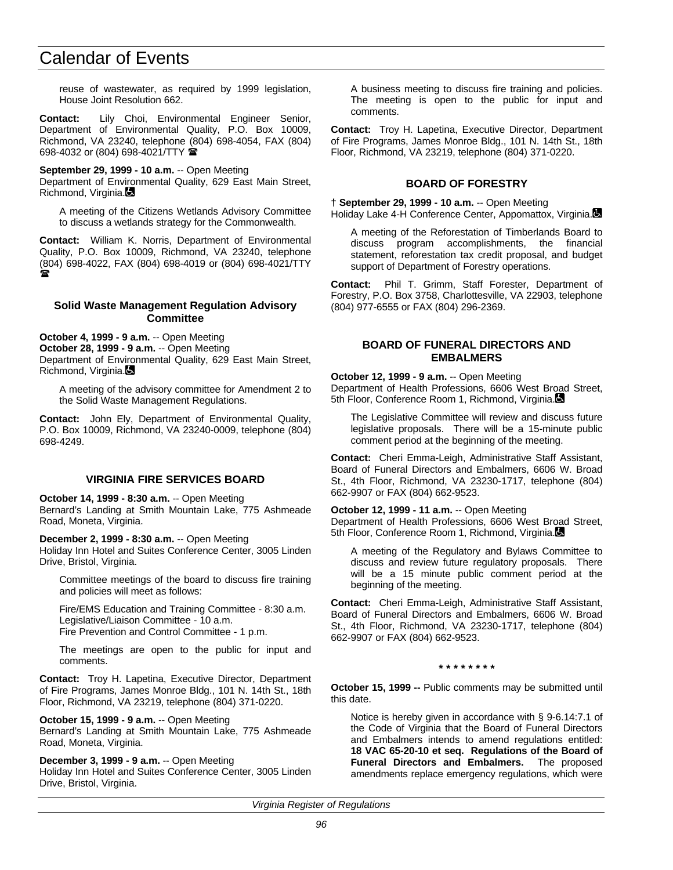reuse of wastewater, as required by 1999 legislation, House Joint Resolution 662.

**Contact:** Lily Choi, Environmental Engineer Senior, Department of Environmental Quality, P.O. Box 10009, Richmond, VA 23240, telephone (804) 698-4054, FAX (804) 698-4032 or (804) 698-4021/TTY (

**September 29, 1999 - 10 a.m.** -- Open Meeting Department of Environmental Quality, 629 East Main Street,

Richmond, Virginia. A meeting of the Citizens Wetlands Advisory Committee

to discuss a wetlands strategy for the Commonwealth.

**Contact:** William K. Norris, Department of Environmental Quality, P.O. Box 10009, Richmond, VA 23240, telephone (804) 698-4022, FAX (804) 698-4019 or (804) 698-4021/TTY  $\bullet$ 

## **Solid Waste Management Regulation Advisory Committee**

**October 4, 1999 - 9 a.m.** -- Open Meeting **October 28, 1999 - 9 a.m.** -- Open Meeting Department of Environmental Quality, 629 East Main Street, Richmond, Virginia.

A meeting of the advisory committee for Amendment 2 to the Solid Waste Management Regulations.

**Contact:** John Ely, Department of Environmental Quality, P.O. Box 10009, Richmond, VA 23240-0009, telephone (804) 698-4249.

# **VIRGINIA FIRE SERVICES BOARD**

**October 14, 1999 - 8:30 a.m.** -- Open Meeting Bernard's Landing at Smith Mountain Lake, 775 Ashmeade Road, Moneta, Virginia.

**December 2, 1999 - 8:30 a.m.** -- Open Meeting Holiday Inn Hotel and Suites Conference Center, 3005 Linden Drive, Bristol, Virginia.

Committee meetings of the board to discuss fire training and policies will meet as follows:

Fire/EMS Education and Training Committee - 8:30 a.m. Legislative/Liaison Committee - 10 a.m. Fire Prevention and Control Committee - 1 p.m.

The meetings are open to the public for input and comments.

**Contact:** Troy H. Lapetina, Executive Director, Department of Fire Programs, James Monroe Bldg., 101 N. 14th St., 18th Floor, Richmond, VA 23219, telephone (804) 371-0220.

# **October 15, 1999 - 9 a.m.** -- Open Meeting

Bernard's Landing at Smith Mountain Lake, 775 Ashmeade Road, Moneta, Virginia.

# **December 3, 1999 - 9 a.m.** -- Open Meeting

Holiday Inn Hotel and Suites Conference Center, 3005 Linden Drive, Bristol, Virginia.

A business meeting to discuss fire training and policies. The meeting is open to the public for input and comments.

**Contact:** Troy H. Lapetina, Executive Director, Department of Fire Programs, James Monroe Bldg., 101 N. 14th St., 18th Floor, Richmond, VA 23219, telephone (804) 371-0220.

# **BOARD OF FORESTRY**

**† September 29, 1999 - 10 a.m.** -- Open Meeting Holiday Lake 4-H Conference Center, Appomattox, Virginia.

A meeting of the Reforestation of Timberlands Board to discuss program accomplishments, the financial statement, reforestation tax credit proposal, and budget support of Department of Forestry operations.

**Contact:** Phil T. Grimm, Staff Forester, Department of Forestry, P.O. Box 3758, Charlottesville, VA 22903, telephone (804) 977-6555 or FAX (804) 296-2369.

## **BOARD OF FUNERAL DIRECTORS AND EMBALMERS**

**October 12, 1999 - 9 a.m.** -- Open Meeting Department of Health Professions, 6606 West Broad Street, 5th Floor, Conference Room 1, Richmond, Virginia.

The Legislative Committee will review and discuss future legislative proposals. There will be a 15-minute public comment period at the beginning of the meeting.

**Contact:** Cheri Emma-Leigh, Administrative Staff Assistant, Board of Funeral Directors and Embalmers, 6606 W. Broad St., 4th Floor, Richmond, VA 23230-1717, telephone (804) 662-9907 or FAX (804) 662-9523.

**October 12, 1999 - 11 a.m.** -- Open Meeting Department of Health Professions, 6606 West Broad Street, 5th Floor, Conference Room 1, Richmond, Virginia.

A meeting of the Regulatory and Bylaws Committee to discuss and review future regulatory proposals. There will be a 15 minute public comment period at the beginning of the meeting.

**Contact:** Cheri Emma-Leigh, Administrative Staff Assistant, Board of Funeral Directors and Embalmers, 6606 W. Broad St., 4th Floor, Richmond, VA 23230-1717, telephone (804) 662-9907 or FAX (804) 662-9523.

## **\* \* \* \* \* \* \* \***

**October 15, 1999 --** Public comments may be submitted until this date.

Notice is hereby given in accordance with § 9-6.14:7.1 of the Code of Virginia that the Board of Funeral Directors and Embalmers intends to amend regulations entitled: **18 VAC 65-20-10 et seq. Regulations of the Board of Funeral Directors and Embalmers.** The proposed amendments replace emergency regulations, which were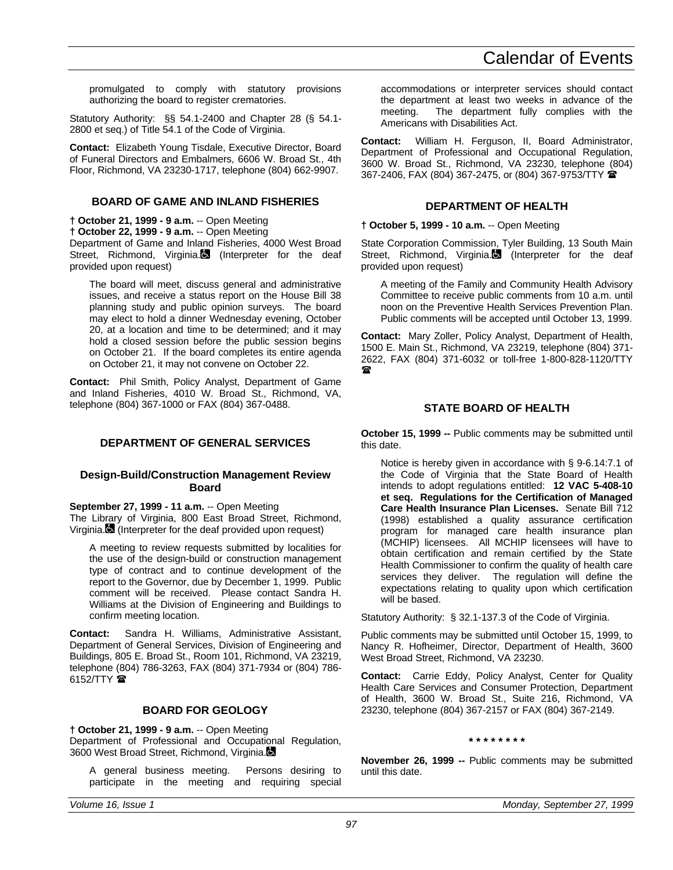promulgated to comply with statutory provisions authorizing the board to register crematories.

Statutory Authority: §§ 54.1-2400 and Chapter 28 (§ 54.1- 2800 et seq.) of Title 54.1 of the Code of Virginia.

**Contact:** Elizabeth Young Tisdale, Executive Director, Board of Funeral Directors and Embalmers, 6606 W. Broad St., 4th Floor, Richmond, VA 23230-1717, telephone (804) 662-9907.

# **BOARD OF GAME AND INLAND FISHERIES**

**† October 21, 1999 - 9 a.m.** -- Open Meeting

**† October 22, 1999 - 9 a.m.** -- Open Meeting

Department of Game and Inland Fisheries, 4000 West Broad Street, Richmond, Virginia. (Interpreter for the deaf provided upon request)

The board will meet, discuss general and administrative issues, and receive a status report on the House Bill 38 planning study and public opinion surveys. The board may elect to hold a dinner Wednesday evening, October 20, at a location and time to be determined; and it may hold a closed session before the public session begins on October 21. If the board completes its entire agenda on October 21, it may not convene on October 22.

**Contact:** Phil Smith, Policy Analyst, Department of Game and Inland Fisheries, 4010 W. Broad St., Richmond, VA, telephone (804) 367-1000 or FAX (804) 367-0488.

# **DEPARTMENT OF GENERAL SERVICES**

## **Design-Build/Construction Management Review Board**

**September 27, 1999 - 11 a.m.** -- Open Meeting

The Library of Virginia, 800 East Broad Street, Richmond, Virginia. (Interpreter for the deaf provided upon request)

A meeting to review requests submitted by localities for the use of the design-build or construction management type of contract and to continue development of the report to the Governor, due by December 1, 1999. Public comment will be received. Please contact Sandra H. Williams at the Division of Engineering and Buildings to confirm meeting location.

**Contact:** Sandra H. Williams, Administrative Assistant, Department of General Services, Division of Engineering and Buildings, 805 E. Broad St., Room 101, Richmond, VA 23219, telephone (804) 786-3263, FAX (804) 371-7934 or (804) 786-  $6152/TTY$ 

# **BOARD FOR GEOLOGY**

**† October 21, 1999 - 9 a.m.** -- Open Meeting Department of Professional and Occupational Regulation, 3600 West Broad Street, Richmond, Virginia.

A general business meeting. Persons desiring to participate in the meeting and requiring special accommodations or interpreter services should contact the department at least two weeks in advance of the meeting. The department fully complies with the Americans with Disabilities Act.

**Contact:** William H. Ferguson, II, Board Administrator, Department of Professional and Occupational Regulation, 3600 W. Broad St., Richmond, VA 23230, telephone (804) 367-2406, FAX (804) 367-2475, or (804) 367-9753/TTY (

## **DEPARTMENT OF HEALTH**

## **† October 5, 1999 - 10 a.m.** -- Open Meeting

State Corporation Commission, Tyler Building, 13 South Main Street, Richmond, Virginia.<sup>1</sup> (Interpreter for the deaf provided upon request)

A meeting of the Family and Community Health Advisory Committee to receive public comments from 10 a.m. until noon on the Preventive Health Services Prevention Plan. Public comments will be accepted until October 13, 1999.

**Contact:** Mary Zoller, Policy Analyst, Department of Health, 1500 E. Main St., Richmond, VA 23219, telephone (804) 371- 2622, FAX (804) 371-6032 or toll-free 1-800-828-1120/TTY  $\mathbf{r}$ 

# **STATE BOARD OF HEALTH**

**October 15, 1999 --** Public comments may be submitted until this date.

Notice is hereby given in accordance with § 9-6.14:7.1 of the Code of Virginia that the State Board of Health intends to adopt regulations entitled: **12 VAC 5-408-10 et seq. Regulations for the Certification of Managed Care Health Insurance Plan Licenses.** Senate Bill 712 (1998) established a quality assurance certification program for managed care health insurance plan (MCHIP) licensees. All MCHIP licensees will have to obtain certification and remain certified by the State Health Commissioner to confirm the quality of health care services they deliver. The regulation will define the expectations relating to quality upon which certification will be based.

Statutory Authority: § 32.1-137.3 of the Code of Virginia.

Public comments may be submitted until October 15, 1999, to Nancy R. Hofheimer, Director, Department of Health, 3600 West Broad Street, Richmond, VA 23230.

**Contact:** Carrie Eddy, Policy Analyst, Center for Quality Health Care Services and Consumer Protection, Department of Health, 3600 W. Broad St., Suite 216, Richmond, VA 23230, telephone (804) 367-2157 or FAX (804) 367-2149.

## **\* \* \* \* \* \* \* \***

**November 26, 1999 --** Public comments may be submitted until this date.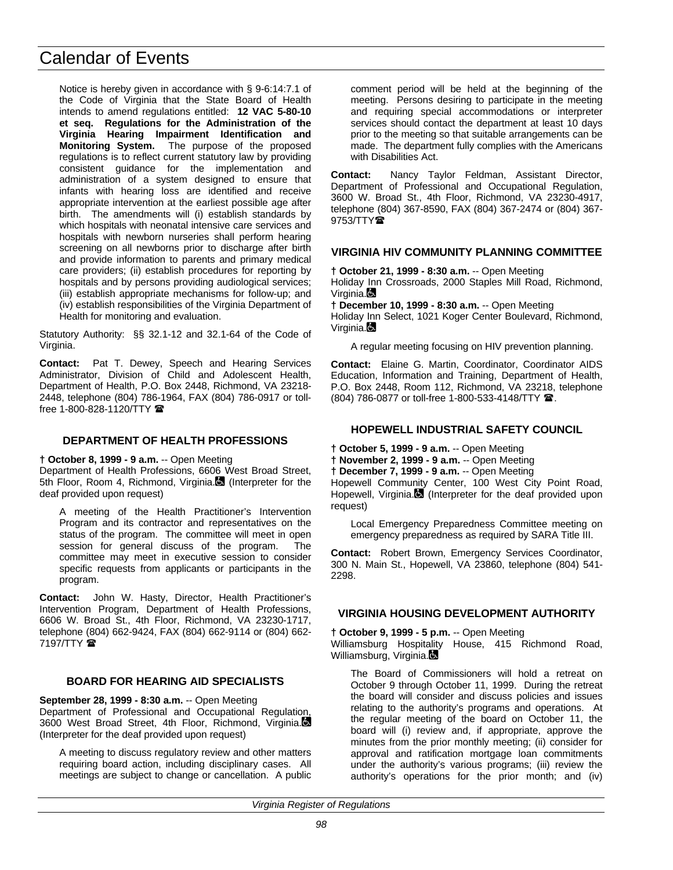Notice is hereby given in accordance with § 9-6:14:7.1 of the Code of Virginia that the State Board of Health intends to amend regulations entitled: **12 VAC 5-80-10 et seq. Regulations for the Administration of the Virginia Hearing Impairment Identification and Monitoring System.** The purpose of the proposed regulations is to reflect current statutory law by providing consistent guidance for the implementation and administration of a system designed to ensure that infants with hearing loss are identified and receive appropriate intervention at the earliest possible age after birth. The amendments will (i) establish standards by which hospitals with neonatal intensive care services and hospitals with newborn nurseries shall perform hearing screening on all newborns prior to discharge after birth and provide information to parents and primary medical care providers; (ii) establish procedures for reporting by hospitals and by persons providing audiological services; (iii) establish appropriate mechanisms for follow-up; and (iv) establish responsibilities of the Virginia Department of Health for monitoring and evaluation.

Statutory Authority: §§ 32.1-12 and 32.1-64 of the Code of Virginia.

**Contact:** Pat T. Dewey, Speech and Hearing Services Administrator, Division of Child and Adolescent Health, Department of Health, P.O. Box 2448, Richmond, VA 23218- 2448, telephone (804) 786-1964, FAX (804) 786-0917 or tollfree 1-800-828-1120/TTY

# **DEPARTMENT OF HEALTH PROFESSIONS**

## **† October 8, 1999 - 9 a.m.** -- Open Meeting

Department of Health Professions, 6606 West Broad Street, 5th Floor, Room 4, Richmond, Virginia. (Interpreter for the deaf provided upon request)

A meeting of the Health Practitioner's Intervention Program and its contractor and representatives on the status of the program. The committee will meet in open session for general discuss of the program. The committee may meet in executive session to consider specific requests from applicants or participants in the program.

**Contact:** John W. Hasty, Director, Health Practitioner's Intervention Program, Department of Health Professions, 6606 W. Broad St., 4th Floor, Richmond, VA 23230-1717, telephone (804) 662-9424, FAX (804) 662-9114 or (804) 662- 7197/TTY  $\mathbf{\mathcal{D}}$ 

# **BOARD FOR HEARING AID SPECIALISTS**

**September 28, 1999 - 8:30 a.m.** -- Open Meeting Department of Professional and Occupational Regulation, 3600 West Broad Street, 4th Floor, Richmond, Virginia. (Interpreter for the deaf provided upon request)

A meeting to discuss regulatory review and other matters requiring board action, including disciplinary cases. All meetings are subject to change or cancellation. A public comment period will be held at the beginning of the meeting. Persons desiring to participate in the meeting and requiring special accommodations or interpreter services should contact the department at least 10 days prior to the meeting so that suitable arrangements can be made. The department fully complies with the Americans with Disabilities Act.

**Contact:** Nancy Taylor Feldman, Assistant Director, Department of Professional and Occupational Regulation, 3600 W. Broad St., 4th Floor, Richmond, VA 23230-4917, telephone (804) 367-8590, FAX (804) 367-2474 or (804) 367-  $9753/TTY$ 

## **VIRGINIA HIV COMMUNITY PLANNING COMMITTEE**

**† October 21, 1999 - 8:30 a.m.** -- Open Meeting

Holiday Inn Crossroads, 2000 Staples Mill Road, Richmond, Virginia.**B** 

**† December 10, 1999 - 8:30 a.m.** -- Open Meeting

Holiday Inn Select, 1021 Koger Center Boulevard, Richmond, Virginia.**Q** 

A regular meeting focusing on HIV prevention planning.

**Contact:** Elaine G. Martin, Coordinator, Coordinator AIDS Education, Information and Training, Department of Health, P.O. Box 2448, Room 112, Richmond, VA 23218, telephone (804) 786-0877 or toll-free 1-800-533-4148/TTY <sup>2</sup>.

## **HOPEWELL INDUSTRIAL SAFETY COUNCIL**

**† October 5, 1999 - 9 a.m.** -- Open Meeting

**† November 2, 1999 - 9 a.m.** -- Open Meeting

**† December 7, 1999 - 9 a.m.** -- Open Meeting

Hopewell Community Center, 100 West City Point Road, Hopewell, Virginia. $\blacksquare$  (Interpreter for the deaf provided upon request)

Local Emergency Preparedness Committee meeting on emergency preparedness as required by SARA Title III.

**Contact:** Robert Brown, Emergency Services Coordinator, 300 N. Main St., Hopewell, VA 23860, telephone (804) 541- 2298.

# **VIRGINIA HOUSING DEVELOPMENT AUTHORITY**

## **† October 9, 1999 - 5 p.m.** -- Open Meeting

Williamsburg Hospitality House, 415 Richmond Road, Williamsburg, Virginia.

The Board of Commissioners will hold a retreat on October 9 through October 11, 1999. During the retreat the board will consider and discuss policies and issues relating to the authority's programs and operations. At the regular meeting of the board on October 11, the board will (i) review and, if appropriate, approve the minutes from the prior monthly meeting; (ii) consider for approval and ratification mortgage loan commitments under the authority's various programs; (iii) review the authority's operations for the prior month; and (iv)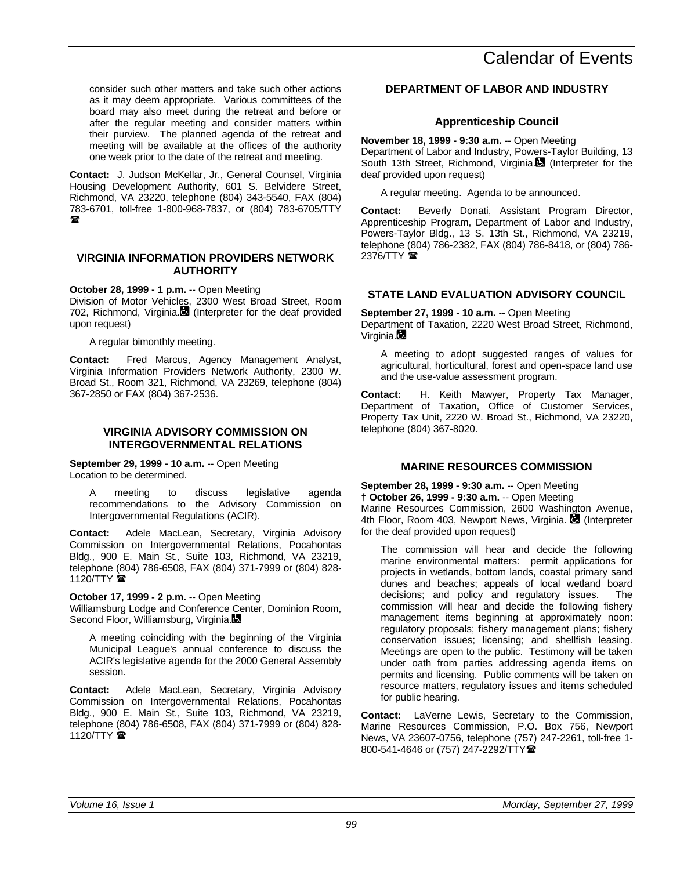consider such other matters and take such other actions as it may deem appropriate. Various committees of the board may also meet during the retreat and before or after the regular meeting and consider matters within their purview. The planned agenda of the retreat and meeting will be available at the offices of the authority one week prior to the date of the retreat and meeting.

**Contact:** J. Judson McKellar, Jr., General Counsel, Virginia Housing Development Authority, 601 S. Belvidere Street, Richmond, VA 23220, telephone (804) 343-5540, FAX (804) 783-6701, toll-free 1-800-968-7837, or (804) 783-6705/TTY ୍ଲେକ

# **VIRGINIA INFORMATION PROVIDERS NETWORK AUTHORITY**

**October 28, 1999 - 1 p.m.** -- Open Meeting

Division of Motor Vehicles, 2300 West Broad Street, Room 702, Richmond, Virginia. (Interpreter for the deaf provided upon request)

A regular bimonthly meeting.

**Contact:** Fred Marcus, Agency Management Analyst, Virginia Information Providers Network Authority, 2300 W. Broad St., Room 321, Richmond, VA 23269, telephone (804) 367-2850 or FAX (804) 367-2536.

# **VIRGINIA ADVISORY COMMISSION ON INTERGOVERNMENTAL RELATIONS**

**September 29, 1999 - 10 a.m.** -- Open Meeting Location to be determined.

A meeting to discuss legislative agenda recommendations to the Advisory Commission on Intergovernmental Regulations (ACIR).

**Contact:** Adele MacLean, Secretary, Virginia Advisory Commission on Intergovernmental Relations, Pocahontas Bldg., 900 E. Main St., Suite 103, Richmond, VA 23219, telephone (804) 786-6508, FAX (804) 371-7999 or (804) 828- 1120/TTY **2** 

# **October 17, 1999 - 2 p.m.** -- Open Meeting

Williamsburg Lodge and Conference Center, Dominion Room, Second Floor, Williamsburg, Virginia.

A meeting coinciding with the beginning of the Virginia Municipal League's annual conference to discuss the ACIR's legislative agenda for the 2000 General Assembly session.

**Contact:** Adele MacLean, Secretary, Virginia Advisory Commission on Intergovernmental Relations, Pocahontas Bldg., 900 E. Main St., Suite 103, Richmond, VA 23219, telephone (804) 786-6508, FAX (804) 371-7999 or (804) 828- 1120/TTY $\mathbf{\mathcal{D}}$ 

# **DEPARTMENT OF LABOR AND INDUSTRY**

# **Apprenticeship Council**

**November 18, 1999 - 9:30 a.m.** -- Open Meeting Department of Labor and Industry, Powers-Taylor Building, 13 South 13th Street, Richmond, Virginia. (Interpreter for the deaf provided upon request)

A regular meeting. Agenda to be announced.

**Contact:** Beverly Donati, Assistant Program Director, Apprenticeship Program, Department of Labor and Industry, Powers-Taylor Bldg., 13 S. 13th St., Richmond, VA 23219, telephone (804) 786-2382, FAX (804) 786-8418, or (804) 786-  $2376/TTY$ 

# **STATE LAND EVALUATION ADVISORY COUNCIL**

# **September 27, 1999 - 10 a.m.** -- Open Meeting

Department of Taxation, 2220 West Broad Street, Richmond, Virginia. $\blacksquare$ 

A meeting to adopt suggested ranges of values for agricultural, horticultural, forest and open-space land use and the use-value assessment program.

**Contact:** H. Keith Mawyer, Property Tax Manager, Department of Taxation, Office of Customer Services, Property Tax Unit, 2220 W. Broad St., Richmond, VA 23220, telephone (804) 367-8020.

# **MARINE RESOURCES COMMISSION**

**September 28, 1999 - 9:30 a.m.** -- Open Meeting **† October 26, 1999 - 9:30 a.m.** -- Open Meeting Marine Resources Commission, 2600 Washington Avenue, 4th Floor, Room 403, Newport News, Virginia. **(3)** (Interpreter for the deaf provided upon request)

The commission will hear and decide the following marine environmental matters: permit applications for projects in wetlands, bottom lands, coastal primary sand dunes and beaches; appeals of local wetland board decisions; and policy and regulatory issues. The commission will hear and decide the following fishery management items beginning at approximately noon: regulatory proposals; fishery management plans; fishery conservation issues; licensing; and shellfish leasing. Meetings are open to the public. Testimony will be taken under oath from parties addressing agenda items on permits and licensing. Public comments will be taken on resource matters, regulatory issues and items scheduled for public hearing.

**Contact:** LaVerne Lewis, Secretary to the Commission, Marine Resources Commission, P.O. Box 756, Newport News, VA 23607-0756, telephone (757) 247-2261, toll-free 1- 800-541-4646 or (757) 247-2292/TTY<sup>2</sup>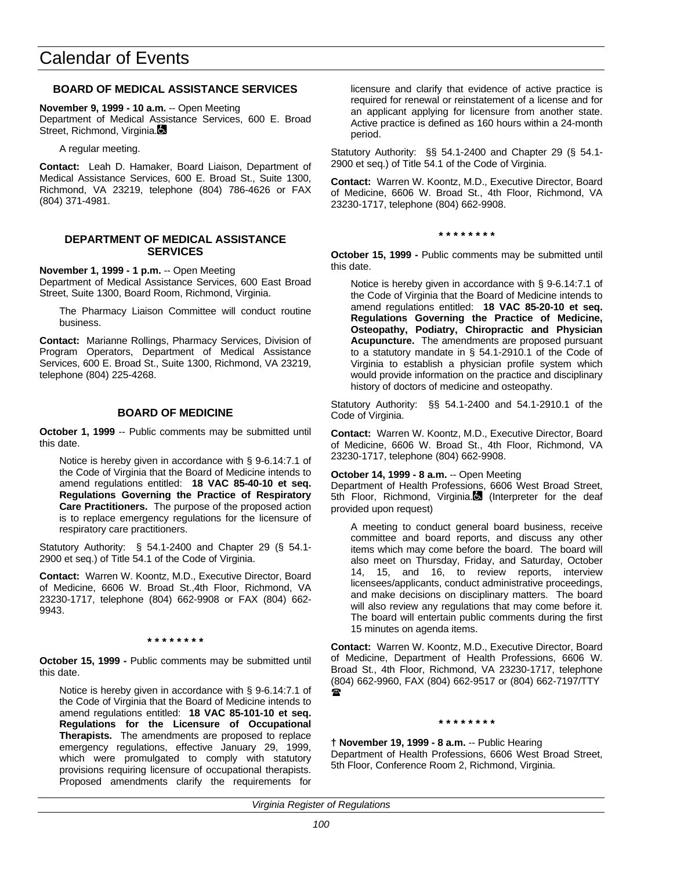# **BOARD OF MEDICAL ASSISTANCE SERVICES**

**November 9, 1999 - 10 a.m.** -- Open Meeting

Department of Medical Assistance Services, 600 E. Broad Street, Richmond, Virginia.

A regular meeting.

**Contact:** Leah D. Hamaker, Board Liaison, Department of Medical Assistance Services, 600 E. Broad St., Suite 1300, Richmond, VA 23219, telephone (804) 786-4626 or FAX (804) 371-4981.

## **DEPARTMENT OF MEDICAL ASSISTANCE SERVICES**

**November 1, 1999 - 1 p.m.** -- Open Meeting

Department of Medical Assistance Services, 600 East Broad Street, Suite 1300, Board Room, Richmond, Virginia.

The Pharmacy Liaison Committee will conduct routine business.

**Contact:** Marianne Rollings, Pharmacy Services, Division of Program Operators, Department of Medical Assistance Services, 600 E. Broad St., Suite 1300, Richmond, VA 23219, telephone (804) 225-4268.

# **BOARD OF MEDICINE**

**October 1, 1999** -- Public comments may be submitted until this date.

Notice is hereby given in accordance with § 9-6.14:7.1 of the Code of Virginia that the Board of Medicine intends to amend regulations entitled: **18 VAC 85-40-10 et seq. Regulations Governing the Practice of Respiratory Care Practitioners.** The purpose of the proposed action is to replace emergency regulations for the licensure of respiratory care practitioners.

Statutory Authority: § 54.1-2400 and Chapter 29 (§ 54.1- 2900 et seq.) of Title 54.1 of the Code of Virginia.

**Contact:** Warren W. Koontz, M.D., Executive Director, Board of Medicine, 6606 W. Broad St.,4th Floor, Richmond, VA 23230-1717, telephone (804) 662-9908 or FAX (804) 662- 9943.

## **\* \* \* \* \* \* \* \***

**October 15, 1999 -** Public comments may be submitted until this date.

Notice is hereby given in accordance with § 9-6.14:7.1 of the Code of Virginia that the Board of Medicine intends to amend regulations entitled: **18 VAC 85-101-10 et seq. Regulations for the Licensure of Occupational Therapists.** The amendments are proposed to replace emergency regulations, effective January 29, 1999, which were promulgated to comply with statutory provisions requiring licensure of occupational therapists. Proposed amendments clarify the requirements for licensure and clarify that evidence of active practice is required for renewal or reinstatement of a license and for an applicant applying for licensure from another state. Active practice is defined as 160 hours within a 24-month period.

Statutory Authority: §§ 54.1-2400 and Chapter 29 (§ 54.1- 2900 et seq.) of Title 54.1 of the Code of Virginia.

**Contact:** Warren W. Koontz, M.D., Executive Director, Board of Medicine, 6606 W. Broad St., 4th Floor, Richmond, VA 23230-1717, telephone (804) 662-9908.

### **\* \* \* \* \* \* \* \***

**October 15, 1999 -** Public comments may be submitted until this date.

Notice is hereby given in accordance with § 9-6.14:7.1 of the Code of Virginia that the Board of Medicine intends to amend regulations entitled: **18 VAC 85-20-10 et seq. Regulations Governing the Practice of Medicine, Osteopathy, Podiatry, Chiropractic and Physician Acupuncture.** The amendments are proposed pursuant to a statutory mandate in § 54.1-2910.1 of the Code of Virginia to establish a physician profile system which would provide information on the practice and disciplinary history of doctors of medicine and osteopathy.

Statutory Authority: §§ 54.1-2400 and 54.1-2910.1 of the Code of Virginia.

**Contact:** Warren W. Koontz, M.D., Executive Director, Board of Medicine, 6606 W. Broad St., 4th Floor, Richmond, VA 23230-1717, telephone (804) 662-9908.

## **October 14, 1999 - 8 a.m.** -- Open Meeting

Department of Health Professions, 6606 West Broad Street, 5th Floor, Richmond, Virginia. (Interpreter for the deaf provided upon request)

A meeting to conduct general board business, receive committee and board reports, and discuss any other items which may come before the board. The board will also meet on Thursday, Friday, and Saturday, October 14, 15, and 16, to review reports, interview licensees/applicants, conduct administrative proceedings, and make decisions on disciplinary matters. The board will also review any regulations that may come before it. The board will entertain public comments during the first 15 minutes on agenda items.

**Contact:** Warren W. Koontz, M.D., Executive Director, Board of Medicine, Department of Health Professions, 6606 W. Broad St., 4th Floor, Richmond, VA 23230-1717, telephone (804) 662-9960, FAX (804) 662-9517 or (804) 662-7197/TTY  $\mathbf{r}$ 

### **\* \* \* \* \* \* \* \***

**† November 19, 1999 - 8 a.m.** -- Public Hearing Department of Health Professions, 6606 West Broad Street, 5th Floor, Conference Room 2, Richmond, Virginia.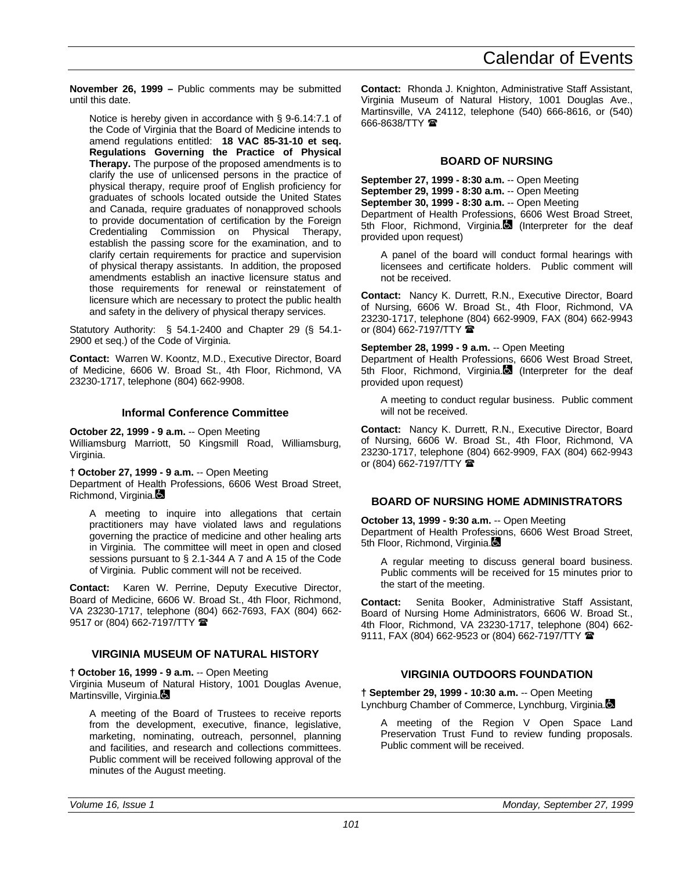**November 26, 1999 –** Public comments may be submitted until this date.

Notice is hereby given in accordance with § 9-6.14:7.1 of the Code of Virginia that the Board of Medicine intends to amend regulations entitled: **18 VAC 85-31-10 et seq. Regulations Governing the Practice of Physical Therapy.** The purpose of the proposed amendments is to clarify the use of unlicensed persons in the practice of physical therapy, require proof of English proficiency for graduates of schools located outside the United States and Canada, require graduates of nonapproved schools to provide documentation of certification by the Foreign Credentialing Commission on Physical Therapy, establish the passing score for the examination, and to clarify certain requirements for practice and supervision of physical therapy assistants. In addition, the proposed amendments establish an inactive licensure status and those requirements for renewal or reinstatement of licensure which are necessary to protect the public health and safety in the delivery of physical therapy services.

Statutory Authority: § 54.1-2400 and Chapter 29 (§ 54.1- 2900 et seq.) of the Code of Virginia.

**Contact:** Warren W. Koontz, M.D., Executive Director, Board of Medicine, 6606 W. Broad St., 4th Floor, Richmond, VA 23230-1717, telephone (804) 662-9908.

## **Informal Conference Committee**

# **October 22, 1999 - 9 a.m.** -- Open Meeting

Williamsburg Marriott, 50 Kingsmill Road, Williamsburg, Virginia.

**† October 27, 1999 - 9 a.m.** -- Open Meeting

Department of Health Professions, 6606 West Broad Street, Richmond, Virginia.

A meeting to inquire into allegations that certain practitioners may have violated laws and regulations governing the practice of medicine and other healing arts in Virginia. The committee will meet in open and closed sessions pursuant to § 2.1-344 A 7 and A 15 of the Code of Virginia. Public comment will not be received.

**Contact:** Karen W. Perrine, Deputy Executive Director, Board of Medicine, 6606 W. Broad St., 4th Floor, Richmond, VA 23230-1717, telephone (804) 662-7693, FAX (804) 662- 9517 or (804) 662-7197/TTY  $\hat{\mathbf{z}}$ 

# **VIRGINIA MUSEUM OF NATURAL HISTORY**

**† October 16, 1999 - 9 a.m.** -- Open Meeting

Virginia Museum of Natural History, 1001 Douglas Avenue, Martinsville, Virginia.

A meeting of the Board of Trustees to receive reports from the development, executive, finance, legislative, marketing, nominating, outreach, personnel, planning and facilities, and research and collections committees. Public comment will be received following approval of the minutes of the August meeting.

**Contact:** Rhonda J. Knighton, Administrative Staff Assistant, Virginia Museum of Natural History, 1001 Douglas Ave., Martinsville, VA 24112, telephone (540) 666-8616, or (540) 666-8638/TTY <sup>全</sup>

# **BOARD OF NURSING**

**September 27, 1999 - 8:30 a.m.** -- Open Meeting **September 29, 1999 - 8:30 a.m.** -- Open Meeting **September 30, 1999 - 8:30 a.m.** -- Open Meeting Department of Health Professions, 6606 West Broad Street, 5th Floor, Richmond, Virginia. (Interpreter for the deaf provided upon request)

A panel of the board will conduct formal hearings with licensees and certificate holders. Public comment will not be received.

**Contact:** Nancy K. Durrett, R.N., Executive Director, Board of Nursing, 6606 W. Broad St., 4th Floor, Richmond, VA 23230-1717, telephone (804) 662-9909, FAX (804) 662-9943 or (804) 662-7197/TTY

**September 28, 1999 - 9 a.m.** -- Open Meeting

Department of Health Professions, 6606 West Broad Street, 5th Floor, Richmond, Virginia. (Interpreter for the deaf provided upon request)

A meeting to conduct regular business. Public comment will not be received.

**Contact:** Nancy K. Durrett, R.N., Executive Director, Board of Nursing, 6606 W. Broad St., 4th Floor, Richmond, VA 23230-1717, telephone (804) 662-9909, FAX (804) 662-9943 or (804) 662-7197/TTY  $\blacksquare$ 

# **BOARD OF NURSING HOME ADMINISTRATORS**

**October 13, 1999 - 9:30 a.m.** -- Open Meeting Department of Health Professions, 6606 West Broad Street, 5th Floor, Richmond, Virginia.

A regular meeting to discuss general board business. Public comments will be received for 15 minutes prior to the start of the meeting.

**Contact:** Senita Booker, Administrative Staff Assistant, Board of Nursing Home Administrators, 6606 W. Broad St., 4th Floor, Richmond, VA 23230-1717, telephone (804) 662- 9111, FAX (804) 662-9523 or (804) 662-7197/TTY  $\blacksquare$ 

# **VIRGINIA OUTDOORS FOUNDATION**

**† September 29, 1999 - 10:30 a.m.** -- Open Meeting Lynchburg Chamber of Commerce, Lynchburg, Virginia.

A meeting of the Region V Open Space Land Preservation Trust Fund to review funding proposals. Public comment will be received.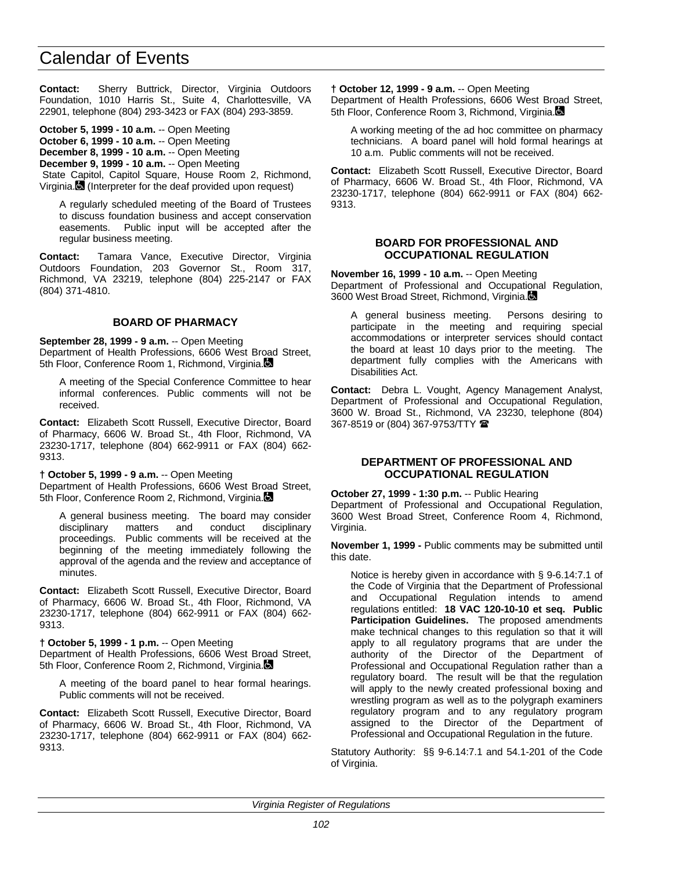**Contact:** Sherry Buttrick, Director, Virginia Outdoors Foundation, 1010 Harris St., Suite 4, Charlottesville, VA 22901, telephone (804) 293-3423 or FAX (804) 293-3859.

**October 5, 1999 - 10 a.m.** -- Open Meeting **October 6, 1999 - 10 a.m.** -- Open Meeting **December 8, 1999 - 10 a.m.** -- Open Meeting **December 9, 1999 - 10 a.m.** -- Open Meeting State Capitol, Capitol Square, House Room 2, Richmond, Virginia. (Interpreter for the deaf provided upon request)

A regularly scheduled meeting of the Board of Trustees to discuss foundation business and accept conservation easements. Public input will be accepted after the regular business meeting.

**Contact:** Tamara Vance, Executive Director, Virginia Outdoors Foundation, 203 Governor St., Room 317, Richmond, VA 23219, telephone (804) 225-2147 or FAX (804) 371-4810.

## **BOARD OF PHARMACY**

**September 28, 1999 - 9 a.m.** -- Open Meeting Department of Health Professions, 6606 West Broad Street, 5th Floor, Conference Room 1, Richmond, Virginia.

A meeting of the Special Conference Committee to hear informal conferences. Public comments will not be received.

**Contact:** Elizabeth Scott Russell, Executive Director, Board of Pharmacy, 6606 W. Broad St., 4th Floor, Richmond, VA 23230-1717, telephone (804) 662-9911 or FAX (804) 662- 9313.

**† October 5, 1999 - 9 a.m.** -- Open Meeting

Department of Health Professions, 6606 West Broad Street, 5th Floor, Conference Room 2, Richmond, Virginia.

A general business meeting. The board may consider disciplinary matters and conduct disciplinary proceedings. Public comments will be received at the beginning of the meeting immediately following the approval of the agenda and the review and acceptance of minutes.

**Contact:** Elizabeth Scott Russell, Executive Director, Board of Pharmacy, 6606 W. Broad St., 4th Floor, Richmond, VA 23230-1717, telephone (804) 662-9911 or FAX (804) 662- 9313.

## **† October 5, 1999 - 1 p.m.** -- Open Meeting

Department of Health Professions, 6606 West Broad Street, 5th Floor, Conference Room 2, Richmond, Virginia.

A meeting of the board panel to hear formal hearings. Public comments will not be received.

**Contact:** Elizabeth Scott Russell, Executive Director, Board of Pharmacy, 6606 W. Broad St., 4th Floor, Richmond, VA 23230-1717, telephone (804) 662-9911 or FAX (804) 662- 9313.

**† October 12, 1999 - 9 a.m.** -- Open Meeting

Department of Health Professions, 6606 West Broad Street, 5th Floor, Conference Room 3, Richmond, Virginia.

A working meeting of the ad hoc committee on pharmacy technicians. A board panel will hold formal hearings at 10 a.m. Public comments will not be received.

**Contact:** Elizabeth Scott Russell, Executive Director, Board of Pharmacy, 6606 W. Broad St., 4th Floor, Richmond, VA 23230-1717, telephone (804) 662-9911 or FAX (804) 662- 9313.

## **BOARD FOR PROFESSIONAL AND OCCUPATIONAL REGULATION**

**November 16, 1999 - 10 a.m.** -- Open Meeting Department of Professional and Occupational Regulation, 3600 West Broad Street, Richmond, Virginia.

A general business meeting. Persons desiring to participate in the meeting and requiring special accommodations or interpreter services should contact the board at least 10 days prior to the meeting. The department fully complies with the Americans with Disabilities Act.

**Contact:** Debra L. Vought, Agency Management Analyst, Department of Professional and Occupational Regulation, 3600 W. Broad St., Richmond, VA 23230, telephone (804) 367-8519 or (804) 367-9753/TTY (

## **DEPARTMENT OF PROFESSIONAL AND OCCUPATIONAL REGULATION**

**October 27, 1999 - 1:30 p.m.** -- Public Hearing Department of Professional and Occupational Regulation, 3600 West Broad Street, Conference Room 4, Richmond, Virginia.

**November 1, 1999 -** Public comments may be submitted until this date.

Notice is hereby given in accordance with § 9-6.14:7.1 of the Code of Virginia that the Department of Professional and Occupational Regulation intends to amend regulations entitled: **18 VAC 120-10-10 et seq. Public Participation Guidelines.** The proposed amendments make technical changes to this regulation so that it will apply to all regulatory programs that are under the authority of the Director of the Department of Professional and Occupational Regulation rather than a regulatory board. The result will be that the regulation will apply to the newly created professional boxing and wrestling program as well as to the polygraph examiners regulatory program and to any regulatory program assigned to the Director of the Department of Professional and Occupational Regulation in the future.

Statutory Authority: §§ 9-6.14:7.1 and 54.1-201 of the Code of Virginia.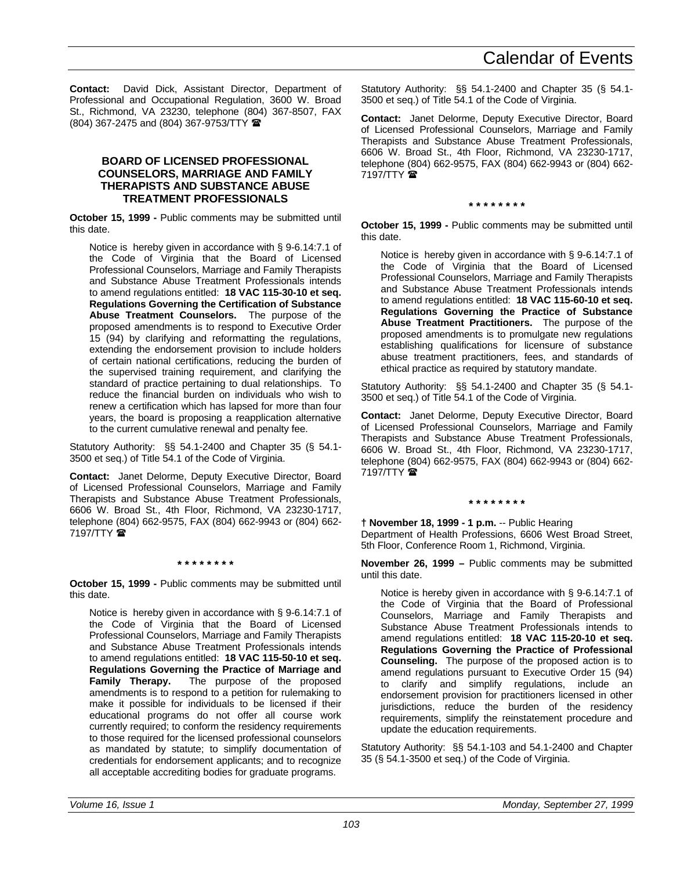**Contact:** David Dick, Assistant Director, Department of Professional and Occupational Regulation, 3600 W. Broad St., Richmond, VA 23230, telephone (804) 367-8507, FAX (804) 367-2475 and (804) 367-9753/TTY (

# **BOARD OF LICENSED PROFESSIONAL COUNSELORS, MARRIAGE AND FAMILY THERAPISTS AND SUBSTANCE ABUSE TREATMENT PROFESSIONALS**

**October 15, 1999 -** Public comments may be submitted until this date.

Notice is hereby given in accordance with § 9-6.14:7.1 of the Code of Virginia that the Board of Licensed Professional Counselors, Marriage and Family Therapists and Substance Abuse Treatment Professionals intends to amend regulations entitled: **18 VAC 115-30-10 et seq. Regulations Governing the Certification of Substance Abuse Treatment Counselors.** The purpose of the proposed amendments is to respond to Executive Order 15 (94) by clarifying and reformatting the regulations, extending the endorsement provision to include holders of certain national certifications, reducing the burden of the supervised training requirement, and clarifying the standard of practice pertaining to dual relationships. To reduce the financial burden on individuals who wish to renew a certification which has lapsed for more than four years, the board is proposing a reapplication alternative to the current cumulative renewal and penalty fee.

Statutory Authority: §§ 54.1-2400 and Chapter 35 (§ 54.1- 3500 et seq.) of Title 54.1 of the Code of Virginia.

**Contact:** Janet Delorme, Deputy Executive Director, Board of Licensed Professional Counselors, Marriage and Family Therapists and Substance Abuse Treatment Professionals, 6606 W. Broad St., 4th Floor, Richmond, VA 23230-1717, telephone (804) 662-9575, FAX (804) 662-9943 or (804) 662- 7197/TTY **雷** 

**\* \* \* \* \* \* \* \***

**October 15, 1999 -** Public comments may be submitted until this date.

Notice is hereby given in accordance with § 9-6.14:7.1 of the Code of Virginia that the Board of Licensed Professional Counselors, Marriage and Family Therapists and Substance Abuse Treatment Professionals intends to amend regulations entitled: **18 VAC 115-50-10 et seq. Regulations Governing the Practice of Marriage and Family Therapy.** The purpose of the proposed amendments is to respond to a petition for rulemaking to make it possible for individuals to be licensed if their educational programs do not offer all course work currently required; to conform the residency requirements to those required for the licensed professional counselors as mandated by statute; to simplify documentation of credentials for endorsement applicants; and to recognize all acceptable accrediting bodies for graduate programs.

Statutory Authority: §§ 54.1-2400 and Chapter 35 (§ 54.1- 3500 et seq.) of Title 54.1 of the Code of Virginia.

**Contact:** Janet Delorme, Deputy Executive Director, Board of Licensed Professional Counselors, Marriage and Family Therapists and Substance Abuse Treatment Professionals, 6606 W. Broad St., 4th Floor, Richmond, VA 23230-1717, telephone (804) 662-9575, FAX (804) 662-9943 or (804) 662-  $7197/TTY$ 

**\* \* \* \* \* \* \* \***

**October 15, 1999 -** Public comments may be submitted until this date.

Notice is hereby given in accordance with § 9-6.14:7.1 of the Code of Virginia that the Board of Licensed Professional Counselors, Marriage and Family Therapists and Substance Abuse Treatment Professionals intends to amend regulations entitled: **18 VAC 115-60-10 et seq. Regulations Governing the Practice of Substance Abuse Treatment Practitioners.** The purpose of the proposed amendments is to promulgate new regulations establishing qualifications for licensure of substance abuse treatment practitioners, fees, and standards of ethical practice as required by statutory mandate.

Statutory Authority: §§ 54.1-2400 and Chapter 35 (§ 54.1- 3500 et seq.) of Title 54.1 of the Code of Virginia.

**Contact:** Janet Delorme, Deputy Executive Director, Board of Licensed Professional Counselors, Marriage and Family Therapists and Substance Abuse Treatment Professionals, 6606 W. Broad St., 4th Floor, Richmond, VA 23230-1717, telephone (804) 662-9575, FAX (804) 662-9943 or (804) 662- 7197/TTY (

**\* \* \* \* \* \* \* \***

**† November 18, 1999 - 1 p.m.** -- Public Hearing Department of Health Professions, 6606 West Broad Street, 5th Floor, Conference Room 1, Richmond, Virginia.

**November 26, 1999 –** Public comments may be submitted until this date.

Notice is hereby given in accordance with § 9-6.14:7.1 of the Code of Virginia that the Board of Professional Counselors, Marriage and Family Therapists and Substance Abuse Treatment Professionals intends to amend regulations entitled: **18 VAC 115-20-10 et seq. Regulations Governing the Practice of Professional Counseling.** The purpose of the proposed action is to amend regulations pursuant to Executive Order 15 (94) to clarify and simplify regulations, include an endorsement provision for practitioners licensed in other jurisdictions, reduce the burden of the residency requirements, simplify the reinstatement procedure and update the education requirements.

Statutory Authority: §§ 54.1-103 and 54.1-2400 and Chapter 35 (§ 54.1-3500 et seq.) of the Code of Virginia.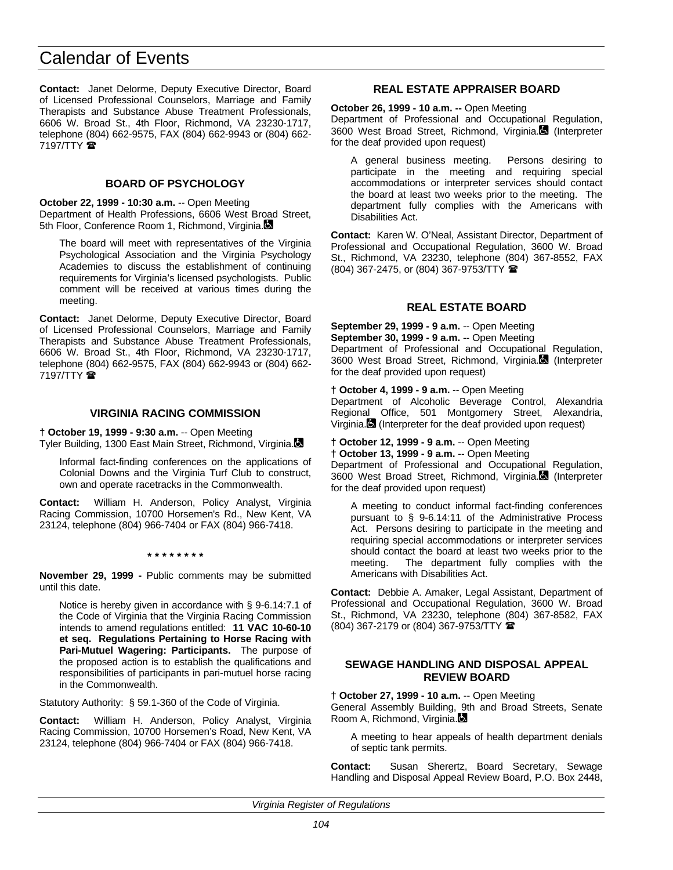**Contact:** Janet Delorme, Deputy Executive Director, Board of Licensed Professional Counselors, Marriage and Family Therapists and Substance Abuse Treatment Professionals, 6606 W. Broad St., 4th Floor, Richmond, VA 23230-1717, telephone (804) 662-9575, FAX (804) 662-9943 or (804) 662- 7197/TTY **雷** 

# **BOARD OF PSYCHOLOGY**

**October 22, 1999 - 10:30 a.m.** -- Open Meeting Department of Health Professions, 6606 West Broad Street, 5th Floor, Conference Room 1, Richmond, Virginia.

The board will meet with representatives of the Virginia Psychological Association and the Virginia Psychology Academies to discuss the establishment of continuing requirements for Virginia's licensed psychologists. Public comment will be received at various times during the meeting.

**Contact:** Janet Delorme, Deputy Executive Director, Board of Licensed Professional Counselors, Marriage and Family Therapists and Substance Abuse Treatment Professionals, 6606 W. Broad St., 4th Floor, Richmond, VA 23230-1717, telephone (804) 662-9575, FAX (804) 662-9943 or (804) 662-  $7197/TTY$ 

# **VIRGINIA RACING COMMISSION**

**† October 19, 1999 - 9:30 a.m.** -- Open Meeting Tyler Building, 1300 East Main Street, Richmond, Virginia.

Informal fact-finding conferences on the applications of Colonial Downs and the Virginia Turf Club to construct, own and operate racetracks in the Commonwealth.

**Contact:** William H. Anderson, Policy Analyst, Virginia Racing Commission, 10700 Horsemen's Rd., New Kent, VA 23124, telephone (804) 966-7404 or FAX (804) 966-7418.

**\* \* \* \* \* \* \* \***

**November 29, 1999 -** Public comments may be submitted until this date.

Notice is hereby given in accordance with § 9-6.14:7.1 of the Code of Virginia that the Virginia Racing Commission intends to amend regulations entitled: **11 VAC 10-60-10 et seq. Regulations Pertaining to Horse Racing with Pari-Mutuel Wagering: Participants.** The purpose of the proposed action is to establish the qualifications and responsibilities of participants in pari-mutuel horse racing in the Commonwealth.

Statutory Authority: § 59.1-360 of the Code of Virginia.

**Contact:** William H. Anderson, Policy Analyst, Virginia Racing Commission, 10700 Horsemen's Road, New Kent, VA 23124, telephone (804) 966-7404 or FAX (804) 966-7418.

# **REAL ESTATE APPRAISER BOARD**

**October 26, 1999 - 10 a.m. --** Open Meeting

Department of Professional and Occupational Regulation, 3600 West Broad Street, Richmond, Virginia. (Interpreter for the deaf provided upon request)

A general business meeting. Persons desiring to participate in the meeting and requiring special accommodations or interpreter services should contact the board at least two weeks prior to the meeting. The department fully complies with the Americans with Disabilities Act.

**Contact:** Karen W. O'Neal, Assistant Director, Department of Professional and Occupational Regulation, 3600 W. Broad St., Richmond, VA 23230, telephone (804) 367-8552, FAX (804) 367-2475, or (804) 367-9753/TTY (

# **REAL ESTATE BOARD**

**September 29, 1999 - 9 a.m.** -- Open Meeting **September 30, 1999 - 9 a.m.** -- Open Meeting Department of Professional and Occupational Regulation, 3600 West Broad Street, Richmond, Virginia. (Interpreter for the deaf provided upon request)

**† October 4, 1999 - 9 a.m.** -- Open Meeting Department of Alcoholic Beverage Control, Alexandria Regional Office, 501 Montgomery Street, Alexandria, Virginia.<sup>1</sup> (Interpreter for the deaf provided upon request)

**† October 12, 1999 - 9 a.m.** -- Open Meeting

**† October 13, 1999 - 9 a.m.** -- Open Meeting Department of Professional and Occupational Regulation, 3600 West Broad Street, Richmond, Virginia. (Interpreter for the deaf provided upon request)

A meeting to conduct informal fact-finding conferences pursuant to § 9-6.14:11 of the Administrative Process Act. Persons desiring to participate in the meeting and requiring special accommodations or interpreter services should contact the board at least two weeks prior to the meeting. The department fully complies with the Americans with Disabilities Act.

**Contact:** Debbie A. Amaker, Legal Assistant, Department of Professional and Occupational Regulation, 3600 W. Broad St., Richmond, VA 23230, telephone (804) 367-8582, FAX (804) 367-2179 or (804) 367-9753/TTY (

# **SEWAGE HANDLING AND DISPOSAL APPEAL REVIEW BOARD**

**† October 27, 1999 - 10 a.m.** -- Open Meeting

General Assembly Building, 9th and Broad Streets, Senate Room A, Richmond, Virginia.

A meeting to hear appeals of health department denials of septic tank permits.

**Contact:** Susan Sherertz, Board Secretary, Sewage Handling and Disposal Appeal Review Board, P.O. Box 2448,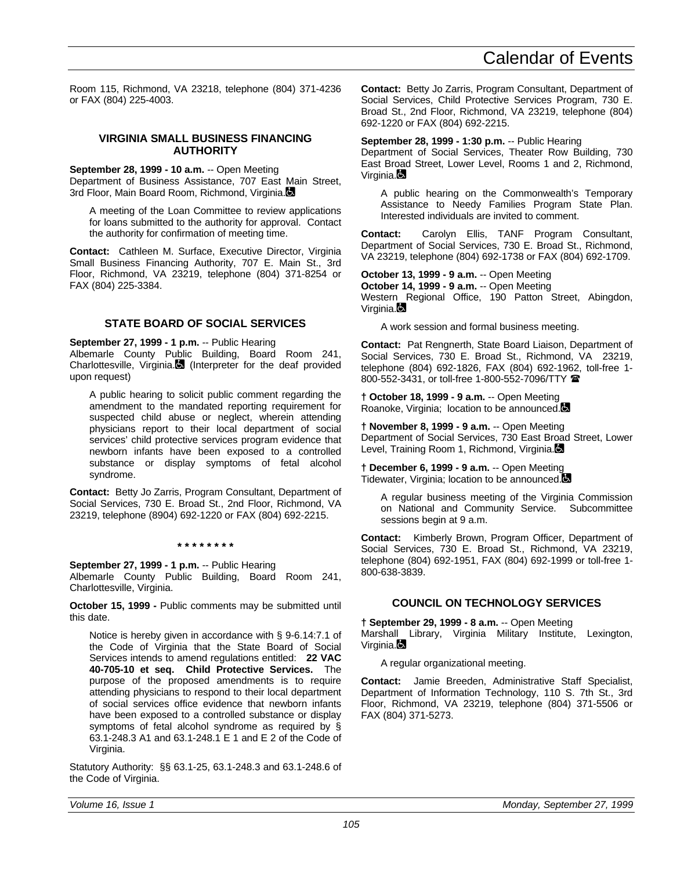Room 115, Richmond, VA 23218, telephone (804) 371-4236 or FAX (804) 225-4003.

## **VIRGINIA SMALL BUSINESS FINANCING AUTHORITY**

**September 28, 1999 - 10 a.m.** -- Open Meeting

Department of Business Assistance, 707 East Main Street, 3rd Floor, Main Board Room, Richmond, Virginia.

A meeting of the Loan Committee to review applications for loans submitted to the authority for approval. Contact the authority for confirmation of meeting time.

**Contact:** Cathleen M. Surface, Executive Director, Virginia Small Business Financing Authority, 707 E. Main St., 3rd Floor, Richmond, VA 23219, telephone (804) 371-8254 or FAX (804) 225-3384.

# **STATE BOARD OF SOCIAL SERVICES**

**September 27, 1999 - 1 p.m.** -- Public Hearing Albemarle County Public Building, Board Room 241, Charlottesville, Virginia. (Interpreter for the deaf provided upon request)

A public hearing to solicit public comment regarding the amendment to the mandated reporting requirement for suspected child abuse or neglect, wherein attending physicians report to their local department of social services' child protective services program evidence that newborn infants have been exposed to a controlled substance or display symptoms of fetal alcohol syndrome.

**Contact:** Betty Jo Zarris, Program Consultant, Department of Social Services, 730 E. Broad St., 2nd Floor, Richmond, VA 23219, telephone (8904) 692-1220 or FAX (804) 692-2215.

**\* \* \* \* \* \* \* \***

**September 27, 1999 - 1 p.m.** -- Public Hearing Albemarle County Public Building, Board Room 241, Charlottesville, Virginia.

**October 15, 1999 -** Public comments may be submitted until this date.

Notice is hereby given in accordance with § 9-6.14:7.1 of the Code of Virginia that the State Board of Social Services intends to amend regulations entitled: **22 VAC 40-705-10 et seq. Child Protective Services.** The purpose of the proposed amendments is to require attending physicians to respond to their local department of social services office evidence that newborn infants have been exposed to a controlled substance or display symptoms of fetal alcohol syndrome as required by § 63.1-248.3 A1 and 63.1-248.1 E 1 and E 2 of the Code of Virginia.

Statutory Authority: §§ 63.1-25, 63.1-248.3 and 63.1-248.6 of the Code of Virginia.

**Contact:** Betty Jo Zarris, Program Consultant, Department of Social Services, Child Protective Services Program, 730 E. Broad St., 2nd Floor, Richmond, VA 23219, telephone (804) 692-1220 or FAX (804) 692-2215.

## **September 28, 1999 - 1:30 p.m.** -- Public Hearing

Department of Social Services, Theater Row Building, 730 East Broad Street, Lower Level, Rooms 1 and 2, Richmond, Virginia.

A public hearing on the Commonwealth's Temporary Assistance to Needy Families Program State Plan. Interested individuals are invited to comment.

**Contact:** Carolyn Ellis, TANF Program Consultant, Department of Social Services, 730 E. Broad St., Richmond, VA 23219, telephone (804) 692-1738 or FAX (804) 692-1709.

**October 13, 1999 - 9 a.m.** -- Open Meeting **October 14, 1999 - 9 a.m.** -- Open Meeting Western Regional Office, 190 Patton Street, Abingdon, Virginia.

A work session and formal business meeting.

**Contact:** Pat Rengnerth, State Board Liaison, Department of Social Services, 730 E. Broad St., Richmond, VA 23219, telephone (804) 692-1826, FAX (804) 692-1962, toll-free 1- 800-552-3431, or toll-free 1-800-552-7096/TTY  $\blacksquare$ 

**† October 18, 1999 - 9 a.m.** -- Open Meeting Roanoke, Virginia; location to be announced.

**† November 8, 1999 - 9 a.m.** -- Open Meeting Department of Social Services, 730 East Broad Street, Lower Level, Training Room 1, Richmond, Virginia.

**† December 6, 1999 - 9 a.m.** -- Open Meeting Tidewater, Virginia; location to be announced.

A regular business meeting of the Virginia Commission on National and Community Service. Subcommittee sessions begin at 9 a.m.

**Contact:** Kimberly Brown, Program Officer, Department of Social Services, 730 E. Broad St., Richmond, VA 23219, telephone (804) 692-1951, FAX (804) 692-1999 or toll-free 1- 800-638-3839.

# **COUNCIL ON TECHNOLOGY SERVICES**

**† September 29, 1999 - 8 a.m.** -- Open Meeting Marshall Library, Virginia Military Institute, Lexington, Virginia.

A regular organizational meeting.

**Contact:** Jamie Breeden, Administrative Staff Specialist, Department of Information Technology, 110 S. 7th St., 3rd Floor, Richmond, VA 23219, telephone (804) 371-5506 or FAX (804) 371-5273.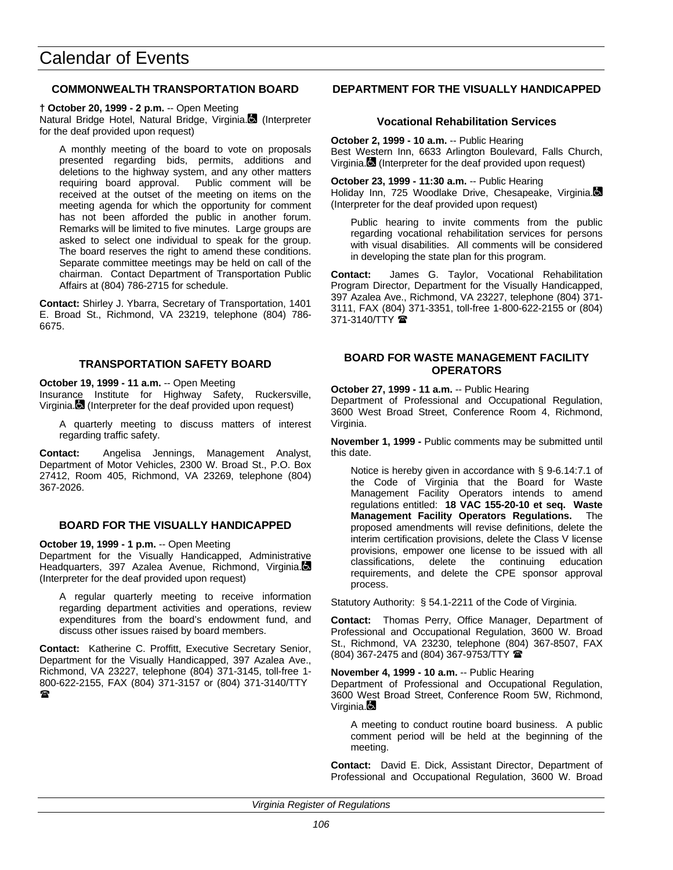## **COMMONWEALTH TRANSPORTATION BOARD**

**† October 20, 1999 - 2 p.m.** -- Open Meeting Natural Bridge Hotel, Natural Bridge, Virginia. (Interpreter for the deaf provided upon request)

A monthly meeting of the board to vote on proposals presented regarding bids, permits, additions and deletions to the highway system, and any other matters requiring board approval. Public comment will be received at the outset of the meeting on items on the meeting agenda for which the opportunity for comment has not been afforded the public in another forum. Remarks will be limited to five minutes. Large groups are asked to select one individual to speak for the group. The board reserves the right to amend these conditions. Separate committee meetings may be held on call of the chairman. Contact Department of Transportation Public Affairs at (804) 786-2715 for schedule.

**Contact:** Shirley J. Ybarra, Secretary of Transportation, 1401 E. Broad St., Richmond, VA 23219, telephone (804) 786- 6675.

## **TRANSPORTATION SAFETY BOARD**

**October 19, 1999 - 11 a.m.** -- Open Meeting

Insurance Institute for Highway Safety, Ruckersville, Virginia. (Interpreter for the deaf provided upon request)

A quarterly meeting to discuss matters of interest regarding traffic safety.

**Contact:** Angelisa Jennings, Management Analyst, Department of Motor Vehicles, 2300 W. Broad St., P.O. Box 27412, Room 405, Richmond, VA 23269, telephone (804) 367-2026.

# **BOARD FOR THE VISUALLY HANDICAPPED**

**October 19, 1999 - 1 p.m.** -- Open Meeting Department for the Visually Handicapped, Administrative

Headquarters, 397 Azalea Avenue, Richmond, Virginia. (Interpreter for the deaf provided upon request)

A regular quarterly meeting to receive information regarding department activities and operations, review expenditures from the board's endowment fund, and discuss other issues raised by board members.

**Contact:** Katherine C. Proffitt, Executive Secretary Senior, Department for the Visually Handicapped, 397 Azalea Ave., Richmond, VA 23227, telephone (804) 371-3145, toll-free 1- 800-622-2155, FAX (804) 371-3157 or (804) 371-3140/TTY  $\mathbf{r}$ 

## **DEPARTMENT FOR THE VISUALLY HANDICAPPED**

## **Vocational Rehabilitation Services**

**October 2, 1999 - 10 a.m.** -- Public Hearing Best Western Inn, 6633 Arlington Boulevard, Falls Church, Virginia. (Interpreter for the deaf provided upon request)

**October 23, 1999 - 11:30 a.m.** -- Public Hearing Holiday Inn, 725 Woodlake Drive, Chesapeake, Virginia. (Interpreter for the deaf provided upon request)

Public hearing to invite comments from the public regarding vocational rehabilitation services for persons with visual disabilities. All comments will be considered in developing the state plan for this program.

**Contact:** James G. Taylor, Vocational Rehabilitation Program Director, Department for the Visually Handicapped, 397 Azalea Ave., Richmond, VA 23227, telephone (804) 371- 3111, FAX (804) 371-3351, toll-free 1-800-622-2155 or (804)  $371 - 3140/TTY$ 

## **BOARD FOR WASTE MANAGEMENT FACILITY OPERATORS**

**October 27, 1999 - 11 a.m.** -- Public Hearing Department of Professional and Occupational Regulation, 3600 West Broad Street, Conference Room 4, Richmond, Virginia.

**November 1, 1999 -** Public comments may be submitted until this date.

Notice is hereby given in accordance with § 9-6.14:7.1 of the Code of Virginia that the Board for Waste Management Facility Operators intends to amend regulations entitled: **18 VAC 155-20-10 et seq. Waste Management Facility Operators Regulations.** The proposed amendments will revise definitions, delete the interim certification provisions, delete the Class V license provisions, empower one license to be issued with all classifications, delete the continuing education requirements, and delete the CPE sponsor approval process.

Statutory Authority: § 54.1-2211 of the Code of Virginia.

**Contact:** Thomas Perry, Office Manager, Department of Professional and Occupational Regulation, 3600 W. Broad St., Richmond, VA 23230, telephone (804) 367-8507, FAX (804) 367-2475 and (804) 367-9753/TTY (

**November 4, 1999 - 10 a.m.** -- Public Hearing

Department of Professional and Occupational Regulation, 3600 West Broad Street, Conference Room 5W, Richmond, Virginia.

A meeting to conduct routine board business. A public comment period will be held at the beginning of the meeting.

**Contact:** David E. Dick, Assistant Director, Department of Professional and Occupational Regulation, 3600 W. Broad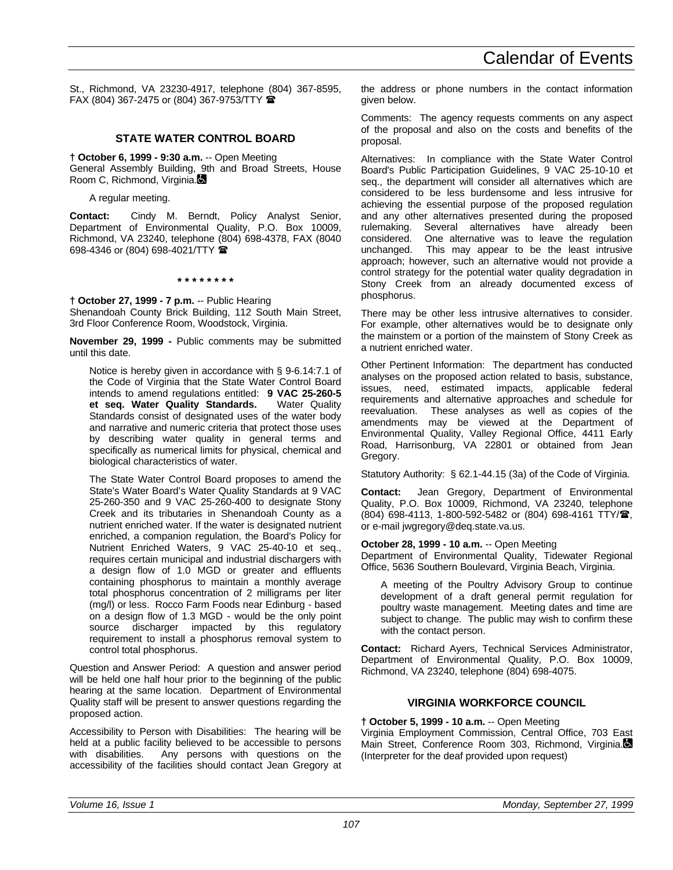St., Richmond, VA 23230-4917, telephone (804) 367-8595, FAX (804) 367-2475 or (804) 367-9753/TTY  $\blacksquare$ 

#### **STATE WATER CONTROL BOARD**

**† October 6, 1999 - 9:30 a.m.** -- Open Meeting General Assembly Building, 9th and Broad Streets, House Room C, Richmond, Virginia.

A regular meeting.

**Contact:** Cindy M. Berndt, Policy Analyst Senior, Department of Environmental Quality, P.O. Box 10009, Richmond, VA 23240, telephone (804) 698-4378, FAX (8040 698-4346 or (804) 698-4021/TTY (

**\* \* \* \* \* \* \* \***

**† October 27, 1999 - 7 p.m.** -- Public Hearing Shenandoah County Brick Building, 112 South Main Street, 3rd Floor Conference Room, Woodstock, Virginia.

**November 29, 1999 -** Public comments may be submitted until this date.

Notice is hereby given in accordance with § 9-6.14:7.1 of the Code of Virginia that the State Water Control Board intends to amend regulations entitled: **9 VAC 25-260-5 et seq. Water Quality Standards.** Water Quality Standards consist of designated uses of the water body and narrative and numeric criteria that protect those uses by describing water quality in general terms and specifically as numerical limits for physical, chemical and biological characteristics of water.

The State Water Control Board proposes to amend the State's Water Board's Water Quality Standards at 9 VAC 25-260-350 and 9 VAC 25-260-400 to designate Stony Creek and its tributaries in Shenandoah County as a nutrient enriched water. If the water is designated nutrient enriched, a companion regulation, the Board's Policy for Nutrient Enriched Waters, 9 VAC 25-40-10 et seq., requires certain municipal and industrial dischargers with a design flow of 1.0 MGD or greater and effluents containing phosphorus to maintain a monthly average total phosphorus concentration of 2 milligrams per liter (mg/l) or less. Rocco Farm Foods near Edinburg - based on a design flow of 1.3 MGD - would be the only point source discharger impacted by this regulatory requirement to install a phosphorus removal system to control total phosphorus.

Question and Answer Period: A question and answer period will be held one half hour prior to the beginning of the public hearing at the same location. Department of Environmental Quality staff will be present to answer questions regarding the proposed action.

Accessibility to Person with Disabilities: The hearing will be held at a public facility believed to be accessible to persons with disabilities. Any persons with questions on the accessibility of the facilities should contact Jean Gregory at the address or phone numbers in the contact information given below.

Comments: The agency requests comments on any aspect of the proposal and also on the costs and benefits of the proposal.

Alternatives: In compliance with the State Water Control Board's Public Participation Guidelines, 9 VAC 25-10-10 et seq., the department will consider all alternatives which are considered to be less burdensome and less intrusive for achieving the essential purpose of the proposed regulation and any other alternatives presented during the proposed rulemaking. Several alternatives have already been considered. One alternative was to leave the regulation This may appear to be the least intrusive approach; however, such an alternative would not provide a control strategy for the potential water quality degradation in Stony Creek from an already documented excess of phosphorus.

There may be other less intrusive alternatives to consider. For example, other alternatives would be to designate only the mainstem or a portion of the mainstem of Stony Creek as a nutrient enriched water.

Other Pertinent Information: The department has conducted analyses on the proposed action related to basis, substance, issues, need, estimated impacts, applicable federal requirements and alternative approaches and schedule for reevaluation. These analyses as well as copies of the amendments may be viewed at the Department of Environmental Quality, Valley Regional Office, 4411 Early Road, Harrisonburg, VA 22801 or obtained from Jean Gregory.

Statutory Authority: § 62.1-44.15 (3a) of the Code of Virginia.

**Contact:** Jean Gregory, Department of Environmental Quality, P.O. Box 10009, Richmond, VA 23240, telephone (804) 698-4113, 1-800-592-5482 or (804) 698-4161 TTY/雪, or e-mail jwgregory@deq.state.va.us.

**October 28, 1999 - 10 a.m.** -- Open Meeting

Department of Environmental Quality, Tidewater Regional Office, 5636 Southern Boulevard, Virginia Beach, Virginia.

A meeting of the Poultry Advisory Group to continue development of a draft general permit regulation for poultry waste management. Meeting dates and time are subject to change. The public may wish to confirm these with the contact person.

**Contact:** Richard Ayers, Technical Services Administrator, Department of Environmental Quality, P.O. Box 10009, Richmond, VA 23240, telephone (804) 698-4075.

#### **VIRGINIA WORKFORCE COUNCIL**

**† October 5, 1999 - 10 a.m.** -- Open Meeting

Virginia Employment Commission, Central Office, 703 East Main Street, Conference Room 303, Richmond, Virginia. (Interpreter for the deaf provided upon request)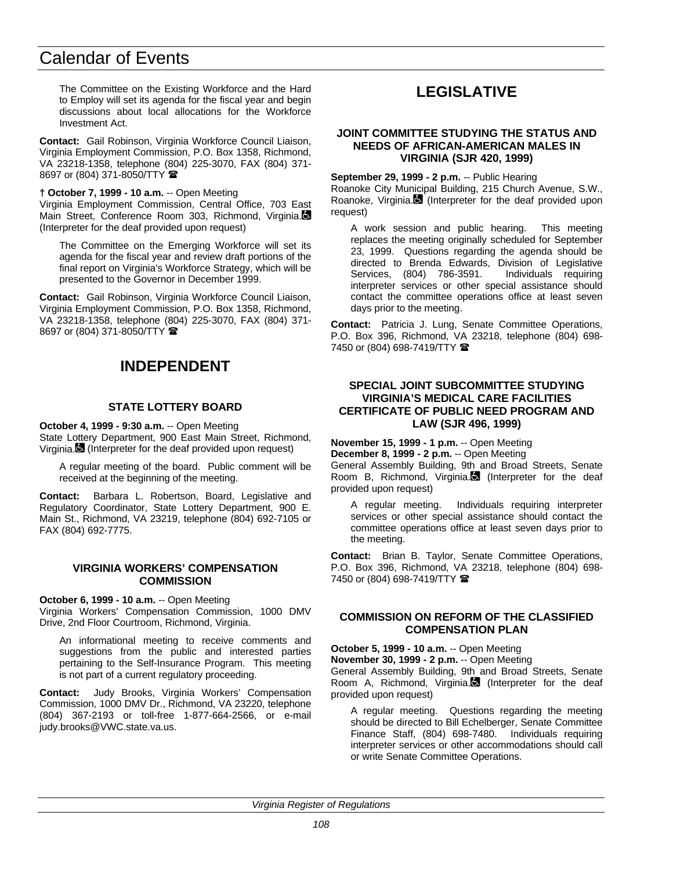The Committee on the Existing Workforce and the Hard to Employ will set its agenda for the fiscal year and begin discussions about local allocations for the Workforce Investment Act.

**Contact:** Gail Robinson, Virginia Workforce Council Liaison, Virginia Employment Commission, P.O. Box 1358, Richmond, VA 23218-1358, telephone (804) 225-3070, FAX (804) 371- 8697 or (804) 371-8050/TTY  $\hat{=}$ 

#### **† October 7, 1999 - 10 a.m.** -- Open Meeting

Virginia Employment Commission, Central Office, 703 East Main Street, Conference Room 303, Richmond, Virginia. (Interpreter for the deaf provided upon request)

The Committee on the Emerging Workforce will set its agenda for the fiscal year and review draft portions of the final report on Virginia's Workforce Strategy, which will be presented to the Governor in December 1999.

**Contact:** Gail Robinson, Virginia Workforce Council Liaison, Virginia Employment Commission, P.O. Box 1358, Richmond, VA 23218-1358, telephone (804) 225-3070, FAX (804) 371- 8697 or (804) 371-8050/TTY  $\hat{=}$ 

### **INDEPENDENT**

#### **STATE LOTTERY BOARD**

**October 4, 1999 - 9:30 a.m.** -- Open Meeting State Lottery Department, 900 East Main Street, Richmond, Virginia. (Interpreter for the deaf provided upon request)

A regular meeting of the board. Public comment will be received at the beginning of the meeting.

**Contact:** Barbara L. Robertson, Board, Legislative and Regulatory Coordinator, State Lottery Department, 900 E. Main St., Richmond, VA 23219, telephone (804) 692-7105 or FAX (804) 692-7775.

#### **VIRGINIA WORKERS' COMPENSATION COMMISSION**

#### **October 6, 1999 - 10 a.m.** -- Open Meeting

Virginia Workers' Compensation Commission, 1000 DMV Drive, 2nd Floor Courtroom, Richmond, Virginia.

An informational meeting to receive comments and suggestions from the public and interested parties pertaining to the Self-Insurance Program. This meeting is not part of a current regulatory proceeding.

**Contact:** Judy Brooks, Virginia Workers' Compensation Commission, 1000 DMV Dr., Richmond, VA 23220, telephone (804) 367-2193 or toll-free 1-877-664-2566, or e-mail judy.brooks@VWC.state.va.us.

### **LEGISLATIVE**

#### **JOINT COMMITTEE STUDYING THE STATUS AND NEEDS OF AFRICAN-AMERICAN MALES IN VIRGINIA (SJR 420, 1999)**

**September 29, 1999 - 2 p.m.** -- Public Hearing Roanoke City Municipal Building, 215 Church Avenue, S.W., Roanoke, Virginia. $\blacksquare$  (Interpreter for the deaf provided upon request)

A work session and public hearing. This meeting replaces the meeting originally scheduled for September 23, 1999. Questions regarding the agenda should be directed to Brenda Edwards, Division of Legislative<br>Services. (804) 786-3591. Individuals requiring Services, (804) 786-3591. interpreter services or other special assistance should contact the committee operations office at least seven days prior to the meeting.

**Contact:** Patricia J. Lung, Senate Committee Operations, P.O. Box 396, Richmond, VA 23218, telephone (804) 698- 7450 or (804) 698-7419/TTY  $\blacksquare$ 

#### **SPECIAL JOINT SUBCOMMITTEE STUDYING VIRGINIA'S MEDICAL CARE FACILITIES CERTIFICATE OF PUBLIC NEED PROGRAM AND LAW (SJR 496, 1999)**

**November 15, 1999 - 1 p.m.** -- Open Meeting **December 8, 1999 - 2 p.m.** -- Open Meeting

General Assembly Building, 9th and Broad Streets, Senate Room B, Richmond, Virginia. (Interpreter for the deaf provided upon request)

A regular meeting. Individuals requiring interpreter services or other special assistance should contact the committee operations office at least seven days prior to the meeting.

**Contact:** Brian B. Taylor, Senate Committee Operations, P.O. Box 396, Richmond, VA 23218, telephone (804) 698- 7450 or (804) 698-7419/TTY  $\hat{\mathbf{z}}$ 

#### **COMMISSION ON REFORM OF THE CLASSIFIED COMPENSATION PLAN**

**October 5, 1999 - 10 a.m.** -- Open Meeting

**November 30, 1999 - 2 p.m.** -- Open Meeting

General Assembly Building, 9th and Broad Streets, Senate Room A, Richmond, Virginia. (Interpreter for the deaf provided upon request)

A regular meeting. Questions regarding the meeting should be directed to Bill Echelberger, Senate Committee Finance Staff, (804) 698-7480. Individuals requiring interpreter services or other accommodations should call or write Senate Committee Operations.

*Virginia Register of Regulations*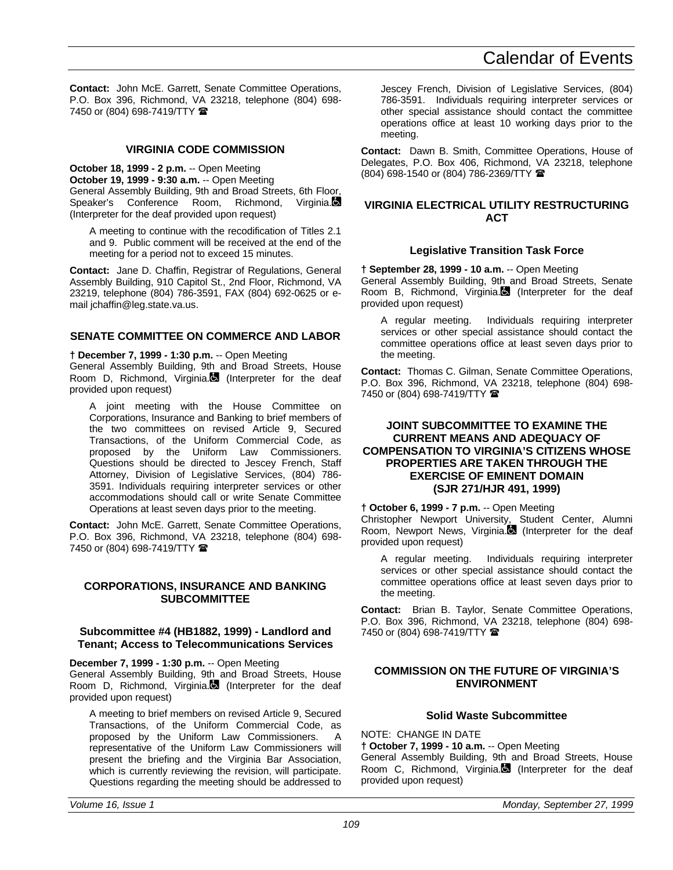**Contact:** John McE. Garrett, Senate Committee Operations, P.O. Box 396, Richmond, VA 23218, telephone (804) 698- 7450 or (804) 698-7419/TTY

#### **VIRGINIA CODE COMMISSION**

**October 18, 1999 - 2 p.m.** -- Open Meeting **October 19, 1999 - 9:30 a.m.** -- Open Meeting General Assembly Building, 9th and Broad Streets, 6th Floor, Speaker's Conference Room, Richmond, Virginia. (Interpreter for the deaf provided upon request)

A meeting to continue with the recodification of Titles 2.1 and 9. Public comment will be received at the end of the meeting for a period not to exceed 15 minutes.

**Contact:** Jane D. Chaffin, Registrar of Regulations, General Assembly Building, 910 Capitol St., 2nd Floor, Richmond, VA 23219, telephone (804) 786-3591, FAX (804) 692-0625 or email ichaffin@leg.state.va.us.

#### **SENATE COMMITTEE ON COMMERCE AND LABOR**

**† December 7, 1999 - 1:30 p.m.** -- Open Meeting

General Assembly Building, 9th and Broad Streets, House Room D, Richmond, Virginia. (Interpreter for the deaf provided upon request)

A joint meeting with the House Committee on Corporations, Insurance and Banking to brief members of the two committees on revised Article 9, Secured Transactions, of the Uniform Commercial Code, as proposed by the Uniform Law Commissioners. Questions should be directed to Jescey French, Staff Attorney, Division of Legislative Services, (804) 786- 3591. Individuals requiring interpreter services or other accommodations should call or write Senate Committee Operations at least seven days prior to the meeting.

**Contact:** John McE. Garrett, Senate Committee Operations, P.O. Box 396, Richmond, VA 23218, telephone (804) 698- 7450 or (804) 698-7419/TTY <sup>金</sup>

#### **CORPORATIONS, INSURANCE AND BANKING SUBCOMMITTEE**

#### **Subcommittee #4 (HB1882, 1999) - Landlord and Tenant; Access to Telecommunications Services**

**December 7, 1999 - 1:30 p.m.** -- Open Meeting

General Assembly Building, 9th and Broad Streets, House Room D, Richmond, Virginia. (Interpreter for the deaf provided upon request)

A meeting to brief members on revised Article 9, Secured Transactions, of the Uniform Commercial Code, as proposed by the Uniform Law Commissioners. A representative of the Uniform Law Commissioners will present the briefing and the Virginia Bar Association, which is currently reviewing the revision, will participate. Questions regarding the meeting should be addressed to

Jescey French, Division of Legislative Services, (804) 786-3591. Individuals requiring interpreter services or other special assistance should contact the committee operations office at least 10 working days prior to the meeting.

**Contact:** Dawn B. Smith, Committee Operations, House of Delegates, P.O. Box 406, Richmond, VA 23218, telephone (804) 698-1540 or (804) 786-2369/TTY (

#### **VIRGINIA ELECTRICAL UTILITY RESTRUCTURING ACT**

#### **Legislative Transition Task Force**

**† September 28, 1999 - 10 a.m.** -- Open Meeting General Assembly Building, 9th and Broad Streets, Senate Room B, Richmond, Virginia. (Interpreter for the deaf provided upon request)

A regular meeting. Individuals requiring interpreter services or other special assistance should contact the committee operations office at least seven days prior to the meeting.

**Contact:** Thomas C. Gilman, Senate Committee Operations, P.O. Box 396, Richmond, VA 23218, telephone (804) 698- 7450 or (804) 698-7419/TTY 2

#### **JOINT SUBCOMMITTEE TO EXAMINE THE CURRENT MEANS AND ADEQUACY OF COMPENSATION TO VIRGINIA'S CITIZENS WHOSE PROPERTIES ARE TAKEN THROUGH THE EXERCISE OF EMINENT DOMAIN (SJR 271/HJR 491, 1999)**

**† October 6, 1999 - 7 p.m.** -- Open Meeting

Christopher Newport University, Student Center, Alumni Room, Newport News, Virginia. $\blacksquare$  (Interpreter for the deaf provided upon request)

A regular meeting. Individuals requiring interpreter services or other special assistance should contact the committee operations office at least seven days prior to the meeting.

**Contact:** Brian B. Taylor, Senate Committee Operations, P.O. Box 396, Richmond, VA 23218, telephone (804) 698- 7450 or (804) 698-7419/TTY 2

#### **COMMISSION ON THE FUTURE OF VIRGINIA'S ENVIRONMENT**

#### **Solid Waste Subcommittee**

NOTE: CHANGE IN DATE

**† October 7, 1999 - 10 a.m.** -- Open Meeting

General Assembly Building, 9th and Broad Streets, House Room C. Richmond, Virginia. (Interpreter for the deaf provided upon request)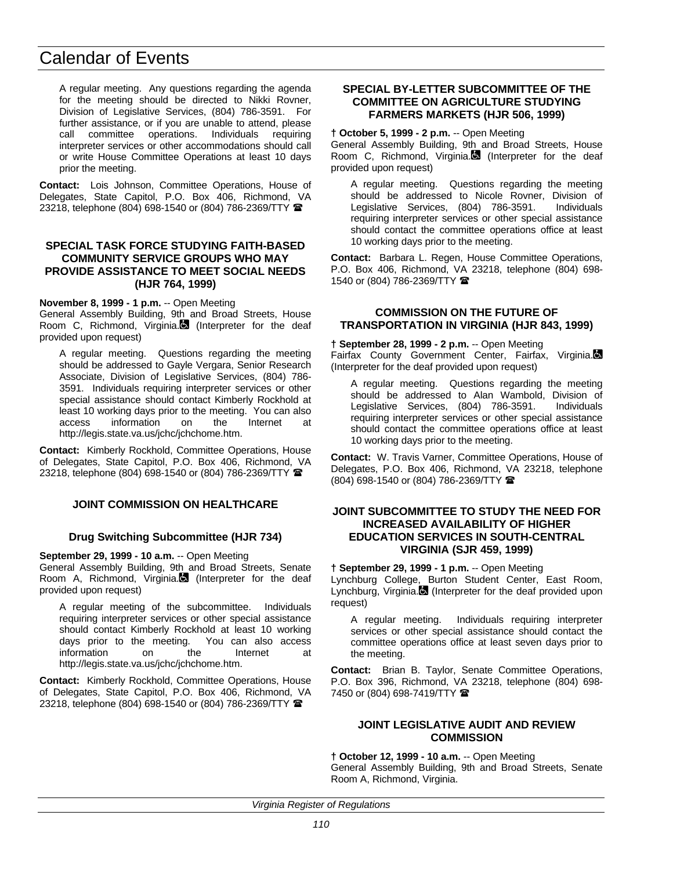A regular meeting. Any questions regarding the agenda for the meeting should be directed to Nikki Rovner, Division of Legislative Services, (804) 786-3591. For further assistance, or if you are unable to attend, please call committee operations. Individuals requiring interpreter services or other accommodations should call or write House Committee Operations at least 10 days prior the meeting.

**Contact:** Lois Johnson, Committee Operations, House of Delegates, State Capitol, P.O. Box 406, Richmond, VA 23218, telephone (804) 698-1540 or (804) 786-2369/TTY <sup>2</sup>

#### **SPECIAL TASK FORCE STUDYING FAITH-BASED COMMUNITY SERVICE GROUPS WHO MAY PROVIDE ASSISTANCE TO MEET SOCIAL NEEDS (HJR 764, 1999)**

**November 8, 1999 - 1 p.m.** -- Open Meeting

General Assembly Building, 9th and Broad Streets, House Room C, Richmond, Virginia.<sup>3</sup> (Interpreter for the deaf provided upon request)

A regular meeting. Questions regarding the meeting should be addressed to Gayle Vergara, Senior Research Associate, Division of Legislative Services, (804) 786- 3591. Individuals requiring interpreter services or other special assistance should contact Kimberly Rockhold at least 10 working days prior to the meeting. You can also access information on the Internet at http://legis.state.va.us/jchc/jchchome.htm.

**Contact:** Kimberly Rockhold, Committee Operations, House of Delegates, State Capitol, P.O. Box 406, Richmond, VA 23218, telephone (804) 698-1540 or (804) 786-2369/TTY <sup>金</sup>

#### **JOINT COMMISSION ON HEALTHCARE**

#### **Drug Switching Subcommittee (HJR 734)**

**September 29, 1999 - 10 a.m.** -- Open Meeting

General Assembly Building, 9th and Broad Streets, Senate Room A, Richmond, Virginia. $\Box$  (Interpreter for the deaf provided upon request)

A regular meeting of the subcommittee. Individuals requiring interpreter services or other special assistance should contact Kimberly Rockhold at least 10 working days prior to the meeting. You can also access<br>information on the lnternet at information on the Internet at http://legis.state.va.us/jchc/jchchome.htm.

**Contact:** Kimberly Rockhold, Committee Operations, House of Delegates, State Capitol, P.O. Box 406, Richmond, VA 23218, telephone (804) 698-1540 or (804) 786-2369/TTY  $\blacksquare$ 

#### **SPECIAL BY-LETTER SUBCOMMITTEE OF THE COMMITTEE ON AGRICULTURE STUDYING FARMERS MARKETS (HJR 506, 1999)**

**† October 5, 1999 - 2 p.m.** -- Open Meeting

General Assembly Building, 9th and Broad Streets, House Room C, Richmond, Virginia. (Interpreter for the deaf provided upon request)

A regular meeting. Questions regarding the meeting should be addressed to Nicole Rovner, Division of Legislative Services, (804) 786-3591. Individuals requiring interpreter services or other special assistance should contact the committee operations office at least 10 working days prior to the meeting.

**Contact:** Barbara L. Regen, House Committee Operations, P.O. Box 406, Richmond, VA 23218, telephone (804) 698- 1540 or (804) 786-2369/TTY  $\blacksquare$ 

#### **COMMISSION ON THE FUTURE OF TRANSPORTATION IN VIRGINIA (HJR 843, 1999)**

**† September 28, 1999 - 2 p.m.** -- Open Meeting

Fairfax County Government Center, Fairfax, Virginia. (Interpreter for the deaf provided upon request)

A regular meeting. Questions regarding the meeting should be addressed to Alan Wambold, Division of Legislative Services, (804) 786-3591. Individuals requiring interpreter services or other special assistance should contact the committee operations office at least 10 working days prior to the meeting.

**Contact:** W. Travis Varner, Committee Operations, House of Delegates, P.O. Box 406, Richmond, VA 23218, telephone (804) 698-1540 or (804) 786-2369/TTY (

#### **JOINT SUBCOMMITTEE TO STUDY THE NEED FOR INCREASED AVAILABILITY OF HIGHER EDUCATION SERVICES IN SOUTH-CENTRAL VIRGINIA (SJR 459, 1999)**

**† September 29, 1999 - 1 p.m.** -- Open Meeting

Lynchburg College, Burton Student Center, East Room, Lynchburg, Virginia. (Interpreter for the deaf provided upon request)

A regular meeting. Individuals requiring interpreter services or other special assistance should contact the committee operations office at least seven days prior to the meeting.

**Contact:** Brian B. Taylor, Senate Committee Operations, P.O. Box 396, Richmond, VA 23218, telephone (804) 698- 7450 or (804) 698-7419/TTY 2

#### **JOINT LEGISLATIVE AUDIT AND REVIEW COMMISSION**

#### **† October 12, 1999 - 10 a.m.** -- Open Meeting

General Assembly Building, 9th and Broad Streets, Senate Room A, Richmond, Virginia.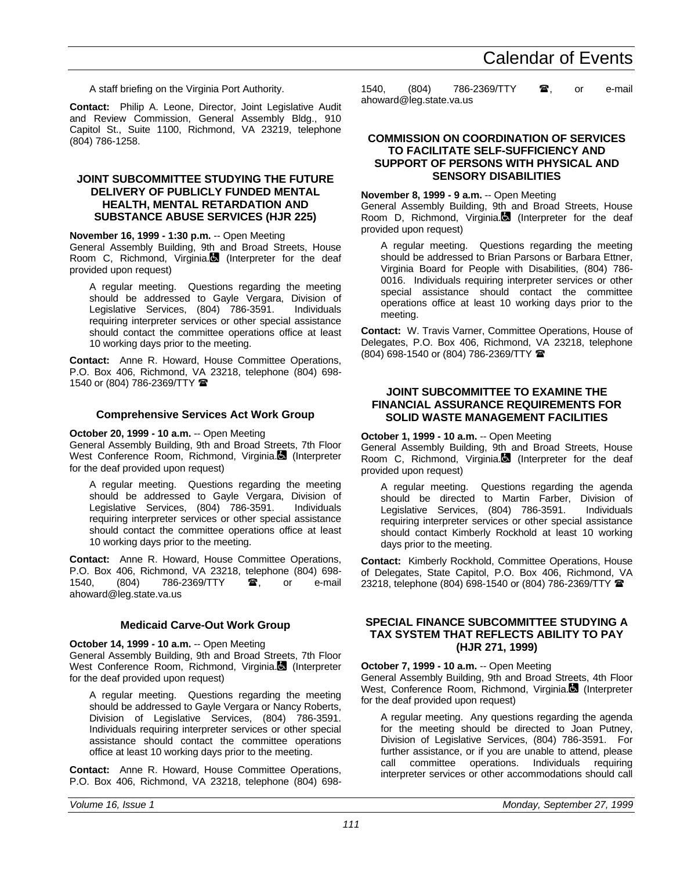A staff briefing on the Virginia Port Authority.

**Contact:** Philip A. Leone, Director, Joint Legislative Audit and Review Commission, General Assembly Bldg., 910 Capitol St., Suite 1100, Richmond, VA 23219, telephone (804) 786-1258.

#### **JOINT SUBCOMMITTEE STUDYING THE FUTURE DELIVERY OF PUBLICLY FUNDED MENTAL HEALTH, MENTAL RETARDATION AND SUBSTANCE ABUSE SERVICES (HJR 225)**

#### **November 16, 1999 - 1:30 p.m.** -- Open Meeting

General Assembly Building, 9th and Broad Streets, House Room C, Richmond, Virginia.<sup>1</sup> (Interpreter for the deaf provided upon request)

A regular meeting. Questions regarding the meeting should be addressed to Gayle Vergara, Division of Legislative Services, (804) 786-3591. Individuals requiring interpreter services or other special assistance should contact the committee operations office at least 10 working days prior to the meeting.

**Contact:** Anne R. Howard, House Committee Operations, P.O. Box 406, Richmond, VA 23218, telephone (804) 698- 1540 or (804) 786-2369/TTY  $\blacksquare$ 

#### **Comprehensive Services Act Work Group**

**October 20, 1999 - 10 a.m.** -- Open Meeting

General Assembly Building, 9th and Broad Streets, 7th Floor West Conference Room, Richmond, Virginia. (Interpreter for the deaf provided upon request)

A regular meeting. Questions regarding the meeting should be addressed to Gayle Vergara, Division of Legislative Services. (804) 786-3591. Individuals Legislative Services, (804) 786-3591. requiring interpreter services or other special assistance should contact the committee operations office at least 10 working days prior to the meeting.

**Contact:** Anne R. Howard, House Committee Operations, P.O. Box 406, Richmond, VA 23218, telephone (804) 698- 1540, (804) 786-2369/TTY **a**, or e-mail ahoward@leg.state.va.us

#### **Medicaid Carve-Out Work Group**

**October 14, 1999 - 10 a.m.** -- Open Meeting

General Assembly Building, 9th and Broad Streets, 7th Floor West Conference Room, Richmond, Virginia. (Interpreter for the deaf provided upon request)

A regular meeting. Questions regarding the meeting should be addressed to Gayle Vergara or Nancy Roberts, Division of Legislative Services, (804) 786-3591. Individuals requiring interpreter services or other special assistance should contact the committee operations office at least 10 working days prior to the meeting.

**Contact:** Anne R. Howard, House Committee Operations, P.O. Box 406, Richmond, VA 23218, telephone (804) 6981540, (804) 786-2369/TTY  $\bullet$ , or e-mail ahoward@leg.state.va.us

#### **COMMISSION ON COORDINATION OF SERVICES TO FACILITATE SELF-SUFFICIENCY AND SUPPORT OF PERSONS WITH PHYSICAL AND SENSORY DISABILITIES**

#### **November 8, 1999 - 9 a.m.** -- Open Meeting

General Assembly Building, 9th and Broad Streets, House Room D, Richmond, Virginia. $\blacksquare$  (Interpreter for the deaf provided upon request)

A regular meeting. Questions regarding the meeting should be addressed to Brian Parsons or Barbara Ettner, Virginia Board for People with Disabilities, (804) 786- 0016. Individuals requiring interpreter services or other special assistance should contact the committee operations office at least 10 working days prior to the meeting.

**Contact:** W. Travis Varner, Committee Operations, House of Delegates, P.O. Box 406, Richmond, VA 23218, telephone (804) 698-1540 or (804) 786-2369/TTY (

#### **JOINT SUBCOMMITTEE TO EXAMINE THE FINANCIAL ASSURANCE REQUIREMENTS FOR SOLID WASTE MANAGEMENT FACILITIES**

**October 1, 1999 - 10 a.m.** -- Open Meeting

General Assembly Building, 9th and Broad Streets, House Room C, Richmond, Virginia. (Interpreter for the deaf provided upon request)

A regular meeting. Questions regarding the agenda should be directed to Martin Farber, Division of Legislative Services, (804) 786-3591. Individuals requiring interpreter services or other special assistance should contact Kimberly Rockhold at least 10 working days prior to the meeting.

**Contact:** Kimberly Rockhold, Committee Operations, House of Delegates, State Capitol, P.O. Box 406, Richmond, VA 23218, telephone (804) 698-1540 or (804) 786-2369/TTY

#### **SPECIAL FINANCE SUBCOMMITTEE STUDYING A TAX SYSTEM THAT REFLECTS ABILITY TO PAY (HJR 271, 1999)**

#### **October 7, 1999 - 10 a.m.** -- Open Meeting

General Assembly Building, 9th and Broad Streets, 4th Floor West, Conference Room, Richmond, Virginia. (Interpreter for the deaf provided upon request)

A regular meeting. Any questions regarding the agenda for the meeting should be directed to Joan Putney, Division of Legislative Services, (804) 786-3591. For further assistance, or if you are unable to attend, please call committee operations. Individuals requiring interpreter services or other accommodations should call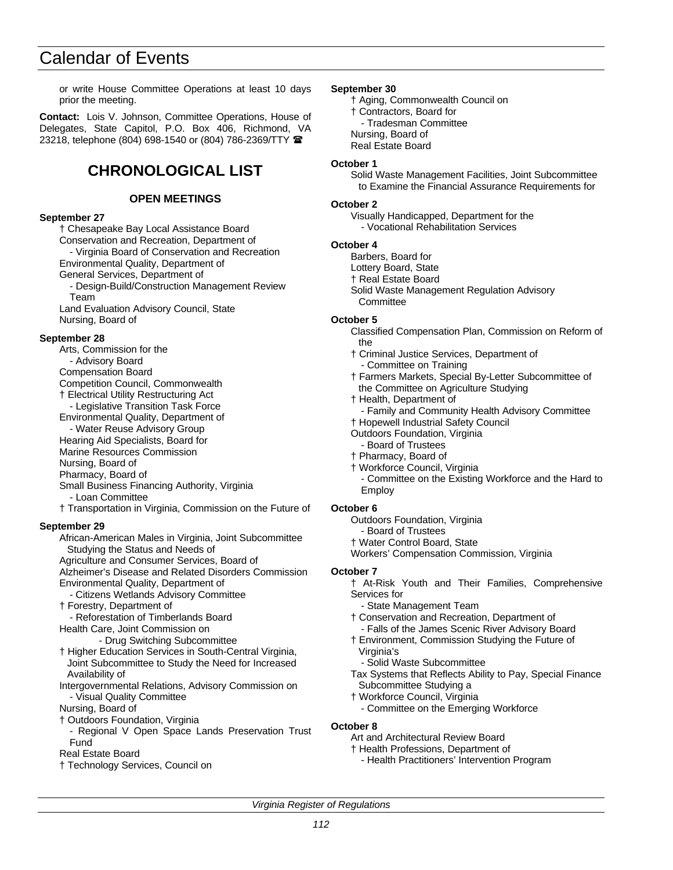or write House Committee Operations at least 10 days prior the meeting.

**Contact:** Lois V. Johnson, Committee Operations, House of Delegates, State Capitol, P.O. Box 406, Richmond, VA 23218, telephone (804) 698-1540 or (804) 786-2369/TTY <sup>2</sup>

### **CHRONOLOGICAL LIST**

#### **OPEN MEETINGS**

#### **September 27**

† Chesapeake Bay Local Assistance Board Conservation and Recreation, Department of - Virginia Board of Conservation and Recreation Environmental Quality, Department of General Services, Department of

- Design-Build/Construction Management Review Team

Land Evaluation Advisory Council, State Nursing, Board of

#### **September 28**

- Arts, Commission for the - Advisory Board
- Compensation Board
- Competition Council, Commonwealth
- † Electrical Utility Restructuring Act
- Legislative Transition Task Force
- Environmental Quality, Department of
- Water Reuse Advisory Group
- Hearing Aid Specialists, Board for
- Marine Resources Commission
- Nursing, Board of
- Pharmacy, Board of
- Small Business Financing Authority, Virginia
- Loan Committee
- † Transportation in Virginia, Commission on the Future of

#### **September 29**

African-American Males in Virginia, Joint Subcommittee

Studying the Status and Needs of

- Agriculture and Consumer Services, Board of
- Alzheimer's Disease and Related Disorders Commission Environmental Quality, Department of
- Citizens Wetlands Advisory Committee
- † Forestry, Department of
- Reforestation of Timberlands Board
- Health Care, Joint Commission on
	- Drug Switching Subcommittee
- † Higher Education Services in South-Central Virginia, Joint Subcommittee to Study the Need for Increased Availability of
- Intergovernmental Relations, Advisory Commission on - Visual Quality Committee
- Nursing, Board of
- † Outdoors Foundation, Virginia
	- Regional V Open Space Lands Preservation Trust Fund
- Real Estate Board
- † Technology Services, Council on

#### **September 30**

- † Aging, Commonwealth Council on † Contractors, Board for - Tradesman Committee Nursing, Board of
- Real Estate Board

#### **October 1**

Solid Waste Management Facilities, Joint Subcommittee to Examine the Financial Assurance Requirements for

#### **October 2**

- Visually Handicapped, Department for the
- Vocational Rehabilitation Services

#### **October 4**

- Barbers, Board for
- Lottery Board, State
- † Real Estate Board
- Solid Waste Management Regulation Advisory **Committee**

#### **October 5**

- Classified Compensation Plan, Commission on Reform of the
- † Criminal Justice Services, Department of Committee on Training
- † Farmers Markets, Special By-Letter Subcommittee of the Committee on Agriculture Studying
- † Health, Department of
- Family and Community Health Advisory Committee
- † Hopewell Industrial Safety Council
- Outdoors Foundation, Virginia - Board of Trustees
- † Pharmacy, Board of
- † Workforce Council, Virginia
- Committee on the Existing Workforce and the Hard to Employ

#### **October 6**

- Outdoors Foundation, Virginia
- Board of Trustees
- † Water Control Board, State
- Workers' Compensation Commission, Virginia

#### **October 7**

- † At-Risk Youth and Their Families, Comprehensive Services for
	- State Management Team
- † Conservation and Recreation, Department of Falls of the James Scenic River Advisory Board
- † Environment, Commission Studying the Future of Virginia's
	-
	- Solid Waste Subcommittee
- Tax Systems that Reflects Ability to Pay, Special Finance Subcommittee Studying a
- † Workforce Council, Virginia
	- Committee on the Emerging Workforce

#### **October 8**

- Art and Architectural Review Board
- † Health Professions, Department of
	- Health Practitioners' Intervention Program

*Virginia Register of Regulations*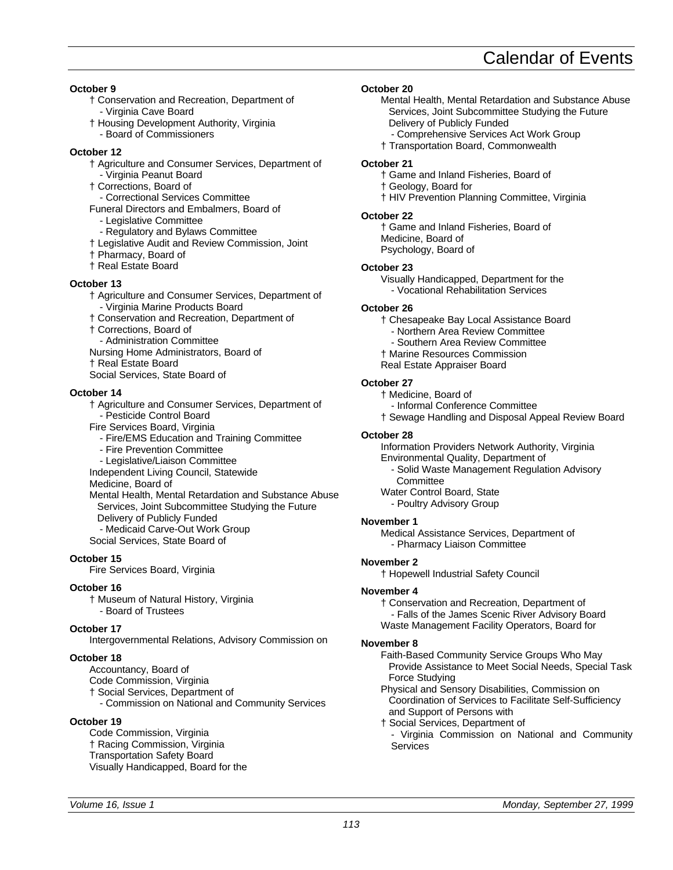**October 9**

- † Conservation and Recreation, Department of - Virginia Cave Board
- † Housing Development Authority, Virginia
- Board of Commissioners

#### **October 12**

- † Agriculture and Consumer Services, Department of
- Virginia Peanut Board † Corrections, Board of
- Correctional Services Committee
- Funeral Directors and Embalmers, Board of
- Legislative Committee
- Regulatory and Bylaws Committee
- † Legislative Audit and Review Commission, Joint
- † Pharmacy, Board of
- † Real Estate Board

#### **October 13**

- † Agriculture and Consumer Services, Department of - Virginia Marine Products Board
- † Conservation and Recreation, Department of
- † Corrections, Board of
- Administration Committee
- Nursing Home Administrators, Board of
- † Real Estate Board
- Social Services, State Board of

#### **October 14**

† Agriculture and Consumer Services, Department of - Pesticide Control Board

Fire Services Board, Virginia

- Fire/EMS Education and Training Committee
- Fire Prevention Committee
- Legislative/Liaison Committee
- Independent Living Council, Statewide

Medicine, Board of

Mental Health, Mental Retardation and Substance Abuse Services, Joint Subcommittee Studying the Future Delivery of Publicly Funded

- Medicaid Carve-Out Work Group Social Services, State Board of

#### **October 15**

Fire Services Board, Virginia

#### **October 16**

† Museum of Natural History, Virginia - Board of Trustees

#### **October 17**

Intergovernmental Relations, Advisory Commission on

#### **October 18**

- Accountancy, Board of
- Code Commission, Virginia
- † Social Services, Department of
- Commission on National and Community Services

#### **October 19**

Code Commission, Virginia † Racing Commission, Virginia Transportation Safety Board Visually Handicapped, Board for the

#### **October 20**

- Mental Health, Mental Retardation and Substance Abuse Services, Joint Subcommittee Studying the Future Delivery of Publicly Funded
	- Comprehensive Services Act Work Group
- † Transportation Board, Commonwealth

#### **October 21**

- † Game and Inland Fisheries, Board of
- † Geology, Board for
- † HIV Prevention Planning Committee, Virginia

#### **October 22**

† Game and Inland Fisheries, Board of Medicine, Board of Psychology, Board of

#### **October 23**

Visually Handicapped, Department for the - Vocational Rehabilitation Services

#### **October 26**

† Chesapeake Bay Local Assistance Board

- Northern Area Review Committee
- Southern Area Review Committee
- † Marine Resources Commission
- Real Estate Appraiser Board

#### **October 27**

† Medicine, Board of

- Informal Conference Committee
- † Sewage Handling and Disposal Appeal Review Board

#### **October 28**

Information Providers Network Authority, Virginia

- Environmental Quality, Department of
	- Solid Waste Management Regulation Advisory **Committee**
- Water Control Board, State
- Poultry Advisory Group

#### **November 1**

Medical Assistance Services, Department of - Pharmacy Liaison Committee

#### **November 2**

† Hopewell Industrial Safety Council

#### **November 4**

† Conservation and Recreation, Department of - Falls of the James Scenic River Advisory Board Waste Management Facility Operators, Board for

#### **November 8**

Faith-Based Community Service Groups Who May Provide Assistance to Meet Social Needs, Special Task Force Studying

Physical and Sensory Disabilities, Commission on Coordination of Services to Facilitate Self-Sufficiency and Support of Persons with

† Social Services, Department of - Virginia Commission on National and Community **Services**